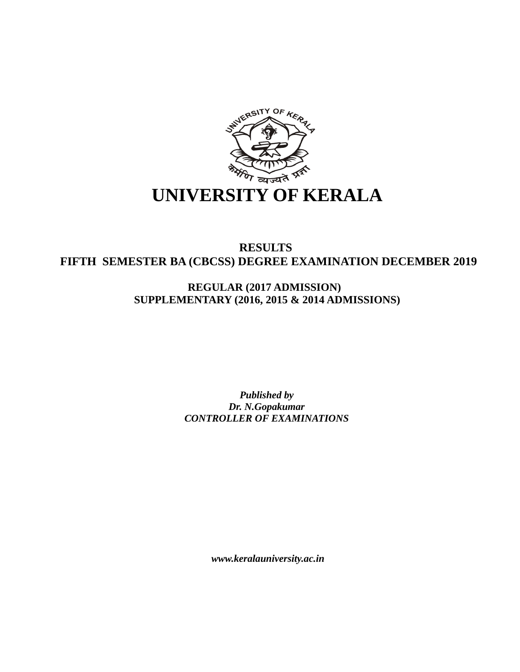

## **RESULTS FIFTH SEMESTER BA (CBCSS) DEGREE EXAMINATION DECEMBER 2019**

**REGULAR (2017 ADMISSION) SUPPLEMENTARY (2016, 2015 & 2014 ADMISSIONS)**

> *Published by Dr. N.Gopakumar CONTROLLER OF EXAMINATIONS*

> > *www.keralauniversity.ac.in*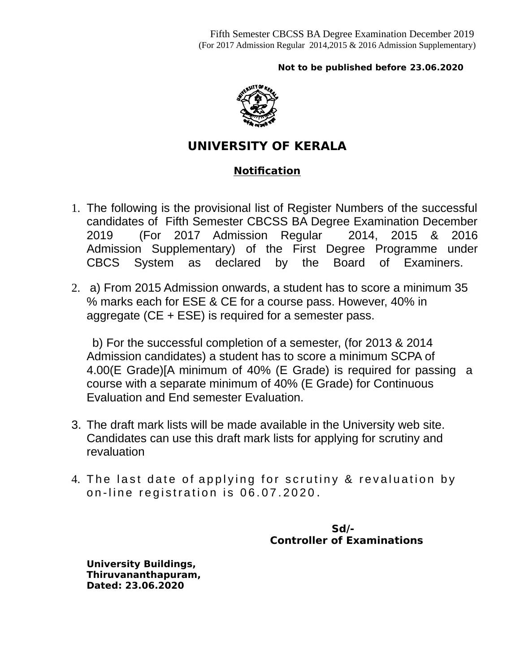## **Not to be published before 23.06.2020**



## **UNIVERSITY OF KERALA**

## **Notification**

- 1. The following is the provisional list of Register Numbers of the successful candidates of Fifth Semester CBCSS BA Degree Examination December 2019 (For 2017 Admission Regular 2014, 2015 & 2016 Admission Supplementary) of the First Degree Programme under CBCS System as declared by the Board of Examiners.
- 2. a) From 2015 Admission onwards, a student has to score a minimum 35 % marks each for ESE & CE for a course pass. However, 40% in aggregate (CE + ESE) is required for a semester pass.

 b) For the successful completion of a semester, (for 2013 & 2014 Admission candidates) a student has to score a minimum SCPA of 4.00(E Grade)[A minimum of 40% (E Grade) is required for passing a course with a separate minimum of 40% (E Grade) for Continuous Evaluation and End semester Evaluation.

- 3. The draft mark lists will be made available in the University web site. Candidates can use this draft mark lists for applying for scrutiny and revaluation
- 4. The last date of applying for scrutiny & revaluation by on-line registration is 06.07.2020.

 **Sd/- Controller of Examinations** 

**University Buildings, Thiruvananthapuram, Dated: 23.06.2020**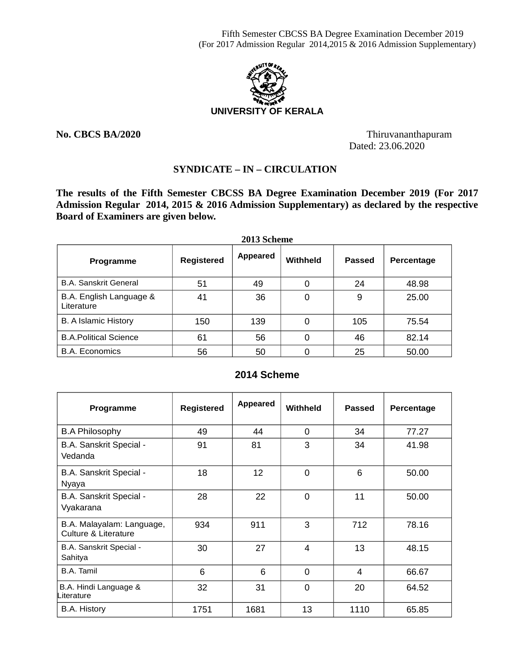Fifth Semester CBCSS BA Degree Examination December 2019 (For 2017 Admission Regular 2014,2015 & 2016 Admission Supplementary)



**No. CBCS BA/2020** Thiruvananthapuram Dated: 23.06.2020

## **SYNDICATE – IN – CIRCULATION**

**2013 Scheme**

**The results of the Fifth Semester CBCSS BA Degree Examination December 2019 (For 2017 Admission Regular 2014, 2015 & 2016 Admission Supplementary) as declared by the respective Board of Examiners are given below.**

| ZVI3 SCHEME                           |                   |          |                 |               |            |  |  |  |  |
|---------------------------------------|-------------------|----------|-----------------|---------------|------------|--|--|--|--|
| Programme                             | <b>Registered</b> | Appeared | <b>Withheld</b> | <b>Passed</b> | Percentage |  |  |  |  |
| <b>B.A. Sanskrit General</b>          | 51                | 49       |                 | 24            | 48.98      |  |  |  |  |
| B.A. English Language &<br>Literature | 41                | 36       | 0               | 9             | 25.00      |  |  |  |  |
| <b>B.</b> A Islamic History           | 150               | 139      | 0               | 105           | 75.54      |  |  |  |  |
| <b>B.A.Political Science</b>          | 61                | 56       | 0               | 46            | 82.14      |  |  |  |  |
| <b>B.A. Economics</b>                 | 56                | 50       |                 | 25            | 50.00      |  |  |  |  |

### **2014 Scheme**

| Programme                                         | <b>Registered</b> | Appeared | Withheld    | <b>Passed</b> | Percentage |
|---------------------------------------------------|-------------------|----------|-------------|---------------|------------|
| <b>B.A Philosophy</b>                             | 49                | 44       | $\Omega$    | 34            | 77.27      |
| B.A. Sanskrit Special -<br>Vedanda                | 91                | 81       | 3           | 34            | 41.98      |
| B.A. Sanskrit Special -<br>Nyaya                  | 18                | 12       | $\Omega$    | 6             | 50.00      |
| B.A. Sanskrit Special -<br>Vyakarana              | 28                | 22       | $\mathbf 0$ | 11            | 50.00      |
| B.A. Malayalam: Language,<br>Culture & Literature | 934               | 911      | 3           | 712           | 78.16      |
| B.A. Sanskrit Special -<br>Sahitya                | 30                | 27       | 4           | 13            | 48.15      |
| <b>B.A.</b> Tamil                                 | 6                 | 6        | $\Omega$    | 4             | 66.67      |
| B.A. Hindi Language &<br>Literature               | 32                | 31       | $\mathbf 0$ | 20            | 64.52      |
| <b>B.A. History</b>                               | 1751              | 1681     | 13          | 1110          | 65.85      |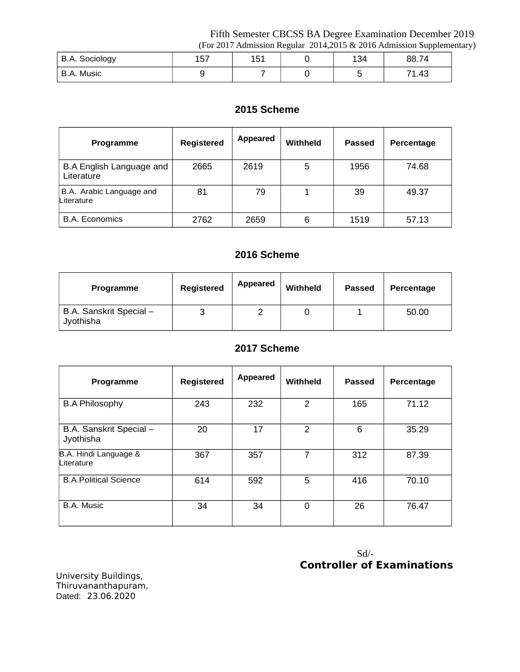Fifth Semester CBCSS BA Degree Examination December 2019 (For 2017 Admission Regular 2014,2015 & 2016 Admission Supplementary)

|                       |                    |              | ັ |     | . .        |
|-----------------------|--------------------|--------------|---|-----|------------|
| <b>B.A. Sociology</b> | $\sim$ $-$<br>⊥∪ ≀ | 1 1 1<br>ᆂᇦᆂ |   | 134 | 88.74      |
| Music<br>A.<br>D./    |                    |              |   |     | 74<br>1.43 |

## **2015 Scheme**

| <b>Programme</b>                              | <b>Registered</b> | Appeared | <b>Withheld</b> | <b>Passed</b> | Percentage |
|-----------------------------------------------|-------------------|----------|-----------------|---------------|------------|
| <b>B.A English Language and</b><br>Literature | 2665              | 2619     | 5               | 1956          | 74.68      |
| B.A. Arabic Language and<br>Literature        | 81                | 79       |                 | 39            | 49.37      |
| <b>B.A.</b> Economics                         | 2762              | 2659     | 6               | 1519          | 57.13      |

## **2016 Scheme**

| Programme                            | Registered | Appeared | Withheld | <b>Passed</b> | <b>Percentage</b> |
|--------------------------------------|------------|----------|----------|---------------|-------------------|
| B.A. Sanskrit Special -<br>Jyothisha |            |          |          |               | 50.00             |

## **2017 Scheme**

| Programme                            | <b>Registered</b> | Appeared | <b>Withheld</b> | <b>Passed</b> | Percentage |
|--------------------------------------|-------------------|----------|-----------------|---------------|------------|
| <b>B.A Philosophy</b>                | 243               | 232      | $\overline{2}$  | 165           | 71.12      |
| B.A. Sanskrit Special -<br>Jyothisha | 20                | 17       | $\overline{2}$  | 6             | 35.29      |
| B.A. Hindi Language &<br>Literature  | 367               | 357      | 7               | 312           | 87.39      |
| <b>B.A.Political Science</b>         | 614               | 592      | 5               | 416           | 70.10      |
| <b>B.A. Music</b>                    | 34                | 34       | 0               | 26            | 76.47      |

## Sd/- **Controller of Examinations**

University Buildings, Thiruvananthapuram, Dated: 23.06.2020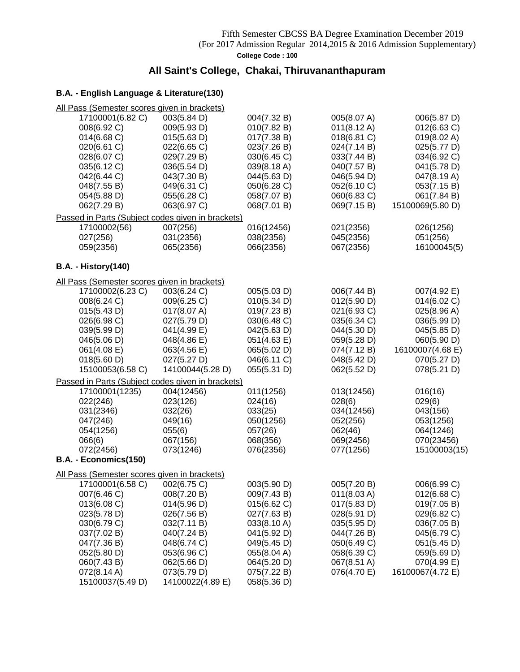## **All Saint's College, Chakai, Thiruvananthapuram**

| All Pass (Semester scores given in brackets) |                                                   |             |                       |                  |
|----------------------------------------------|---------------------------------------------------|-------------|-----------------------|------------------|
| 17100001(6.82 C)                             | 003(5.84 D)                                       | 004(7.32 B) | 005(8.07 A)           | 006(5.87 D)      |
| 008(6.92 C)                                  | 009(5.93 D)                                       | 010(7.82 B) | $011(8.12 \text{ A})$ | 012(6.63 C)      |
| 014(6.68)                                    | 015(5.63 D)                                       | 017(7.38 B) | 018(6.81 C)           | 019(8.02 A)      |
| 020(6.61 C)                                  | 022(6.65 C)                                       | 023(7.26 B) | 024(7.14 B)           | 025(5.77 D)      |
| 028(6.07 C)                                  | 029(7.29 B)                                       | 030(6.45 C) | 033(7.44 B)           | 034(6.92 C)      |
| 035(6.12 C)                                  | 036(5.54 D)                                       | 039(8.18 A) | 040(7.57 B)           | 041(5.78 D)      |
|                                              |                                                   |             |                       |                  |
| 042(6.44 C)                                  | 043(7.30 B)                                       | 044(5.63 D) | 046(5.94 D)           | 047(8.19 A)      |
| 048(7.55 B)                                  | 049(6.31 C)                                       | 050(6.28 C) | 052(6.10 C)           | 053(7.15 B)      |
| 054(5.88 D)                                  | 055(6.28 C)                                       | 058(7.07 B) | 060(6.83 C)           | 061(7.84 B)      |
| 062(7.29 B)                                  | 063(6.97 C)                                       | 068(7.01 B) | 069(7.15 B)           | 15100069(5.80 D) |
|                                              | Passed in Parts (Subject codes given in brackets) |             |                       |                  |
| 17100002(56)                                 | 007(256)                                          | 016(12456)  | 021(2356)             | 026(1256)        |
| 027(256)                                     | 031(2356)                                         | 038(2356)   | 045(2356)             | 051(256)         |
| 059(2356)                                    | 065(2356)                                         | 066(2356)   | 067(2356)             | 16100045(5)      |
|                                              |                                                   |             |                       |                  |
| <b>B.A. - History(140)</b>                   |                                                   |             |                       |                  |
| All Pass (Semester scores given in brackets) |                                                   |             |                       |                  |
| 17100002(6.23 C)                             | 003(6.24 C)                                       | 005(5.03 D) | 006(7.44 B)           | 007(4.92 E)      |
| 008(6.24 C)                                  | 009(6.25 C)                                       | 010(5.34 D) | 012(5.90 D)           | 014(6.02 C)      |
| 015(5.43 D)                                  | 017(8.07 A)                                       | 019(7.23 B) | 021(6.93 C)           | 025(8.96 A)      |
| 026(6.98 C)                                  | 027(5.79 D)                                       | 030(6.48 C) | 035(6.34 C)           | 036(5.99 D)      |
| 039(5.99 D)                                  | 041(4.99 E)                                       | 042(5.63 D) | 044(5.30 D)           | 045(5.85 D)      |
| 046(5.06 D)                                  | 048(4.86 E)                                       | 051(4.63 E) | 059(5.28 D)           | 060(5.90 D)      |
| 061(4.08 E)                                  | 063(4.56 E)                                       | 065(5.02 D) | 074(7.12 B)           | 16100007(4.68 E) |
| 018(5.60 D)                                  | 027(5.27 D)                                       | 046(6.11 C) | 048(5.42 D)           | 070(5.27 D)      |
| 15100053(6.58 C)                             | 14100044(5.28 D)                                  | 055(5.31 D) | 062(5.52 D)           | 078(5.21 D)      |
|                                              |                                                   |             |                       |                  |
|                                              | Passed in Parts (Subject codes given in brackets) |             |                       |                  |
| 17100001(1235)                               | 004(12456)                                        | 011(1256)   | 013(12456)            | 016(16)          |
| 022(246)                                     | 023(126)                                          | 024(16)     | 028(6)                | 029(6)           |
| 031(2346)                                    | 032(26)                                           | 033(25)     | 034(12456)            | 043(156)         |
| 047(246)                                     | 049(16)                                           | 050(1256)   | 052(256)              | 053(1256)        |
| 054(1256)                                    | 055(6)                                            | 057(26)     | 062(46)               | 064(1246)        |
| 066(6)                                       | 067(156)                                          | 068(356)    | 069(2456)             | 070(23456)       |
| 072(2456)                                    | 073(1246)                                         | 076(2356)   | 077(1256)             | 15100003(15)     |
| B.A. - Economics(150)                        |                                                   |             |                       |                  |
| All Pass (Semester scores given in brackets) |                                                   |             |                       |                  |
| 17100001(6.58 C) 002(6.75 C)                 |                                                   | 003(5.90 D) | 005(7.20 B)           | 006(6.99 C)      |
| 007(6.46 C)                                  | 008(7.20 B)                                       | 009(7.43 B) | 011(8.03 A)           | 012(6.68 C)      |
| 013(6.08 C)                                  | 014(5.96 D)                                       | 015(6.62 C) | 017(5.83 D)           | 019(7.05 B)      |
| 023(5.78 D)                                  | 026(7.56 B)                                       | 027(7.63 B) | 028(5.91 D)           | 029(6.82 C)      |
| 030(6.79 C)                                  | 032(7.11 B)                                       | 033(8.10 A) | 035(5.95 D)           | 036(7.05 B)      |
| 037(7.02 B)                                  | 040(7.24 B)                                       | 041(5.92 D) | 044(7.26 B)           | 045(6.79 C)      |
| 047(7.36 B)                                  | 048(6.74 C)                                       | 049(5.45 D) | 050(6.49 C)           | 051(5.45 D)      |
| 052(5.80 D)                                  | 053(6.96 C)                                       | 055(8.04 A) | 058(6.39 C)           | 059(5.69 D)      |
|                                              |                                                   |             |                       |                  |
| 060(7.43 B)                                  | 062(5.66 D)                                       | 064(5.20 D) | 067(8.51 A)           | 070(4.99 E)      |
| 072(8.14 A)                                  | 073(5.79 D)                                       | 075(7.22 B) | 076(4.70 E)           | 16100067(4.72 E) |
| 15100037(5.49 D)                             | 14100022(4.89 E)                                  | 058(5.36 D) |                       |                  |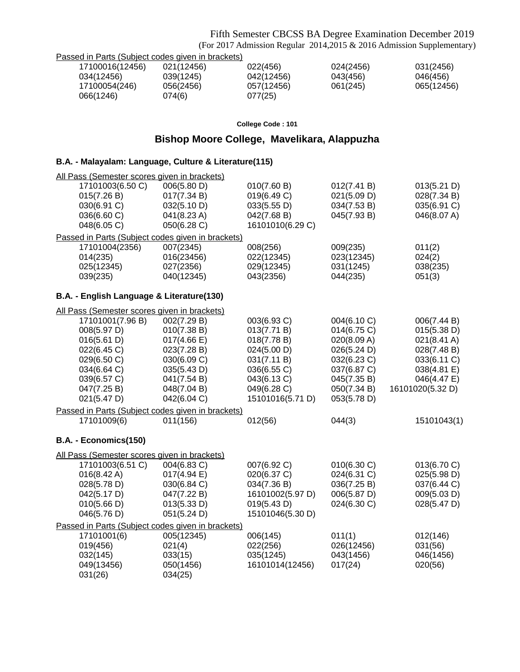Fifth Semester CBCSS BA Degree Examination December 2019 (For 2017 Admission Regular 2014,2015 & 2016 Admission Supplementary)

|  | Passed in Parts (Subject codes given in brackets) |  |
|--|---------------------------------------------------|--|
|  |                                                   |  |

| 17100016(12456) | 021(12456) | 022(456)   | 024(2456) | 031(2456)  |
|-----------------|------------|------------|-----------|------------|
| 034(12456)      | 039(1245)  | 042(12456) | 043(456)  | 046(456)   |
| 17100054(246)   | 056(2456)  | 057(12456) | 061(245)  | 065(12456) |
| 066(1246)       | 074(6)     | 077(25)    |           |            |

### **College Code : 101**

## **Bishop Moore College, Mavelikara, Alappuzha**

## **B.A. - Malayalam: Language, Culture & Literature(115)**

| All Pass (Semester scores given in brackets) |                                                   |                  |             |                       |
|----------------------------------------------|---------------------------------------------------|------------------|-------------|-----------------------|
| 17101003(6.50 C)                             | 006(5.80 D)                                       | 010(7.60 B)      | 012(7.41 B) | 013(5.21 D)           |
| 015(7.26 B)                                  | 017(7.34 B)                                       | 019(6.49 C)      | 021(5.09 D) | 028(7.34 B)           |
| 030(6.91 C)                                  | 032(5.10 D)                                       | 033(5.55 D)      | 034(7.53 B) | 035(6.91 C)           |
| 036(6.60 C)                                  | 041(8.23 A)                                       | 042(7.68 B)      | 045(7.93 B) | 046(8.07 A)           |
| 048(6.05 C)                                  | 050(6.28 C)                                       | 16101010(6.29 C) |             |                       |
|                                              | Passed in Parts (Subject codes given in brackets) |                  |             |                       |
| 17101004(2356)                               | 007(2345)                                         | 008(256)         | 009(235)    | 011(2)                |
| 014(235)                                     | 016(23456)                                        | 022(12345)       | 023(12345)  | 024(2)                |
| 025(12345)                                   | 027(2356)                                         | 029(12345)       | 031(1245)   | 038(235)              |
| 039(235)                                     | 040(12345)                                        | 043(2356)        | 044(235)    | 051(3)                |
| B.A. - English Language & Literature(130)    |                                                   |                  |             |                       |
| All Pass (Semester scores given in brackets) |                                                   |                  |             |                       |
| 17101001(7.96 B)                             | 002(7.29 B)                                       | 003(6.93 C)      | 004(6.10 C) | 006(7.44 B)           |
| 008(5.97 D)                                  | 010(7.38 B)                                       | 013(7.71 B)      | 014(6.75 C) | 015(5.38 D)           |
| 016(5.61 D)                                  | $017(4.66 \text{ E})$                             | 018(7.78 B)      | 020(8.09 A) | $021(8.41 \text{ A})$ |
| 022(6.45 C)                                  | 023(7.28 B)                                       | 024(5.00 D)      | 026(5.24 D) | 028(7.48 B)           |
| 029(6.50 C)                                  | 030(6.09 C)                                       | 031(7.11 B)      | 032(6.23 C) | 033(6.11 C)           |
| 034(6.64 C)                                  | 035(5.43 D)                                       | 036(6.55 C)      | 037(6.87 C) | 038(4.81 E)           |
| 039(6.57 C)                                  | 041(7.54 B)                                       | 043(6.13 C)      | 045(7.35 B) | 046(4.47 E)           |
| 047(7.25 B)                                  | 048(7.04 B)                                       | 049(6.28 C)      | 050(7.34 B) | 16101020(5.32 D)      |
| 021(5.47 D)                                  | 042(6.04 C)                                       | 15101016(5.71 D) | 053(5.78 D) |                       |
|                                              | Passed in Parts (Subject codes given in brackets) |                  |             |                       |
| 17101009(6)                                  | 011(156)                                          | 012(56)          | 044(3)      | 15101043(1)           |
| B.A. - Economics(150)                        |                                                   |                  |             |                       |
| All Pass (Semester scores given in brackets) |                                                   |                  |             |                       |
| 17101003(6.51 C)                             | 004(6.83 C)                                       | 007(6.92 C)      | 010(6.30 C) | 013(6.70 C)           |
| 016(8.42 A)                                  | 017(4.94 E)                                       | 020(6.37 C)      | 024(6.31 C) | 025(5.98 D)           |
| 028(5.78 D)                                  | 030(6.84 C)                                       | 034(7.36 B)      | 036(7.25 B) | 037(6.44 C)           |
| 042(5.17 D)                                  | 047(7.22 B)                                       | 16101002(5.97 D) | 006(5.87 D) | 009(5.03 D)           |
| 010(5.66 D)                                  | 013(5.33 D)                                       | 019(5.43 D)      | 024(6.30 C) | 028(5.47 D)           |
| 046(5.76 D)                                  | 051(5.24 D)                                       | 15101046(5.30 D) |             |                       |
|                                              | Passed in Parts (Subject codes given in brackets) |                  |             |                       |
| 17101001(6)                                  | 005(12345)                                        | 006(145)         | 011(1)      | 012(146)              |
| 019(456)                                     | 021(4)                                            | 022(256)         | 026(12456)  | 031(56)               |
| 032(145)                                     | 033(15)                                           | 035(1245)        | 043(1456)   | 046(1456)             |
| 049(13456)                                   | 050(1456)                                         | 16101014(12456)  | 017(24)     | 020(56)               |
| 031(26)                                      | 034(25)                                           |                  |             |                       |
|                                              |                                                   |                  |             |                       |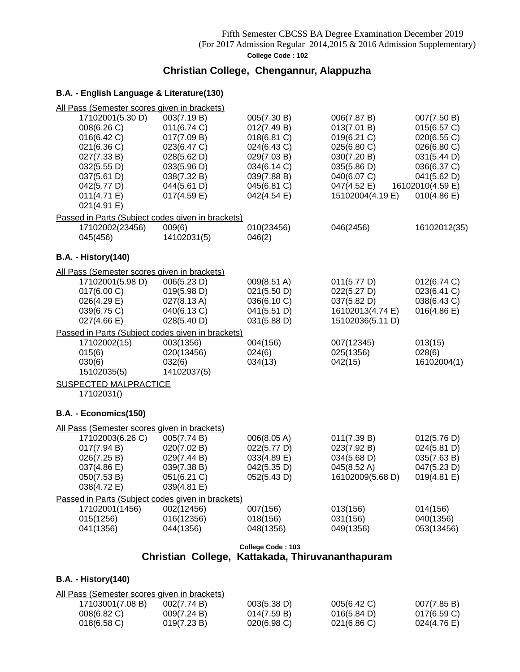### Fifth Semester CBCSS BA Degree Examination December 2019 (For 2017 Admission Regular 2014,2015 & 2016 Admission Supplementary) **College Code : 102**

## **Christian College, Chengannur, Alappuzha**

### **B.A. - English Language & Literature(130)**

| All Pass (Semester scores given in brackets)      |                            |                            |                            |                            |
|---------------------------------------------------|----------------------------|----------------------------|----------------------------|----------------------------|
| 17102001(5.30 D)<br>008(6.26 C)                   | 003(7.19 B)<br>011(6.74 C) | 005(7.30 B)<br>012(7.49 B) | 006(7.87 B)<br>013(7.01 B) | 007(7.50 B)<br>015(6.57 C) |
| 016(6.42 C)                                       | 017(7.09 B)                | 018(6.81 C)                | 019(6.21 C)                | 020(6.55 C)                |
| 021(6.36 C)                                       | 023(6.47 C)                | 024(6.43 C)                | 025(6.80 C)                | 026(6.80 C)                |
| 027(7.33 B)                                       | 028(5.62 D)                | 029(7.03 B)                | 030(7.20 B)                | 031(5.44 D)                |
| 032(5.55 D)                                       | 033(5.96 D)                | 034(6.14 C)                | 035(5.86 D)                | 036(6.37 C)                |
| 037(5.61 D)                                       | 038(7.32 B)                | 039(7.88 B)                | 040(6.07 C)                | 041(5.62 D)                |
| 042(5.77 D)                                       | 044(5.61 D)                | 045(6.81 C)                | 047(4.52 E)                | 16102010(4.59 E)           |
| 011(4.71 E)                                       | 017(4.59 E)                | 042(4.54 E)                | 15102004(4.19 E)           | 010(4.86 E)                |
| 021(4.91 E)                                       |                            |                            |                            |                            |
| Passed in Parts (Subject codes given in brackets) |                            |                            |                            |                            |
| 17102002(23456)                                   | 009(6)                     | 010(23456)                 | 046(2456)                  | 16102012(35)               |
| 045(456)                                          | 14102031(5)                | 046(2)                     |                            |                            |
| <b>B.A. - History(140)</b>                        |                            |                            |                            |                            |
| All Pass (Semester scores given in brackets)      |                            |                            |                            |                            |
| 17102001(5.98 D)                                  | 006(5.23 D)                | 009(8.51 A)                | 011(5.77 D)                | 012(6.74 C)                |
| 017(6.00 C)                                       | 019(5.98 D)                | 021(5.50 D)                | 022(5.27 D)                | 023(6.41 C)                |
| 026(4.29 E)                                       | 027(8.13 A)                | 036(6.10 C)                | 037(5.82 D)                | 038(6.43 C)                |
| 039(6.75 C)                                       | 040(6.13 C)                | 041(5.51 D)                | 16102013(4.74 E)           | $016(4.86 \text{ E})$      |
| $027(4.66 \text{ E})$                             | 028(5.40 D)                | 031(5.88 D)                | 15102036(5.11 D)           |                            |
| Passed in Parts (Subject codes given in brackets) |                            |                            |                            |                            |
| 17102002(15)                                      | 003(1356)                  | 004(156)                   | 007(12345)                 | 013(15)                    |
| 015(6)                                            | 020(13456)                 | 024(6)                     | 025(1356)                  | 028(6)                     |
| 030(6)                                            | 032(6)                     | 034(13)                    | 042(15)                    | 16102004(1)                |
| 15102035(5)                                       | 14102037(5)                |                            |                            |                            |
| <b>SUSPECTED MALPRACTICE</b>                      |                            |                            |                            |                            |
| 17102031()                                        |                            |                            |                            |                            |
| B.A. - Economics(150)                             |                            |                            |                            |                            |
| All Pass (Semester scores given in brackets)      |                            |                            |                            |                            |
| 17102003(6.26 C)                                  | 005(7.74 B)                | 006(8.05 A)                | 011(7.39 B)                | 012(5.76 D)                |
| 017(7.94 B)                                       | 020(7.02 B)                | 022(5.77 D)                | 023(7.92 B)                | 024(5.81 D)                |
| 026(7.25 B)                                       | 029(7.44 B)                | 033(4.89 E)                | 034(5.68 D)                | 035(7.63 B)                |
| 037(4.86 E)                                       | 039(7.38 B)                | 042(5.35 D)                | 045(8.52 A)                | 047(5.23 D)                |
| 050(7.53 B)                                       | 051(6.21 C)                | 052(5.43 D)                | 16102009(5.68 D)           | 019(4.81 E)                |
| 038(4.72 E)                                       | 039(4.81 E)                |                            |                            |                            |
| Passed in Parts (Subject codes given in brackets) |                            |                            |                            |                            |
| 17102001(1456)                                    | 002(12456)                 | 007(156)                   | 013(156)                   | 014(156)                   |
| 015(1256)                                         | 016(12356)                 | 018(156)                   | 031(156)                   | 040(1356)                  |
| 041(1356)                                         | 044(1356)                  | 048(1356)                  | 049(1356)                  | 053(13456)                 |
|                                                   |                            | College Code: 103          |                            |                            |

## **Christian College, Kattakada, Thiruvananthapuram**

### **B.A. - History(140)**

| All Pass (Semester scores given in brackets) |             |                |             |                |
|----------------------------------------------|-------------|----------------|-------------|----------------|
| 17103001(7.08 B)                             | 002(7.74 B) | 003(5.38 D)    | 005(6.42 C) | 007(7.85 B)    |
| $008(6.82)$ C)                               | 009(7.24 B) | 014(7.59 B)    | 016(5.84 D) | $017(6.59)$ C) |
| $018(6.58)$ C)                               | 019(7.23 B) | $020(6.98)$ C) | 021(6.86)   | 024(4.76 E)    |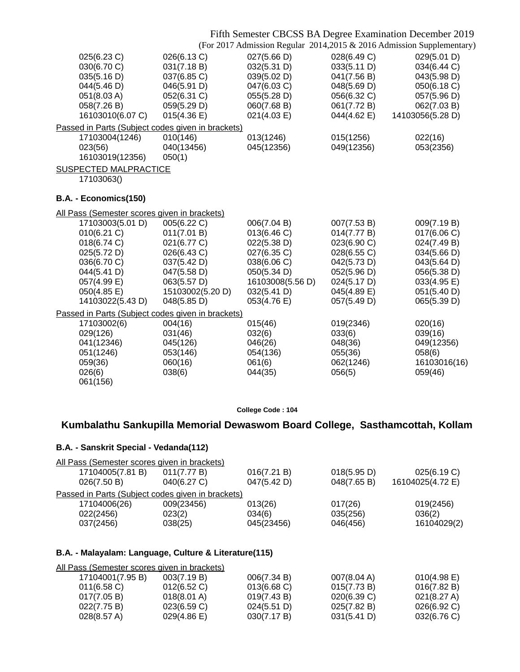## Fifth Semester CBCSS BA Degree Examination December 2019

(For 2017 Admission Regular 2014,2015 & 2016 Admission Supplementary)

| 025(6.23 C)<br>030(6.70 C)<br>035(5.16 D)<br>044(5.46 D)<br>051(8.03 A)<br>058(7.26 B)<br>16103010(6.07 C)                                    | 026(6.13 C)<br>031(7.18 B)<br>037(6.85 C)<br>046(5.91 D)<br>052(6.31 C)<br>059(5.29 D)<br>015(4.36)                                      | 027(5.66 D)<br>032(5.31 D)<br>039(5.02 D)<br>047(6.03 C)<br>055(5.28 D)<br>060(7.68 B)<br>021(4.03 E)                                    | 028(6.49 C)<br>033(5.11 D)<br>041(7.56 B)<br>048(5.69 D)<br>056(6.32 C)<br>061(7.72 B)<br>044(4.62 E)                               | 029(5.01 D)<br>034(6.44 C)<br>043(5.98 D)<br>050(6.18 C)<br>057(5.96 D)<br>062(7.03 B)<br>14103056(5.28 D)                          |
|-----------------------------------------------------------------------------------------------------------------------------------------------|------------------------------------------------------------------------------------------------------------------------------------------|------------------------------------------------------------------------------------------------------------------------------------------|-------------------------------------------------------------------------------------------------------------------------------------|-------------------------------------------------------------------------------------------------------------------------------------|
| Passed in Parts (Subject codes given in brackets)                                                                                             |                                                                                                                                          |                                                                                                                                          |                                                                                                                                     |                                                                                                                                     |
| 17103004(1246)<br>023(56)<br>16103019(12356)                                                                                                  | 010(146)<br>040(13456)<br>050(1)                                                                                                         | 013(1246)<br>045(12356)                                                                                                                  | 015(1256)<br>049(12356)                                                                                                             | 022(16)<br>053(2356)                                                                                                                |
| <b>SUSPECTED MALPRACTICE</b><br>17103063()                                                                                                    |                                                                                                                                          |                                                                                                                                          |                                                                                                                                     |                                                                                                                                     |
| B.A. - Economics(150)                                                                                                                         |                                                                                                                                          |                                                                                                                                          |                                                                                                                                     |                                                                                                                                     |
| All Pass (Semester scores given in brackets)                                                                                                  |                                                                                                                                          |                                                                                                                                          |                                                                                                                                     |                                                                                                                                     |
| 17103003(5.01 D)<br>010(6.21 C)<br>018(6.74 C)<br>025(5.72 D)<br>036(6.70 C)<br>044(5.41 D)<br>057(4.99 E)<br>050(4.85 E)<br>14103022(5.43 D) | 005(6.22 C)<br>011(7.01 B)<br>021(6.77 C)<br>026(6.43 C)<br>037(5.42 D)<br>047(5.58 D)<br>063(5.57 D)<br>15103002(5.20 D)<br>048(5.85 D) | 006(7.04 B)<br>013(6.46 C)<br>022(5.38 D)<br>027(6.35 C)<br>038(6.06 C)<br>050(5.34 D)<br>16103008(5.56 D)<br>032(5.41 D)<br>053(4.76 E) | 007(7.53 B)<br>014(7.77 B)<br>023(6.90 C)<br>028(6.55 C)<br>042(5.73 D)<br>052(5.96 D)<br>024(5.17 D)<br>045(4.89 E)<br>057(5.49 D) | 009(7.19 B)<br>017(6.06 C)<br>024(7.49 B)<br>034(5.66 D)<br>043(5.64 D)<br>056(5.38 D)<br>033(4.95 E)<br>051(5.40 D)<br>065(5.39 D) |
| Passed in Parts (Subject codes given in brackets)                                                                                             |                                                                                                                                          |                                                                                                                                          |                                                                                                                                     |                                                                                                                                     |
| 17103002(6)<br>029(126)<br>041(12346)<br>051(1246)<br>059(36)<br>026(6)<br>061(156)                                                           | 004(16)<br>031(46)<br>045(126)<br>053(146)<br>060(16)<br>038(6)                                                                          | 015(46)<br>032(6)<br>046(26)<br>054(136)<br>061(6)<br>044(35)                                                                            | 019(2346)<br>033(6)<br>048(36)<br>055(36)<br>062(1246)<br>056(5)                                                                    | 020(16)<br>039(16)<br>049(12356)<br>058(6)<br>16103016(16)<br>059(46)                                                               |

**College Code : 104**

## **Kumbalathu Sankupilla Memorial Dewaswom Board College, Sasthamcottah, Kollam**

### **B.A. - Sanskrit Special - Vedanda(112)**

| All Pass (Semester scores given in brackets)      |             |             |             |                  |
|---------------------------------------------------|-------------|-------------|-------------|------------------|
| 17104005(7.81 B)                                  | 011(7.77 B) | 016(7.21 B) | 018(5.95 D) | 025(6.19 C)      |
| 026(7.50 B)                                       | 040(6.27 C) | 047(5.42 D) | 048(7.65 B) | 16104025(4.72 E) |
| Passed in Parts (Subject codes given in brackets) |             |             |             |                  |
| 17104006(26)                                      | 009(23456)  | 013(26)     | 017(26)     | 019(2456)        |
| 022(2456)                                         | 023(2)      | 034(6)      | 035(256)    | 036(2)           |
| 037(2456)                                         | 038(25)     | 045(23456)  | 046(456)    | 16104029(2)      |
|                                                   |             |             |             |                  |

### **B.A. - Malayalam: Language, Culture & Literature(115)**

| All Pass (Semester scores given in brackets) |                       |                |                       |                |
|----------------------------------------------|-----------------------|----------------|-----------------------|----------------|
| 17104001(7.95 B)                             | 003(7.19 B)           | 006(7.34 B)    | $007(8.04 \text{ A})$ | $010(4.98)$ E) |
| $011(6.58)$ C)                               | $012(6.52)$ C)        | $013(6.68)$ C) | 015(7.73 B)           | 016(7.82 B)    |
| 017(7.05 B)                                  | $018(8.01 \text{ A})$ | 019(7.43 B)    | 020(6.39 C)           | 021(8.27 A)    |
| 022(7.75 B)                                  | 023(6.59 C)           | 024(5.51 D)    | 025(7.82 B)           | 026(6.92 C)    |
| 028(8.57 A)                                  | $029(4.86 \text{ E})$ | 030(7.17 B)    | 031(5.41 D)           | 032(6.76 C)    |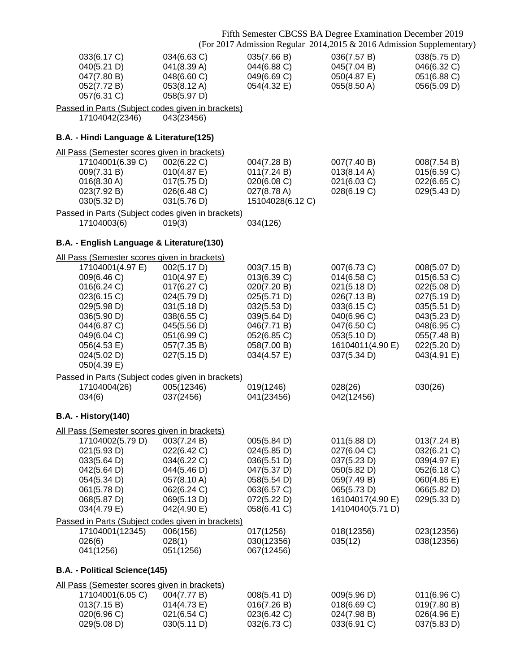|                                                                                                                                                                                                                        |                                                                                                                                                    | Fifth Semester CBCSS BA Degree Examination December 2019<br>(For 2017 Admission Regular 2014,2015 & 2016 Admission Supplementary)                  |                                                                                                                                                         |                                                                                                                                                    |
|------------------------------------------------------------------------------------------------------------------------------------------------------------------------------------------------------------------------|----------------------------------------------------------------------------------------------------------------------------------------------------|----------------------------------------------------------------------------------------------------------------------------------------------------|---------------------------------------------------------------------------------------------------------------------------------------------------------|----------------------------------------------------------------------------------------------------------------------------------------------------|
| 033(6.17 C)<br>040(5.21 D)<br>047(7.80 B)<br>052(7.72 B)<br>057(6.31 C)                                                                                                                                                | 034(6.63 C)<br>041(8.39 A)<br>048(6.60 C)<br>053(8.12 A)<br>058(5.97 D)                                                                            | 035(7.66 B)<br>044(6.88 C)<br>049(6.69 C)<br>054(4.32 E)                                                                                           | 036(7.57 B)<br>045(7.04 B)<br>050(4.87 E)<br>055(8.50 A)                                                                                                | 038(5.75 D)<br>046(6.32 C)<br>051(6.88 C)<br>056(5.09 D)                                                                                           |
| Passed in Parts (Subject codes given in brackets)<br>17104042(2346)                                                                                                                                                    | 043(23456)                                                                                                                                         |                                                                                                                                                    |                                                                                                                                                         |                                                                                                                                                    |
| B.A. - Hindi Language & Literature(125)                                                                                                                                                                                |                                                                                                                                                    |                                                                                                                                                    |                                                                                                                                                         |                                                                                                                                                    |
| All Pass (Semester scores given in brackets)<br>17104001(6.39 C)<br>009(7.31 B)<br>016(8.30 A)<br>023(7.92 B)<br>030(5.32 D)                                                                                           | 002(6.22 C)<br>010(4.87 E)<br>017(5.75 D)<br>026(6.48 C)<br>031(5.76 D)                                                                            | 004(7.28 B)<br>011(7.24 B)<br>020(6.08 C)<br>027(8.78 A)<br>15104028(6.12 C)                                                                       | 007(7.40 B)<br>013(8.14 A)<br>021(6.03 C)<br>028(6.19 C)                                                                                                | 008(7.54 B)<br>015(6.59 C)<br>022(6.65 C)<br>029(5.43 D)                                                                                           |
| Passed in Parts (Subject codes given in brackets)<br>17104003(6)                                                                                                                                                       | 019(3)                                                                                                                                             | 034(126)                                                                                                                                           |                                                                                                                                                         |                                                                                                                                                    |
| B.A. - English Language & Literature(130)                                                                                                                                                                              |                                                                                                                                                    |                                                                                                                                                    |                                                                                                                                                         |                                                                                                                                                    |
| All Pass (Semester scores given in brackets)<br>17104001(4.97 E)<br>009(6.46 C)<br>016(6.24 C)<br>023(6.15 C)<br>029(5.98 D)<br>036(5.90 D)<br>044(6.87 C)<br>049(6.04 C)<br>056(4.53 E)<br>024(5.02 D)<br>050(4.39 E) | 002(5.17 D)<br>010(4.97 E)<br>017(6.27 C)<br>024(5.79 D)<br>031(5.18 D)<br>038(6.55 C)<br>045(5.56 D)<br>051(6.99 C)<br>057(7.35 B)<br>027(5.15 D) | 003(7.15 B)<br>013(6.39 C)<br>020(7.20 B)<br>025(5.71 D)<br>032(5.53 D)<br>039(5.64 D)<br>046(7.71 B)<br>052(6.85 C)<br>058(7.00 B)<br>034(4.57 E) | 007(6.73 C)<br>014(6.58 C)<br>021(5.18 D)<br>026(7.13 B)<br>033(6.15 C)<br>040(6.96 C)<br>047(6.50 C)<br>053(5.10 D)<br>16104011(4.90 E)<br>037(5.34 D) | 008(5.07 D)<br>015(6.53 C)<br>022(5.08 D)<br>027(5.19 D)<br>035(5.51 D)<br>043(5.23 D)<br>048(6.95 C)<br>055(7.48 B)<br>022(5.20 D)<br>043(4.91 E) |
| Passed in Parts (Subject codes given in brackets)<br>17104004(26)                                                                                                                                                      | 005(12346)                                                                                                                                         | 019(1246)                                                                                                                                          | 028(26)                                                                                                                                                 | 030(26)                                                                                                                                            |
| 034(6)                                                                                                                                                                                                                 | 037(2456)                                                                                                                                          | 041(23456)                                                                                                                                         | 042(12456)                                                                                                                                              |                                                                                                                                                    |
| <b>B.A. - History(140)</b>                                                                                                                                                                                             |                                                                                                                                                    |                                                                                                                                                    |                                                                                                                                                         |                                                                                                                                                    |
| All Pass (Semester scores given in brackets)<br>17104002(5.79 D)<br>021(5.93 D)<br>033(5.64 D)<br>042(5.64 D)<br>054(5.34 D)<br>061(5.78 D)<br>068(5.87 D)<br>034(4.79 E)                                              | 003(7.24 B)<br>022(6.42 C)<br>034(6.22 C)<br>044(5.46 D)<br>057(8.10 A)<br>062(6.24 C)<br>069(5.13 D)<br>042(4.90 E)                               | 005(5.84 D)<br>024(5.85 D)<br>036(5.51 D)<br>047(5.37 D)<br>058(5.54 D)<br>063(6.57 C)<br>072(5.22 D)<br>058(6.41 C)                               | 011(5.88 D)<br>027(6.04 C)<br>037(5.23 D)<br>050(5.82 D)<br>059(7.49 B)<br>065(5.73 D)<br>16104017(4.90 E)<br>14104040(5.71 D)                          | 013(7.24 B)<br>032(6.21 C)<br>039(4.97 E)<br>052(6.18 C)<br>060(4.85 E)<br>066(5.82 D)<br>029(5.33 D)                                              |
| Passed in Parts (Subject codes given in brackets)                                                                                                                                                                      |                                                                                                                                                    |                                                                                                                                                    |                                                                                                                                                         |                                                                                                                                                    |
| 17104001(12345)<br>026(6)<br>041(1256)                                                                                                                                                                                 | 006(156)<br>028(1)<br>051(1256)                                                                                                                    | 017(1256)<br>030(12356)<br>067(12456)                                                                                                              | 018(12356)<br>035(12)                                                                                                                                   | 023(12356)<br>038(12356)                                                                                                                           |
| B.A. - Political Science(145)                                                                                                                                                                                          |                                                                                                                                                    |                                                                                                                                                    |                                                                                                                                                         |                                                                                                                                                    |
| All Pass (Semester scores given in brackets)<br>17104001(6.05 C)<br>013(7.15 B)<br>020(6.96 C)                                                                                                                         | 004(7.77 B)<br>014(4.73 E)<br>021(6.54 C)                                                                                                          | 008(5.41 D)<br>016(7.26 B)<br>023(6.42 C)                                                                                                          | 009(5.96 D)<br>018(6.69 C)<br>024(7.98 B)                                                                                                               | 011(6.96 C)<br>019(7.80 B)<br>026(4.96 E)                                                                                                          |

029(5.08 D) 030(5.11 D) 032(6.73 C) 033(6.91 C) 037(5.83 D)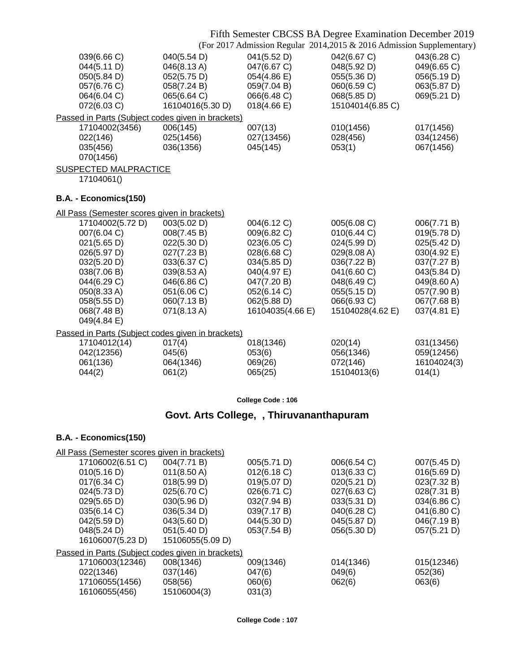### Fifth Semester CBCSS BA Degree Examination December 2019

(For 2017 Admission Regular 2014,2015 & 2016 Admission Supplementary)

| 039(6.66 C)<br>044(5.11 D)<br>050(5.84 D)<br>057(6.76 C)<br>064(6.04 C)<br>072(6.03 C) | 040(5.54 D)<br>046(8.13A)<br>052(5.75 D)<br>058(7.24 B)<br>065(6.64 C)<br>16104016(5.30 D) | 041(5.52 D)<br>047(6.67 C)<br>054(4.86 E)<br>059(7.04 B)<br>066(6.48 C)<br>$018(4.66 \text{ E})$ | 042(6.67 C)<br>048(5.92 D)<br>055(5.36 D)<br>060(6.59 C)<br>068(5.85 D)<br>15104014(6.85 C) | 043(6.28 C)<br>049(6.65 C)<br>056(5.19 D)<br>063(5.87 D)<br>069(5.21 D) |
|----------------------------------------------------------------------------------------|--------------------------------------------------------------------------------------------|--------------------------------------------------------------------------------------------------|---------------------------------------------------------------------------------------------|-------------------------------------------------------------------------|
| Passed in Parts (Subject codes given in brackets)                                      |                                                                                            |                                                                                                  |                                                                                             |                                                                         |
| 17104002(3456)<br>022(146)<br>035(456)<br>070(1456)                                    | 006(145)<br>025(1456)<br>036(1356)                                                         | 007(13)<br>027(13456)<br>045(145)                                                                | 010(1456)<br>028(456)<br>053(1)                                                             | 017(1456)<br>034(12456)<br>067(1456)                                    |
| <b>SUSPECTED MALPRACTICE</b>                                                           |                                                                                            |                                                                                                  |                                                                                             |                                                                         |
| 17104061()                                                                             |                                                                                            |                                                                                                  |                                                                                             |                                                                         |
| B.A. - Economics(150)                                                                  |                                                                                            |                                                                                                  |                                                                                             |                                                                         |
| All Pass (Semester scores given in brackets)                                           |                                                                                            |                                                                                                  |                                                                                             |                                                                         |
| 17104002(5.72 D)                                                                       | 003(5.02 D)                                                                                | 004(6.12 C)                                                                                      | 005(6.08 C)                                                                                 | 006(7.71 B)                                                             |
| 007(6.04 C)<br>021(5.65 D)                                                             | 008(7.45 B)<br>022(5.30 D)                                                                 | 009(6.82 C)<br>023(6.05 C)                                                                       | 010(6.44 C)<br>024(5.99 D)                                                                  | 019(5.78 D)<br>025(5.42 D)                                              |
| 026(5.97 D)                                                                            | 027(7.23 B)                                                                                | 028(6.68 C)                                                                                      | 029(8.08 A)                                                                                 | 030(4.92 E)                                                             |
| 032(5.20 D)                                                                            | 033(6.37 C)                                                                                | 034(5.85 D)                                                                                      | 036(7.22 B)                                                                                 | 037(7.27 B)                                                             |
| 038(7.06 B)                                                                            | 039(8.53 A)                                                                                | 040(4.97 E)                                                                                      | 041(6.60 C)                                                                                 | 043(5.84 D)                                                             |
| 044(6.29 C)                                                                            | 046(6.86 C)                                                                                | 047(7.20 B)                                                                                      | 048(6.49 C)                                                                                 | 049(8.60 A)                                                             |
| 050(8.33 A)                                                                            | 051(6.06 C)                                                                                | 052(6.14 C)                                                                                      | 055(5.15 D)                                                                                 | 057(7.90 B)                                                             |
| 058(5.55 D)                                                                            | 060(7.13B)                                                                                 | 062(5.88 D)                                                                                      | 066(6.93 C)                                                                                 | 067(7.68 B)                                                             |
| 068(7.48 B)                                                                            | 071(8.13 A)                                                                                | 16104035(4.66 E)                                                                                 | 15104028(4.62 E)                                                                            | 037(4.81 E)                                                             |
| 049(4.84 E)                                                                            |                                                                                            |                                                                                                  |                                                                                             |                                                                         |
| Passed in Parts (Subject codes given in brackets)                                      |                                                                                            |                                                                                                  |                                                                                             |                                                                         |
| 17104012(14)<br>042(12356)                                                             | 017(4)<br>045(6)                                                                           | 018(1346)<br>053(6)                                                                              | 020(14)<br>056(1346)                                                                        | 031(13456)<br>059(12456)                                                |
| 061(136)                                                                               | 064(1346)                                                                                  | 069(26)                                                                                          | 072(146)                                                                                    | 16104024(3)                                                             |
| 044(2)                                                                                 | 061(2)                                                                                     | 065(25)                                                                                          | 15104013(6)                                                                                 | 014(1)                                                                  |
|                                                                                        |                                                                                            |                                                                                                  |                                                                                             |                                                                         |
|                                                                                        |                                                                                            | College Code: 106                                                                                |                                                                                             |                                                                         |
|                                                                                        |                                                                                            | Govt. Arts College, , Thiruvananthapuram                                                         |                                                                                             |                                                                         |
|                                                                                        |                                                                                            |                                                                                                  |                                                                                             |                                                                         |

## **B.A. - Economics(150)**

| All Pass (Semester scores given in brackets)      |                       |             |             |             |
|---------------------------------------------------|-----------------------|-------------|-------------|-------------|
| 17106002(6.51 C)                                  | 004(7.71 B)           | 005(5.71 D) | 006(6.54 C) | 007(5.45 D) |
| 010(5.16 D)                                       | $011(8.50 \text{ A})$ | 012(6.18 C) | 013(6.33 C) | 016(5.69 D) |
| 017(6.34 C)                                       | 018(5.99 D)           | 019(5.07 D) | 020(5.21 D) | 023(7.32 B) |
| 024(5.73 D)                                       | 025(6.70 C)           | 026(6.71 C) | 027(6.63 C) | 028(7.31 B) |
| 029(5.65 D)                                       | 030(5.96 D)           | 032(7.94 B) | 033(5.31 D) | 034(6.86 C) |
| 035(6.14 C)                                       | 036(5.34 D)           | 039(7.17 B) | 040(6.28 C) | 041(6.80 C) |
| 042(5.59 D)                                       | 043(5.60 D)           | 044(5.30 D) | 045(5.87 D) | 046(7.19 B) |
| 048(5.24 D)                                       | 051(5.40 D)           | 053(7.54 B) | 056(5.30 D) | 057(5.21 D) |
| 16106007(5.23 D)                                  | 15106055(5.09 D)      |             |             |             |
| Passed in Parts (Subject codes given in brackets) |                       |             |             |             |
| 17106003(12346)                                   | 008(1346)             | 009(1346)   | 014(1346)   | 015(12346)  |
| 022(1346)                                         | 037(146)              | 047(6)      | 049(6)      | 052(36)     |
| 17106055(1456)                                    | 058(56)               | 060(6)      | 062(6)      | 063(6)      |
| 16106055(456)                                     | 15106004(3)           | 031(3)      |             |             |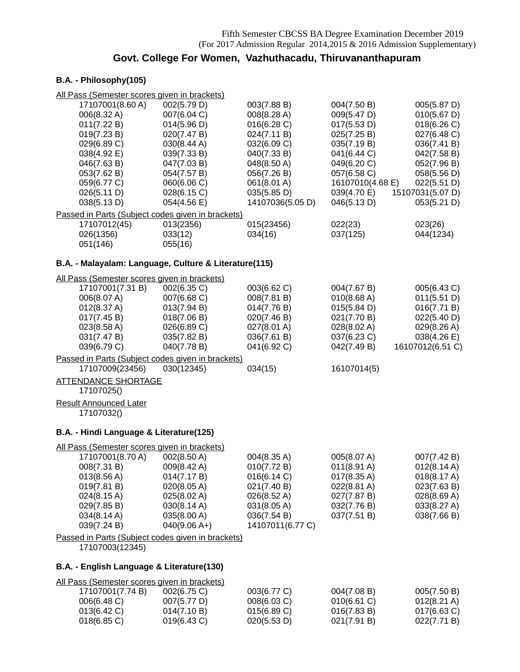## **Govt. College For Women, Vazhuthacadu, Thiruvananthapuram**

## **B.A. - Philosophy(105)**

| All Pass (Semester scores given in brackets)                                                                                                                              |                                                                                                                                     |                                                                                                                                     |                                                                                                                                          |                                                                                                                                   |
|---------------------------------------------------------------------------------------------------------------------------------------------------------------------------|-------------------------------------------------------------------------------------------------------------------------------------|-------------------------------------------------------------------------------------------------------------------------------------|------------------------------------------------------------------------------------------------------------------------------------------|-----------------------------------------------------------------------------------------------------------------------------------|
| 17107001(8.60 A)<br>006(8.32 A)<br>011(7.22 B)<br>019(7.23 B)<br>029(6.89 C)<br>038(4.92 E)<br>046(7.63 B)<br>053(7.62 B)<br>059(6.77 C)                                  | 002(5.79 D)<br>007(6.04 C)<br>014(5.96 D)<br>020(7.47 B)<br>030(8.44 A)<br>039(7.33 B)<br>047(7.03 B)<br>054(7.57 B)<br>060(6.06 C) | 003(7.88 B)<br>008(8.28 A)<br>016(6.28 C)<br>024(7.11 B)<br>032(6.09 C)<br>040(7.33 B)<br>048(8.50 A)<br>056(7.26 B)<br>061(8.01 A) | 004(7.50 B)<br>009(5.47 D)<br>017(5.53 D)<br>025(7.25 B)<br>035(7.19 B)<br>041(6.44 C)<br>049(6.20 C)<br>057(6.58 C)<br>16107010(4.68 E) | 005(5.87 D)<br>010(5.67 D)<br>018(6.26)<br>027(6.48 C)<br>036(7.41 B)<br>042(7.58 B)<br>052(7.96 B)<br>058(5.56 D)<br>022(5.51 D) |
| 026(5.11 D)<br>038(5.13 D)                                                                                                                                                | 028(6.15 C)<br>054(4.56 E)                                                                                                          | 035(5.85 D)<br>14107036(5.05 D)                                                                                                     | 039(4.70 E)<br>046(5.13 D)                                                                                                               | 15107031(5.07 D)<br>053(5.21 D)                                                                                                   |
| Passed in Parts (Subject codes given in brackets)<br>17107012(45)<br>026(1356)<br>051(146)                                                                                | 013(2356)<br>033(12)<br>055(16)                                                                                                     | 015(23456)<br>034(16)                                                                                                               | 022(23)<br>037(125)                                                                                                                      | 023(26)<br>044(1234)                                                                                                              |
| B.A. - Malayalam: Language, Culture & Literature(115)                                                                                                                     |                                                                                                                                     |                                                                                                                                     |                                                                                                                                          |                                                                                                                                   |
| All Pass (Semester scores given in brackets)<br>17107001(7.31 B)<br>006(8.07 A)<br>012(8.37 A)<br>017(7.45 B)<br>023(8.58 A)<br>031(7.47 B)<br>039(6.79 C)                | 002(6.35 C)<br>007(6.68 C)<br>013(7.94 B)<br>018(7.06 B)<br>026(6.89 C)<br>035(7.82 B)<br>040(7.78 B)                               | 003(6.62 C)<br>008(7.81 B)<br>014(7.76 B)<br>020(7.46 B)<br>027(8.01 A)<br>036(7.61 B)<br>041(6.92 C)                               | 004(7.67 B)<br>010(8.68 A)<br>015(5.84 D)<br>021(7.70 B)<br>028(8.02 A)<br>037(6.23 C)<br>042(7.49 B)                                    | 005(6.43 C)<br>011(5.51 D)<br>016(7.71 B)<br>022(5.40 D)<br>029(8.26 A)<br>038(4.26 E)<br>16107012(6.51 C)                        |
| Passed in Parts (Subject codes given in brackets)<br>17107009(23456)                                                                                                      | 030(12345)                                                                                                                          | 034(15)                                                                                                                             | 16107014(5)                                                                                                                              |                                                                                                                                   |
| <b>ATTENDANCE SHORTAGE</b><br>17107025()                                                                                                                                  |                                                                                                                                     |                                                                                                                                     |                                                                                                                                          |                                                                                                                                   |
| <b>Result Announced Later</b><br>17107032()                                                                                                                               |                                                                                                                                     |                                                                                                                                     |                                                                                                                                          |                                                                                                                                   |
| B.A. - Hindi Language & Literature(125)                                                                                                                                   |                                                                                                                                     |                                                                                                                                     |                                                                                                                                          |                                                                                                                                   |
| All Pass (Semester scores given in brackets)<br>17107001(8.70 A)<br>008(7.31 B)<br>013(8.56 A)<br>019(7.81 B)<br>024(8.15 A)<br>029(7.85 B)<br>034(8.14 A)<br>039(7.24 B) | 002(8.50 A)<br>009(8.42 A)<br>014(7.17 B)<br>020(8.05 A)<br>025(8.02 A)<br>030(8.14 A)<br>035(8.00 A)<br>$040(9.06 A+)$             | 004(8.35 A)<br>010(7.72 B)<br>016(6.14 C)<br>021(7.40 B)<br>026(8.52 A)<br>031(8.05 A)<br>036(7.54 B)<br>14107011(6.77 C)           | 005(8.07 A)<br>$011(8.91 \text{ A})$<br>017(8.35 A)<br>022(8.81 A)<br>027(7.87 B)<br>032(7.76 B)<br>037(7.51 B)                          | 007(7.42 B)<br>012(8.14 A)<br>$018(8.17 \text{ A})$<br>023(7.63 B)<br>028(8.69 A)<br>033(8.27 A)<br>038(7.66 B)                   |
| Passed in Parts (Subject codes given in brackets)<br>17107003(12345)                                                                                                      |                                                                                                                                     |                                                                                                                                     |                                                                                                                                          |                                                                                                                                   |
| B.A. - English Language & Literature(130)                                                                                                                                 |                                                                                                                                     |                                                                                                                                     |                                                                                                                                          |                                                                                                                                   |
| All Pass (Semester scores given in brackets)<br>17107001(7.74 B)<br>006(6.48 C)<br>013(6.42 C)<br>018(6.85 C)                                                             | 002(6.75 C)<br>007(5.77 D)<br>014(7.10 B)<br>019(6.43 C)                                                                            | 003(6.77 C)<br>008(6.03 C)<br>015(6.89 C)<br>020(5.53 D)                                                                            | 004(7.08 B)<br>010(6.61 C)<br>016(7.83 B)<br>021(7.91 B)                                                                                 | 005(7.50 B)<br>012(8.21 A)<br>017(6.63 C)<br>022(7.71 B)                                                                          |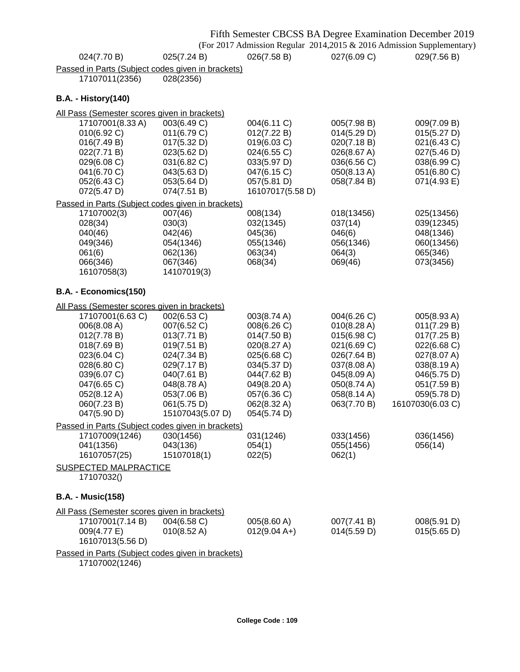|                                                                                                                           |                                                                                                                      |                                                                                                                           |                                                                                                       | Fifth Semester CBCSS BA Degree Examination December 2019                                              |
|---------------------------------------------------------------------------------------------------------------------------|----------------------------------------------------------------------------------------------------------------------|---------------------------------------------------------------------------------------------------------------------------|-------------------------------------------------------------------------------------------------------|-------------------------------------------------------------------------------------------------------|
|                                                                                                                           |                                                                                                                      |                                                                                                                           |                                                                                                       | (For 2017 Admission Regular 2014,2015 & 2016 Admission Supplementary)                                 |
| 024(7.70 B)                                                                                                               | 025(7.24 B)                                                                                                          | 026(7.58 B)                                                                                                               | 027(6.09 C)                                                                                           | 029(7.56 B)                                                                                           |
| Passed in Parts (Subject codes given in brackets)<br>17107011(2356)                                                       | 028(2356)                                                                                                            |                                                                                                                           |                                                                                                       |                                                                                                       |
| <b>B.A. - History(140)</b>                                                                                                |                                                                                                                      |                                                                                                                           |                                                                                                       |                                                                                                       |
| All Pass (Semester scores given in brackets)                                                                              |                                                                                                                      |                                                                                                                           |                                                                                                       |                                                                                                       |
| 17107001(8.33 A)<br>010(6.92 C)<br>016(7.49 B)<br>022(7.71 B)<br>029(6.08 C)<br>041(6.70 C)<br>052(6.43 C)<br>072(5.47 D) | 003(6.49 C)<br>011(6.79 C)<br>017(5.32 D)<br>023(5.62 D)<br>031(6.82 C)<br>043(5.63 D)<br>053(5.64 D)<br>074(7.51 B) | 004(6.11 C)<br>012(7.22 B)<br>019(6.03 C)<br>024(6.55 C)<br>033(5.97 D)<br>047(6.15 C)<br>057(5.81 D)<br>16107017(5.58 D) | 005(7.98 B)<br>014(5.29 D)<br>020(7.18 B)<br>026(8.67 A)<br>036(6.56 C)<br>050(8.13 A)<br>058(7.84 B) | 009(7.09 B)<br>015(5.27 D)<br>021(6.43 C)<br>027(5.46 D)<br>038(6.99 C)<br>051(6.80 C)<br>071(4.93 E) |
| Passed in Parts (Subject codes given in brackets)                                                                         |                                                                                                                      |                                                                                                                           |                                                                                                       |                                                                                                       |
| 17107002(3)<br>028(34)<br>040(46)<br>049(346)<br>061(6)<br>066(346)<br>16107058(3)                                        | 007(46)<br>030(3)<br>042(46)<br>054(1346)<br>062(136)<br>067(346)<br>14107019(3)                                     | 008(134)<br>032(1345)<br>045(36)<br>055(1346)<br>063(34)<br>068(34)                                                       | 018(13456)<br>037(14)<br>046(6)<br>056(1346)<br>064(3)<br>069(46)                                     | 025(13456)<br>039(12345)<br>048(1346)<br>060(13456)<br>065(346)<br>073(3456)                          |
| B.A. - Economics(150)                                                                                                     |                                                                                                                      |                                                                                                                           |                                                                                                       |                                                                                                       |
| All Pass (Semester scores given in brackets)<br>17107001(6.63 C)<br>006(8.08 A)<br>012(7.78 B)<br>018(7.69 B)             | 002(6.53 C)<br>007(6.52 C)<br>013(7.71 B)<br>019(7.51 B)                                                             | 003(8.74 A)<br>008(6.26 C)<br>014(7.50 B)<br>020(8.27 A)                                                                  | 004(6.26 C)<br>010(8.28 A)<br>015(6.98 C)<br>021(6.69 C)                                              | 005(8.93 A)<br>011(7.29 B)<br>017(7.25 B)<br>022(6.68 C)                                              |
| 023(6.04 C)<br>028(6.80 C)<br>039(6.07 C)<br>047(6.65 C)<br>052(8.12 A)<br>060(7.23B)<br>047(5.90 D)                      | 024(7.34 B)<br>029(7.17 B)<br>040(7.61 B)<br>048(8.78 A)<br>053(7.06 B)<br>061(5.75 D)<br>15107043(5.07 D)           | 025(6.68 C)<br>034(5.37 D)<br>044(7.62 B)<br>049(8.20 A)<br>057(6.36 C)<br>062(8.32 A)<br>054(5.74 D)                     | 026(7.64 B)<br>037(8.08 A)<br>045(8.09 A)<br>050(8.74 A)<br>058(8.14 A)<br>063(7.70 B)                | 027(8.07 A)<br>038(8.19 A)<br>046(5.75 D)<br>051(7.59 B)<br>059(5.78 D)<br>16107030(6.03 C)           |
| Passed in Parts (Subject codes given in brackets)<br>17107009(1246)<br>041(1356)<br>16107057(25)                          | 030(1456)<br>043(136)<br>15107018(1)                                                                                 | 031(1246)<br>054(1)<br>022(5)                                                                                             | 033(1456)<br>055(1456)<br>062(1)                                                                      | 036(1456)<br>056(14)                                                                                  |
| <b>SUSPECTED MALPRACTICE</b><br>17107032()                                                                                |                                                                                                                      |                                                                                                                           |                                                                                                       |                                                                                                       |
| <b>B.A. - Music(158)</b>                                                                                                  |                                                                                                                      |                                                                                                                           |                                                                                                       |                                                                                                       |
| All Pass (Semester scores given in brackets)                                                                              |                                                                                                                      |                                                                                                                           |                                                                                                       |                                                                                                       |
| 17107001(7.14 B)<br>009(4.77 E)<br>16107013(5.56 D)                                                                       | 004(6.58 C)<br>$010(8.52 \text{ A})$                                                                                 | 005(8.60 A)<br>$012(9.04 A+)$                                                                                             | 007(7.41 B)<br>014(5.59 D)                                                                            | 008(5.91 D)<br>015(5.65 D)                                                                            |
| Passed in Parts (Subject codes given in brackets)<br>17107002(1246)                                                       |                                                                                                                      |                                                                                                                           |                                                                                                       |                                                                                                       |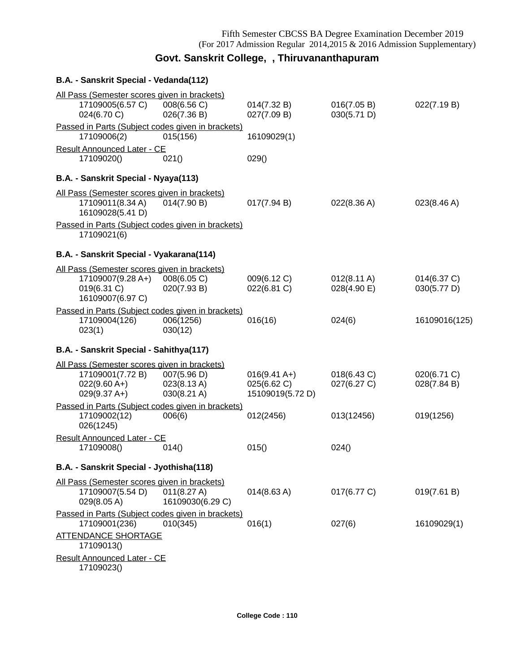## **Govt. Sanskrit College, , Thiruvananthapuram**

| B.A. - Sanskrit Special - Vedanda(112)                                                                                                                   |                                           |                                                   |                                      |                            |
|----------------------------------------------------------------------------------------------------------------------------------------------------------|-------------------------------------------|---------------------------------------------------|--------------------------------------|----------------------------|
| All Pass (Semester scores given in brackets)<br>17109005(6.57 C)<br>024(6.70 C)                                                                          | 008(6.56 C)<br>026(7.36 B)                | 014(7.32 B)<br>027(7.09 B)                        | 016(7.05 B)<br>030(5.71 D)           | 022(7.19 B)                |
| Passed in Parts (Subject codes given in brackets)<br>17109006(2)                                                                                         | 015(156)                                  | 16109029(1)                                       |                                      |                            |
| <b>Result Announced Later - CE</b><br>17109020()                                                                                                         | 021()                                     | 029()                                             |                                      |                            |
| B.A. - Sanskrit Special - Nyaya(113)                                                                                                                     |                                           |                                                   |                                      |                            |
| All Pass (Semester scores given in brackets)<br>17109011(8.34 A)<br>16109028(5.41 D)<br>Passed in Parts (Subject codes given in brackets)<br>17109021(6) | 014(7.90 B)                               | 017(7.94 B)                                       | 022(8.36 A)                          | 023(8.46 A)                |
| B.A. - Sanskrit Special - Vyakarana(114)                                                                                                                 |                                           |                                                   |                                      |                            |
| All Pass (Semester scores given in brackets)<br>17109007(9.28 A+)<br>019(6.31 C)<br>16109007(6.97 C)                                                     | 008(6.05 C)<br>020(7.93 B)                | 009(6.12 C)<br>022(6.81 C)                        | $012(8.11 \text{ A})$<br>028(4.90 E) | 014(6.37 C)<br>030(5.77 D) |
| Passed in Parts (Subject codes given in brackets)<br>17109004(126)<br>023(1)                                                                             | 006(1256)<br>030(12)                      | 016(16)                                           | 024(6)                               | 16109016(125)              |
| B.A. - Sanskrit Special - Sahithya(117)                                                                                                                  |                                           |                                                   |                                      |                            |
| All Pass (Semester scores given in brackets)<br>17109001(7.72 B)<br>$022(9.60 A+)$<br>$029(9.37 A+)$                                                     | 007(5.96 D)<br>023(8.13 A)<br>030(8.21 A) | $016(9.41 A+)$<br>025(6.62 C)<br>15109019(5.72 D) | 018(6.43 C)<br>027(6.27 C)           | 020(6.71 C)<br>028(7.84 B) |
| Passed in Parts (Subject codes given in brackets)<br>17109002(12)<br>026(1245)                                                                           | 006(6)                                    | 012(2456)                                         | 013(12456)                           | 019(1256)                  |
| <b>Result Announced Later - CE</b><br>17109008()                                                                                                         | 014()                                     | 015()                                             | 024()                                |                            |
| B.A. - Sanskrit Special - Jyothisha(118)                                                                                                                 |                                           |                                                   |                                      |                            |
| All Pass (Semester scores given in brackets)<br>17109007(5.54 D)<br>029(8.05 A)                                                                          | 011(8.27 A)<br>16109030(6.29 C)           | $014(8.63 \text{ A})$                             | 017(6.77 C)                          | 019(7.61 B)                |
| Passed in Parts (Subject codes given in brackets)<br>17109001(236)<br><b>ATTENDANCE SHORTAGE</b><br>17109013()                                           | 010(345)                                  | 016(1)                                            | 027(6)                               | 16109029(1)                |
| <b>Result Announced Later - CE</b><br>17109023()                                                                                                         |                                           |                                                   |                                      |                            |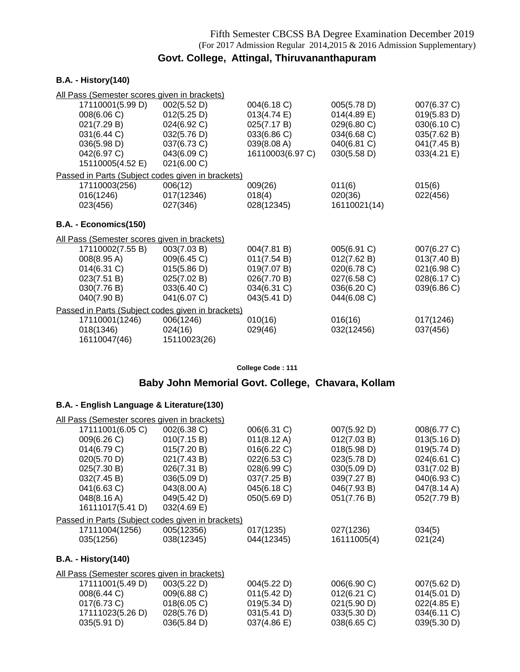## **Govt. College, Attingal, Thiruvananthapuram**

### **B.A. - History(140)**

| All Pass (Semester scores given in brackets)      |              |                  |                |             |
|---------------------------------------------------|--------------|------------------|----------------|-------------|
| 17110001(5.99 D)                                  | 002(5.52 D)  | 004(6.18 C)      | 005(5.78 D)    | 007(6.37 C) |
| 008(6.06 C)                                       | 012(5.25 D)  | 013(4.74 E)      | $014(4.89)$ E) | 019(5.83 D) |
| 021(7.29 B)                                       | 024(6.92 C)  | 025(7.17 B)      | 029(6.80 C)    | 030(6.10 C) |
| 031(6.44 C)                                       | 032(5.76 D)  | 033(6.86 C)      | 034(6.68 C)    | 035(7.62 B) |
| 036(5.98 D)                                       | 037(6.73 C)  | 039(8.08 A)      | 040(6.81 C)    | 041(7.45 B) |
| 042(6.97 C)                                       | 043(6.09 C)  | 16110003(6.97 C) | 030(5.58 D)    | 033(4.21 E) |
| 15110005(4.52 E)                                  | 021(6.00 C)  |                  |                |             |
| Passed in Parts (Subject codes given in brackets) |              |                  |                |             |
| 17110003(256)                                     | 006(12)      | 009(26)          | 011(6)         | 015(6)      |
| 016(1246)                                         | 017(12346)   | 018(4)           | 020(36)        | 022(456)    |
| 023(456)                                          | 027(346)     | 028(12345)       | 16110021(14)   |             |
| B.A. - Economics(150)                             |              |                  |                |             |
| All Pass (Semester scores given in brackets)      |              |                  |                |             |
| 17110002(7.55 B)                                  | 003(7.03 B)  | 004(7.81 B)      | 005(6.91 C)    | 007(6.27 C) |
| $008(8.95 \text{ A})$                             | 009(6.45 C)  | 011(7.54 B)      | 012(7.62 B)    | 013(7.40 B) |
| 014(6.31 C)                                       | 015(5.86 D)  | 019(7.07 B)      | 020(6.78 C)    | 021(6.98 C) |
| 023(7.51 B)                                       | 025(7.02 B)  | 026(7.70 B)      | 027(6.58 C)    | 028(6.17 C) |
| 030(7.76 B)                                       | 033(6.40 C)  | 034(6.31 C)      | 036(6.20 C)    | 039(6.86 C) |
| 040(7.90 B)                                       | 041(6.07 C)  | 043(5.41 D)      | 044(6.08 C)    |             |
| Passed in Parts (Subject codes given in brackets) |              |                  |                |             |
| 17110001(1246)                                    | 006(1246)    | 010(16)          | 016(16)        | 017(1246)   |
| 018(1346)                                         | 024(16)      | 029(46)          | 032(12456)     | 037(456)    |
| 16110047(46)                                      | 15110023(26) |                  |                |             |

**College Code : 111**

## **Baby John Memorial Govt. College, Chavara, Kollam**

| All Pass (Semester scores given in brackets)      |             |             |                |             |
|---------------------------------------------------|-------------|-------------|----------------|-------------|
| 17111001(6.05 C)                                  | 002(6.38 C) | 006(6.31 C) | 007(5.92 D)    | 008(6.77 C) |
| 009(6.26 C)                                       | 010(7.15 B) | 011(8.12 A) | 012(7.03 B)    | 013(5.16 D) |
| 014(6.79 C)                                       | 015(7.20 B) | 016(6.22 C) | 018(5.98 D)    | 019(5.74 D) |
| 020(5.70 D)                                       | 021(7.43 B) | 022(6.53 C) | 023(5.78 D)    | 024(6.61 C) |
| 025(7.30 B)                                       | 026(7.31 B) | 028(6.99 C) | 030(5.09 D)    | 031(7.02 B) |
| 032(7.45 B)                                       | 036(5.09 D) | 037(7.25 B) | 039(7.27 B)    | 040(6.93 C) |
| 041(6.63 C)                                       | 043(8.00 A) | 045(6.18 C) | 046(7.93 B)    | 047(8.14 A) |
| 048(8.16 A)                                       | 049(5.42 D) | 050(5.69 D) | 051(7.76 B)    | 052(7.79 B) |
| 16111017(5.41 D)                                  | 032(4.69 E) |             |                |             |
| Passed in Parts (Subject codes given in brackets) |             |             |                |             |
| 17111004(1256)                                    | 005(12356)  | 017(1235)   | 027(1236)      | 034(5)      |
| 035(1256)                                         | 038(12345)  | 044(12345)  | 16111005(4)    | 021(24)     |
| <b>B.A. - History(140)</b>                        |             |             |                |             |
| All Pass (Semester scores given in brackets)      |             |             |                |             |
| 17111001(5.49 D)                                  | 003(5.22 D) | 004(5.22 D) | 006(6.90 C)    | 007(5.62 D) |
| 008(6.44 C)                                       | 009(6.88 C) | 011(5.42 D) | $012(6.21)$ C) | 014(5.01 D) |
| 017(6.73 C)                                       | 018(6.05 C) | 019(5.34 D) | 021(5.90 D)    | 022(4.85 E) |
| 17111023(5.26 D)                                  | 028(5.76 D) | 031(5.41 D) | 033(5.30 D)    | 034(6.11 C) |
| 035(5.91 D)                                       | 036(5.84 D) | 037(4.86 E) | 038(6.65 C)    | 039(5.30 D) |
|                                                   |             |             |                |             |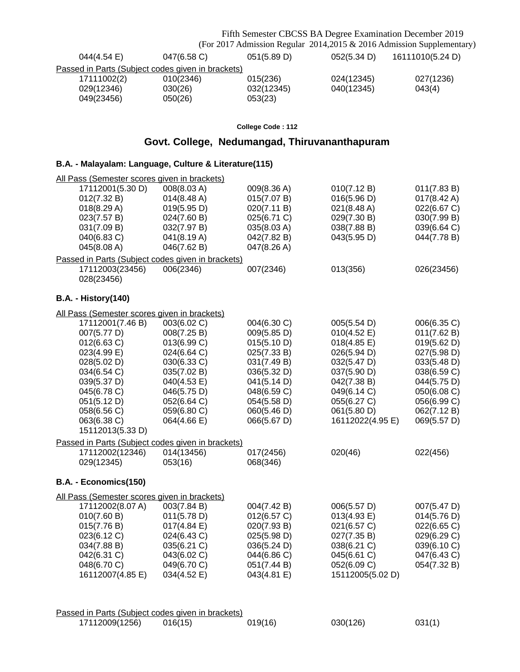Fifth Semester CBCSS BA Degree Examination December 2019 (For 2017 Admission Regular 2014,2015 & 2016 Admission Supplementary)

| $044(4.54)$ E)                                    | 047(6.58 C) | 051(5.89 D) | 052(5.34 D) | 16111010(5.24 D) |
|---------------------------------------------------|-------------|-------------|-------------|------------------|
| Passed in Parts (Subject codes given in brackets) |             |             |             |                  |
| 17111002(2)                                       | 010(2346)   | 015(236)    | 024(12345)  | 027(1236)        |
| 029(12346)                                        | 030(26)     | 032(12345)  | 040(12345)  | 043(4)           |
| 049(23456)                                        | 050(26)     | 053(23)     |             |                  |

### **College Code : 112**

## **Govt. College, Nedumangad, Thiruvananthapuram**

### **B.A. - Malayalam: Language, Culture & Literature(115)**

| All Pass (Semester scores given in brackets)      |             |             |                       |             |
|---------------------------------------------------|-------------|-------------|-----------------------|-------------|
| 17112001(5.30 D)                                  | 008(8.03 A) | 009(8.36 A) | 010(7.12 B)           | 011(7.83 B) |
| 012(7.32 B)                                       | 014(8.48 A) | 015(7.07 B) | 016(5.96 D)           | 017(8.42 A) |
| 018(8.29 A)                                       | 019(5.95 D) | 020(7.11 B) | $021(8.48 \text{ A})$ | 022(6.67 C) |
| 023(7.57 B)                                       | 024(7.60 B) | 025(6.71 C) | 029(7.30 B)           | 030(7.99 B) |
| 031(7.09 B)                                       | 032(7.97 B) | 035(8.03 A) | 038(7.88 B)           | 039(6.64 C) |
| 040(6.83 C)                                       | 041(8.19 A) | 042(7.82 B) | 043(5.95 D)           | 044(7.78 B) |
| 045(8.08 A)                                       | 046(7.62 B) | 047(8.26 A) |                       |             |
| Passed in Parts (Subject codes given in brackets) |             |             |                       |             |
| 17112003(23456)                                   | 006(2346)   | 007(2346)   | 013(356)              | 026(23456)  |
| 028(23456)                                        |             |             |                       |             |
| <b>B.A. - History(140)</b>                        |             |             |                       |             |
| All Pass (Semester scores given in brackets)      |             |             |                       |             |
| 17112001(7.46 B)                                  | 003(6.02 C) | 004(6.30 C) | 005(5.54 D)           | 006(6.35 C) |
| 007(5.77 D)                                       | 008(7.25 B) | 009(5.85 D) | 010(4.52 E)           | 011(7.62 B) |
| 012(6.63 C)                                       | 013(6.99 C) | 015(5.10 D) | 018(4.85 E)           | 019(5.62 D) |
| 023(4.99 E)                                       | 024(6.64 C) | 025(7.33 B) | 026(5.94 D)           | 027(5.98 D) |
| 028(5.02 D)                                       | 030(6.33 C) | 031(7.49 B) | 032(5.47 D)           | 033(5.48 D) |
| 034(6.54 C)                                       | 035(7.02 B) | 036(5.32 D) | 037(5.90 D)           | 038(6.59 C) |
| 039(5.37 D)                                       | 040(4.53 E) | 041(5.14 D) | 042(7.38 B)           | 044(5.75 D) |
| 045(6.78 C)                                       | 046(5.75 D) | 048(6.59 C) | 049(6.14 C)           | 050(6.08 C) |
| 051(5.12 D)                                       | 052(6.64 C) | 054(5.58 D) | 055(6.27 C)           | 056(6.99 C) |
| 058(6.56 C)                                       | 059(6.80 C) | 060(5.46 D) | 061(5.80 D)           | 062(7.12 B) |
| 063(6.38 C)                                       | 064(4.66 E) | 066(5.67 D) | 16112022(4.95 E)      | 069(5.57 D) |
| 15112013(5.33 D)                                  |             |             |                       |             |
| Passed in Parts (Subject codes given in brackets) |             |             |                       |             |
| 17112002(12346)                                   | 014(13456)  | 017(2456)   | 020(46)               | 022(456)    |
| 029(12345)                                        | 053(16)     | 068(346)    |                       |             |
| B.A. - Economics(150)                             |             |             |                       |             |
| All Pass (Semester scores given in brackets)      |             |             |                       |             |
| 17112002(8.07 A)                                  | 003(7.84 B) | 004(7.42 B) | 006(5.57 D)           | 007(5.47 D) |
| 010(7.60 B)                                       | 011(5.78 D) | 012(6.57 C) | 013(4.93 E)           | 014(5.76 D) |
| 015(7.76 B)                                       | 017(4.84 E) | 020(7.93 B) | 021(6.57 C)           | 022(6.65 C) |
| 023(6.12 C)                                       | 024(6.43 C) | 025(5.98 D) | 027(7.35 B)           | 029(6.29 C) |
| 034(7.88 B)                                       | 035(6.21 C) | 036(5.24 D) | 038(6.21 C)           | 039(6.10 C) |
| 042(6.31 C)                                       | 043(6.02 C) | 044(6.86 C) | 045(6.61 C)           | 047(6.43 C) |
| 048(6.70 C)                                       | 049(6.70 C) | 051(7.44 B) | 052(6.09 C)           | 054(7.32 B) |
| 16112007(4.85 E)                                  | 034(4.52 E) | 043(4.81 E) | 15112005(5.02 D)      |             |
|                                                   |             |             |                       |             |
|                                                   |             |             |                       |             |
|                                                   |             |             |                       |             |

| Passed in Parts (Subiect codes given in brackets) |         |         |          |        |
|---------------------------------------------------|---------|---------|----------|--------|
| 17112009(1256)                                    | 016(15) | 019(16) | 030(126) | 031(1) |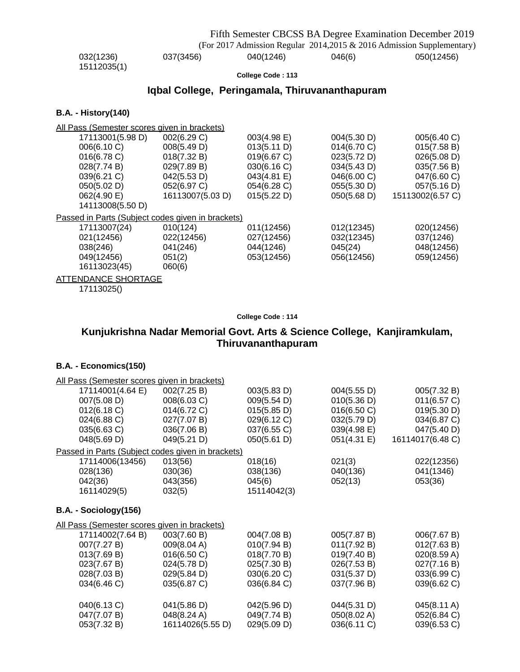|                                                |           |                          |        | Fifth Semester CBCSS BA Degree Examination December 2019              |  |
|------------------------------------------------|-----------|--------------------------|--------|-----------------------------------------------------------------------|--|
|                                                |           |                          |        | (For 2017 Admission Regular 2014,2015 & 2016 Admission Supplementary) |  |
| 032(1236)<br>15112035(1)                       | 037(3456) | 040(1246)                | 046(6) | 050(12456)                                                            |  |
|                                                |           | <b>College Code: 113</b> |        |                                                                       |  |
| Iqbal College, Peringamala, Thiruvananthapuram |           |                          |        |                                                                       |  |

### **B.A. - History(140)**

| All Pass (Semester scores given in brackets)      |                  |             |             |                  |
|---------------------------------------------------|------------------|-------------|-------------|------------------|
| 17113001(5.98 D)                                  | 002(6.29 C)      | 003(4.98 E) | 004(5.30 D) | 005(6.40 C)      |
| 006(6.10 C)                                       | 008(5.49 D)      | 013(5.11 D) | 014(6.70 C) | 015(7.58 B)      |
| 016(6.78 C)                                       | 018(7.32 B)      | 019(6.67 C) | 023(5.72 D) | 026(5.08 D)      |
| 028(7.74 B)                                       | 029(7.89 B)      | 030(6.16 C) | 034(5.43 D) | 035(7.56 B)      |
| 039(6.21 C)                                       | 042(5.53 D)      | 043(4.81 E) | 046(6.00 C) | 047(6.60 C)      |
| 050(5.02 D)                                       | 052(6.97 C)      | 054(6.28 C) | 055(5.30 D) | 057(5.16 D)      |
| 062(4.90 E)                                       | 16113007(5.03 D) | 015(5.22 D) | 050(5.68 D) | 15113002(6.57 C) |
| 14113008(5.50 D)                                  |                  |             |             |                  |
| Passed in Parts (Subject codes given in brackets) |                  |             |             |                  |
| 17113007(24)                                      | 010(124)         | 011(12456)  | 012(12345)  | 020(12456)       |
| 021(12456)                                        | 022(12456)       | 027(12456)  | 032(12345)  | 037(1246)        |
| 038(246)                                          | 041(246)         | 044(1246)   | 045(24)     | 048(12456)       |
| 049(12456)                                        | 051(2)           | 053(12456)  | 056(12456)  | 059(12456)       |
| 16113023(45)                                      | 060(6)           |             |             |                  |
| <b>ATTENDANCE SHORTAGE</b>                        |                  |             |             |                  |
| 17113025()                                        |                  |             |             |                  |

### **College Code : 114**

## **Kunjukrishna Nadar Memorial Govt. Arts & Science College, Kanjiramkulam, Thiruvananthapuram**

### **B.A. - Economics(150)**

| All Pass (Semester scores given in brackets)      |                  |             |             |                  |
|---------------------------------------------------|------------------|-------------|-------------|------------------|
| 17114001(4.64 E)                                  | 002(7.25 B)      | 003(5.83 D) | 004(5.55 D) | 005(7.32 B)      |
| 007(5.08 D)                                       | 008(6.03 C)      | 009(5.54 D) | 010(5.36 D) | 011(6.57 C)      |
| 012(6.18 C)                                       | 014(6.72 C)      | 015(5.85 D) | 016(6.50 C) | 019(5.30 D)      |
| 024(6.88 C)                                       | 027(7.07 B)      | 029(6.12 C) | 032(5.79 D) | 034(6.87 C)      |
| 035(6.63 C)                                       | 036(7.06 B)      | 037(6.55 C) | 039(4.98 E) | 047(5.40 D)      |
| 048(5.69 D)                                       | 049(5.21 D)      | 050(5.61 D) | 051(4.31 E) | 16114017(6.48 C) |
| Passed in Parts (Subject codes given in brackets) |                  |             |             |                  |
| 17114006(13456)                                   | 013(56)          | 018(16)     | 021(3)      | 022(12356)       |
| 028(136)                                          | 030(36)          | 038(136)    | 040(136)    | 041(1346)        |
| 042(36)                                           | 043(356)         | 045(6)      | 052(13)     | 053(36)          |
| 16114029(5)                                       | 032(5)           | 15114042(3) |             |                  |
| B.A. - Sociology(156)                             |                  |             |             |                  |
| All Pass (Semester scores given in brackets)      |                  |             |             |                  |
| 17114002(7.64 B)                                  | 003(7.60 B)      | 004(7.08 B) | 005(7.87 B) | 006(7.67 B)      |
| 007(7.27 B)                                       | 009(8.04 A)      | 010(7.94 B) | 011(7.92 B) | 012(7.63 B)      |
| 013(7.69 B)                                       | 016(6.50 C)      | 018(7.70 B) | 019(7.40 B) | 020(8.59 A)      |
| 023(7.67 B)                                       | 024(5.78 D)      | 025(7.30 B) | 026(7.53 B) | 027(7.16B)       |
| 028(7.03 B)                                       | 029(5.84 D)      | 030(6.20 C) | 031(5.37 D) | 033(6.99 C)      |
| 034(6.46 C)                                       | 035(6.87 C)      | 036(6.84 C) | 037(7.96 B) | 039(6.62 C)      |
| 040(6.13 C)                                       | 041(5.86 D)      | 042(5.96 D) | 044(5.31 D) | 045(8.11 A)      |
| 047(7.07 B)                                       | 048(8.24 A)      | 049(7.74 B) | 050(8.02 A) | 052(6.84 C)      |
| 053(7.32 B)                                       | 16114026(5.55 D) | 029(5.09 D) | 036(6.11 C) | 039(6.53 C)      |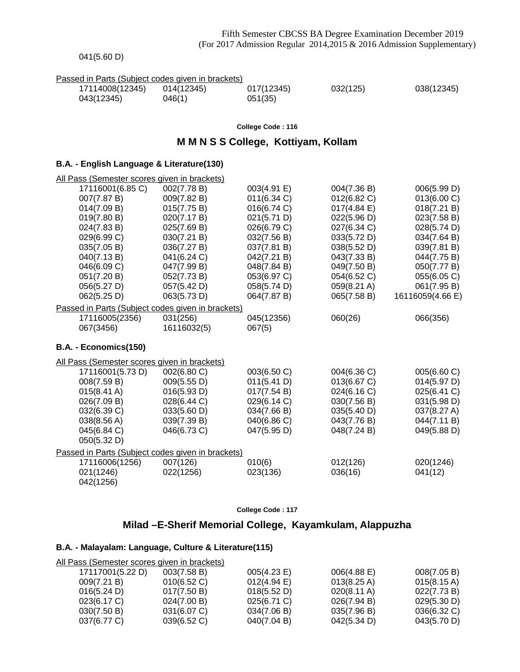| 041(5.60 D) |
|-------------|
|-------------|

| Passed in Parts (Subject codes given in brackets) |  |  |
|---------------------------------------------------|--|--|
|                                                   |  |  |

| 17114008(12345) | 014(12345) | 017(12345) | 032(125) | 038(12345) |
|-----------------|------------|------------|----------|------------|
| 043(12345)      | J46(1)     | 051(35)    |          |            |

#### **College Code : 116**

### **M M N S S College, Kottiyam, Kollam**

### **B.A. - English Language & Literature(130)**

| All Pass (Semester scores given in brackets)      |             |             |             |                  |
|---------------------------------------------------|-------------|-------------|-------------|------------------|
| 17116001(6.85 C)                                  | 002(7.78 B) | 003(4.91 E) | 004(7.36 B) | 006(5.99 D)      |
| 007(7.87 B)                                       | 009(7.82 B) | 011(6.34)   | 012(6.82 C) | 013(6.00 C)      |
| 014(7.09 B)                                       | 015(7.75 B) | 016(6.74 C) | 017(4.84 E) | 018(7.21 B)      |
| 019(7.80 B)                                       | 020(7.17 B) | 021(5.71 D) | 022(5.96 D) | 023(7.58 B)      |
| 024(7.83 B)                                       | 025(7.69 B) | 026(6.79 C) | 027(6.34 C) | 028(5.74 D)      |
| 029(6.99 C)                                       | 030(7.21 B) | 032(7.56 B) | 033(5.72 D) | 034(7.64 B)      |
| 035(7.05 B)                                       | 036(7.27 B) | 037(7.81 B) | 038(5.52 D) | 039(7.81 B)      |
| 040(7.13B)                                        | 041(6.24 C) | 042(7.21 B) | 043(7.33 B) | 044(7.75 B)      |
| 046(6.09 C)                                       | 047(7.99 B) | 048(7.84 B) | 049(7.50 B) | 050(7.77 B)      |
| 051(7.20 B)                                       | 052(7.73 B) | 053(6.97 C) | 054(6.52 C) | 055(6.05 C)      |
| 056(5.27 D)                                       | 057(5.42 D) | 058(5.74 D) | 059(8.21 A) | 061(7.95 B)      |
| 062(5.25 D)                                       | 063(5.73 D) | 064(7.87 B) | 065(7.58 B) | 16116059(4.66 E) |
| Passed in Parts (Subject codes given in brackets) |             |             |             |                  |
| 17116005(2356)                                    | 031(256)    | 045(12356)  | 060(26)     | 066(356)         |
| 067(3456)                                         | 16116032(5) | 067(5)      |             |                  |
| B.A. - Economics(150)                             |             |             |             |                  |
| All Pass (Semester scores given in brackets)      |             |             |             |                  |
| 17116001(5.73 D)                                  | 002(6.80 C) | 003(6.50 C) | 004(6.36 C) | 005(6.60 C)      |
| 008(7.59 B)                                       | 009(5.55 D) | 011(5.41 D) | 013(6.67 C) | 014(5.97 D)      |
| 015(8.41 A)                                       | 016(5.93 D) | 017(7.54 B) | 024(6.16 C) | 025(6.41 C)      |
| 026(7.09 B)                                       | 028(6.44 C) | 029(6.14 C) | 030(7.56 B) | 031(5.98 D)      |
| 032(6.39 C)                                       | 033(5.60 D) | 034(7.66 B) | 035(5.40 D) | 037(8.27 A)      |
| 038(8.56 A)                                       | 039(7.39 B) | 040(6.86 C) | 043(7.76 B) | 044(7.11 B)      |
| 045(6.84 C)                                       | 046(6.73 C) | 047(5.95 D) | 048(7.24 B) | 049(5.88 D)      |
| 050(5.32 D)                                       |             |             |             |                  |
| Passed in Parts (Subject codes given in brackets) |             |             |             |                  |
| 17116006(1256)                                    | 007(126)    | 010(6)      | 012(126)    | 020(1246)        |
| 021(1246)                                         | 022(1256)   | 023(136)    | 036(16)     | 041(12)          |

**College Code : 117**

## **Milad –E-Sherif Memorial College, Kayamkulam, Alappuzha**

#### **B.A. - Malayalam: Language, Culture & Literature(115)**

042(1256)

| All Pass (Semester scores given in brackets) |                |                       |                       |                       |
|----------------------------------------------|----------------|-----------------------|-----------------------|-----------------------|
| 17117001(5.22 D)                             | 003(7.58 B)    | 005(4.23 E)           | $006(4.88 \text{ E})$ | 008(7.05 B)           |
| 009(7.21 B)                                  | $010(6.52)$ C) | $012(4.94 \text{ E})$ | $013(8.25 \text{ A})$ | $015(8.15 \text{ A})$ |
| 016(5.24 D)                                  | 017(7.50 B)    | 018(5.52 D)           | $020(8.11 \text{ A})$ | 022(7.73 B)           |
| 023(6.17 C)                                  | 024(7.00 B)    | 025(6.71 C)           | 026(7.94 B)           | 029(5.30 D)           |
| 030(7.50 B)                                  | 031(6.07 C)    | 034(7.06 B)           | 035(7.96 B)           | 036(6.32 C)           |
| 037(6.77 C)                                  | 039(6.52 C)    | 040(7.04 B)           | 042(5.34 D)           | 043(5.70 D)           |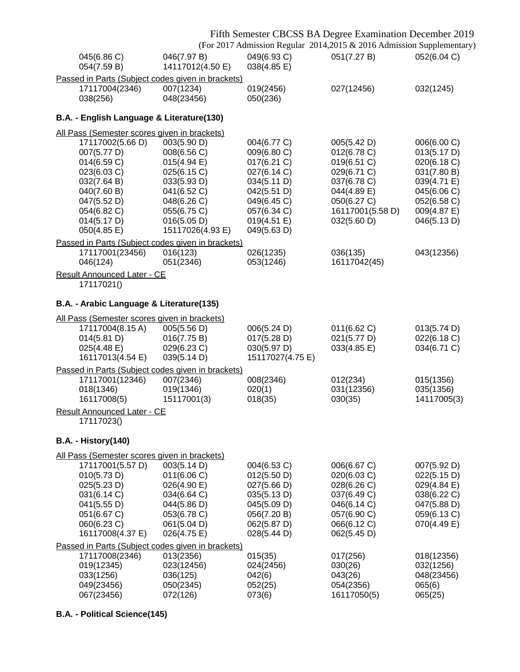| Fifth Semester CBCSS BA Degree Examination December 2019<br>(For 2017 Admission Regular 2014,2015 & 2016 Admission Supplementary) |                                                                                                                                                                                |                                                                                                                                                                   |                                                                                                                                                       |                                                                                                                                          |                                                                                                                                     |  |  |  |  |
|-----------------------------------------------------------------------------------------------------------------------------------|--------------------------------------------------------------------------------------------------------------------------------------------------------------------------------|-------------------------------------------------------------------------------------------------------------------------------------------------------------------|-------------------------------------------------------------------------------------------------------------------------------------------------------|------------------------------------------------------------------------------------------------------------------------------------------|-------------------------------------------------------------------------------------------------------------------------------------|--|--|--|--|
|                                                                                                                                   | 045(6.86 C)<br>054(7.59 B)                                                                                                                                                     | 046(7.97 B)<br>14117012(4.50 E)                                                                                                                                   | 049(6.93 C)<br>038(4.85 E)                                                                                                                            | 051(7.27 B)                                                                                                                              | 052(6.04 C)                                                                                                                         |  |  |  |  |
|                                                                                                                                   |                                                                                                                                                                                | Passed in Parts (Subject codes given in brackets)                                                                                                                 |                                                                                                                                                       |                                                                                                                                          |                                                                                                                                     |  |  |  |  |
|                                                                                                                                   | 17117004(2346)<br>038(256)                                                                                                                                                     | 007(1234)<br>048(23456)                                                                                                                                           | 019(2456)<br>050(236)                                                                                                                                 | 027(12456)                                                                                                                               | 032(1245)                                                                                                                           |  |  |  |  |
|                                                                                                                                   | B.A. - English Language & Literature(130)                                                                                                                                      |                                                                                                                                                                   |                                                                                                                                                       |                                                                                                                                          |                                                                                                                                     |  |  |  |  |
|                                                                                                                                   | All Pass (Semester scores given in brackets)                                                                                                                                   |                                                                                                                                                                   |                                                                                                                                                       |                                                                                                                                          |                                                                                                                                     |  |  |  |  |
|                                                                                                                                   | 17117002(5.66 D)<br>007(5.77 D)<br>014(6.59 C)<br>023(6.03 C)<br>032(7.64 B)<br>040(7.60 B)<br>047(5.52 D)<br>054(6.82 C)<br>014(5.17 D)<br>050(4.85 E)                        | 003(5.90 D)<br>008(6.56 C)<br>$015(4.94 \text{ E})$<br>025(6.15 C)<br>033(5.93 D)<br>041(6.52 C)<br>048(6.26 C)<br>055(6.75 C)<br>016(5.05 D)<br>15117026(4.93 E) | 004(6.77 C)<br>009(6.80 C)<br>$017(6.21)$ C)<br>027(6.14 C)<br>034(5.11 D)<br>042(5.51 D)<br>049(6.45 C)<br>057(6.34 C)<br>019(4.51 E)<br>049(5.63 D) | 005(5.42 D)<br>012(6.78 C)<br>019(6.51 C)<br>029(6.71 C)<br>037(6.78 C)<br>044(4.89 E)<br>050(6.27 C)<br>16117001(5.58 D)<br>032(5.60 D) | 006(6.00 C)<br>013(5.17 D)<br>020(6.18 C)<br>031(7.80 B)<br>039(4.71 E)<br>045(6.06 C)<br>052(6.58 C)<br>009(4.87 E)<br>046(5.13 D) |  |  |  |  |
|                                                                                                                                   | 17117001(23456)<br>046(124)                                                                                                                                                    | Passed in Parts (Subject codes given in brackets)<br>016(123)<br>051(2346)                                                                                        | 026(1235)<br>053(1246)                                                                                                                                | 036(135)<br>16117042(45)                                                                                                                 | 043(12356)                                                                                                                          |  |  |  |  |
|                                                                                                                                   | <b>Result Announced Later - CE</b><br>17117021()                                                                                                                               |                                                                                                                                                                   |                                                                                                                                                       |                                                                                                                                          |                                                                                                                                     |  |  |  |  |
|                                                                                                                                   | B.A. - Arabic Language & Literature(135)                                                                                                                                       |                                                                                                                                                                   |                                                                                                                                                       |                                                                                                                                          |                                                                                                                                     |  |  |  |  |
|                                                                                                                                   | All Pass (Semester scores given in brackets)                                                                                                                                   |                                                                                                                                                                   |                                                                                                                                                       |                                                                                                                                          |                                                                                                                                     |  |  |  |  |
|                                                                                                                                   | 17117004(8.15A)<br>014(5.81 D)<br>025(4.48 E)<br>16117013(4.54 E)                                                                                                              | 005(5.56 D)<br>016(7.75 B)<br>029(6.23 C)<br>039(5.14 D)                                                                                                          | 006(5.24 D)<br>017(5.28 D)<br>030(5.97 D)<br>15117027(4.75 E)                                                                                         | 011(6.62 C)<br>021(5.77 D)<br>033(4.85 E)                                                                                                | 013(5.74 D)<br>022(6.18 C)<br>034(6.71 C)                                                                                           |  |  |  |  |
|                                                                                                                                   |                                                                                                                                                                                | Passed in Parts (Subject codes given in brackets)                                                                                                                 |                                                                                                                                                       |                                                                                                                                          |                                                                                                                                     |  |  |  |  |
|                                                                                                                                   | 17117001(12346)<br>018(1346)<br>16117008(5)                                                                                                                                    | 007(2346)<br>019(1346)<br>15117001(3)                                                                                                                             | 008(2346)<br>020(1)<br>018(35)                                                                                                                        | 012(234)<br>031(12356)<br>030(35)                                                                                                        | 015(1356)<br>035(1356)<br>14117005(3)                                                                                               |  |  |  |  |
|                                                                                                                                   | Result Announced Later - CE<br>17117023()                                                                                                                                      |                                                                                                                                                                   |                                                                                                                                                       |                                                                                                                                          |                                                                                                                                     |  |  |  |  |
|                                                                                                                                   | <b>B.A. - History(140)</b>                                                                                                                                                     |                                                                                                                                                                   |                                                                                                                                                       |                                                                                                                                          |                                                                                                                                     |  |  |  |  |
|                                                                                                                                   |                                                                                                                                                                                |                                                                                                                                                                   |                                                                                                                                                       |                                                                                                                                          |                                                                                                                                     |  |  |  |  |
|                                                                                                                                   | All Pass (Semester scores given in brackets)<br>17117001(5.57 D)<br>010(5.73 D)<br>025(5.23 D)<br>031(6.14 C)<br>041(5.55 D)<br>051(6.67 C)<br>060(6.23 C)<br>16117008(4.37 E) | 003(5.14 D)<br>011(6.06 C)<br>026(4.90 E)<br>034(6.64 C)<br>044(5.86 D)<br>053(6.78 C)<br>061(5.04 D)<br>026(4.75 E)                                              | 004(6.53 C)<br>012(5.50 D)<br>027(5.66 D)<br>035(5.13 D)<br>045(5.09 D)<br>056(7.20 B)<br>062(5.87 D)<br>028(5.44 D)                                  | 006(6.67 C)<br>020(6.03 C)<br>028(6.26 C)<br>037(6.49 C)<br>046(6.14 C)<br>057(6.90 C)<br>066(6.12 C)<br>062(5.45 D)                     | 007(5.92 D)<br>022(5.15 D)<br>029(4.84 E)<br>038(6.22 C)<br>047(5.88 D)<br>059(6.13 C)<br>070(4.49 E)                               |  |  |  |  |
|                                                                                                                                   |                                                                                                                                                                                | Passed in Parts (Subject codes given in brackets)                                                                                                                 |                                                                                                                                                       |                                                                                                                                          |                                                                                                                                     |  |  |  |  |
|                                                                                                                                   | 17117008(2346)<br>019(12345)<br>033(1256)<br>049(23456)<br>067(23456)                                                                                                          | 013(2356)<br>023(12456)<br>036(125)<br>050(2345)<br>072(126)                                                                                                      | 015(35)<br>024(2456)<br>042(6)<br>052(25)<br>073(6)                                                                                                   | 017(256)<br>030(26)<br>043(26)<br>054(2356)<br>16117050(5)                                                                               | 018(12356)<br>032(1256)<br>048(23456)<br>065(6)<br>065(25)                                                                          |  |  |  |  |

**B.A. - Political Science(145)**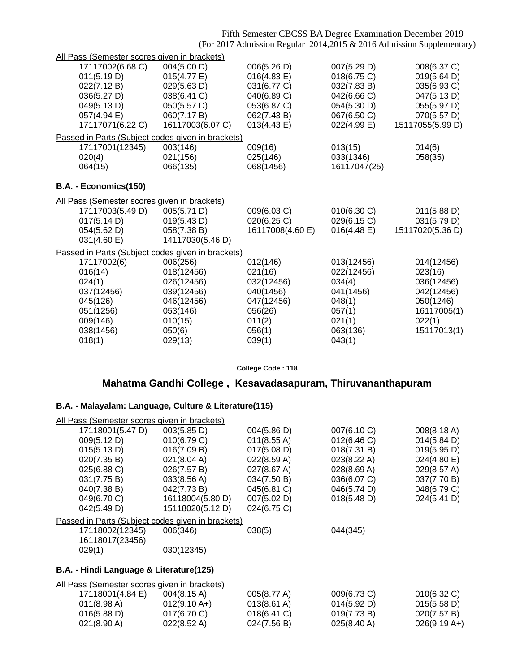Fifth Semester CBCSS BA Degree Examination December 2019 (For 2017 Admission Regular 2014,2015 & 2016 Admission Supplementary)

| All Pass (Semester scores given in brackets) |                                                   |                  |              |                  |
|----------------------------------------------|---------------------------------------------------|------------------|--------------|------------------|
| 17117002(6.68 C)                             | 004(5.00 D)                                       | 006(5.26 D)      | 007(5.29 D)  | 008(6.37 C)      |
| 011(5.19 D)                                  | 015(4.77 E)                                       | 016(4.83 E)      | 018(6.75 C)  | 019(5.64 D)      |
| 022(7.12 B)                                  | 029(5.63 D)                                       | 031(6.77 C)      | 032(7.83 B)  | 035(6.93 C)      |
| 036(5.27 D)                                  | 038(6.41 C)                                       | 040(6.89 C)      | 042(6.66 C)  | 047(5.13 D)      |
| 049(5.13 D)                                  | 050(5.57 D)                                       | 053(6.87 C)      | 054(5.30 D)  | 055(5.97 D)      |
| 057(4.94 E)                                  | 060(7.17 B)                                       | 062(7.43 B)      | 067(6.50 C)  | 070(5.57 D)      |
| 17117071(6.22 C)                             | 16117003(6.07 C)                                  | 013(4.43 E)      | 022(4.99 E)  | 15117055(5.99 D) |
|                                              | Passed in Parts (Subject codes given in brackets) |                  |              |                  |
| 17117001(12345)                              | 003(146)                                          | 009(16)          | 013(15)      | 014(6)           |
| 020(4)                                       | 021(156)                                          | 025(146)         | 033(1346)    | 058(35)          |
| 064(15)                                      | 066(135)                                          | 068(1456)        | 16117047(25) |                  |
|                                              |                                                   |                  |              |                  |
| B.A. - Economics(150)                        |                                                   |                  |              |                  |
| All Pass (Semester scores given in brackets) |                                                   |                  |              |                  |
| 17117003(5.49 D)                             | 005(5.71 D)                                       | 009(6.03 C)      | 010(6.30 C)  | 011(5.88 D)      |
| 017(5.14 D)                                  | 019(5.43 D)                                       | 020(6.25 C)      | 029(6.15 C)  | 031(5.79 D)      |
| 054(5.62 D)                                  | 058(7.38 B)                                       | 16117008(4.60 E) | 016(4.48 E)  | 15117020(5.36 D) |
| 031(4.60 E)                                  | 14117030(5.46 D)                                  |                  |              |                  |
|                                              | Passed in Parts (Subject codes given in brackets) |                  |              |                  |
| 17117002(6)                                  | 006(256)                                          | 012(146)         | 013(12456)   | 014(12456)       |
| 016(14)                                      | 018(12456)                                        | 021(16)          | 022(12456)   | 023(16)          |
| 024(1)                                       | 026(12456)                                        | 032(12456)       | 034(4)       | 036(12456)       |
| 037(12456)                                   | 039(12456)                                        | 040(1456)        | 041(1456)    | 042(12456)       |
| 045(126)                                     | 046(12456)                                        | 047(12456)       | 048(1)       | 050(1246)        |
| 051(1256)                                    | 053(146)                                          | 056(26)          | 057(1)       | 16117005(1)      |
| 009(146)                                     | 010(15)                                           | 011(2)           | 021(1)       | 022(1)           |
| 038(1456)                                    | 050(6)                                            | 056(1)           | 063(136)     | 15117013(1)      |
| 018(1)                                       | 029(13)                                           | 039(1)           | 043(1)       |                  |

**College Code : 118**

## **Mahatma Gandhi College , Kesavadasapuram, Thiruvananthapuram**

### **B.A. - Malayalam: Language, Culture & Literature(115)**

| All Pass (Semester scores given in brackets) |                                                   |             |             |             |
|----------------------------------------------|---------------------------------------------------|-------------|-------------|-------------|
| 17118001(5.47 D)                             | 003(5.85 D)                                       | 004(5.86 D) | 007(6.10 C) | 008(8.18 A) |
| 009(5.12 D)                                  | 010(6.79 C)                                       | 011(8.55 A) | 012(6.46 C) | 014(5.84 D) |
| 015(5.13 D)                                  | 016(7.09 B)                                       | 017(5.08 D) | 018(7.31 B) | 019(5.95 D) |
| 020(7.35 B)                                  | 021(8.04 A)                                       | 022(8.59 A) | 023(8.22 A) | 024(4.80 E) |
| 025(6.88 C)                                  | 026(7.57 B)                                       | 027(8.67 A) | 028(8.69 A) | 029(8.57 A) |
| 031(7.75 B)                                  | $033(8.56 \text{ A})$                             | 034(7.50 B) | 036(6.07 C) | 037(7.70 B) |
| 040(7.38 B)                                  | 042(7.73 B)                                       | 045(6.81 C) | 046(5.74 D) | 048(6.79 C) |
| 049(6.70 C)                                  | 16118004(5.80 D)                                  | 007(5.02 D) | 018(5.48 D) | 024(5.41 D) |
| 042(5.49 D)                                  | 15118020(5.12 D)                                  | 024(6.75 C) |             |             |
|                                              | Passed in Parts (Subject codes given in brackets) |             |             |             |
| 17118002(12345)<br>16118017(23456)           | 006(346)                                          | 038(5)      | 044(345)    |             |
| 029(1)                                       | 030(12345)                                        |             |             |             |
|                                              |                                                   |             |             |             |

## **B.A. - Hindi Language & Literature(125)**

| All Pass (Semester scores given in brackets) |                       |                       |                       |                |
|----------------------------------------------|-----------------------|-----------------------|-----------------------|----------------|
| 17118001(4.84 E)                             | $004(8.15 \text{ A})$ | 005(8.77 A)           | $009(6.73)$ C)        | $010(6.32)$ C) |
| $011(8.98 \text{ A})$                        | $012(9.10 A+)$        | $013(8.61 \text{ A})$ | 014(5.92 D)           | 015(5.58 D)    |
| 016(5.88 D)                                  | $017(6.70)$ C)        | $018(6.41)$ C)        | 019(7.73 B)           | 020(7.57 B)    |
| $021(8.90 \text{ A})$                        | $022(8.52 \text{ A})$ | 024(7.56 B)           | $025(8.40 \text{ A})$ | $026(9.19 A+)$ |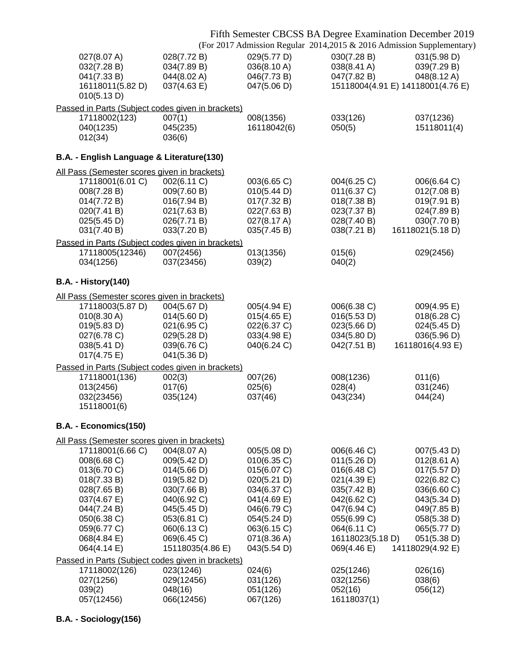### Fifth Semester CBCSS BA Degree Examination December 2019

(For 2017 Admission Regular 2014,2015 & 2016 Admission Supplementary)

| 027(8.07 A)<br>032(7.28 B)<br>041(7.33 B)<br>16118011(5.82 D)<br>010(5.13 D)                                                                                                                                           | 028(7.72 B)<br>034(7.89 B)<br>044(8.02 A)<br>037(4.63 E)                                                                                                               | 029(5.77 D)<br>036(8.10 A)<br>046(7.73 B)<br>047(5.06 D)                                                                                                          | 030(7.28 B)<br>038(8.41 A)<br>047(7.82 B)<br>15118004(4.91 E) 14118001(4.76 E)                                                                                         | 031(5.98 D)<br>039(7.29 B)<br>048(8.12 A)                                                                                                                                        |
|------------------------------------------------------------------------------------------------------------------------------------------------------------------------------------------------------------------------|------------------------------------------------------------------------------------------------------------------------------------------------------------------------|-------------------------------------------------------------------------------------------------------------------------------------------------------------------|------------------------------------------------------------------------------------------------------------------------------------------------------------------------|----------------------------------------------------------------------------------------------------------------------------------------------------------------------------------|
| 17118002(123)<br>040(1235)<br>012(34)                                                                                                                                                                                  | Passed in Parts (Subject codes given in brackets)<br>007(1)<br>045(235)<br>036(6)                                                                                      | 008(1356)<br>16118042(6)                                                                                                                                          | 033(126)<br>050(5)                                                                                                                                                     | 037(1236)<br>15118011(4)                                                                                                                                                         |
| B.A. - English Language & Literature(130)                                                                                                                                                                              |                                                                                                                                                                        |                                                                                                                                                                   |                                                                                                                                                                        |                                                                                                                                                                                  |
| All Pass (Semester scores given in brackets)<br>17118001(6.01 C)<br>008(7.28 B)<br>014(7.72 B)<br>020(7.41 B)<br>025(5.45 D)<br>031(7.40 B)                                                                            | 002(6.11 C)<br>009(7.60 B)<br>016(7.94 B)<br>021(7.63 B)<br>026(7.71 B)<br>033(7.20 B)                                                                                 | 003(6.65 C)<br>010(5.44 D)<br>017(7.32 B)<br>022(7.63 B)<br>027(8.17 A)<br>035(7.45 B)                                                                            | 004(6.25 C)<br>011(6.37 C)<br>018(7.38 B)<br>023(7.37 B)<br>028(7.40 B)<br>038(7.21 B)                                                                                 | 006(6.64 C)<br>012(7.08 B)<br>019(7.91 B)<br>024(7.89 B)<br>030(7.70 B)<br>16118021(5.18 D)                                                                                      |
|                                                                                                                                                                                                                        | Passed in Parts (Subject codes given in brackets)                                                                                                                      |                                                                                                                                                                   |                                                                                                                                                                        |                                                                                                                                                                                  |
| 17118005(12346)<br>034(1256)                                                                                                                                                                                           | 007(2456)<br>037(23456)                                                                                                                                                | 013(1356)<br>039(2)                                                                                                                                               | 015(6)<br>040(2)                                                                                                                                                       | 029(2456)                                                                                                                                                                        |
| <b>B.A. - History(140)</b>                                                                                                                                                                                             |                                                                                                                                                                        |                                                                                                                                                                   |                                                                                                                                                                        |                                                                                                                                                                                  |
| All Pass (Semester scores given in brackets)                                                                                                                                                                           |                                                                                                                                                                        |                                                                                                                                                                   |                                                                                                                                                                        |                                                                                                                                                                                  |
| 17118003(5.87 D)<br>010(8.30 A)<br>019(5.83 D)<br>027(6.78 C)<br>038(5.41 D)<br>017(4.75 E)                                                                                                                            | 004(5.67 D)<br>014(5.60 D)<br>021(6.95 C)<br>029(5.28 D)<br>039(6.76 C)<br>041(5.36 D)                                                                                 | 005(4.94 E)<br>015(4.65)<br>022(6.37 C)<br>033(4.98 E)<br>040(6.24 C)                                                                                             | 006(6.38 C)<br>016(5.53 D)<br>023(5.66 D)<br>034(5.80 D)<br>042(7.51 B)                                                                                                | 009(4.95 E)<br>018(6.28 C)<br>024(5.45 D)<br>036(5.96 D)<br>16118016(4.93 E)                                                                                                     |
|                                                                                                                                                                                                                        | Passed in Parts (Subject codes given in brackets)                                                                                                                      |                                                                                                                                                                   |                                                                                                                                                                        |                                                                                                                                                                                  |
| 17118001(136)<br>013(2456)<br>032(23456)<br>15118001(6)                                                                                                                                                                | 002(3)<br>017(6)<br>035(124)                                                                                                                                           | 007(26)<br>025(6)<br>037(46)                                                                                                                                      | 008(1236)<br>028(4)<br>043(234)                                                                                                                                        | 011(6)<br>031(246)<br>044(24)                                                                                                                                                    |
| B.A. - Economics(150)                                                                                                                                                                                                  |                                                                                                                                                                        |                                                                                                                                                                   |                                                                                                                                                                        |                                                                                                                                                                                  |
| All Pass (Semester scores given in brackets)<br>17118001(6.66 C)<br>008(6.68 C)<br>013(6.70 C)<br>018(7.33 B)<br>028(7.65 B)<br>037(4.67 E)<br>044(7.24 B)<br>050(6.38 C)<br>059(6.77 C)<br>068(4.84 E)<br>064(4.14 E) | 004(8.07 A)<br>009(5.42 D)<br>014(5.66 D)<br>019(5.82 D)<br>030(7.66 B)<br>040(6.92 C)<br>045(5.45 D)<br>053(6.81 C)<br>060(6.13 C)<br>069(6.45 C)<br>15118035(4.86 E) | 005(5.08 D)<br>010(6.35 C)<br>015(6.07 C)<br>020(5.21 D)<br>034(6.37 C)<br>041(4.69 E)<br>046(6.79 C)<br>054(5.24 D)<br>063(6.15 C)<br>071(8.36 A)<br>043(5.54 D) | 006(6.46 C)<br>011(5.26 D)<br>016(6.48 C)<br>021(4.39 E)<br>035(7.42 B)<br>042(6.62 C)<br>047(6.94 C)<br>055(6.99 C)<br>064(6.11 C)<br>16118023(5.18 D)<br>069(4.46 E) | 007(5.43 D)<br>$012(8.61 \text{ A})$<br>017(5.57 D)<br>022(6.82 C)<br>036(6.60 C)<br>043(5.34 D)<br>049(7.85 B)<br>058(5.38 D)<br>065(5.77 D)<br>051(5.38 D)<br>14118029(4.92 E) |
| 17118002(126)                                                                                                                                                                                                          | Passed in Parts (Subject codes given in brackets)<br>023(1246)                                                                                                         | 024(6)                                                                                                                                                            | 025(1246)                                                                                                                                                              | 026(16)                                                                                                                                                                          |
| 027(1256)<br>039(2)<br>057(12456)                                                                                                                                                                                      | 029(12456)<br>048(16)<br>066(12456)                                                                                                                                    | 031(126)<br>051(126)<br>067(126)                                                                                                                                  | 032(1256)<br>052(16)<br>16118037(1)                                                                                                                                    | 038(6)<br>056(12)                                                                                                                                                                |

## **B.A. - Sociology(156)**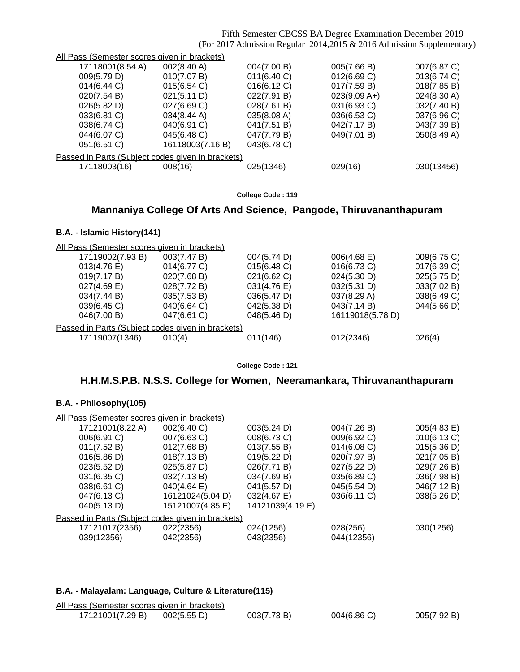Fifth Semester CBCSS BA Degree Examination December 2019 (For 2017 Admission Regular 2014,2015 & 2016 Admission Supplementary)

| All Pass (Semester scores given in brackets)      |                       |             |                |             |  |  |
|---------------------------------------------------|-----------------------|-------------|----------------|-------------|--|--|
| 17118001(8.54 A)                                  | $002(8.40 \text{ A})$ | 004(7.00 B) | 005(7.66 B)    | 007(6.87 C) |  |  |
| 009(5.79 D)                                       | 010(7.07 B)           | 011(6.40 C) | 012(6.69 C)    | 013(6.74 C) |  |  |
| $014(6.44)$ C)                                    | 015(6.54)             | 016(6.12 C) | 017(7.59 B)    | 018(7.85 B) |  |  |
| 020(7.54 B)                                       | 021(5.11 D)           | 022(7.91 B) | $023(9.09 A+)$ | 024(8.30 A) |  |  |
| 026(5.82 D)                                       | 027(6.69 C)           | 028(7.61 B) | 031(6.93 C)    | 032(7.40 B) |  |  |
| 033(6.81 C)                                       | $034(8.44 \text{ A})$ | 035(8.08 A) | 036(6.53 C)    | 037(6.96 C) |  |  |
| 038(6.74 C)                                       | 040(6.91 C)           | 041(7.51 B) | 042(7.17 B)    | 043(7.39 B) |  |  |
| 044(6.07 C)                                       | 045(6.48 C)           | 047(7.79 B) | 049(7.01 B)    | 050(8.49 A) |  |  |
| 051(6.51 C)                                       | 16118003(7.16 B)      | 043(6.78 C) |                |             |  |  |
| Passed in Parts (Subject codes given in brackets) |                       |             |                |             |  |  |
| 17118003(16)                                      | 008(16)               | 025(1346)   | 029(16)        | 030(13456)  |  |  |
|                                                   |                       |             |                |             |  |  |

**College Code : 119**

## **Mannaniya College Of Arts And Science, Pangode, Thiruvananthapuram**

### **B.A. - Islamic History(141)**

| All Pass (Semester scores given in brackets)      |             |             |                  |             |  |  |
|---------------------------------------------------|-------------|-------------|------------------|-------------|--|--|
| 17119002(7.93 B)                                  | 003(7.47 B) | 004(5.74 D) | $006(4.68)$ E)   | 009(6.75 C) |  |  |
| 013(4.76 E)                                       | 014(6.77 C) | 015(6.48 C) | 016(6.73 C)      | 017(6.39 C) |  |  |
| 019(7.17 B)                                       | 020(7.68 B) | 021(6.62 C) | 024(5.30 D)      | 025(5.75 D) |  |  |
| $027(4.69)$ E)                                    | 028(7.72 B) | 031(4.76 E) | 032(5.31 D)      | 033(7.02 B) |  |  |
| 034(7.44 B)                                       | 035(7.53 B) | 036(5.47 D) | 037(8.29 A)      | 038(6.49 C) |  |  |
| 039(6.45 C)                                       | 040(6.64 C) | 042(5.38 D) | 043(7.14 B)      | 044(5.66 D) |  |  |
| 046(7.00 B)                                       | 047(6.61 C) | 048(5.46 D) | 16119018(5.78 D) |             |  |  |
| Passed in Parts (Subject codes given in brackets) |             |             |                  |             |  |  |
| 17119007(1346)                                    | 010(4)      | 011(146)    | 012(2346)        | 026(4)      |  |  |
|                                                   |             |             |                  |             |  |  |

**College Code : 121**

## **H.H.M.S.P.B. N.S.S. College for Women, Neeramankara, Thiruvananthapuram**

### **B.A. - Philosophy(105)**

| All Pass (Semester scores given in brackets)      |                       |                  |             |             |  |  |
|---------------------------------------------------|-----------------------|------------------|-------------|-------------|--|--|
| 17121001(8.22 A)                                  | 002(6.40 C)           | 003(5.24 D)      | 004(7.26 B) | 005(4.83 E) |  |  |
| 006(6.91 C)                                       | 007(6.63 C)           | 008(6.73 C)      | 009(6.92 C) | 010(6.13 C) |  |  |
| 011(7.52 B)                                       | 012(7.68 B)           | 013(7.55 B)      | 014(6.08)   | 015(5.36 D) |  |  |
| 016(5.86 D)                                       | 018(7.13 B)           | 019(5.22 D)      | 020(7.97 B) | 021(7.05 B) |  |  |
| 023(5.52 D)                                       | 025(5.87 D)           | 026(7.71 B)      | 027(5.22 D) | 029(7.26 B) |  |  |
| 031(6.35 C)                                       | 032(7.13 B)           | 034(7.69 B)      | 035(6.89 C) | 036(7.98 B) |  |  |
| 038(6.61 C)                                       | $040(4.64 \text{ E})$ | 041(5.57 D)      | 045(5.54 D) | 046(7.12 B) |  |  |
| 047(6.13 C)                                       | 16121024(5.04 D)      | 032(4.67 E)      | 036(6.11 C) | 038(5.26 D) |  |  |
| 040(5.13 D)                                       | 15121007(4.85 E)      | 14121039(4.19 E) |             |             |  |  |
| Passed in Parts (Subject codes given in brackets) |                       |                  |             |             |  |  |
| 17121017(2356)                                    | 022(2356)             | 024(1256)        | 028(256)    | 030(1256)   |  |  |
| 039(12356)                                        | 042(2356)             | 043(2356)        | 044(12356)  |             |  |  |
|                                                   |                       |                  |             |             |  |  |

### **B.A. - Malayalam: Language, Culture & Literature(115)**

| All Pass (Semester scores given in brackets) |             |             |             |             |
|----------------------------------------------|-------------|-------------|-------------|-------------|
| 17121001(7.29 B)                             | 002(5.55 D) | 003(7.73 B) | 004(6.86 C) | 005(7.92 B) |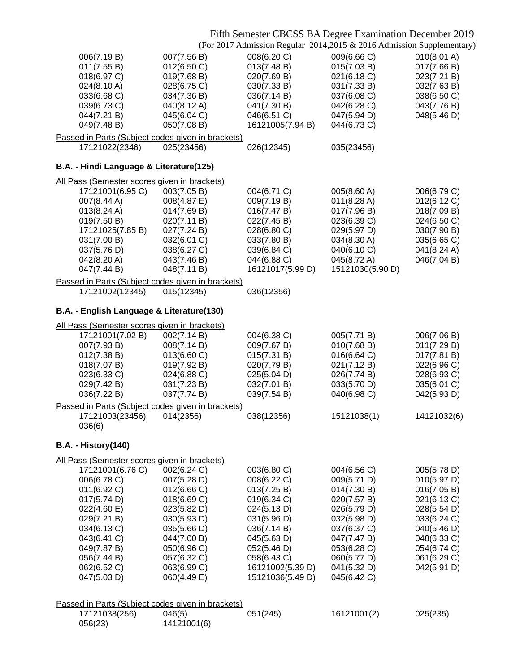### Fifth Semester CBCSS BA Degree Examination December 2019

(For 2017 Admission Regular 2014,2015 & 2016 Admission Supplementary)

|                                              |                                                   |                  | (TVI 2017) Admission Regular 2014,2019 & 2010 Admission Supplementa |             |  |
|----------------------------------------------|---------------------------------------------------|------------------|---------------------------------------------------------------------|-------------|--|
| 006(7.19 B)                                  | 007(7.56 B)                                       | 008(6.20 C)      | 009(6.66 C)                                                         | 010(8.01 A) |  |
| 011(7.55 B)                                  | 012(6.50 C)                                       | 013(7.48 B)      | 015(7.03 B)                                                         | 017(7.66 B) |  |
| 018(6.97 C)                                  | 019(7.68 B)                                       | 020(7.69 B)      | 021(6.18 C)                                                         | 023(7.21 B) |  |
| 024(8.10 A)                                  | 028(6.75 C)                                       | 030(7.33 B)      | 031(7.33 B)                                                         | 032(7.63 B) |  |
| 033(6.68 C)                                  | 034(7.36 B)                                       | 036(7.14 B)      | 037(6.08 C)                                                         | 038(6.50 C) |  |
|                                              |                                                   |                  |                                                                     |             |  |
| 039(6.73 C)                                  | 040(8.12 A)                                       | 041(7.30 B)      | 042(6.28 C)                                                         | 043(7.76 B) |  |
| 044(7.21 B)                                  | 045(6.04 C)                                       | 046(6.51 C)      | 047(5.94 D)                                                         | 048(5.46 D) |  |
| 049(7.48 B)                                  | 050(7.08 B)                                       | 16121005(7.94 B) | 044(6.73 C)                                                         |             |  |
|                                              | Passed in Parts (Subject codes given in brackets) |                  |                                                                     |             |  |
| 17121022(2346)                               | 025(23456)                                        | 026(12345)       | 035(23456)                                                          |             |  |
|                                              |                                                   |                  |                                                                     |             |  |
| B.A. - Hindi Language & Literature(125)      |                                                   |                  |                                                                     |             |  |
| All Pass (Semester scores given in brackets) |                                                   |                  |                                                                     |             |  |
| 17121001(6.95 C)                             | 003(7.05 B)                                       | 004(6.71 C)      | 005(8.60 A)                                                         | 006(6.79 C) |  |
| 007(8.44 A)                                  | 008(4.87 E)                                       | 009(7.19 B)      | 011(8.28 A)                                                         | 012(6.12 C) |  |
| 013(8.24 A)                                  | 014(7.69 B)                                       | 016(7.47 B)      | 017(7.96 B)                                                         | 018(7.09 B) |  |
|                                              |                                                   |                  |                                                                     | 024(6.50 C) |  |
| 019(7.50 B)                                  | 020(7.11 B)                                       | 022(7.45 B)      | 023(6.39 C)                                                         |             |  |
| 17121025(7.85 B)                             | 027(7.24 B)                                       | 028(6.80 C)      | 029(5.97 D)                                                         | 030(7.90 B) |  |
| 031(7.00 B)                                  | 032(6.01 C)                                       | 033(7.80 B)      | 034(8.30 A)                                                         | 035(6.65 C) |  |
| 037(5.76 D)                                  | 038(6.27 C)                                       | 039(6.84 C)      | 040(6.10 C)                                                         | 041(8.24 A) |  |
| 042(8.20 A)                                  | 043(7.46 B)                                       | 044(6.88 C)      | 045(8.72 A)                                                         | 046(7.04 B) |  |
| 047(7.44 B)                                  | 048(7.11 B)                                       | 16121017(5.99 D) | 15121030(5.90 D)                                                    |             |  |
|                                              |                                                   |                  |                                                                     |             |  |
|                                              | Passed in Parts (Subject codes given in brackets) |                  |                                                                     |             |  |
| 17121002(12345)                              | 015(12345)                                        | 036(12356)       |                                                                     |             |  |
|                                              |                                                   |                  |                                                                     |             |  |
| B.A. - English Language & Literature(130)    |                                                   |                  |                                                                     |             |  |
| All Pass (Semester scores given in brackets) |                                                   |                  |                                                                     |             |  |
| 17121001(7.02 B)                             |                                                   | 004(6.38 C)      |                                                                     |             |  |
|                                              | 002(7.14 B)                                       |                  | 005(7.71 B)                                                         | 006(7.06 B) |  |
| 007(7.93 B)                                  | 008(7.14 B)                                       | 009(7.67 B)      | 010(7.68 B)                                                         | 011(7.29 B) |  |
| 012(7.38 B)                                  | 013(6.60 C)                                       | 015(7.31 B)      | 016(6.64 C)                                                         | 017(7.81 B) |  |
| 018(7.07 B)                                  | 019(7.92 B)                                       | 020(7.79 B)      | 021(7.12 B)                                                         | 022(6.96 C) |  |
| 023(6.33 C)                                  | 024(6.88 C)                                       | 025(5.04 D)      | 026(7.74 B)                                                         | 028(6.93 C) |  |
| 029(7.42 B)                                  | 031(7.23 B)                                       | 032(7.01 B)      | 033(5.70 D)                                                         | 035(6.01 C) |  |
| 036(7.22 B)                                  | 037(7.74 B)                                       | 039(7.54 B)      | 040(6.98 C)                                                         | 042(5.93 D) |  |
|                                              |                                                   |                  |                                                                     |             |  |
|                                              | Passed in Parts (Subject codes given in brackets) |                  |                                                                     |             |  |
| 17121003(23456)                              | 014(2356)                                         | 038(12356)       | 15121038(1)                                                         | 14121032(6) |  |
| 036(6)                                       |                                                   |                  |                                                                     |             |  |
|                                              |                                                   |                  |                                                                     |             |  |
| <b>B.A. - History(140)</b>                   |                                                   |                  |                                                                     |             |  |
| All Pass (Semester scores given in brackets) |                                                   |                  |                                                                     |             |  |
| 17121001(6.76 C)                             | 002(6.24 C)                                       | 003(6.80 C)      | 004(6.56 C)                                                         | 005(5.78 D) |  |
| 006(6.78 C)                                  | 007(5.28 D)                                       | 008(6.22 C)      | 009(5.71 D)                                                         | 010(5.97 D) |  |
|                                              |                                                   |                  |                                                                     |             |  |
| 011(6.92 C)                                  | 012(6.66 C)                                       | 013(7.25 B)      | 014(7.30 B)                                                         | 016(7.05 B) |  |
| 017(5.74 D)                                  | 018(6.69 C)                                       | 019(6.34 C)      | 020(7.57 B)                                                         | 021(6.13 C) |  |
| 022(4.60 E)                                  | 023(5.82 D)                                       | 024(5.13 D)      | 026(5.79 D)                                                         | 028(5.54 D) |  |
| 029(7.21 B)                                  | 030(5.93 D)                                       | 031(5.96 D)      | 032(5.98 D)                                                         | 033(6.24 C) |  |
| 034(6.13 C)                                  | 035(5.66 D)                                       | 036(7.14 B)      | 037(6.37 C)                                                         | 040(5.46 D) |  |
| 043(6.41 C)                                  | 044(7.00 B)                                       | 045(5.63 D)      | 047(7.47 B)                                                         | 048(6.33 C) |  |
| 049(7.87 B)                                  | 050(6.96 C)                                       | 052(5.46 D)      | 053(6.28 C)                                                         | 054(6.74 C) |  |
| 056(7.44 B)                                  | 057(6.32 C)                                       | 058(6.43 C)      | 060(5.77 D)                                                         | 061(6.29 C) |  |
|                                              |                                                   |                  |                                                                     |             |  |
| 062(6.52 C)                                  | 063(6.99 C)                                       | 16121002(5.39 D) | 041(5.32 D)                                                         | 042(5.91 D) |  |
| 047(5.03 D)                                  | 060(4.49 E)                                       | 15121036(5.49 D) | 045(6.42 C)                                                         |             |  |
|                                              |                                                   |                  |                                                                     |             |  |
|                                              | Passed in Parts (Subject codes given in brackets) |                  |                                                                     |             |  |
| 17121038(256)                                | 046(5)                                            | 051(245)         | 16121001(2)                                                         | 025(235)    |  |
|                                              |                                                   |                  |                                                                     |             |  |
| 056(23)                                      | 14121001(6)                                       |                  |                                                                     |             |  |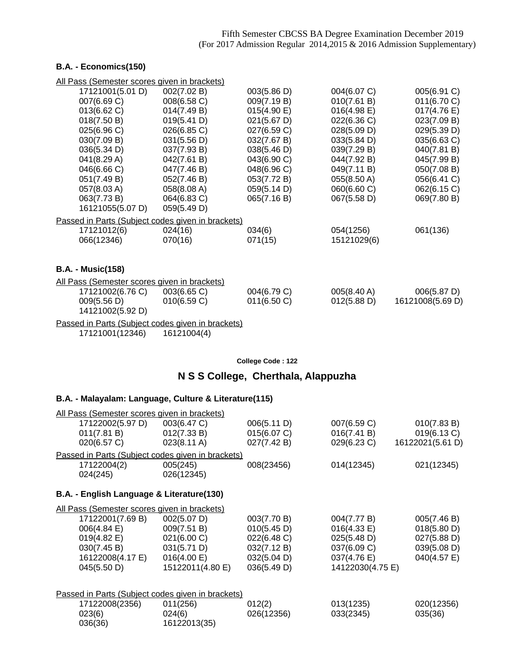### **B.A. - Economics(150)**

| All Pass (Semester scores given in brackets)      |             |             |             |                  |
|---------------------------------------------------|-------------|-------------|-------------|------------------|
| 17121001(5.01 D)                                  | 002(7.02 B) | 003(5.86 D) | 004(6.07 C) | 005(6.91 C)      |
| 007(6.69 C)                                       | 008(6.58 C) | 009(7.19 B) | 010(7.61 B) | 011(6.70 C)      |
| 013(6.62 C)                                       | 014(7.49 B) | 015(4.90 E) | 016(4.98 E) | 017(4.76 E)      |
| 018(7.50 B)                                       | 019(5.41 D) | 021(5.67 D) | 022(6.36 C) | 023(7.09 B)      |
| 025(6.96 C)                                       | 026(6.85 C) | 027(6.59 C) | 028(5.09 D) | 029(5.39 D)      |
| 030(7.09 B)                                       | 031(5.56 D) | 032(7.67 B) | 033(5.84 D) | 035(6.63 C)      |
| 036(5.34 D)                                       | 037(7.93 B) | 038(5.46 D) | 039(7.29 B) | 040(7.81 B)      |
| 041(8.29 A)                                       | 042(7.61 B) | 043(6.90 C) | 044(7.92 B) | 045(7.99 B)      |
| 046(6.66 C)                                       | 047(7.46 B) | 048(6.96 C) | 049(7.11 B) | 050(7.08 B)      |
| 051(7.49 B)                                       | 052(7.46 B) | 053(7.72 B) | 055(8.50 A) | 056(6.41 C)      |
| 057(8.03 A)                                       | 058(8.08 A) | 059(5.14 D) | 060(6.60 C) | 062(6.15 C)      |
| 063(7.73 B)                                       | 064(6.83 C) | 065(7.16 B) | 067(5.58 D) | 069(7.80 B)      |
| 16121055(5.07 D)                                  | 059(5.49 D) |             |             |                  |
| Passed in Parts (Subject codes given in brackets) |             |             |             |                  |
| 17121012(6)                                       | 024(16)     | 034(6)      | 054(1256)   | 061(136)         |
| 066(12346)                                        | 070(16)     | 071(15)     | 15121029(6) |                  |
|                                                   |             |             |             |                  |
|                                                   |             |             |             |                  |
| <b>B.A. - Music(158)</b>                          |             |             |             |                  |
| All Pass (Semester scores given in brackets)      |             |             |             |                  |
| 17121002(6.76 C)                                  | 003(6.65 C) | 004(6.79 C) | 005(8.40 A) | 006(5.87 D)      |
| 009(5.56 D)                                       | 010(6.59 C) | 011(6.50 C) | 012(5.88 D) | 16121008(5.69 D) |
| 14121002(5.92 D)                                  |             |             |             |                  |
| Passed in Parts (Subject codes given in brackets) |             |             |             |                  |
| 17121001(12346)                                   | 16121004(4) |             |             |                  |
|                                                   |             |             |             |                  |

**College Code : 122**

## **N S S College, Cherthala, Alappuzha**

## **B.A. - Malayalam: Language, Culture & Literature(115)**

| All Pass (Semester scores given in brackets)        |                                           |             |                  |                  |  |  |  |
|-----------------------------------------------------|-------------------------------------------|-------------|------------------|------------------|--|--|--|
| 17122002(5.97 D)                                    | 003(6.47 C)                               | 006(5.11 D) | 007(6.59 C)      | 010(7.83 B)      |  |  |  |
| 011(7.81 B)                                         | 012(7.33 B)                               | 015(6.07 C) | 016(7.41 B)      | 019(6.13 C)      |  |  |  |
| 020(6.57 C)                                         | 023(8.11 A)                               | 027(7.42 B) | 029(6.23 C)      | 16122021(5.61 D) |  |  |  |
| Passed in Parts (Subject codes given in brackets)   |                                           |             |                  |                  |  |  |  |
| 17122004(2)                                         | 005(245)                                  | 008(23456)  | 014(12345)       | 021(12345)       |  |  |  |
| 024(245)                                            | 026(12345)                                |             |                  |                  |  |  |  |
|                                                     | B.A. - English Language & Literature(130) |             |                  |                  |  |  |  |
|                                                     |                                           |             |                  |                  |  |  |  |
| <u>All Pass (Semester scores given in brackets)</u> |                                           |             |                  |                  |  |  |  |
| 17122001(7.69 B)                                    | 002(5.07 D)                               | 003(7.70 B) | 004(7.77 B)      | 005(7.46 B)      |  |  |  |
| 006(4.84 E)                                         | 009(7.51 B)                               | 010(5.45 D) | 016(4.33 E)      | 018(5.80 D)      |  |  |  |
| $019(4.82 \text{ E})$                               | 021(6.00 C)                               | 022(6.48 C) | 025(5.48 D)      | 027(5.88 D)      |  |  |  |
| 030(7.45 B)                                         | 031(5.71 D)                               | 032(7.12 B) | 037(6.09 C)      | 039(5.08 D)      |  |  |  |
| 16122008(4.17 E)                                    | 016(4.00 E)                               | 032(5.04 D) | 037(4.76 E)      | 040(4.57 E)      |  |  |  |
| 045(5.50 D)                                         | 15122011(4.80 E)                          | 036(5.49 D) | 14122030(4.75 E) |                  |  |  |  |
|                                                     |                                           |             |                  |                  |  |  |  |
| Passed in Parts (Subject codes given in brackets)   |                                           |             |                  |                  |  |  |  |
| 17122008(2356)                                      | 011(256)                                  | 012(2)      | 013(1235)        | 020(12356)       |  |  |  |
| 023(6)                                              | 024(6)                                    | 026(12356)  | 033(2345)        | 035(36)          |  |  |  |
| 036(36)                                             | 16122013(35)                              |             |                  |                  |  |  |  |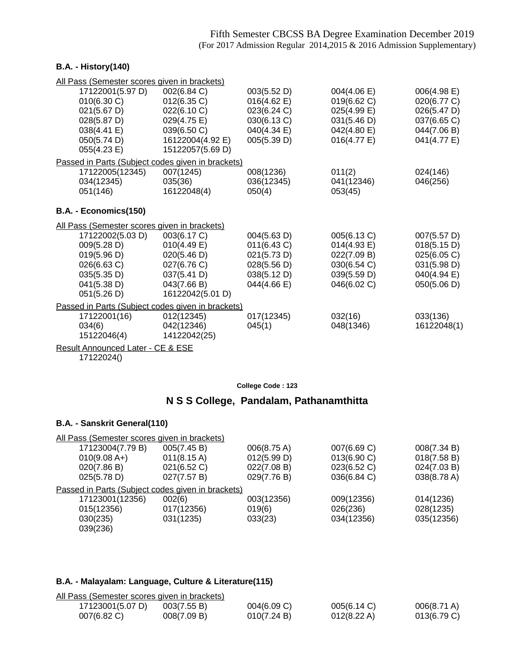### **B.A. - History(140)**

| All Pass (Semester scores given in brackets)      |                  |             |                       |             |
|---------------------------------------------------|------------------|-------------|-----------------------|-------------|
| 17122001(5.97 D)                                  | 002(6.84 C)      | 003(5.52 D) | 004(4.06 E)           | 006(4.98 E) |
| 010(6.30 C)                                       | 012(6.35 C)      | 016(4.62 E) | 019(6.62 C)           | 020(6.77 C) |
| 021(5.67 D)                                       | 022(6.10 C)      | 023(6.24 C) | 025(4.99 E)           | 026(5.47 D) |
| 028(5.87 D)                                       | 029(4.75 E)      | 030(6.13 C) | 031(5.46 D)           | 037(6.65 C) |
| 038(4.41 E)                                       | 039(6.50 C)      | 040(4.34 E) | 042(4.80 E)           | 044(7.06 B) |
| 050(5.74 D)                                       | 16122004(4.92 E) | 005(5.39 D) | $016(4.77 \text{ E})$ | 041(4.77 E) |
| 055(4.23 E)                                       | 15122057(5.69 D) |             |                       |             |
| Passed in Parts (Subject codes given in brackets) |                  |             |                       |             |
| 17122005(12345)                                   | 007(1245)        | 008(1236)   | 011(2)                | 024(146)    |
| 034(12345)                                        | 035(36)          | 036(12345)  | 041(12346)            | 046(256)    |
| 051(146)                                          | 16122048(4)      | 050(4)      | 053(45)               |             |
| B.A. - Economics(150)                             |                  |             |                       |             |
| All Pass (Semester scores given in brackets)      |                  |             |                       |             |
| 17122002(5.03 D)                                  | 003(6.17 C)      | 004(5.63 D) | 005(6.13 C)           | 007(5.57 D) |
| 009(5.28 D)                                       | 010(4.49 E)      | 011(6.43 C) | 014(4.93 E)           | 018(5.15 D) |
| 019(5.96 D)                                       | 020(5.46 D)      | 021(5.73 D) | 022(7.09 B)           | 025(6.05 C) |
| 026(6.63 C)                                       | 027(6.76 C)      | 028(5.56 D) | 030(6.54 C)           | 031(5.98 D) |
| 035(5.35 D)                                       | 037(5.41 D)      | 038(5.12 D) | 039(5.59 D)           | 040(4.94 E) |
| 041(5.38 D)                                       | 043(7.66 B)      | 044(4.66 E) | 046(6.02 C)           | 050(5.06 D) |
| 051(5.26 D)                                       | 16122042(5.01 D) |             |                       |             |
| Passed in Parts (Subject codes given in brackets) |                  |             |                       |             |
| 17122001(16)                                      | 012(12345)       | 017(12345)  | 032(16)               | 033(136)    |
| 034(6)                                            | 042(12346)       | 045(1)      | 048(1346)             | 16122048(1) |
| 15122046(4)                                       | 14122042(25)     |             |                       |             |
| Result Announced Later - CE & ESE                 |                  |             |                       |             |

17122024()

**College Code : 123**

## **N S S College, Pandalam, Pathanamthitta**

### **B.A. - Sanskrit General(110)**

| All Pass (Semester scores given in brackets)      |                       |                       |             |             |
|---------------------------------------------------|-----------------------|-----------------------|-------------|-------------|
| 17123004(7.79 B)                                  | 005(7.45 B)           | $006(8.75 \text{ A})$ | 007(6.69 C) | 008(7.34 B) |
| $010(9.08 A+)$                                    | $011(8.15 \text{ A})$ | 012(5.99 D)           | 013(6.90 C) | 018(7.58 B) |
| 020(7.86 B)                                       | 021(6.52 C)           | 022(7.08 B)           | 023(6.52 C) | 024(7.03 B) |
| 025(5.78 D)                                       | 027(7.57 B)           | 029(7.76 B)           | 036(6.84 C) | 038(8.78 A) |
| Passed in Parts (Subject codes given in brackets) |                       |                       |             |             |
| 17123001(12356)                                   | 002(6)                | 003(12356)            | 009(12356)  | 014(1236)   |
| 015(12356)                                        | 017(12356)            | 019(6)                | 026(236)    | 028(1235)   |
| 030(235)                                          | 031(1235)             | 033(23)               | 034(12356)  | 035(12356)  |
| 039(236)                                          |                       |                       |             |             |

## **B.A. - Malayalam: Language, Culture & Literature(115)**

| All Pass (Semester scores given in brackets) |             |             |             |             |
|----------------------------------------------|-------------|-------------|-------------|-------------|
| 17123001(5.07 D)                             | 003(7.55 B) | 004(6.09 C) | 005(6.14 C) | 006(8.71 A) |
| $007(6.82)$ C)                               | 008(7.09 B) | 010(7.24 B) | 012(8.22 A) | 013(6.79 C) |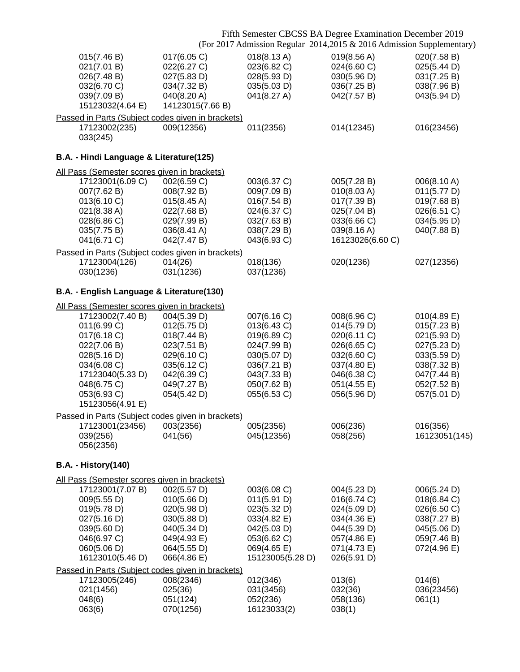|                                              |                                                   |                            | Fifth Semester CBCSS BA Degree Examination December 2019               |                            |
|----------------------------------------------|---------------------------------------------------|----------------------------|------------------------------------------------------------------------|----------------------------|
|                                              |                                                   |                            | (For 2017 Admission Regular 2014, 2015 & 2016 Admission Supplementary) |                            |
| 015(7.46 B)                                  | 017(6.05 C)                                       | 018(8.13 A)                | 019(8.56 A)                                                            | 020(7.58 B)                |
| 021(7.01 B)                                  | 022(6.27 C)                                       | 023(6.82 C)                | 024(6.60 C)                                                            | 025(5.44 D)                |
| 026(7.48 B)<br>032(6.70 C)                   | 027(5.83 D)<br>034(7.32 B)                        | 028(5.93 D)<br>035(5.03 D) | 030(5.96 D)<br>036(7.25 B)                                             | 031(7.25 B)<br>038(7.96 B) |
| 039(7.09 B)                                  | 040(8.20 A)                                       | 041(8.27 A)                | 042(7.57 B)                                                            | 043(5.94 D)                |
| 15123032(4.64 E)                             | 14123015(7.66 B)                                  |                            |                                                                        |                            |
|                                              | Passed in Parts (Subject codes given in brackets) |                            |                                                                        |                            |
| 17123002(235)                                | 009(12356)                                        | 011(2356)                  | 014(12345)                                                             | 016(23456)                 |
| 033(245)                                     |                                                   |                            |                                                                        |                            |
| B.A. - Hindi Language & Literature(125)      |                                                   |                            |                                                                        |                            |
| All Pass (Semester scores given in brackets) |                                                   |                            |                                                                        |                            |
| 17123001(6.09 C)                             | 002(6.59 C)                                       | 003(6.37 C)                | 005(7.28 B)                                                            | 006(8.10 A)                |
| 007(7.62 B)                                  | 008(7.92 B)                                       | 009(7.09 B)                | 010(8.03 A)                                                            | 011(5.77 D)                |
| 013(6.10 C)<br>021(8.38 A)                   | 015(8.45 A)<br>022(7.68 B)                        | 016(7.54 B)<br>024(6.37 C) | 017(7.39 B)<br>025(7.04 B)                                             | 019(7.68 B)<br>026(6.51 C) |
| 028(6.86 C)                                  | 029(7.99 B)                                       | 032(7.63 B)                | 033(6.66 C)                                                            | 034(5.95 D)                |
| 035(7.75 B)                                  | 036(8.41 A)                                       | 038(7.29 B)                | 039(8.16 A)                                                            | 040(7.88 B)                |
| 041(6.71 C)                                  | 042(7.47 B)                                       | 043(6.93 C)                | 16123026(6.60 C)                                                       |                            |
|                                              | Passed in Parts (Subject codes given in brackets) |                            |                                                                        |                            |
| 17123004(126)                                | 014(26)                                           | 018(136)                   | 020(1236)                                                              | 027(12356)                 |
| 030(1236)                                    | 031(1236)                                         | 037(1236)                  |                                                                        |                            |
| B.A. - English Language & Literature(130)    |                                                   |                            |                                                                        |                            |
| All Pass (Semester scores given in brackets) |                                                   |                            |                                                                        |                            |
| 17123002(7.40 B)                             | 004(5.39 D)                                       | 007(6.16 C)                | 008(6.96 C)                                                            | $010(4.89)$ E)             |
| 011(6.99 C)<br>017(6.18 C)                   | 012(5.75 D)<br>018(7.44 B)                        | 013(6.43 C)<br>019(6.89 C) | 014(5.79 D)<br>020(6.11 C)                                             | 015(7.23 B)<br>021(5.93 D) |
| 022(7.06 B)                                  | 023(7.51 B)                                       | 024(7.99 B)                | 026(6.65 C)                                                            | 027(5.23 D)                |
| 028(5.16 D)                                  | 029(6.10 C)                                       | 030(5.07 D)                | 032(6.60 C)                                                            | 033(5.59 D)                |
| 034(6.08 C)                                  | 035(6.12 C)                                       | 036(7.21 B)                | 037(4.80 E)                                                            | 038(7.32 B)                |
| 17123040(5.33 D)                             | 042(6.39 C)                                       | 043(7.33 B)                | 046(6.38 C)                                                            | 047(7.44 B)                |
| 048(6.75 C)                                  | 049(7.27 B)                                       | 050(7.62 B)                | 051(4.55 E)                                                            | 052(7.52 B)                |
| 053(6.93 C)<br>15123056(4.91 E)              | 054(5.42 D)                                       | 055(6.53 C)                | 056(5.96 D)                                                            | 057(5.01 D)                |
|                                              | Passed in Parts (Subject codes given in brackets) |                            |                                                                        |                            |
| 17123001(23456)                              | 003(2356)                                         | 005(2356)                  | 006(236)                                                               | 016(356)                   |
| 039(256)                                     | 041(56)                                           | 045(12356)                 | 058(256)                                                               | 16123051(145)              |
| 056(2356)                                    |                                                   |                            |                                                                        |                            |
| <b>B.A. - History(140)</b>                   |                                                   |                            |                                                                        |                            |
| All Pass (Semester scores given in brackets) |                                                   |                            |                                                                        |                            |
| 17123001(7.07 B)                             | 002(5.57 D)                                       | 003(6.08 C)                | 004(5.23 D)                                                            | 006(5.24 D)                |
| 009(5.55 D)                                  | 010(5.66 D)                                       | 011(5.91 D)                | 016(6.74 C)                                                            | 018(6.84 C)                |
| 019(5.78 D)                                  | 020(5.98 D)                                       | 023(5.32 D)                | 024(5.09 D)                                                            | 026(6.50 C)                |
| 027(5.16 D)                                  | 030(5.88 D)                                       | 033(4.82 E)                | 034(4.36 E)                                                            | 038(7.27 B)                |
| 039(5.60 D)<br>046(6.97 C)                   | 040(5.34 D)<br>049(4.93 E)                        | 042(5.03 D)<br>053(6.62 C) | 044(5.39 D)<br>057(4.86 E)                                             | 045(5.06 D)<br>059(7.46 B) |
| 060(5.06 D)                                  | 064(5.55 D)                                       | 069(4.65 E)                | 071(4.73 E)                                                            | 072(4.96 E)                |
| 16123010(5.46 D)                             | 066(4.86 E)                                       | 15123005(5.28 D)           | 026(5.91 D)                                                            |                            |
|                                              | Passed in Parts (Subject codes given in brackets) |                            |                                                                        |                            |
| 17123005(246)                                | 008(2346)                                         | 012(346)                   | 013(6)                                                                 | 014(6)                     |
| 021(1456)                                    | 025(36)                                           | 031(3456)                  | 032(36)                                                                | 036(23456)                 |
| 048(6)                                       | 051(124)                                          | 052(236)                   | 058(136)                                                               | 061(1)                     |
| 063(6)                                       | 070(1256)                                         | 16123033(2)                | 038(1)                                                                 |                            |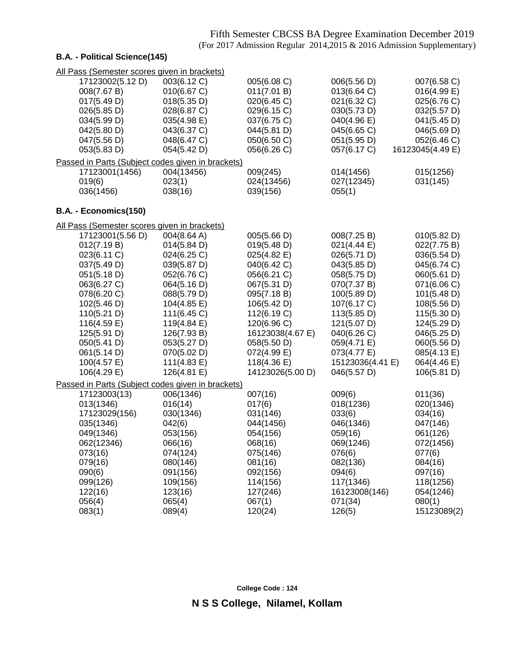### **B.A. - Political Science(145)**

| 17123002(5.12 D)<br>003(6.12 C)<br>005(6.08 C)<br>006(5.56 D)<br>007(6.58 C)<br>013(6.64 C)<br>008(7.67 B)<br>010(6.67 C)<br>011(7.01 B)<br>016(4.99 E)<br>021(6.32 C)<br>025(6.76 C)<br>017(5.49 D)<br>018(5.35 D)<br>020(6.45 C)<br>026(5.85 D)<br>028(6.87 C)<br>029(6.15 C)<br>030(5.73 D)<br>032(5.57 D)<br>034(5.99 D)<br>035(4.98 E)<br>037(6.75 C)<br>040(4.96 E)<br>041(5.45 D)<br>042(5.80 D)<br>043(6.37 C)<br>044(5.81 D)<br>045(6.65 C)<br>046(5.69 D)<br>048(6.47 C)<br>050(6.50 C)<br>051(5.95 D)<br>052(6.46 C)<br>047(5.56 D)<br>053(5.83 D)<br>054(5.42 D)<br>056(6.26 C)<br>057(6.17 C)<br>16123045(4.49 E)<br>Passed in Parts (Subject codes given in brackets)<br>004(13456)<br>009(245)<br>014(1456)<br>015(1256)<br>17123001(1456)<br>023(1)<br>024(13456)<br>027(12345)<br>031(145)<br>019(6)<br>036(1456)<br>038(16)<br>039(156)<br>055(1)<br>B.A. - Economics(150)<br>All Pass (Semester scores given in brackets)<br>17123001(5.56 D)<br>004(8.64 A)<br>005(5.66 D)<br>010(5.82 D)<br>008(7.25 B)<br>012(7.19 B)<br>014(5.84 D)<br>019(5.48 D)<br>021(4.44 E)<br>022(7.75 B)<br>023(6.11 C)<br>024(6.25 C)<br>025(4.82 E)<br>026(5.71 D)<br>036(5.54 D)<br>037(5.49 D)<br>043(5.85 D)<br>039(5.87 D)<br>040(6.42 C)<br>045(6.74 C)<br>051(5.18 D)<br>052(6.76 C)<br>056(6.21 C)<br>058(5.75 D)<br>060(5.61 D)<br>063(6.27 C)<br>064(5.16 D)<br>067(5.31 D)<br>070(7.37 B)<br>071(6.06 C)<br>078(6.20 C)<br>100(5.89 D)<br>101(5.48 D)<br>088(5.79 D)<br>095(7.18 B)<br>102(5.46 D)<br>106(5.42 D)<br>107(6.17 C)<br>108(5.56 D)<br>104(4.85 E)<br>110(5.21 D)<br>111(6.45 C)<br>112(6.19 C)<br>113(5.85 D)<br>115(5.30 D)<br>116(4.59 E)<br>119(4.84 E)<br>120(6.96 C)<br>121(5.07 D)<br>124(5.29 D)<br>125(5.91 D)<br>16123038(4.67 E)<br>040(6.26 C)<br>126(7.93 B)<br>046(5.25 D)<br>050(5.41 D)<br>053(5.27 D)<br>058(5.50 D)<br>059(4.71 E)<br>060(5.56 D) |
|--------------------------------------------------------------------------------------------------------------------------------------------------------------------------------------------------------------------------------------------------------------------------------------------------------------------------------------------------------------------------------------------------------------------------------------------------------------------------------------------------------------------------------------------------------------------------------------------------------------------------------------------------------------------------------------------------------------------------------------------------------------------------------------------------------------------------------------------------------------------------------------------------------------------------------------------------------------------------------------------------------------------------------------------------------------------------------------------------------------------------------------------------------------------------------------------------------------------------------------------------------------------------------------------------------------------------------------------------------------------------------------------------------------------------------------------------------------------------------------------------------------------------------------------------------------------------------------------------------------------------------------------------------------------------------------------------------------------------------------------------------------------------------------------------------------------------------------------------------------------------------------------|
|                                                                                                                                                                                                                                                                                                                                                                                                                                                                                                                                                                                                                                                                                                                                                                                                                                                                                                                                                                                                                                                                                                                                                                                                                                                                                                                                                                                                                                                                                                                                                                                                                                                                                                                                                                                                                                                                                            |
|                                                                                                                                                                                                                                                                                                                                                                                                                                                                                                                                                                                                                                                                                                                                                                                                                                                                                                                                                                                                                                                                                                                                                                                                                                                                                                                                                                                                                                                                                                                                                                                                                                                                                                                                                                                                                                                                                            |
|                                                                                                                                                                                                                                                                                                                                                                                                                                                                                                                                                                                                                                                                                                                                                                                                                                                                                                                                                                                                                                                                                                                                                                                                                                                                                                                                                                                                                                                                                                                                                                                                                                                                                                                                                                                                                                                                                            |
|                                                                                                                                                                                                                                                                                                                                                                                                                                                                                                                                                                                                                                                                                                                                                                                                                                                                                                                                                                                                                                                                                                                                                                                                                                                                                                                                                                                                                                                                                                                                                                                                                                                                                                                                                                                                                                                                                            |
|                                                                                                                                                                                                                                                                                                                                                                                                                                                                                                                                                                                                                                                                                                                                                                                                                                                                                                                                                                                                                                                                                                                                                                                                                                                                                                                                                                                                                                                                                                                                                                                                                                                                                                                                                                                                                                                                                            |
|                                                                                                                                                                                                                                                                                                                                                                                                                                                                                                                                                                                                                                                                                                                                                                                                                                                                                                                                                                                                                                                                                                                                                                                                                                                                                                                                                                                                                                                                                                                                                                                                                                                                                                                                                                                                                                                                                            |
|                                                                                                                                                                                                                                                                                                                                                                                                                                                                                                                                                                                                                                                                                                                                                                                                                                                                                                                                                                                                                                                                                                                                                                                                                                                                                                                                                                                                                                                                                                                                                                                                                                                                                                                                                                                                                                                                                            |
|                                                                                                                                                                                                                                                                                                                                                                                                                                                                                                                                                                                                                                                                                                                                                                                                                                                                                                                                                                                                                                                                                                                                                                                                                                                                                                                                                                                                                                                                                                                                                                                                                                                                                                                                                                                                                                                                                            |
|                                                                                                                                                                                                                                                                                                                                                                                                                                                                                                                                                                                                                                                                                                                                                                                                                                                                                                                                                                                                                                                                                                                                                                                                                                                                                                                                                                                                                                                                                                                                                                                                                                                                                                                                                                                                                                                                                            |
|                                                                                                                                                                                                                                                                                                                                                                                                                                                                                                                                                                                                                                                                                                                                                                                                                                                                                                                                                                                                                                                                                                                                                                                                                                                                                                                                                                                                                                                                                                                                                                                                                                                                                                                                                                                                                                                                                            |
|                                                                                                                                                                                                                                                                                                                                                                                                                                                                                                                                                                                                                                                                                                                                                                                                                                                                                                                                                                                                                                                                                                                                                                                                                                                                                                                                                                                                                                                                                                                                                                                                                                                                                                                                                                                                                                                                                            |
|                                                                                                                                                                                                                                                                                                                                                                                                                                                                                                                                                                                                                                                                                                                                                                                                                                                                                                                                                                                                                                                                                                                                                                                                                                                                                                                                                                                                                                                                                                                                                                                                                                                                                                                                                                                                                                                                                            |
|                                                                                                                                                                                                                                                                                                                                                                                                                                                                                                                                                                                                                                                                                                                                                                                                                                                                                                                                                                                                                                                                                                                                                                                                                                                                                                                                                                                                                                                                                                                                                                                                                                                                                                                                                                                                                                                                                            |
|                                                                                                                                                                                                                                                                                                                                                                                                                                                                                                                                                                                                                                                                                                                                                                                                                                                                                                                                                                                                                                                                                                                                                                                                                                                                                                                                                                                                                                                                                                                                                                                                                                                                                                                                                                                                                                                                                            |
|                                                                                                                                                                                                                                                                                                                                                                                                                                                                                                                                                                                                                                                                                                                                                                                                                                                                                                                                                                                                                                                                                                                                                                                                                                                                                                                                                                                                                                                                                                                                                                                                                                                                                                                                                                                                                                                                                            |
|                                                                                                                                                                                                                                                                                                                                                                                                                                                                                                                                                                                                                                                                                                                                                                                                                                                                                                                                                                                                                                                                                                                                                                                                                                                                                                                                                                                                                                                                                                                                                                                                                                                                                                                                                                                                                                                                                            |
|                                                                                                                                                                                                                                                                                                                                                                                                                                                                                                                                                                                                                                                                                                                                                                                                                                                                                                                                                                                                                                                                                                                                                                                                                                                                                                                                                                                                                                                                                                                                                                                                                                                                                                                                                                                                                                                                                            |
|                                                                                                                                                                                                                                                                                                                                                                                                                                                                                                                                                                                                                                                                                                                                                                                                                                                                                                                                                                                                                                                                                                                                                                                                                                                                                                                                                                                                                                                                                                                                                                                                                                                                                                                                                                                                                                                                                            |
|                                                                                                                                                                                                                                                                                                                                                                                                                                                                                                                                                                                                                                                                                                                                                                                                                                                                                                                                                                                                                                                                                                                                                                                                                                                                                                                                                                                                                                                                                                                                                                                                                                                                                                                                                                                                                                                                                            |
|                                                                                                                                                                                                                                                                                                                                                                                                                                                                                                                                                                                                                                                                                                                                                                                                                                                                                                                                                                                                                                                                                                                                                                                                                                                                                                                                                                                                                                                                                                                                                                                                                                                                                                                                                                                                                                                                                            |
|                                                                                                                                                                                                                                                                                                                                                                                                                                                                                                                                                                                                                                                                                                                                                                                                                                                                                                                                                                                                                                                                                                                                                                                                                                                                                                                                                                                                                                                                                                                                                                                                                                                                                                                                                                                                                                                                                            |
|                                                                                                                                                                                                                                                                                                                                                                                                                                                                                                                                                                                                                                                                                                                                                                                                                                                                                                                                                                                                                                                                                                                                                                                                                                                                                                                                                                                                                                                                                                                                                                                                                                                                                                                                                                                                                                                                                            |
|                                                                                                                                                                                                                                                                                                                                                                                                                                                                                                                                                                                                                                                                                                                                                                                                                                                                                                                                                                                                                                                                                                                                                                                                                                                                                                                                                                                                                                                                                                                                                                                                                                                                                                                                                                                                                                                                                            |
|                                                                                                                                                                                                                                                                                                                                                                                                                                                                                                                                                                                                                                                                                                                                                                                                                                                                                                                                                                                                                                                                                                                                                                                                                                                                                                                                                                                                                                                                                                                                                                                                                                                                                                                                                                                                                                                                                            |
|                                                                                                                                                                                                                                                                                                                                                                                                                                                                                                                                                                                                                                                                                                                                                                                                                                                                                                                                                                                                                                                                                                                                                                                                                                                                                                                                                                                                                                                                                                                                                                                                                                                                                                                                                                                                                                                                                            |
|                                                                                                                                                                                                                                                                                                                                                                                                                                                                                                                                                                                                                                                                                                                                                                                                                                                                                                                                                                                                                                                                                                                                                                                                                                                                                                                                                                                                                                                                                                                                                                                                                                                                                                                                                                                                                                                                                            |
| 061(5.14 D)<br>070(5.02 D)<br>072(4.99 E)<br>073(4.77 E)<br>085(4.13 E)                                                                                                                                                                                                                                                                                                                                                                                                                                                                                                                                                                                                                                                                                                                                                                                                                                                                                                                                                                                                                                                                                                                                                                                                                                                                                                                                                                                                                                                                                                                                                                                                                                                                                                                                                                                                                    |
| 118(4.36 E)<br>15123036(4.41 E)<br>064(4.46 E)<br>100(4.57 E)<br>111(4.83 E)                                                                                                                                                                                                                                                                                                                                                                                                                                                                                                                                                                                                                                                                                                                                                                                                                                                                                                                                                                                                                                                                                                                                                                                                                                                                                                                                                                                                                                                                                                                                                                                                                                                                                                                                                                                                               |
| 106(4.29 E)<br>126(4.81 E)<br>106(5.81 D)<br>14123026(5.00 D)<br>046(5.57 D)                                                                                                                                                                                                                                                                                                                                                                                                                                                                                                                                                                                                                                                                                                                                                                                                                                                                                                                                                                                                                                                                                                                                                                                                                                                                                                                                                                                                                                                                                                                                                                                                                                                                                                                                                                                                               |
| Passed in Parts (Subject codes given in brackets)                                                                                                                                                                                                                                                                                                                                                                                                                                                                                                                                                                                                                                                                                                                                                                                                                                                                                                                                                                                                                                                                                                                                                                                                                                                                                                                                                                                                                                                                                                                                                                                                                                                                                                                                                                                                                                          |
| 007(16)<br>17123003(13)<br>006(1346)<br>009(6)<br>011(36)                                                                                                                                                                                                                                                                                                                                                                                                                                                                                                                                                                                                                                                                                                                                                                                                                                                                                                                                                                                                                                                                                                                                                                                                                                                                                                                                                                                                                                                                                                                                                                                                                                                                                                                                                                                                                                  |
| 013(1346)<br>016(14)<br>017(6)<br>018(1236)<br>020(1346)                                                                                                                                                                                                                                                                                                                                                                                                                                                                                                                                                                                                                                                                                                                                                                                                                                                                                                                                                                                                                                                                                                                                                                                                                                                                                                                                                                                                                                                                                                                                                                                                                                                                                                                                                                                                                                   |
| 17123029(156)<br>030(1346)<br>033(6)<br>034(16)<br>031(146)                                                                                                                                                                                                                                                                                                                                                                                                                                                                                                                                                                                                                                                                                                                                                                                                                                                                                                                                                                                                                                                                                                                                                                                                                                                                                                                                                                                                                                                                                                                                                                                                                                                                                                                                                                                                                                |
| 047(146)<br>035(1346)<br>042(6)<br>044(1456)<br>046(1346)                                                                                                                                                                                                                                                                                                                                                                                                                                                                                                                                                                                                                                                                                                                                                                                                                                                                                                                                                                                                                                                                                                                                                                                                                                                                                                                                                                                                                                                                                                                                                                                                                                                                                                                                                                                                                                  |
| 049(1346)<br>054(156)<br>059(16)<br>061(126)<br>053(156)                                                                                                                                                                                                                                                                                                                                                                                                                                                                                                                                                                                                                                                                                                                                                                                                                                                                                                                                                                                                                                                                                                                                                                                                                                                                                                                                                                                                                                                                                                                                                                                                                                                                                                                                                                                                                                   |
| 062(12346)<br>072(1456)<br>066(16)<br>068(16)<br>069(1246)                                                                                                                                                                                                                                                                                                                                                                                                                                                                                                                                                                                                                                                                                                                                                                                                                                                                                                                                                                                                                                                                                                                                                                                                                                                                                                                                                                                                                                                                                                                                                                                                                                                                                                                                                                                                                                 |
| 073(16)<br>074(124)<br>075(146)<br>076(6)<br>077(6)                                                                                                                                                                                                                                                                                                                                                                                                                                                                                                                                                                                                                                                                                                                                                                                                                                                                                                                                                                                                                                                                                                                                                                                                                                                                                                                                                                                                                                                                                                                                                                                                                                                                                                                                                                                                                                        |
| 079(16)<br>080(146)<br>081(16)<br>082(136)<br>084(16)                                                                                                                                                                                                                                                                                                                                                                                                                                                                                                                                                                                                                                                                                                                                                                                                                                                                                                                                                                                                                                                                                                                                                                                                                                                                                                                                                                                                                                                                                                                                                                                                                                                                                                                                                                                                                                      |
| 090(6)<br>091(156)<br>092(156)<br>094(6)<br>097(16)                                                                                                                                                                                                                                                                                                                                                                                                                                                                                                                                                                                                                                                                                                                                                                                                                                                                                                                                                                                                                                                                                                                                                                                                                                                                                                                                                                                                                                                                                                                                                                                                                                                                                                                                                                                                                                        |
| 099(126)<br>109(156)<br>114(156)<br>117(1346)<br>118(1256)                                                                                                                                                                                                                                                                                                                                                                                                                                                                                                                                                                                                                                                                                                                                                                                                                                                                                                                                                                                                                                                                                                                                                                                                                                                                                                                                                                                                                                                                                                                                                                                                                                                                                                                                                                                                                                 |
| 122(16)<br>123(16)<br>127(246)<br>16123008(146)<br>054(1246)                                                                                                                                                                                                                                                                                                                                                                                                                                                                                                                                                                                                                                                                                                                                                                                                                                                                                                                                                                                                                                                                                                                                                                                                                                                                                                                                                                                                                                                                                                                                                                                                                                                                                                                                                                                                                               |
| 056(4)<br>065(4)<br>067(1)<br>071(34)<br>080(1)                                                                                                                                                                                                                                                                                                                                                                                                                                                                                                                                                                                                                                                                                                                                                                                                                                                                                                                                                                                                                                                                                                                                                                                                                                                                                                                                                                                                                                                                                                                                                                                                                                                                                                                                                                                                                                            |
| 083(1)<br>089(4)<br>120(24)<br>126(5)<br>15123089(2)                                                                                                                                                                                                                                                                                                                                                                                                                                                                                                                                                                                                                                                                                                                                                                                                                                                                                                                                                                                                                                                                                                                                                                                                                                                                                                                                                                                                                                                                                                                                                                                                                                                                                                                                                                                                                                       |

**College Code : 124**

**N S S College, Nilamel, Kollam**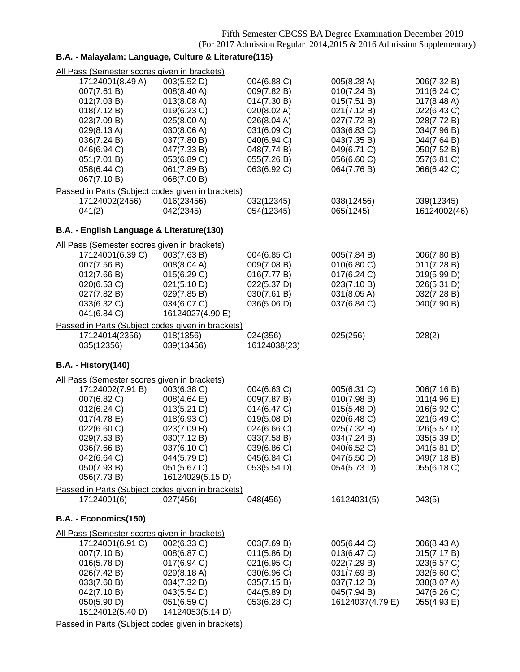## **B.A. - Malayalam: Language, Culture & Literature(115)**

| All Pass (Semester scores given in brackets)      |                  |              |                  |              |
|---------------------------------------------------|------------------|--------------|------------------|--------------|
| 17124001(8.49 A)                                  | 003(5.52 D)      | 004(6.88 C)  | 005(8.28 A)      | 006(7.32 B)  |
| 007(7.61 B)                                       | 008(8.40 A)      | 009(7.82 B)  | 010(7.24 B)      | 011(6.24 C)  |
| 012(7.03 B)                                       | 013(8.08 A)      | 014(7.30 B)  | 015(7.51 B)      | 017(8.48 A)  |
| 018(7.12 B)                                       | 019(6.23 C)      | 020(8.02 A)  | 021(7.12 B)      | 022(6.43 C)  |
| 023(7.09 B)                                       | 025(8.00 A)      | 026(8.04 A)  | 027(7.72 B)      | 028(7.72 B)  |
| 029(8.13 A)                                       | 030(8.06 A)      | 031(6.09 C)  | 033(6.83 C)      | 034(7.96 B)  |
| 036(7.24 B)                                       | 037(7.80 B)      | 040(6.94 C)  | 043(7.35 B)      | 044(7.64 B)  |
| 046(6.94 C)                                       | 047(7.33 B)      | 048(7.74 B)  | 049(6.71 C)      | 050(7.52 B)  |
| 051(7.01 B)                                       | 053(6.89 C)      | 055(7.26 B)  | 056(6.60 C)      | 057(6.81 C)  |
| 058(6.44 C)                                       | 061(7.89 B)      | 063(6.92 C)  | 064(7.76 B)      | 066(6.42 C)  |
| 067(7.10 B)                                       | 068(7.00 B)      |              |                  |              |
| Passed in Parts (Subject codes given in brackets) |                  |              |                  |              |
| 17124002(2456)                                    | 016(23456)       | 032(12345)   | 038(12456)       | 039(12345)   |
| 041(2)                                            | 042(2345)        | 054(12345)   | 065(1245)        | 16124002(46) |
|                                                   |                  |              |                  |              |
| B.A. - English Language & Literature(130)         |                  |              |                  |              |
| All Pass (Semester scores given in brackets)      |                  |              |                  |              |
| 17124001(6.39 C)                                  | 003(7.63 B)      | 004(6.85 C)  | 005(7.84 B)      | 006(7.80 B)  |
| 007(7.56 B)                                       | 008(8.04 A)      | 009(7.08 B)  | 010(6.80 C)      | 011(7.28 B)  |
| 012(7.66 B)                                       | 015(6.29 C)      | 016(7.77 B)  | 017(6.24 C)      | 019(5.99 D)  |
| 020(6.53 C)                                       | 021(5.10 D)      | 022(5.37 D)  | 023(7.10 B)      | 026(5.31 D)  |
| 027(7.82 B)                                       | 029(7.85 B)      | 030(7.61 B)  | 031(8.05 A)      | 032(7.28 B)  |
| 033(6.32 C)                                       | 034(6.07 C)      | 036(5.06 D)  | 037(6.84 C)      | 040(7.90 B)  |
| 041(6.84 C)                                       | 16124027(4.90 E) |              |                  |              |
| Passed in Parts (Subject codes given in brackets) |                  |              |                  |              |
| 17124014(2356)                                    | 018(1356)        | 024(356)     | 025(256)         | 028(2)       |
| 035(12356)                                        | 039(13456)       | 16124038(23) |                  |              |
|                                                   |                  |              |                  |              |
| <b>B.A. - History(140)</b>                        |                  |              |                  |              |
| All Pass (Semester scores given in brackets)      |                  |              |                  |              |
| 17124002(7.91 B)                                  | 003(6.38 C)      | 004(6.63 C)  | 005(6.31 C)      | 006(7.16 B)  |
| 007(6.82 C)                                       | 008(4.64 E)      | 009(7.87 B)  | 010(7.98 B)      | 011(4.96 E)  |
| 012(6.24 C)                                       | 013(5.21 D)      | 014(6.47 C)  | 015(5.48 D)      | 016(6.92 C)  |
| 017(4.78 E)                                       | 018(6.93 C)      | 019(5.08 D)  | 020(6.48 C)      | 021(6.49 C)  |
| 022(6.60 C)                                       | 023(7.09 B)      | 024(6.66 C)  | 025(7.32 B)      | 026(5.57 D)  |
| 029(7.53 B)                                       | 030(7.12 B)      | 033(7.58 B)  | 034(7.24 B)      | 035(5.39 D)  |
| 036(7.66 B)                                       | 037(6.10 C)      | 039(6.86 C)  | 040(6.52 C)      | 041(5.81 D)  |
| 042(6.64 C)                                       | 044(5.79 D)      | 045(6.84 C)  | 047(5.50 D)      | 049(7.18 B)  |
| 050(7.93 B)                                       | 051(5.67 D)      | 053(5.54 D)  | 054(5.73 D)      | 055(6.18 C)  |
| 056(7.73 B)                                       | 16124029(5.15 D) |              |                  |              |
| Passed in Parts (Subject codes given in brackets) |                  |              |                  |              |
| 17124001(6)                                       | 027(456)         | 048(456)     | 16124031(5)      | 043(5)       |
|                                                   |                  |              |                  |              |
| B.A. - Economics(150)                             |                  |              |                  |              |
| All Pass (Semester scores given in brackets)      |                  |              |                  |              |
| 17124001(6.91 C)                                  | 002(6.33 C)      | 003(7.69 B)  | 005(6.44 C)      | 006(8.43 A)  |
| 007(7.10 B)                                       | 008(6.87 C)      | 011(5.86 D)  | 013(6.47 C)      | 015(7.17 B)  |
| 016(5.78 D)                                       | 017(6.94 C)      | 021(6.95 C)  | 022(7.29 B)      | 023(6.57 C)  |
| 026(7.42 B)                                       | 029(8.18 A)      | 030(6.96 C)  | 031(7.69 B)      | 032(6.60 C)  |
| 033(7.60 B)                                       | 034(7.32 B)      | 035(7.15 B)  | 037(7.12 B)      | 038(8.07 A)  |
| 042(7.10 B)                                       | 043(5.54 D)      | 044(5.89 D)  | 045(7.94 B)      | 047(6.26 C)  |
| 050(5.90 D)                                       | 051(6.59 C)      | 053(6.28 C)  | 16124037(4.79 E) | 055(4.93 E)  |
| 15124012(5.40 D)                                  | 14124053(5.14 D) |              |                  |              |
|                                                   |                  |              |                  |              |
| Passed in Parts (Subject codes given in brackets) |                  |              |                  |              |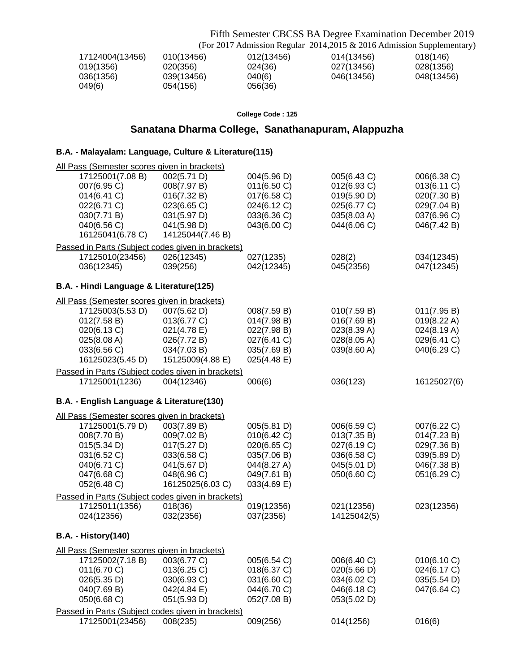Fifth Semester CBCSS BA Degree Examination December 2019 (For 2017 Admission Regular 2014,2015 & 2016 Admission Supplementary)

| 17124004(13456) | 010(13456) | 012(13456) | 014(13456) | 018(146)   |
|-----------------|------------|------------|------------|------------|
| 019(1356)       | 020(356)   | 024(36)    | 027(13456) | 028(1356)  |
| 036(1356)       | 039(13456) | 040(6)     | 046(13456) | 048(13456) |
| 049(6)          | 054(156)   | 056(36)    |            |            |

**College Code : 125**

## **Sanatana Dharma College, Sanathanapuram, Alappuzha**

### **B.A. - Malayalam: Language, Culture & Literature(115)**

| All Pass (Semester scores given in brackets)                        |                  |             |             |             |
|---------------------------------------------------------------------|------------------|-------------|-------------|-------------|
| 17125001(7.08 B)                                                    | 002(5.71 D)      | 004(5.96 D) | 005(6.43 C) | 006(6.38 C) |
| 007(6.95 C)                                                         | 008(7.97 B)      | 011(6.50 C) | 012(6.93 C) | 013(6.11 C) |
| 014(6.41 C)                                                         | 016(7.32 B)      | 017(6.58 C) | 019(5.90 D) | 020(7.30 B) |
| 022(6.71 C)                                                         | 023(6.65 C)      | 024(6.12 C) | 025(6.77 C) | 029(7.04 B) |
| 030(7.71 B)                                                         | 031(5.97 D)      | 033(6.36 C) | 035(8.03 A) | 037(6.96 C) |
| 040(6.56 C)                                                         | 041(5.98 D)      | 043(6.00 C) | 044(6.06 C) | 046(7.42 B) |
| 16125041(6.78 C)                                                    | 14125044(7.46 B) |             |             |             |
| Passed in Parts (Subject codes given in brackets)                   |                  |             |             |             |
| 17125010(23456)                                                     | 026(12345)       | 027(1235)   | 028(2)      | 034(12345)  |
| 036(12345)                                                          | 039(256)         | 042(12345)  | 045(2356)   | 047(12345)  |
|                                                                     |                  |             |             |             |
| B.A. - Hindi Language & Literature(125)                             |                  |             |             |             |
| All Pass (Semester scores given in brackets)                        |                  |             |             |             |
| 17125003(5.53 D)                                                    | 007(5.62 D)      | 008(7.59 B) | 010(7.59 B) | 011(7.95 B) |
| 012(7.58 B)                                                         | 013(6.77 C)      | 014(7.98 B) | 016(7.69 B) | 019(8.22 A) |
| 020(6.13 C)                                                         | 021(4.78 E)      | 022(7.98 B) | 023(8.39 A) | 024(8.19 A) |
| 025(8.08 A)                                                         | 026(7.72 B)      | 027(6.41 C) | 028(8.05 A) | 029(6.41 C) |
| 033(6.56 C)                                                         | 034(7.03 B)      | 035(7.69 B) | 039(8.60 A) | 040(6.29 C) |
| 16125023(5.45 D)                                                    | 15125009(4.88 E) | 025(4.48 E) |             |             |
|                                                                     |                  |             |             |             |
| Passed in Parts (Subject codes given in brackets)<br>17125001(1236) | 004(12346)       |             | 036(123)    | 16125027(6) |
|                                                                     |                  | 006(6)      |             |             |
| B.A. - English Language & Literature(130)                           |                  |             |             |             |
| All Pass (Semester scores given in brackets)                        |                  |             |             |             |
| 17125001(5.79 D)                                                    | 003(7.89 B)      | 005(5.81 D) | 006(6.59 C) | 007(6.22 C) |
| 008(7.70 B)                                                         | 009(7.02 B)      | 010(6.42 C) | 013(7.35 B) | 014(7.23 B) |
| 015(5.34 D)                                                         | 017(5.27 D)      | 020(6.65 C) | 027(6.19 C) | 029(7.36 B) |
| 031(6.52 C)                                                         | 033(6.58 C)      | 035(7.06 B) | 036(6.58 C) | 039(5.89 D) |
| 040(6.71 C)                                                         |                  |             |             |             |
|                                                                     | 041(5.67 D)      | 044(8.27 A) | 045(5.01 D) | 046(7.38 B) |
| 047(6.68 C)                                                         | 048(6.96 C)      | 049(7.61 B) | 050(6.60 C) | 051(6.29 C) |
| 052(6.48 C)                                                         | 16125025(6.03 C) | 033(4.69 E) |             |             |
| Passed in Parts (Subject codes given in brackets)                   |                  |             |             |             |
| 17125011(1356)                                                      | 018(36)          | 019(12356)  | 021(12356)  | 023(12356)  |
| 024(12356)                                                          | 032(2356)        | 037(2356)   | 14125042(5) |             |
| <b>B.A. - History(140)</b>                                          |                  |             |             |             |
| All Pass (Semester scores given in brackets)                        |                  |             |             |             |
| 17125002(7.18 B)                                                    | 003(6.77 C)      | 005(6.54 C) | 006(6.40 C) | 010(6.10 C) |
| 011(6.70 C)                                                         | 013(6.25 C)      | 018(6.37 C) | 020(5.66 D) | 024(6.17 C) |
|                                                                     |                  |             |             |             |
| 026(5.35 D)                                                         | 030(6.93 C)      | 031(6.60 C) | 034(6.02 C) | 035(5.54 D) |
| 040(7.69 B)                                                         | 042(4.84 E)      | 044(6.70 C) | 046(6.18 C) | 047(6.64 C) |
| 050(6.68 C)                                                         | 051(5.93 D)      | 052(7.08 B) | 053(5.02 D) |             |
| Passed in Parts (Subject codes given in brackets)                   |                  |             |             |             |
| 17125001(23456)                                                     | 008(235)         | 009(256)    | 014(1256)   | 016(6)      |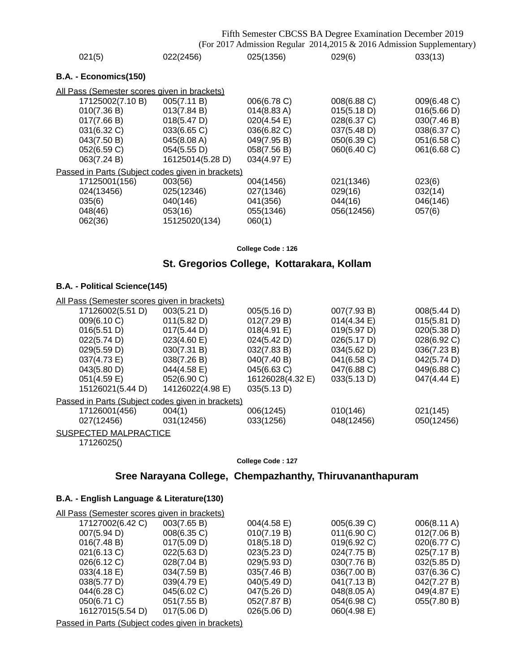## Fifth Semester CBCSS BA Degree Examination December 2019

(For 2017 Admission Regular 2014,2015 & 2016 Admission Supplementary)

| 021(5)                                            | 022(2456)        | 025(1356)             | 029(6)      | 033(13)     |
|---------------------------------------------------|------------------|-----------------------|-------------|-------------|
| B.A. - Economics(150)                             |                  |                       |             |             |
| All Pass (Semester scores given in brackets)      |                  |                       |             |             |
| 17125002(7.10 B)                                  | 005(7.11 B)      | 006(6.78 C)           | 008(6.88 C) | 009(6.48 C) |
| 010(7.36 B)                                       | 013(7.84 B)      | $014(8.83 \text{ A})$ | 015(5.18 D) | 016(5.66 D) |
| 017(7.66 B)                                       | 018(5.47 D)      | $020(4.54 \text{ E})$ | 028(6.37 C) | 030(7.46 B) |
| 031(6.32 C)                                       | 033(6.65 C)      | 036(6.82 C)           | 037(5.48 D) | 038(6.37 C) |
| 043(7.50 B)                                       | 045(8.08 A)      | 049(7.95 B)           | 050(6.39 C) | 051(6.58 C) |
| 052(6.59 C)                                       | 054(5.55 D)      | 058(7.56 B)           | 060(6.40 C) | 061(6.68 C) |
| 063(7.24 B)                                       | 16125014(5.28 D) | 034(4.97 E)           |             |             |
| Passed in Parts (Subject codes given in brackets) |                  |                       |             |             |
| 17125001(156)                                     | 003(56)          | 004(1456)             | 021(1346)   | 023(6)      |
| 024(13456)                                        | 025(12346)       | 027(1346)             | 029(16)     | 032(14)     |
| 035(6)                                            | 040(146)         | 041(356)              | 044(16)     | 046(146)    |
| 048(46)                                           | 053(16)          | 055(1346)             | 056(12456)  | 057(6)      |
| 062(36)                                           | 15125020(134)    | 060(1)                |             |             |
|                                                   |                  |                       |             |             |

**College Code : 126**

## **St. Gregorios College, Kottarakara, Kollam**

### **B.A. - Political Science(145)**

| All Pass (Semester scores given in brackets)      |                  |                  |                       |             |
|---------------------------------------------------|------------------|------------------|-----------------------|-------------|
| 17126002(5.51 D)                                  | 003(5.21 D)      | 005(5.16 D)      | 007(7.93 B)           | 008(5.44 D) |
| 009(6.10 C)                                       | 011(5.82 D)      | 012(7.29 B)      | $014(4.34 \text{ E})$ | 015(5.81 D) |
| 016(5.51 D)                                       | 017(5.44 D)      | 018(4.91 E)      | 019(5.97 D)           | 020(5.38 D) |
| 022(5.74 D)                                       | 023(4.60)        | 024(5.42 D)      | 026(5.17 D)           | 028(6.92 C) |
| 029(5.59 D)                                       | 030(7.31 B)      | 032(7.83 B)      | 034(5.62 D)           | 036(7.23 B) |
| 037(4.73 E)                                       | 038(7.26 B)      | 040(7.40 B)      | 041(6.58 C)           | 042(5.74 D) |
| 043(5.80 D)                                       | 044(4.58 E)      | 045(6.63 C)      | 047(6.88 C)           | 049(6.88 C) |
| 051(4.59 E)                                       | 052(6.90 C)      | 16126028(4.32 E) | 033(5.13 D)           | 047(4.44 E) |
| 15126021(5.44 D)                                  | 14126022(4.98 E) | 035(5.13 D)      |                       |             |
| Passed in Parts (Subject codes given in brackets) |                  |                  |                       |             |
| 17126001(456)                                     | 004(1)           | 006(1245)        | 010(146)              | 021(145)    |
| 027(12456)                                        | 031(12456)       | 033(1256)        | 048(12456)            | 050(12456)  |
| SUSPECTED MALPRACTICE                             |                  |                  |                       |             |

17126025()

#### **College Code : 127**

## **Sree Narayana College, Chempazhanthy, Thiruvananthapuram**

### **B.A. - English Language & Literature(130)**

| All Pass (Semester scores given in brackets) |             |                       |             |             |
|----------------------------------------------|-------------|-----------------------|-------------|-------------|
| 17127002(6.42 C)                             | 003(7.65 B) | $004(4.58 \text{ E})$ | 005(6.39 C) | 006(8.11 A) |
| 007(5.94 D)                                  | 008(6.35 C) | 010(7.19 B)           | 011(6.90 C) | 012(7.06 B) |
| 016(7.48 B)                                  | 017(5.09 D) | 018(5.18 D)           | 019(6.92 C) | 020(6.77 C) |
| 021(6.13 C)                                  | 022(5.63 D) | 023(5.23 D)           | 024(7.75 B) | 025(7.17 B) |
| 026(6.12 C)                                  | 028(7.04 B) | 029(5.93 D)           | 030(7.76 B) | 032(5.85 D) |
| 033(4.18 E)                                  | 034(7.59 B) | 035(7.46 B)           | 036(7.00 B) | 037(6.36 C) |
| 038(5.77 D)                                  | 039(4.79 E) | 040(5.49 D)           | 041(7.13 B) | 042(7.27 B) |
| 044(6.28 C)                                  | 045(6.02 C) | 047(5.26 D)           | 048(8.05 A) | 049(4.87 E) |
| 050(6.71 C)                                  | 051(7.55 B) | 052(7.87 B)           | 054(6.98 C) | 055(7.80 B) |
| 16127015(5.54 D)                             | 017(5.06 D) | 026(5.06 D)           | 060(4.98 E) |             |
|                                              |             |                       |             |             |

Passed in Parts (Subject codes given in brackets)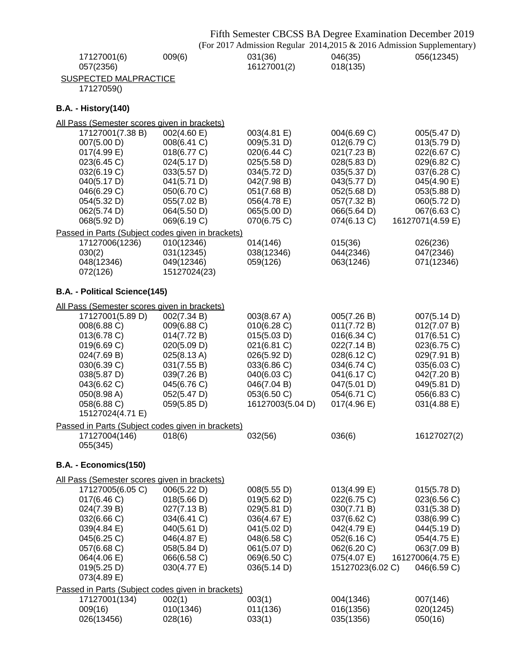|                                                                    |                            |                            | Fifth Semester CBCSS BA Degree Examination December 2019<br>(For 2017 Admission Regular 2014,2015 & 2016 Admission Supplementary) |                            |
|--------------------------------------------------------------------|----------------------------|----------------------------|-----------------------------------------------------------------------------------------------------------------------------------|----------------------------|
| 17127001(6)<br>057(2356)                                           | 009(6)                     | 031(36)<br>16127001(2)     | 046(35)<br>018(135)                                                                                                               | 056(12345)                 |
| <b>SUSPECTED MALPRACTICE</b><br>17127059()                         |                            |                            |                                                                                                                                   |                            |
| <b>B.A. - History(140)</b>                                         |                            |                            |                                                                                                                                   |                            |
| All Pass (Semester scores given in brackets)                       |                            |                            |                                                                                                                                   |                            |
| 17127001(7.38 B)                                                   | 002(4.60 E)                | 003(4.81 E)                | 004(6.69 C)                                                                                                                       | 005(5.47 D)                |
| 007(5.00 D)                                                        | 008(6.41 C)                | 009(5.31 D)                | 012(6.79 C)                                                                                                                       | 013(5.79 D)                |
| $017(4.99)$ E)                                                     | 018(6.77 C)                | 020(6.44 C)                | 021(7.23 B)                                                                                                                       | 022(6.67 C)                |
| 023(6.45 C)<br>032(6.19 C)                                         | 024(5.17 D)<br>033(5.57 D) | 025(5.58 D)<br>034(5.72 D) | 028(5.83 D)<br>035(5.37 D)                                                                                                        | 029(6.82 C)<br>037(6.28 C) |
| 040(5.17 D)                                                        | 041(5.71 D)                | 042(7.98 B)                | 043(5.77 D)                                                                                                                       | 045(4.90 E)                |
| 046(6.29 C)                                                        | 050(6.70 C)                | 051(7.68 B)                | 052(5.68 D)                                                                                                                       | 053(5.88 D)                |
| 054(5.32 D)                                                        | 055(7.02 B)                | 056(4.78 E)                | 057(7.32 B)                                                                                                                       | 060(5.72 D)                |
| 062(5.74 D)                                                        | 064(5.50 D)                | 065(5.00 D)                | 066(5.64 D)                                                                                                                       | 067(6.63 C)                |
| 068(5.92 D)                                                        | 069(6.19 C)                | 070(6.75 C)                | 074(6.13 C)                                                                                                                       | 16127071(4.59 E)           |
| Passed in Parts (Subject codes given in brackets)                  |                            |                            |                                                                                                                                   |                            |
| 17127006(1236)                                                     | 010(12346)                 | 014(146)                   | 015(36)                                                                                                                           | 026(236)                   |
| 030(2)                                                             | 031(12345)                 | 038(12346)                 | 044(2346)                                                                                                                         | 047(2346)                  |
| 048(12346)                                                         | 049(12346)                 | 059(126)                   | 063(1246)                                                                                                                         | 071(12346)                 |
| 072(126)                                                           | 15127024(23)               |                            |                                                                                                                                   |                            |
| B.A. - Political Science(145)                                      |                            |                            |                                                                                                                                   |                            |
| All Pass (Semester scores given in brackets)                       |                            |                            |                                                                                                                                   |                            |
| 17127001(5.89 D)                                                   | 002(7.34 B)                | 003(8.67 A)                | 005(7.26 B)                                                                                                                       | 007(5.14 D)                |
| 008(6.88 C)<br>013(6.78 C)                                         | 009(6.88 C)<br>014(7.72 B) | 010(6.28 C)<br>015(5.03 D) | 011(7.72 B)<br>016(6.34 C)                                                                                                        | 012(7.07 B)<br>017(6.51 C) |
| 019(6.69 C)                                                        | 020(5.09 D)                | 021(6.81 C)                | 022(7.14 B)                                                                                                                       | 023(6.75 C)                |
| 024(7.69 B)                                                        | 025(8.13 A)                | 026(5.92 D)                | 028(6.12 C)                                                                                                                       | 029(7.91 B)                |
| 030(6.39 C)                                                        | 031(7.55 B)                | 033(6.86 C)                | 034(6.74 C)                                                                                                                       | 035(6.03 C)                |
| 038(5.87 D)                                                        | 039(7.26 B)                | 040(6.03 C)                | 041(6.17 C)                                                                                                                       | 042(7.20 B)                |
| 043(6.62 C)                                                        | 045(6.76 C)                | 046(7.04 B)                | 047(5.01 D)                                                                                                                       | 049(5.81 D)                |
| 050(8.98 A)                                                        | 052(5.47 D)                | 053(6.50 C)                | 054(6.71 C)                                                                                                                       | 056(6.83 C)                |
| 058(6.88 C)                                                        | 059(5.85 D)                | 16127003(5.04 D)           | 017(4.96 E)                                                                                                                       | 031(4.88 E)                |
| 15127024(4.71 E)                                                   |                            |                            |                                                                                                                                   |                            |
| Passed in Parts (Subject codes given in brackets)<br>17127004(146) | 018(6)                     | 032(56)                    | 036(6)                                                                                                                            | 16127027(2)                |
| 055(345)                                                           |                            |                            |                                                                                                                                   |                            |
| B.A. - Economics(150)                                              |                            |                            |                                                                                                                                   |                            |
| All Pass (Semester scores given in brackets)                       |                            |                            |                                                                                                                                   |                            |
| 17127005(6.05 C)                                                   | 006(5.22 D)                | 008(5.55 D)                | 013(4.99 E)                                                                                                                       | 015(5.78 D)                |
| 017(6.46 C)                                                        | 018(5.66 D)                | 019(5.62 D)                | 022(6.75 C)                                                                                                                       | 023(6.56 C)                |
| 024(7.39 B)                                                        | 027(7.13B)                 | 029(5.81 D)                | 030(7.71 B)                                                                                                                       | 031(5.38 D)                |
| 032(6.66 C)<br>039(4.84 E)                                         | 034(6.41 C)<br>040(5.61 D) | 036(4.67 E)<br>041(5.02 D) | 037(6.62 C)<br>042(4.79 E)                                                                                                        | 038(6.99 C)<br>044(5.19 D) |
| 045(6.25 C)                                                        | 046(4.87 E)                | 048(6.58 C)                | 052(6.16 C)                                                                                                                       | 054(4.75 E)                |
| 057(6.68 C)                                                        | 058(5.84 D)                | 061(5.07 D)                | 062(6.20 C)                                                                                                                       | 063(7.09 B)                |
| 064(4.06 E)                                                        | 066(6.58 C)                | 069(6.50 C)                | 075(4.07 E)                                                                                                                       | 16127006(4.75 E)           |
| 019(5.25 D)                                                        | 030(4.77 E)                | 036(5.14 D)                | 15127023(6.02 C)                                                                                                                  | 046(6.59 C)                |
| 073(4.89 E)                                                        |                            |                            |                                                                                                                                   |                            |
| Passed in Parts (Subject codes given in brackets)                  |                            |                            |                                                                                                                                   |                            |
| 17127001(134)                                                      | 002(1)                     | 003(1)                     | 004(1346)                                                                                                                         | 007(146)                   |
| 009(16)                                                            | 010(1346)                  | 011(136)                   | 016(1356)                                                                                                                         | 020(1245)                  |
| 026(13456)                                                         | 028(16)                    | 033(1)                     | 035(1356)                                                                                                                         | 050(16)                    |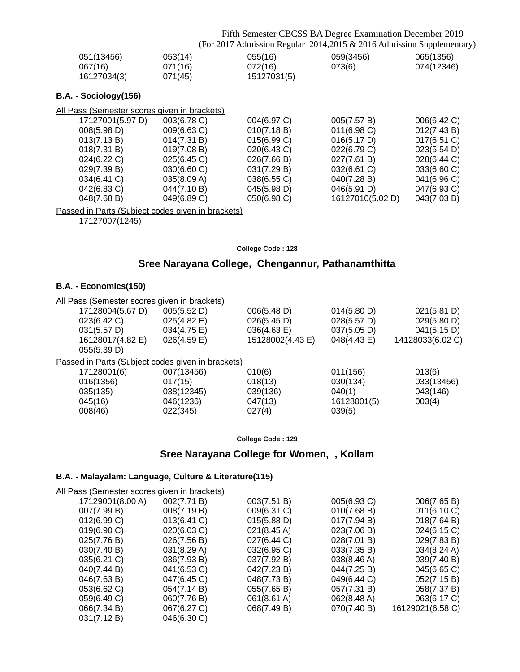Fifth Semester CBCSS BA Degree Examination December 2019 (For 2017 Admission Regular 2014,2015 & 2016 Admission Supplementary)

| 051(13456)  | 053(14) | 055(16)     | 059(3456) | 065(1356)  |
|-------------|---------|-------------|-----------|------------|
| 067(16)     | 071(16) | 072(16)     | 073(6)    | 074(12346) |
| 16127034(3) | 071(45) | 15127031(5) |           |            |

### **B.A. - Sociology(156)**

| All Pass (Semester scores given in brackets) |             |             |                  |             |
|----------------------------------------------|-------------|-------------|------------------|-------------|
| 17127001(5.97 D)                             | 003(6.78 C) | 004(6.97 C) | 005(7.57 B)      | 006(6.42 C) |
| 008(5.98 D)                                  | 009(6.63 C) | 010(7.18 B) | 011(6.98)        | 012(7.43 B) |
| 013(7.13 B)                                  | 014(7.31 B) | 015(6.99 C) | 016(5.17 D)      | 017(6.51 C) |
| 018(7.31 B)                                  | 019(7.08 B) | 020(6.43 C) | 022(6.79 C)      | 023(5.54 D) |
| 024(6.22 C)                                  | 025(6.45)   | 026(7.66 B) | 027(7.61 B)      | 028(6.44 C) |
| 029(7.39 B)                                  | 030(6.60)   | 031(7.29 B) | 032(6.61 C)      | 033(6.60 C) |
| 034(6.41 C)                                  | 035(8.09 A) | 038(6.55 C) | 040(7.28 B)      | 041(6.96 C) |
| 042(6.83 C)                                  | 044(7.10 B) | 045(5.98 D) | 046(5.91 D)      | 047(6.93 C) |
| 048(7.68 B)                                  | 049(6.89 C) | 050(6.98 C) | 16127010(5.02 D) | 043(7.03 B) |
|                                              |             |             |                  |             |

Passed in Parts (Subject codes given in brackets)

17127007(1245)

#### **College Code : 128**

## **Sree Narayana College, Chengannur, Pathanamthitta**

#### **B.A. - Economics(150)**

| All Pass (Semester scores given in brackets) |                                                   |                  |             |                  |
|----------------------------------------------|---------------------------------------------------|------------------|-------------|------------------|
| 17128004(5.67 D)                             | 005(5.52 D)                                       | 006(5.48 D)      | 014(5.80 D) | 021(5.81 D)      |
| 023(6.42 C)                                  | 025(4.82 E)                                       | 026(5.45 D)      | 028(5.57 D) | 029(5.80 D)      |
| 031(5.57 D)                                  | 034(4.75 E)                                       | 036(4.63 E)      | 037(5.05 D) | 041(5.15 D)      |
| 16128017(4.82 E)                             | $026(4.59)$ E)                                    | 15128002(4.43 E) | 048(4.43 E) | 14128033(6.02 C) |
| 055(5.39 D)                                  |                                                   |                  |             |                  |
|                                              | Passed in Parts (Subject codes given in brackets) |                  |             |                  |
| 17128001(6)                                  | 007(13456)                                        | 010(6)           | 011(156)    | 013(6)           |
| 016(1356)                                    | 017(15)                                           | 018(13)          | 030(134)    | 033(13456)       |
| 035(135)                                     | 038(12345)                                        | 039(136)         | 040(1)      | 043(146)         |
| 045(16)                                      | 046(1236)                                         | 047(13)          | 16128001(5) | 003(4)           |
| 008(46)                                      | 022(345)                                          | 027(4)           | 039(5)      |                  |

**College Code : 129**

## **Sree Narayana College for Women, , Kollam**

### **B.A. - Malayalam: Language, Culture & Literature(115)**

| <u>All Pass (Semester scores given in brackets)</u> |             |                |
|-----------------------------------------------------|-------------|----------------|
| 17129001(8.00 A)                                    | 002(7.71 B) | 003(7.51 B)    |
| 007(7.99 B)                                         | 008(7.19 B) | $009(6.31)$ C) |

| <u>1 ass (Schrooter soorce given in brackete)</u> |             |                       |             |                       |
|---------------------------------------------------|-------------|-----------------------|-------------|-----------------------|
| 17129001(8.00 A)                                  | 002(7.71 B) | 003(7.51 B)           | 005(6.93 C) | 006(7.65 B)           |
| 007(7.99 B)                                       | 008(7.19 B) | 009(6.31 C)           | 010(7.68 B) | 011(6.10 C)           |
| 012(6.99 C)                                       | 013(6.41 C) | 015(5.88 D)           | 017(7.94 B) | 018(7.64 B)           |
| 019(6.90 C)                                       | 020(6.03 C) | $021(8.45 \text{ A})$ | 023(7.06 B) | 024(6.15 C)           |
| 025(7.76 B)                                       | 026(7.56 B) | 027(6.44 C)           | 028(7.01 B) | 029(7.83 B)           |
| 030(7.40 B)                                       | 031(8.29 A) | 032(6.95 C)           | 033(7.35 B) | $034(8.24 \text{ A})$ |
| 035(6.21 C)                                       | 036(7.93 B) | 037(7.92 B)           | 038(8.46 A) | 039(7.40 B)           |
| 040(7.44 B)                                       | 041(6.53 C) | 042(7.23 B)           | 044(7.25 B) | 045(6.65 C)           |
| 046(7.63 B)                                       | 047(6.45 C) | 048(7.73 B)           | 049(6.44 C) | 052(7.15 B)           |
| 053(6.62 C)                                       | 054(7.14 B) | 055(7.65 B)           | 057(7.31 B) | 058(7.37 B)           |
| 059(6.49 C)                                       | 060(7.76 B) | 061(8.61 A)           | 062(8.48 A) | 063(6.17 C)           |
| 066(7.34 B)                                       | 067(6.27 C) | 068(7.49 B)           | 070(7.40 B) | 16129021(6.58 C)      |
| 031(7.12 B)                                       | 046(6.30 C) |                       |             |                       |
|                                                   |             |                       |             |                       |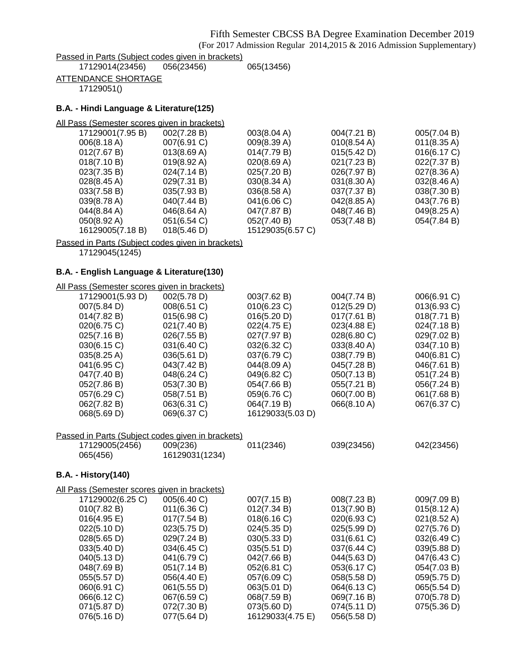(For 2017 Admission Regular 2014,2015 & 2016 Admission Supplementary)

Passed in Parts (Subject codes given in brackets)<br>17129014(23456) 056(23456)

17129014(23456) 056(23456) 065(13456)

ATTENDANCE SHORTAGE

17129051()

### **B.A. - Hindi Language & Literature(125)**

| All Pass (Semester scores given in brackets) |                       |                       |                       |                       |
|----------------------------------------------|-----------------------|-----------------------|-----------------------|-----------------------|
| 17129001(7.95 B)                             | 002(7.28 B)           | 003(8.04 A)           | 004(7.21 B)           | 005(7.04 B)           |
| 006(8.18 A)                                  | 007(6.91 C)           | 009(8.39 A)           | $010(8.54 \text{ A})$ | $011(8.35 \text{ A})$ |
| 012(7.67 B)                                  | 013(8.69 A)           | 014(7.79 B)           | 015(5.42 D)           | 016(6.17 C)           |
| 018(7.10 B)                                  | $019(8.92 \text{ A})$ | 020(8.69 A)           | 021(7.23 B)           | 022(7.37 B)           |
| 023(7.35 B)                                  | 024(7.14 B)           | 025(7.20 B)           | 026(7.97 B)           | 027(8.36 A)           |
| $028(8.45 \text{ A})$                        | 029(7.31 B)           | 030(8.34 A)           | 031(8.30 A)           | 032(8.46 A)           |
| 033(7.58 B)                                  | 035(7.93 B)           | $036(8.58 \text{ A})$ | 037(7.37 B)           | 038(7.30 B)           |
| 039(8.78 A)                                  | 040(7.44 B)           | 041(6.06 C)           | 042(8.85 A)           | 043(7.76 B)           |
| 044(8.84 A)                                  | $046(8.64 \text{ A})$ | 047(7.87 B)           | 048(7.46 B)           | 049(8.25 A)           |
| $050(8.92 \text{ A})$                        | 051(6.54 C)           | 052(7.40 B)           | 053(7.48 B)           | 054(7.84 B)           |
| 16129005(7.18 B)                             | 018(5.46 D)           | 15129035(6.57 C)      |                       |                       |
|                                              |                       |                       |                       |                       |

Passed in Parts (Subject codes given in brackets)

17129045(1245)

### **B.A. - English Language & Literature(130)**

All Pass (Semester scores given in brackets)

| 17129001(5.93 D) | 002(5.78 D) | 003(7.62 B)      | 004(7.74 B) | 006(6.91 C)    |
|------------------|-------------|------------------|-------------|----------------|
| 007(5.84 D)      | 008(6.51 C) | 010(6.23 C)      | 012(5.29 D) | $013(6.93)$ C) |
| 014(7.82 B)      | 015(6.98 C) | 016(5.20 D)      | 017(7.61 B) | 018(7.71 B)    |
| 020(6.75 C)      | 021(7.40 B) | 022(4.75 E)      | 023(4.88 E) | 024(7.18 B)    |
| 025(7.16 B)      | 026(7.55 B) | 027(7.97 B)      | 028(6.80 C) | 029(7.02 B)    |
| 030(6.15 C)      | 031(6.40 C) | 032(6.32 C)      | 033(8.40 A) | 034(7.10 B)    |
| 035(8.25 A)      | 036(5.61 D) | 037(6.79 C)      | 038(7.79 B) | 040(6.81 C)    |
| 041(6.95 C)      | 043(7.42 B) | 044(8.09 A)      | 045(7.28 B) | 046(7.61 B)    |
| 047(7.40 B)      | 048(6.24 C) | 049(6.82 C)      | 050(7.13 B) | 051(7.24 B)    |
| 052(7.86 B)      | 053(7.30 B) | 054(7.66 B)      | 055(7.21 B) | 056(7.24 B)    |
| 057(6.29 C)      | 058(7.51 B) | 059(6.76 C)      | 060(7.00 B) | 061(7.68 B)    |
| 062(7.82 B)      | 063(6.31 C) | 064(7.19 B)      | 066(8.10 A) | 067(6.37 C)    |
| 068(5.69 D)      | 069(6.37 C) | 16129033(5.03 D) |             |                |
|                  |             |                  |             |                |

### Passed in Parts (Subject codes given in brackets)

| 17129005(2456) | 009(236)       | 011(2346) | 039(23456) | 042(23456) |
|----------------|----------------|-----------|------------|------------|
| 065(456)       | 16129031(1234) |           |            |            |

### **B.A. - History(140)**

| All Pass (Semester scores given in brackets) |             |                  |             |                       |
|----------------------------------------------|-------------|------------------|-------------|-----------------------|
| 17129002(6.25 C)                             | 005(6.40 C) | 007(7.15 B)      | 008(7.23 B) | 009(7.09 B)           |
| 010(7.82 B)                                  | 011(6.36)   | 012(7.34 B)      | 013(7.90 B) | $015(8.12 \text{ A})$ |
| 016(4.95 E)                                  | 017(7.54 B) | 018(6.16 C)      | 020(6.93 C) | 021(8.52 A)           |
| 022(5.10 D)                                  | 023(5.75 D) | 024(5.35 D)      | 025(5.99 D) | 027(5.76 D)           |
| 028(5.65 D)                                  | 029(7.24 B) | 030(5.33 D)      | 031(6.61 C) | 032(6.49 C)           |
| 033(5.40 D)                                  | 034(6.45 C) | 035(5.51 D)      | 037(6.44 C) | 039(5.88 D)           |
| 040(5.13 D)                                  | 041(6.79 C) | 042(7.66 B)      | 044(5.63 D) | 047(6.43 C)           |
| 048(7.69 B)                                  | 051(7.14 B) | 052(6.81 C)      | 053(6.17 C) | 054(7.03 B)           |
| 055(5.57 D)                                  | 056(4.40 E) | 057(6.09 C)      | 058(5.58 D) | 059(5.75 D)           |
| 060(6.91 C)                                  | 061(5.55 D) | 063(5.01 D)      | 064(6.13 C) | 065(5.54 D)           |
| 066(6.12 C)                                  | 067(6.59 C) | 068(7.59 B)      | 069(7.16 B) | 070(5.78 D)           |
| 071(5.87 D)                                  | 072(7.30 B) | 073(5.60 D)      | 074(5.11 D) | 075(5.36 D)           |
| 076(5.16 D)                                  | 077(5.64 D) | 16129033(4.75 E) | 056(5.58 D) |                       |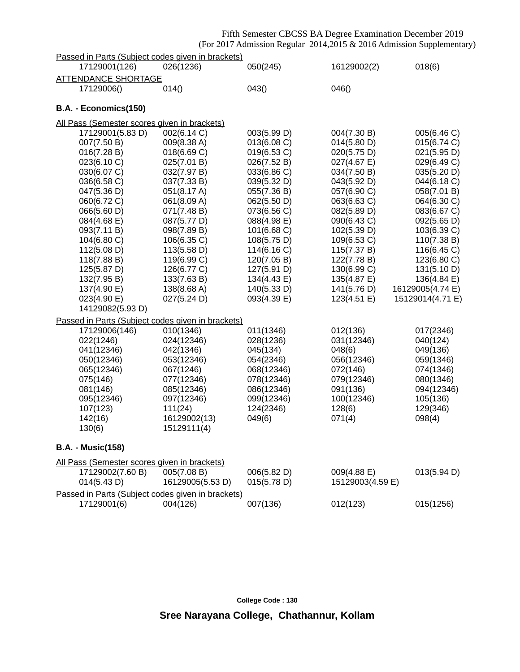## Fifth Semester CBCSS BA Degree Examination December 2019

(For 2017 Admission Regular 2014,2015 & 2016 Admission Supplementary)

| Passed in Parts (Subject codes given in brackets) |                  |             |                  |                  |
|---------------------------------------------------|------------------|-------------|------------------|------------------|
| 17129001(126)                                     | 026(1236)        | 050(245)    | 16129002(2)      | 018(6)           |
| <b>ATTENDANCE SHORTAGE</b>                        |                  |             |                  |                  |
| 17129006()                                        | 014()            | 043()       | 046()            |                  |
|                                                   |                  |             |                  |                  |
| B.A. - Economics(150)                             |                  |             |                  |                  |
| All Pass (Semester scores given in brackets)      |                  |             |                  |                  |
| 17129001(5.83 D)                                  | 002(6.14 C)      | 003(5.99 D) | 004(7.30 B)      | 005(6.46 C)      |
| 007(7.50 B)                                       | 009(8.38 A)      | 013(6.08 C) | 014(5.80 D)      | 015(6.74 C)      |
| 016(7.28 B)                                       | 018(6.69 C)      | 019(6.53 C) | 020(5.75 D)      | 021(5.95 D)      |
| 023(6.10 C)                                       | 025(7.01 B)      | 026(7.52 B) | 027(4.67 E)      | 029(6.49 C)      |
| 030(6.07 C)                                       | 032(7.97 B)      | 033(6.86 C) | 034(7.50 B)      | 035(5.20 D)      |
| 036(6.58 C)                                       | 037(7.33 B)      | 039(5.32 D) | 043(5.92 D)      | 044(6.18 C)      |
| 047(5.36 D)                                       | 051(8.17 A)      | 055(7.36 B) | 057(6.90 C)      | 058(7.01 B)      |
| 060(6.72 C)                                       | 061(8.09 A)      | 062(5.50 D) | 063(6.63 C)      | 064(6.30 C)      |
| 066(5.60 D)                                       | 071(7.48 B)      | 073(6.56 C) | 082(5.89 D)      | 083(6.67 C)      |
| 084(4.68 E)                                       | 087(5.77 D)      | 088(4.98 E) | 090(6.43 C)      | 092(5.65 D)      |
| 093(7.11 B)                                       | 098(7.89 B)      | 101(6.68 C) | 102(5.39 D)      | 103(6.39 C)      |
| 104(6.80 C)                                       | 106(6.35 C)      | 108(5.75 D) | 109(6.53 C)      | 110(7.38 B)      |
| 112(5.08 D)                                       | 113(5.58 D)      | 114(6.16 C) | 115(7.37 B)      | 116(6.45 C)      |
| 118(7.88 B)                                       | 119(6.99 C)      | 120(7.05 B) | 122(7.78 B)      | 123(6.80 C)      |
| 125(5.87 D)                                       | 126(6.77 C)      | 127(5.91 D) | 130(6.99 C)      | 131(5.10 D)      |
| 132(7.95 B)                                       | 133(7.63 B)      | 134(4.43 E) | 135(4.87 E)      | 136(4.84 E)      |
| 137(4.90 E)                                       | 138(8.68 A)      | 140(5.33 D) | 141(5.76 D)      | 16129005(4.74 E) |
| 023(4.90 E)                                       | 027(5.24 D)      | 093(4.39 E) | 123(4.51 E)      | 15129014(4.71 E) |
| 14129082(5.93 D)                                  |                  |             |                  |                  |
| Passed in Parts (Subject codes given in brackets) |                  |             |                  |                  |
| 17129006(146)                                     | 010(1346)        | 011(1346)   | 012(136)         | 017(2346)        |
| 022(1246)                                         | 024(12346)       | 028(1236)   | 031(12346)       | 040(124)         |
| 041(12346)                                        | 042(1346)        | 045(134)    | 048(6)           | 049(136)         |
| 050(12346)                                        | 053(12346)       | 054(2346)   | 056(12346)       | 059(1346)        |
| 065(12346)                                        | 067(1246)        | 068(12346)  | 072(146)         | 074(1346)        |
| 075(146)                                          | 077(12346)       | 078(12346)  | 079(12346)       | 080(1346)        |
| 081(146)                                          | 085(12346)       | 086(12346)  | 091(136)         | 094(12346)       |
| 095(12346)                                        | 097(12346)       | 099(12346)  | 100(12346)       | 105(136)         |
| 107(123)                                          | 111(24)          | 124(2346)   | 128(6)           | 129(346)         |
| 142(16)                                           | 16129002(13)     | 049(6)      | 071(4)           | 098(4)           |
| 130(6)                                            | 15129111(4)      |             |                  |                  |
| <b>B.A. - Music(158)</b>                          |                  |             |                  |                  |
| All Pass (Semester scores given in brackets)      |                  |             |                  |                  |
| 17129002(7.60 B)                                  | 005(7.08 B)      | 006(5.82 D) | 009(4.88 E)      | 013(5.94 D)      |
| 014(5.43 D)                                       | 16129005(5.53 D) | 015(5.78 D) | 15129003(4.59 E) |                  |
|                                                   |                  |             |                  |                  |
| Passed in Parts (Subject codes given in brackets) |                  |             |                  |                  |
| 17129001(6)                                       | 004(126)         | 007(136)    | 012(123)         | 015(1256)        |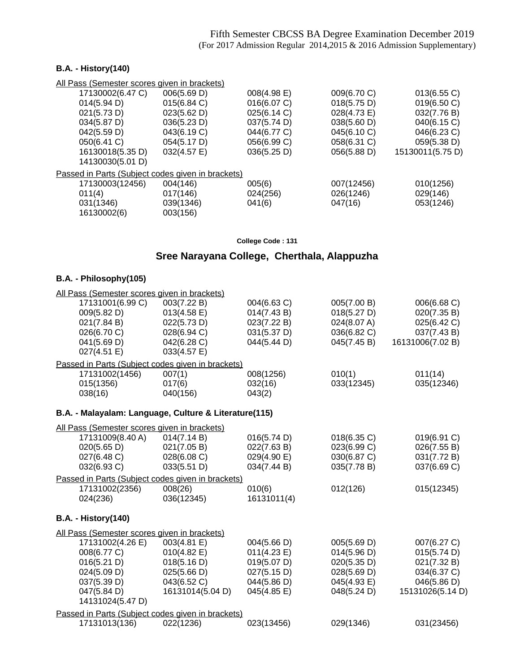### **B.A. - History(140)**

|                  | All Pass (Semester scores given in brackets)      |             |             |                  |
|------------------|---------------------------------------------------|-------------|-------------|------------------|
| 17130002(6.47 C) | 006(5.69 D)                                       | 008(4.98 E) | 009(6.70 C) | 013(6.55 C)      |
| 014(5.94 D)      | 015(6.84 C)                                       | 016(6.07 C) | 018(5.75 D) | 019(6.50 C)      |
| 021(5.73 D)      | 023(5.62 D)                                       | 025(6.14 C) | 028(4.73 E) | 032(7.76 B)      |
| 034(5.87 D)      | 036(5.23 D)                                       | 037(5.74 D) | 038(5.60 D) | 040(6.15 C)      |
| 042(5.59 D)      | 043(6.19 C)                                       | 044(6.77 C) | 045(6.10 C) | 046(6.23 C)      |
| 050(6.41 C)      | 054(5.17 D)                                       | 056(6.99 C) | 058(6.31 C) | 059(5.38 D)      |
| 16130018(5.35 D) | 032(4.57 E)                                       | 036(5.25 D) | 056(5.88 D) | 15130011(5.75 D) |
| 14130030(5.01 D) |                                                   |             |             |                  |
|                  | Passed in Parts (Subject codes given in brackets) |             |             |                  |
| 17130003(12456)  | 004(146)                                          | 005(6)      | 007(12456)  | 010(1256)        |
| 011(4)           | 017(146)                                          | 024(256)    | 026(1246)   | 029(146)         |
| 031(1346)        | 039(1346)                                         | 041(6)      | 047(16)     | 053(1246)        |
| 16130002(6)      | 003(156)                                          |             |             |                  |

**College Code : 131**

## **Sree Narayana College, Cherthala, Alappuzha**

### **B.A. - Philosophy(105)**

| All Pass (Semester scores given in brackets)                                                                    |                                                                                             |                                                                                        |                                                                                        |                                                                                             |
|-----------------------------------------------------------------------------------------------------------------|---------------------------------------------------------------------------------------------|----------------------------------------------------------------------------------------|----------------------------------------------------------------------------------------|---------------------------------------------------------------------------------------------|
| 17131001(6.99 C)<br>009(5.82 D)<br>021(7.84 B)<br>026(6.70 C)                                                   | 003(7.22 B)<br>013(4.58 E)<br>022(5.73 D)<br>028(6.94 C)                                    | 004(6.63 C)<br>014(7.43 B)<br>023(7.22 B)<br>031(5.37 D)                               | 005(7.00 B)<br>018(5.27 D)<br>024(8.07 A)<br>036(6.82 C)                               | 006(6.68 C)<br>020(7.35 B)<br>025(6.42 C)<br>037(7.43 B)                                    |
| 041(5.69 D)<br>027(4.51 E)                                                                                      | 042(6.28 C)<br>033(4.57 E)                                                                  | 044(5.44 D)                                                                            | 045(7.45 B)                                                                            | 16131006(7.02 B)                                                                            |
|                                                                                                                 | Passed in Parts (Subject codes given in brackets)                                           |                                                                                        |                                                                                        |                                                                                             |
| 17131002(1456)<br>015(1356)<br>038(16)                                                                          | 007(1)<br>017(6)<br>040(156)                                                                | 008(1256)<br>032(16)<br>043(2)                                                         | 010(1)<br>033(12345)                                                                   | 011(14)<br>035(12346)                                                                       |
|                                                                                                                 | B.A. - Malayalam: Language, Culture & Literature(115)                                       |                                                                                        |                                                                                        |                                                                                             |
| All Pass (Semester scores given in brackets)                                                                    |                                                                                             |                                                                                        |                                                                                        |                                                                                             |
| 17131009(8.40 A)<br>020(5.65 D)<br>027(6.48 C)<br>032(6.93 C)                                                   | 014(7.14 B)<br>021(7.05 B)<br>028(6.08 C)<br>033(5.51 D)                                    | 016(5.74 D)<br>022(7.63 B)<br>029(4.90 E)<br>034(7.44 B)                               | 018(6.35 C)<br>023(6.99 C)<br>030(6.87 C)<br>035(7.78 B)                               | 019(6.91 C)<br>026(7.55 B)<br>031(7.72 B)<br>037(6.69 C)                                    |
|                                                                                                                 | Passed in Parts (Subject codes given in brackets)                                           |                                                                                        |                                                                                        |                                                                                             |
| 17131002(2356)<br>024(236)                                                                                      | 008(26)<br>036(12345)                                                                       | 010(6)<br>16131011(4)                                                                  | 012(126)                                                                               | 015(12345)                                                                                  |
| <b>B.A. - History(140)</b>                                                                                      |                                                                                             |                                                                                        |                                                                                        |                                                                                             |
| All Pass (Semester scores given in brackets)                                                                    |                                                                                             |                                                                                        |                                                                                        |                                                                                             |
| 17131002(4.26 E)<br>008(6.77 C)<br>016(5.21 D)<br>024(5.09 D)<br>037(5.39 D)<br>047(5.84 D)<br>14131024(5.47 D) | 003(4.81 E)<br>010(4.82 E)<br>018(5.16 D)<br>025(5.66 D)<br>043(6.52 C)<br>16131014(5.04 D) | 004(5.66 D)<br>011(4.23 E)<br>019(5.07 D)<br>027(5.15 D)<br>044(5.86 D)<br>045(4.85 E) | 005(5.69 D)<br>014(5.96 D)<br>020(5.35 D)<br>028(5.69 D)<br>045(4.93 E)<br>048(5.24 D) | 007(6.27 C)<br>015(5.74 D)<br>021(7.32 B)<br>034(6.37 C)<br>046(5.86 D)<br>15131026(5.14 D) |
| 17131013(136)                                                                                                   | Passed in Parts (Subject codes given in brackets)<br>022(1236)                              | 023(13456)                                                                             | 029(1346)                                                                              | 031(23456)                                                                                  |
|                                                                                                                 |                                                                                             |                                                                                        |                                                                                        |                                                                                             |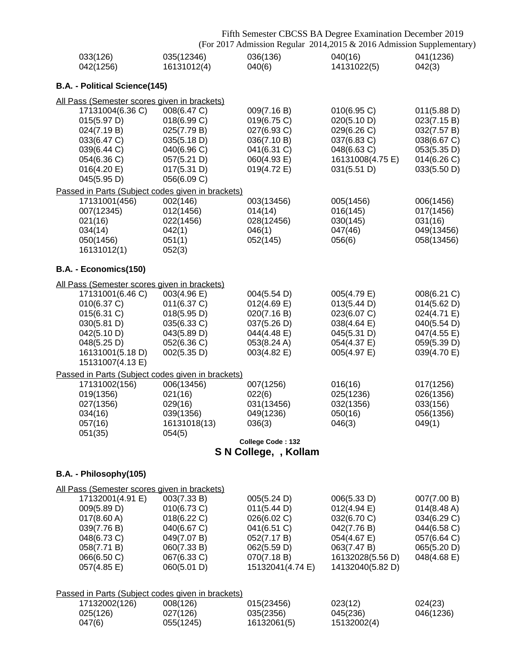|                               |                                                                                                                                     |                                                                                                                      |                                                                                                                           | Fifth Semester CBCSS BA Degree Examination December 2019<br>(For 2017 Admission Regular 2014,2015 & 2016 Admission Supplementary) |                                                                                                       |
|-------------------------------|-------------------------------------------------------------------------------------------------------------------------------------|----------------------------------------------------------------------------------------------------------------------|---------------------------------------------------------------------------------------------------------------------------|-----------------------------------------------------------------------------------------------------------------------------------|-------------------------------------------------------------------------------------------------------|
|                               | 033(126)<br>042(1256)                                                                                                               | 035(12346)<br>16131012(4)                                                                                            | 036(136)<br>040(6)                                                                                                        | 040(16)<br>14131022(5)                                                                                                            | 041(1236)<br>042(3)                                                                                   |
|                               | B.A. - Political Science(145)                                                                                                       |                                                                                                                      |                                                                                                                           |                                                                                                                                   |                                                                                                       |
|                               | All Pass (Semester scores given in brackets)                                                                                        |                                                                                                                      |                                                                                                                           |                                                                                                                                   |                                                                                                       |
|                               | 17131004(6.36 C)<br>015(5.97 D)<br>024(7.19 B)<br>033(6.47 C)<br>039(6.44 C)<br>054(6.36 C)<br>016(4.20 E)<br>045(5.95 D)           | 008(6.47 C)<br>018(6.99 C)<br>025(7.79 B)<br>035(5.18 D)<br>040(6.96 C)<br>057(5.21 D)<br>017(5.31 D)<br>056(6.09 C) | 009(7.16 B)<br>019(6.75 C)<br>027(6.93 C)<br>036(7.10 B)<br>041(6.31 C)<br>060(4.93 E)<br>019(4.72 E)                     | 010(6.95 C)<br>020(5.10 D)<br>029(6.26 C)<br>037(6.83 C)<br>048(6.63 C)<br>16131008(4.75 E)<br>031(5.51 D)                        | 011(5.88 D)<br>023(7.15 B)<br>032(7.57 B)<br>038(6.67 C)<br>053(5.35 D)<br>014(6.26)<br>033(5.50 D)   |
|                               |                                                                                                                                     | Passed in Parts (Subject codes given in brackets)                                                                    |                                                                                                                           |                                                                                                                                   |                                                                                                       |
| 021(16)<br>034(14)            | 17131001(456)<br>007(12345)<br>050(1456)<br>16131012(1)                                                                             | 002(146)<br>012(1456)<br>022(1456)<br>042(1)<br>051(1)<br>052(3)                                                     | 003(13456)<br>014(14)<br>028(12456)<br>046(1)<br>052(145)                                                                 | 005(1456)<br>016(145)<br>030(145)<br>047(46)<br>056(6)                                                                            | 006(1456)<br>017(1456)<br>031(16)<br>049(13456)<br>058(13456)                                         |
|                               | B.A. - Economics(150)                                                                                                               |                                                                                                                      |                                                                                                                           |                                                                                                                                   |                                                                                                       |
|                               | All Pass (Semester scores given in brackets)                                                                                        |                                                                                                                      |                                                                                                                           |                                                                                                                                   |                                                                                                       |
|                               | 17131001(6.46 C)<br>010(6.37 C)<br>015(6.31 C)<br>030(5.81 D)<br>042(5.10 D)<br>048(5.25 D)<br>16131001(5.18 D)<br>15131007(4.13 E) | 003(4.96 E)<br>011(6.37 C)<br>018(5.95 D)<br>035(6.33 C)<br>043(5.89 D)<br>052(6.36 C)<br>002(5.35 D)                | 004(5.54 D)<br>$012(4.69)$ E)<br>020(7.16 B)<br>037(5.26 D)<br>044(4.48 E)<br>053(8.24 A)<br>003(4.82 E)                  | 005(4.79 E)<br>013(5.44 D)<br>023(6.07 C)<br>038(4.64 E)<br>045(5.31 D)<br>054(4.37 E)<br>005(4.97 E)                             | 008(6.21 C)<br>014(5.62 D)<br>024(4.71 E)<br>040(5.54 D)<br>047(4.55 E)<br>059(5.39 D)<br>039(4.70 E) |
|                               |                                                                                                                                     | Passed in Parts (Subject codes given in brackets)                                                                    |                                                                                                                           |                                                                                                                                   |                                                                                                       |
| 034(16)<br>057(16)<br>051(35) | 17131002(156)<br>019(1356)<br>027(1356)                                                                                             | 006(13456)<br>021(16)<br>029(16)<br>039(1356)<br>16131018(13)<br>054(5)                                              | 007(1256)<br>022(6)<br>031(13456)<br>049(1236)<br>036(3)                                                                  | 016(16)<br>025(1236)<br>032(1356)<br>050(16)<br>046(3)                                                                            | 017(1256)<br>026(1356)<br>033(156)<br>056(1356)<br>049(1)                                             |
|                               |                                                                                                                                     |                                                                                                                      | College Code: 132                                                                                                         |                                                                                                                                   |                                                                                                       |
|                               |                                                                                                                                     |                                                                                                                      | S N College, , Kollam                                                                                                     |                                                                                                                                   |                                                                                                       |
|                               | B.A. - Philosophy(105)                                                                                                              |                                                                                                                      |                                                                                                                           |                                                                                                                                   |                                                                                                       |
|                               | All Pass (Semester scores given in brackets)                                                                                        |                                                                                                                      |                                                                                                                           |                                                                                                                                   |                                                                                                       |
|                               | 17132001(4.91 E)<br>009(5.89 D)<br>017(8.60 A)<br>039(7.76 B)<br>048(6.73 C)<br>058(7.71 B)<br>066(6.50 C)<br>057(4.85 E)           | 003(7.33 B)<br>010(6.73 C)<br>018(6.22 C)<br>040(6.67 C)<br>049(7.07 B)<br>060(7.33 B)<br>067(6.33 C)<br>060(5.01 D) | 005(5.24 D)<br>011(5.44 D)<br>026(6.02 C)<br>041(6.51 C)<br>052(7.17 B)<br>062(5.59 D)<br>070(7.18 B)<br>15132041(4.74 E) | 006(5.33 D)<br>012(4.94 E)<br>032(6.70 C)<br>042(7.76 B)<br>054(4.67 E)<br>063(7.47 B)<br>16132028(5.56 D)<br>14132040(5.82 D)    | 007(7.00 B)<br>014(8.48 A)<br>034(6.29 C)<br>044(6.58 C)<br>057(6.64 C)<br>065(5.20 D)<br>048(4.68 E) |
|                               |                                                                                                                                     | Passed in Parts (Subject codes given in brackets)                                                                    |                                                                                                                           |                                                                                                                                   |                                                                                                       |
|                               | 17132002(126)<br>025(126)                                                                                                           | 008(126)<br>027(126)                                                                                                 | 015(23456)<br>035(2356)                                                                                                   | 023(12)<br>045(236)                                                                                                               | 024(23)<br>046(1236)                                                                                  |

047(6) 055(1245) 16132061(5) 15132002(4)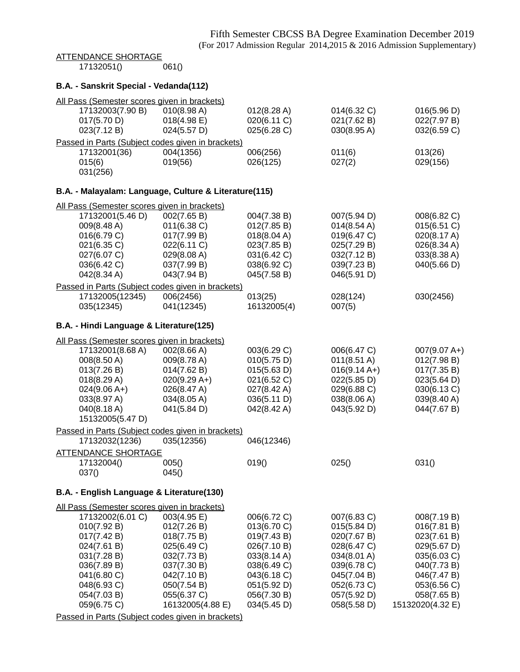# ATTENDANCE SHORTAGE<br>17132051() 061()

17132051()

### **B.A. - Sanskrit Special - Vedanda(112)**

| All Pass (Semester scores given in brackets) |                                                       |                            |                            |                                 |
|----------------------------------------------|-------------------------------------------------------|----------------------------|----------------------------|---------------------------------|
| 17132003(7.90 B)                             | 010(8.98 A)                                           | 012(8.28 A)                | 014(6.32 C)                | 016(5.96 D)                     |
| 017(5.70 D)<br>023(7.12 B)                   | $018(4.98)$ E)                                        | 020(6.11 C)                | 021(7.62 B)                | 022(7.97 B)                     |
|                                              | 024(5.57 D)                                           | 025(6.28 C)                | 030(8.95 A)                | 032(6.59 C)                     |
|                                              | Passed in Parts (Subject codes given in brackets)     |                            |                            |                                 |
| 17132001(36)                                 | 004(1356)                                             | 006(256)                   | 011(6)                     | 013(26)                         |
| 015(6)                                       | 019(56)                                               | 026(125)                   | 027(2)                     | 029(156)                        |
| 031(256)                                     |                                                       |                            |                            |                                 |
|                                              | B.A. - Malayalam: Language, Culture & Literature(115) |                            |                            |                                 |
| All Pass (Semester scores given in brackets) |                                                       |                            |                            |                                 |
| 17132001(5.46 D)                             | 002(7.65 B)                                           | 004(7.38 B)                | 007(5.94 D)                | 008(6.82 C)                     |
| 009(8.48 A)                                  | $011(6.38)$ C)                                        | 012(7.85 B)                | 014(8.54 A)                | 015(6.51 C)                     |
| 016(6.79 C)                                  | 017(7.99 B)                                           | 018(8.04 A)                | 019(6.47 C)                | 020(8.17 A)                     |
| 021(6.35 C)                                  | 022(6.11 C)                                           | 023(7.85 B)                | 025(7.29 B)                | 026(8.34 A)                     |
| 027(6.07 C)                                  | 029(8.08 A)                                           | 031(6.42 C)                | 032(7.12 B)                | 033(8.38 A)                     |
| 036(6.42 C)                                  | 037(7.99 B)                                           | 038(6.92 C)                | 039(7.23 B)                | 040(5.66 D)                     |
| 042(8.34 A)                                  | 043(7.94 B)                                           | 045(7.58 B)                | 046(5.91 D)                |                                 |
|                                              | Passed in Parts (Subject codes given in brackets)     |                            |                            |                                 |
| 17132005(12345)                              | 006(2456)                                             | 013(25)                    | 028(124)                   | 030(2456)                       |
| 035(12345)                                   | 041(12345)                                            | 16132005(4)                | 007(5)                     |                                 |
| B.A. - Hindi Language & Literature(125)      |                                                       |                            |                            |                                 |
| All Pass (Semester scores given in brackets) |                                                       |                            |                            |                                 |
| 17132001(8.68 A)                             | 002(8.66 A)                                           | 003(6.29 C)                | 006(6.47 C)                | $007(9.07 A+)$                  |
| 008(8.50 A)                                  | 009(8.78 A)                                           | 010(5.75 D)                | $011(8.51 \text{ A})$      | 012(7.98 B)                     |
| 013(7.26 B)                                  | 014(7.62 B)                                           | 015(5.63 D)                | $016(9.14 A+)$             | 017(7.35 B)                     |
| 018(8.29 A)                                  | $020(9.29 A+)$                                        | 021(6.52 C)                | 022(5.85 D)                | 023(5.64 D)                     |
| $024(9.06 A+)$                               | 026(8.47 A)                                           | 027(8.42 A)                | 029(6.88 C)                | 030(6.13 C)                     |
| 033(8.97 A)                                  | 034(8.05 A)                                           | 036(5.11 D)                | 038(8.06 A)                | 039(8.40 A)                     |
| 040(8.18 A)                                  | 041(5.84 D)                                           | 042(8.42 A)                | 043(5.92 D)                | 044(7.67 B)                     |
| 15132005(5.47 D)                             |                                                       |                            |                            |                                 |
|                                              | Passed in Parts (Subject codes given in brackets)     |                            |                            |                                 |
| 17132032(1236)                               | 035(12356)                                            | 046(12346)                 |                            |                                 |
| <b>ATTENDANCE SHORTAGE</b>                   |                                                       |                            |                            |                                 |
| 17132004()                                   | 005()                                                 | 019()                      | 025()                      | 031()                           |
| 037()                                        | 045()                                                 |                            |                            |                                 |
|                                              |                                                       |                            |                            |                                 |
| B.A. - English Language & Literature(130)    |                                                       |                            |                            |                                 |
| All Pass (Semester scores given in brackets) |                                                       |                            |                            |                                 |
| 17132002(6.01 C)                             | 003(4.95 E)                                           | 006(6.72 C)                | 007(6.83 C)                | 008(7.19 B)                     |
| 010(7.92 B)                                  | 012(7.26 B)                                           | 013(6.70 C)                | 015(5.84 D)                | 016(7.81 B)                     |
| 017(7.42 B)                                  | 018(7.75 B)                                           | 019(7.43 B)                | 020(7.67 B)                | 023(7.61 B)                     |
| 024(7.61 B)                                  | 025(6.49 C)                                           | 026(7.10 B)                | 028(6.47 C)                | 029(5.67 D)                     |
| 031(7.28 B)                                  | 032(7.73 B)                                           | 033(8.14 A)                | 034(8.01 A)                | 035(6.03 C)                     |
| 036(7.89 B)                                  | 037(7.30 B)                                           | 038(6.49 C)                | 039(6.78 C)                | 040(7.73 B)                     |
| 041(6.80 C)                                  | 042(7.10 B)                                           | 043(6.18 C)                | 045(7.04 B)                | 046(7.47 B)                     |
| 048(6.93 C)                                  | 050(7.54 B)                                           | 051(5.92 D)                | 052(6.73 C)                | 053(6.56 C)                     |
| 054(7.03 B)<br>059(6.75 C)                   | 055(6.37 C)<br>16132005(4.88 E)                       | 056(7.30 B)<br>034(5.45 D) | 057(5.92 D)<br>058(5.58 D) | 058(7.65 B)<br>15132020(4.32 E) |
|                                              |                                                       |                            |                            |                                 |

Passed in Parts (Subject codes given in brackets)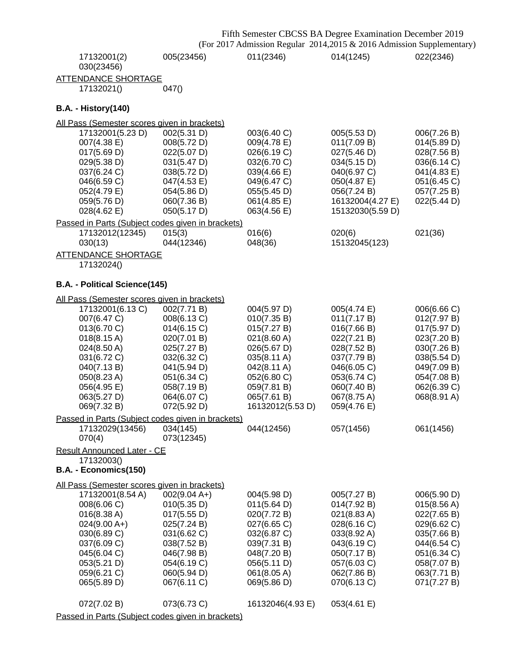| 011(2346)<br>014(1245)<br>022(2346)<br>005(23456)<br>17132001(2)<br>030(23456)<br><b>ATTENDANCE SHORTAGE</b><br>17132021()<br>047()<br><b>B.A. - History(140)</b><br>All Pass (Semester scores given in brackets)<br>17132001(5.23 D)<br>002(5.31 D)<br>003(6.40 C)<br>005(5.53 D)<br>006(7.26 B)<br>007(4.38 E)<br>011(7.09 B)<br>008(5.72 D)<br>009(4.78 E)<br>014(5.89 D)<br>017(5.69 D)<br>026(6.19 C)<br>027(5.46 D)<br>022(5.07 D)<br>028(7.56 B)<br>029(5.38 D)<br>031(5.47 D)<br>032(6.70 C)<br>034(5.15 D)<br>036(6.14 C)<br>037(6.24 C)<br>039(4.66 E)<br>038(5.72 D)<br>040(6.97 C)<br>041(4.83 E)<br>046(6.59 C)<br>047(4.53 E)<br>049(6.47 C)<br>050(4.87 E)<br>051(6.45 C)<br>056(7.24 B)<br>057(7.25 B)<br>052(4.79 E)<br>054(5.86 D)<br>055(5.45 D)<br>059(5.76 D)<br>060(7.36 B)<br>061(4.85 E)<br>16132004(4.27 E)<br>022(5.44 D)<br>$028(4.62 \text{ E})$<br>050(5.17 D)<br>063(4.56 E)<br>15132030(5.59 D)<br>Passed in Parts (Subject codes given in brackets)<br>016(6)<br>021(36)<br>17132012(12345)<br>020(6)<br>015(3)<br>044(12346)<br>048(36)<br>15132045(123)<br>030(13)<br><b>ATTENDANCE SHORTAGE</b><br>17132024()<br>B.A. - Political Science(145)<br>All Pass (Semester scores given in brackets)<br>17132001(6.13 C)<br>002(7.71 B)<br>004(5.97 D)<br>006(6.66 C)<br>005(4.74 E)<br>007(6.47 C)<br>008(6.13 C)<br>010(7.35 B)<br>011(7.17 B)<br>012(7.97 B)<br>017(5.97 D)<br>013(6.70 C)<br>014(6.15 C)<br>015(7.27 B)<br>016(7.66 B)<br>$018(8.15 \text{ A})$<br>020(7.01 B)<br>021(8.60 A)<br>022(7.21 B)<br>023(7.20 B)<br>024(8.50 A)<br>025(7.27 B)<br>026(5.67 D)<br>028(7.52 B)<br>030(7.26 B)<br>031(6.72 C)<br>032(6.32 C)<br>035(8.11 A)<br>037(7.79 B)<br>038(5.54 D)<br>042(8.11 A)<br>049(7.09 B)<br>040(7.13 B)<br>041(5.94 D)<br>046(6.05 C)<br>050(8.23 A)<br>052(6.80 C)<br>054(7.08 B)<br>051(6.34 C)<br>053(6.74 C)<br>059(7.81 B)<br>056(4.95 E)<br>058(7.19 B)<br>060(7.40 B)<br>062(6.39 C)<br>063(5.27 D)<br>067(8.75 A)<br>068(8.91 A)<br>064(6.07 C)<br>065(7.61 B)<br>069(7.32 B)<br>072(5.92 D)<br>16132012(5.53 D)<br>059(4.76 E)<br>Passed in Parts (Subject codes given in brackets)<br>17132029(13456)<br>034(145)<br>044(12456)<br>057(1456)<br>061(1456)<br>070(4)<br>073(12345)<br>Result Announced Later - CE<br>17132003()<br>B.A. - Economics(150)<br>All Pass (Semester scores given in brackets)<br>$002(9.04 A+)$<br>17132001(8.54 A)<br>004(5.98 D)<br>005(7.27 B)<br>006(5.90 D)<br>008(6.06 C)<br>010(5.35 D)<br>011(5.64 D)<br>014(7.92 B)<br>015(8.56 A)<br>020(7.72 B)<br>016(8.38 A)<br>017(5.55 D)<br>021(8.83 A)<br>022(7.65 B)<br>$024(9.00 A+)$<br>027(6.65 C)<br>029(6.62 C)<br>025(7.24 B)<br>028(6.16 C)<br>030(6.89 C)<br>032(6.87 C)<br>033(8.92 A)<br>035(7.66 B)<br>031(6.62 C)<br>037(6.09 C)<br>038(7.52 B)<br>039(7.31 B)<br>043(6.19 C)<br>044(6.54 C)<br>045(6.04 C)<br>046(7.98 B)<br>048(7.20 B)<br>050(7.17 B)<br>051(6.34 C)<br>053(5.21 D)<br>056(5.11 D)<br>057(6.03 C)<br>058(7.07 B)<br>054(6.19 C)<br>059(6.21 C)<br>060(5.94 D)<br>061(8.05 A)<br>062(7.86 B)<br>063(7.71 B)<br>065(5.89 D)<br>067(6.11 C)<br>069(5.86 D)<br>070(6.13 C)<br>071(7.27 B)<br>073(6.73 C)<br>16132046(4.93 E)<br>072(7.02 B)<br>053(4.61 E) |  | Fifth Semester CBCSS BA Degree Examination December 2019<br>(For 2017 Admission Regular 2014,2015 & 2016 Admission Supplementary) |  |
|-------------------------------------------------------------------------------------------------------------------------------------------------------------------------------------------------------------------------------------------------------------------------------------------------------------------------------------------------------------------------------------------------------------------------------------------------------------------------------------------------------------------------------------------------------------------------------------------------------------------------------------------------------------------------------------------------------------------------------------------------------------------------------------------------------------------------------------------------------------------------------------------------------------------------------------------------------------------------------------------------------------------------------------------------------------------------------------------------------------------------------------------------------------------------------------------------------------------------------------------------------------------------------------------------------------------------------------------------------------------------------------------------------------------------------------------------------------------------------------------------------------------------------------------------------------------------------------------------------------------------------------------------------------------------------------------------------------------------------------------------------------------------------------------------------------------------------------------------------------------------------------------------------------------------------------------------------------------------------------------------------------------------------------------------------------------------------------------------------------------------------------------------------------------------------------------------------------------------------------------------------------------------------------------------------------------------------------------------------------------------------------------------------------------------------------------------------------------------------------------------------------------------------------------------------------------------------------------------------------------------------------------------------------------------------------------------------------------------------------------------------------------------------------------------------------------------------------------------------------------------------------------------------------------------------------------------------------------------------------------------------------------------------------------------------------------------------------------------------------------------------------------------------------------------------------------------------------------------------------|--|-----------------------------------------------------------------------------------------------------------------------------------|--|
|                                                                                                                                                                                                                                                                                                                                                                                                                                                                                                                                                                                                                                                                                                                                                                                                                                                                                                                                                                                                                                                                                                                                                                                                                                                                                                                                                                                                                                                                                                                                                                                                                                                                                                                                                                                                                                                                                                                                                                                                                                                                                                                                                                                                                                                                                                                                                                                                                                                                                                                                                                                                                                                                                                                                                                                                                                                                                                                                                                                                                                                                                                                                                                                                                                     |  |                                                                                                                                   |  |
|                                                                                                                                                                                                                                                                                                                                                                                                                                                                                                                                                                                                                                                                                                                                                                                                                                                                                                                                                                                                                                                                                                                                                                                                                                                                                                                                                                                                                                                                                                                                                                                                                                                                                                                                                                                                                                                                                                                                                                                                                                                                                                                                                                                                                                                                                                                                                                                                                                                                                                                                                                                                                                                                                                                                                                                                                                                                                                                                                                                                                                                                                                                                                                                                                                     |  |                                                                                                                                   |  |
|                                                                                                                                                                                                                                                                                                                                                                                                                                                                                                                                                                                                                                                                                                                                                                                                                                                                                                                                                                                                                                                                                                                                                                                                                                                                                                                                                                                                                                                                                                                                                                                                                                                                                                                                                                                                                                                                                                                                                                                                                                                                                                                                                                                                                                                                                                                                                                                                                                                                                                                                                                                                                                                                                                                                                                                                                                                                                                                                                                                                                                                                                                                                                                                                                                     |  |                                                                                                                                   |  |
|                                                                                                                                                                                                                                                                                                                                                                                                                                                                                                                                                                                                                                                                                                                                                                                                                                                                                                                                                                                                                                                                                                                                                                                                                                                                                                                                                                                                                                                                                                                                                                                                                                                                                                                                                                                                                                                                                                                                                                                                                                                                                                                                                                                                                                                                                                                                                                                                                                                                                                                                                                                                                                                                                                                                                                                                                                                                                                                                                                                                                                                                                                                                                                                                                                     |  |                                                                                                                                   |  |
|                                                                                                                                                                                                                                                                                                                                                                                                                                                                                                                                                                                                                                                                                                                                                                                                                                                                                                                                                                                                                                                                                                                                                                                                                                                                                                                                                                                                                                                                                                                                                                                                                                                                                                                                                                                                                                                                                                                                                                                                                                                                                                                                                                                                                                                                                                                                                                                                                                                                                                                                                                                                                                                                                                                                                                                                                                                                                                                                                                                                                                                                                                                                                                                                                                     |  |                                                                                                                                   |  |
|                                                                                                                                                                                                                                                                                                                                                                                                                                                                                                                                                                                                                                                                                                                                                                                                                                                                                                                                                                                                                                                                                                                                                                                                                                                                                                                                                                                                                                                                                                                                                                                                                                                                                                                                                                                                                                                                                                                                                                                                                                                                                                                                                                                                                                                                                                                                                                                                                                                                                                                                                                                                                                                                                                                                                                                                                                                                                                                                                                                                                                                                                                                                                                                                                                     |  |                                                                                                                                   |  |
|                                                                                                                                                                                                                                                                                                                                                                                                                                                                                                                                                                                                                                                                                                                                                                                                                                                                                                                                                                                                                                                                                                                                                                                                                                                                                                                                                                                                                                                                                                                                                                                                                                                                                                                                                                                                                                                                                                                                                                                                                                                                                                                                                                                                                                                                                                                                                                                                                                                                                                                                                                                                                                                                                                                                                                                                                                                                                                                                                                                                                                                                                                                                                                                                                                     |  |                                                                                                                                   |  |
|                                                                                                                                                                                                                                                                                                                                                                                                                                                                                                                                                                                                                                                                                                                                                                                                                                                                                                                                                                                                                                                                                                                                                                                                                                                                                                                                                                                                                                                                                                                                                                                                                                                                                                                                                                                                                                                                                                                                                                                                                                                                                                                                                                                                                                                                                                                                                                                                                                                                                                                                                                                                                                                                                                                                                                                                                                                                                                                                                                                                                                                                                                                                                                                                                                     |  |                                                                                                                                   |  |
|                                                                                                                                                                                                                                                                                                                                                                                                                                                                                                                                                                                                                                                                                                                                                                                                                                                                                                                                                                                                                                                                                                                                                                                                                                                                                                                                                                                                                                                                                                                                                                                                                                                                                                                                                                                                                                                                                                                                                                                                                                                                                                                                                                                                                                                                                                                                                                                                                                                                                                                                                                                                                                                                                                                                                                                                                                                                                                                                                                                                                                                                                                                                                                                                                                     |  |                                                                                                                                   |  |
|                                                                                                                                                                                                                                                                                                                                                                                                                                                                                                                                                                                                                                                                                                                                                                                                                                                                                                                                                                                                                                                                                                                                                                                                                                                                                                                                                                                                                                                                                                                                                                                                                                                                                                                                                                                                                                                                                                                                                                                                                                                                                                                                                                                                                                                                                                                                                                                                                                                                                                                                                                                                                                                                                                                                                                                                                                                                                                                                                                                                                                                                                                                                                                                                                                     |  |                                                                                                                                   |  |
|                                                                                                                                                                                                                                                                                                                                                                                                                                                                                                                                                                                                                                                                                                                                                                                                                                                                                                                                                                                                                                                                                                                                                                                                                                                                                                                                                                                                                                                                                                                                                                                                                                                                                                                                                                                                                                                                                                                                                                                                                                                                                                                                                                                                                                                                                                                                                                                                                                                                                                                                                                                                                                                                                                                                                                                                                                                                                                                                                                                                                                                                                                                                                                                                                                     |  |                                                                                                                                   |  |
|                                                                                                                                                                                                                                                                                                                                                                                                                                                                                                                                                                                                                                                                                                                                                                                                                                                                                                                                                                                                                                                                                                                                                                                                                                                                                                                                                                                                                                                                                                                                                                                                                                                                                                                                                                                                                                                                                                                                                                                                                                                                                                                                                                                                                                                                                                                                                                                                                                                                                                                                                                                                                                                                                                                                                                                                                                                                                                                                                                                                                                                                                                                                                                                                                                     |  |                                                                                                                                   |  |
|                                                                                                                                                                                                                                                                                                                                                                                                                                                                                                                                                                                                                                                                                                                                                                                                                                                                                                                                                                                                                                                                                                                                                                                                                                                                                                                                                                                                                                                                                                                                                                                                                                                                                                                                                                                                                                                                                                                                                                                                                                                                                                                                                                                                                                                                                                                                                                                                                                                                                                                                                                                                                                                                                                                                                                                                                                                                                                                                                                                                                                                                                                                                                                                                                                     |  |                                                                                                                                   |  |
|                                                                                                                                                                                                                                                                                                                                                                                                                                                                                                                                                                                                                                                                                                                                                                                                                                                                                                                                                                                                                                                                                                                                                                                                                                                                                                                                                                                                                                                                                                                                                                                                                                                                                                                                                                                                                                                                                                                                                                                                                                                                                                                                                                                                                                                                                                                                                                                                                                                                                                                                                                                                                                                                                                                                                                                                                                                                                                                                                                                                                                                                                                                                                                                                                                     |  |                                                                                                                                   |  |
|                                                                                                                                                                                                                                                                                                                                                                                                                                                                                                                                                                                                                                                                                                                                                                                                                                                                                                                                                                                                                                                                                                                                                                                                                                                                                                                                                                                                                                                                                                                                                                                                                                                                                                                                                                                                                                                                                                                                                                                                                                                                                                                                                                                                                                                                                                                                                                                                                                                                                                                                                                                                                                                                                                                                                                                                                                                                                                                                                                                                                                                                                                                                                                                                                                     |  |                                                                                                                                   |  |
|                                                                                                                                                                                                                                                                                                                                                                                                                                                                                                                                                                                                                                                                                                                                                                                                                                                                                                                                                                                                                                                                                                                                                                                                                                                                                                                                                                                                                                                                                                                                                                                                                                                                                                                                                                                                                                                                                                                                                                                                                                                                                                                                                                                                                                                                                                                                                                                                                                                                                                                                                                                                                                                                                                                                                                                                                                                                                                                                                                                                                                                                                                                                                                                                                                     |  |                                                                                                                                   |  |
|                                                                                                                                                                                                                                                                                                                                                                                                                                                                                                                                                                                                                                                                                                                                                                                                                                                                                                                                                                                                                                                                                                                                                                                                                                                                                                                                                                                                                                                                                                                                                                                                                                                                                                                                                                                                                                                                                                                                                                                                                                                                                                                                                                                                                                                                                                                                                                                                                                                                                                                                                                                                                                                                                                                                                                                                                                                                                                                                                                                                                                                                                                                                                                                                                                     |  |                                                                                                                                   |  |
|                                                                                                                                                                                                                                                                                                                                                                                                                                                                                                                                                                                                                                                                                                                                                                                                                                                                                                                                                                                                                                                                                                                                                                                                                                                                                                                                                                                                                                                                                                                                                                                                                                                                                                                                                                                                                                                                                                                                                                                                                                                                                                                                                                                                                                                                                                                                                                                                                                                                                                                                                                                                                                                                                                                                                                                                                                                                                                                                                                                                                                                                                                                                                                                                                                     |  |                                                                                                                                   |  |
|                                                                                                                                                                                                                                                                                                                                                                                                                                                                                                                                                                                                                                                                                                                                                                                                                                                                                                                                                                                                                                                                                                                                                                                                                                                                                                                                                                                                                                                                                                                                                                                                                                                                                                                                                                                                                                                                                                                                                                                                                                                                                                                                                                                                                                                                                                                                                                                                                                                                                                                                                                                                                                                                                                                                                                                                                                                                                                                                                                                                                                                                                                                                                                                                                                     |  |                                                                                                                                   |  |
|                                                                                                                                                                                                                                                                                                                                                                                                                                                                                                                                                                                                                                                                                                                                                                                                                                                                                                                                                                                                                                                                                                                                                                                                                                                                                                                                                                                                                                                                                                                                                                                                                                                                                                                                                                                                                                                                                                                                                                                                                                                                                                                                                                                                                                                                                                                                                                                                                                                                                                                                                                                                                                                                                                                                                                                                                                                                                                                                                                                                                                                                                                                                                                                                                                     |  |                                                                                                                                   |  |
|                                                                                                                                                                                                                                                                                                                                                                                                                                                                                                                                                                                                                                                                                                                                                                                                                                                                                                                                                                                                                                                                                                                                                                                                                                                                                                                                                                                                                                                                                                                                                                                                                                                                                                                                                                                                                                                                                                                                                                                                                                                                                                                                                                                                                                                                                                                                                                                                                                                                                                                                                                                                                                                                                                                                                                                                                                                                                                                                                                                                                                                                                                                                                                                                                                     |  |                                                                                                                                   |  |
|                                                                                                                                                                                                                                                                                                                                                                                                                                                                                                                                                                                                                                                                                                                                                                                                                                                                                                                                                                                                                                                                                                                                                                                                                                                                                                                                                                                                                                                                                                                                                                                                                                                                                                                                                                                                                                                                                                                                                                                                                                                                                                                                                                                                                                                                                                                                                                                                                                                                                                                                                                                                                                                                                                                                                                                                                                                                                                                                                                                                                                                                                                                                                                                                                                     |  |                                                                                                                                   |  |
|                                                                                                                                                                                                                                                                                                                                                                                                                                                                                                                                                                                                                                                                                                                                                                                                                                                                                                                                                                                                                                                                                                                                                                                                                                                                                                                                                                                                                                                                                                                                                                                                                                                                                                                                                                                                                                                                                                                                                                                                                                                                                                                                                                                                                                                                                                                                                                                                                                                                                                                                                                                                                                                                                                                                                                                                                                                                                                                                                                                                                                                                                                                                                                                                                                     |  |                                                                                                                                   |  |
|                                                                                                                                                                                                                                                                                                                                                                                                                                                                                                                                                                                                                                                                                                                                                                                                                                                                                                                                                                                                                                                                                                                                                                                                                                                                                                                                                                                                                                                                                                                                                                                                                                                                                                                                                                                                                                                                                                                                                                                                                                                                                                                                                                                                                                                                                                                                                                                                                                                                                                                                                                                                                                                                                                                                                                                                                                                                                                                                                                                                                                                                                                                                                                                                                                     |  |                                                                                                                                   |  |
|                                                                                                                                                                                                                                                                                                                                                                                                                                                                                                                                                                                                                                                                                                                                                                                                                                                                                                                                                                                                                                                                                                                                                                                                                                                                                                                                                                                                                                                                                                                                                                                                                                                                                                                                                                                                                                                                                                                                                                                                                                                                                                                                                                                                                                                                                                                                                                                                                                                                                                                                                                                                                                                                                                                                                                                                                                                                                                                                                                                                                                                                                                                                                                                                                                     |  |                                                                                                                                   |  |
|                                                                                                                                                                                                                                                                                                                                                                                                                                                                                                                                                                                                                                                                                                                                                                                                                                                                                                                                                                                                                                                                                                                                                                                                                                                                                                                                                                                                                                                                                                                                                                                                                                                                                                                                                                                                                                                                                                                                                                                                                                                                                                                                                                                                                                                                                                                                                                                                                                                                                                                                                                                                                                                                                                                                                                                                                                                                                                                                                                                                                                                                                                                                                                                                                                     |  |                                                                                                                                   |  |
|                                                                                                                                                                                                                                                                                                                                                                                                                                                                                                                                                                                                                                                                                                                                                                                                                                                                                                                                                                                                                                                                                                                                                                                                                                                                                                                                                                                                                                                                                                                                                                                                                                                                                                                                                                                                                                                                                                                                                                                                                                                                                                                                                                                                                                                                                                                                                                                                                                                                                                                                                                                                                                                                                                                                                                                                                                                                                                                                                                                                                                                                                                                                                                                                                                     |  |                                                                                                                                   |  |
|                                                                                                                                                                                                                                                                                                                                                                                                                                                                                                                                                                                                                                                                                                                                                                                                                                                                                                                                                                                                                                                                                                                                                                                                                                                                                                                                                                                                                                                                                                                                                                                                                                                                                                                                                                                                                                                                                                                                                                                                                                                                                                                                                                                                                                                                                                                                                                                                                                                                                                                                                                                                                                                                                                                                                                                                                                                                                                                                                                                                                                                                                                                                                                                                                                     |  |                                                                                                                                   |  |
|                                                                                                                                                                                                                                                                                                                                                                                                                                                                                                                                                                                                                                                                                                                                                                                                                                                                                                                                                                                                                                                                                                                                                                                                                                                                                                                                                                                                                                                                                                                                                                                                                                                                                                                                                                                                                                                                                                                                                                                                                                                                                                                                                                                                                                                                                                                                                                                                                                                                                                                                                                                                                                                                                                                                                                                                                                                                                                                                                                                                                                                                                                                                                                                                                                     |  |                                                                                                                                   |  |
|                                                                                                                                                                                                                                                                                                                                                                                                                                                                                                                                                                                                                                                                                                                                                                                                                                                                                                                                                                                                                                                                                                                                                                                                                                                                                                                                                                                                                                                                                                                                                                                                                                                                                                                                                                                                                                                                                                                                                                                                                                                                                                                                                                                                                                                                                                                                                                                                                                                                                                                                                                                                                                                                                                                                                                                                                                                                                                                                                                                                                                                                                                                                                                                                                                     |  |                                                                                                                                   |  |
|                                                                                                                                                                                                                                                                                                                                                                                                                                                                                                                                                                                                                                                                                                                                                                                                                                                                                                                                                                                                                                                                                                                                                                                                                                                                                                                                                                                                                                                                                                                                                                                                                                                                                                                                                                                                                                                                                                                                                                                                                                                                                                                                                                                                                                                                                                                                                                                                                                                                                                                                                                                                                                                                                                                                                                                                                                                                                                                                                                                                                                                                                                                                                                                                                                     |  |                                                                                                                                   |  |
|                                                                                                                                                                                                                                                                                                                                                                                                                                                                                                                                                                                                                                                                                                                                                                                                                                                                                                                                                                                                                                                                                                                                                                                                                                                                                                                                                                                                                                                                                                                                                                                                                                                                                                                                                                                                                                                                                                                                                                                                                                                                                                                                                                                                                                                                                                                                                                                                                                                                                                                                                                                                                                                                                                                                                                                                                                                                                                                                                                                                                                                                                                                                                                                                                                     |  |                                                                                                                                   |  |
|                                                                                                                                                                                                                                                                                                                                                                                                                                                                                                                                                                                                                                                                                                                                                                                                                                                                                                                                                                                                                                                                                                                                                                                                                                                                                                                                                                                                                                                                                                                                                                                                                                                                                                                                                                                                                                                                                                                                                                                                                                                                                                                                                                                                                                                                                                                                                                                                                                                                                                                                                                                                                                                                                                                                                                                                                                                                                                                                                                                                                                                                                                                                                                                                                                     |  |                                                                                                                                   |  |
|                                                                                                                                                                                                                                                                                                                                                                                                                                                                                                                                                                                                                                                                                                                                                                                                                                                                                                                                                                                                                                                                                                                                                                                                                                                                                                                                                                                                                                                                                                                                                                                                                                                                                                                                                                                                                                                                                                                                                                                                                                                                                                                                                                                                                                                                                                                                                                                                                                                                                                                                                                                                                                                                                                                                                                                                                                                                                                                                                                                                                                                                                                                                                                                                                                     |  |                                                                                                                                   |  |
|                                                                                                                                                                                                                                                                                                                                                                                                                                                                                                                                                                                                                                                                                                                                                                                                                                                                                                                                                                                                                                                                                                                                                                                                                                                                                                                                                                                                                                                                                                                                                                                                                                                                                                                                                                                                                                                                                                                                                                                                                                                                                                                                                                                                                                                                                                                                                                                                                                                                                                                                                                                                                                                                                                                                                                                                                                                                                                                                                                                                                                                                                                                                                                                                                                     |  |                                                                                                                                   |  |
|                                                                                                                                                                                                                                                                                                                                                                                                                                                                                                                                                                                                                                                                                                                                                                                                                                                                                                                                                                                                                                                                                                                                                                                                                                                                                                                                                                                                                                                                                                                                                                                                                                                                                                                                                                                                                                                                                                                                                                                                                                                                                                                                                                                                                                                                                                                                                                                                                                                                                                                                                                                                                                                                                                                                                                                                                                                                                                                                                                                                                                                                                                                                                                                                                                     |  |                                                                                                                                   |  |
|                                                                                                                                                                                                                                                                                                                                                                                                                                                                                                                                                                                                                                                                                                                                                                                                                                                                                                                                                                                                                                                                                                                                                                                                                                                                                                                                                                                                                                                                                                                                                                                                                                                                                                                                                                                                                                                                                                                                                                                                                                                                                                                                                                                                                                                                                                                                                                                                                                                                                                                                                                                                                                                                                                                                                                                                                                                                                                                                                                                                                                                                                                                                                                                                                                     |  |                                                                                                                                   |  |
|                                                                                                                                                                                                                                                                                                                                                                                                                                                                                                                                                                                                                                                                                                                                                                                                                                                                                                                                                                                                                                                                                                                                                                                                                                                                                                                                                                                                                                                                                                                                                                                                                                                                                                                                                                                                                                                                                                                                                                                                                                                                                                                                                                                                                                                                                                                                                                                                                                                                                                                                                                                                                                                                                                                                                                                                                                                                                                                                                                                                                                                                                                                                                                                                                                     |  |                                                                                                                                   |  |
|                                                                                                                                                                                                                                                                                                                                                                                                                                                                                                                                                                                                                                                                                                                                                                                                                                                                                                                                                                                                                                                                                                                                                                                                                                                                                                                                                                                                                                                                                                                                                                                                                                                                                                                                                                                                                                                                                                                                                                                                                                                                                                                                                                                                                                                                                                                                                                                                                                                                                                                                                                                                                                                                                                                                                                                                                                                                                                                                                                                                                                                                                                                                                                                                                                     |  |                                                                                                                                   |  |
|                                                                                                                                                                                                                                                                                                                                                                                                                                                                                                                                                                                                                                                                                                                                                                                                                                                                                                                                                                                                                                                                                                                                                                                                                                                                                                                                                                                                                                                                                                                                                                                                                                                                                                                                                                                                                                                                                                                                                                                                                                                                                                                                                                                                                                                                                                                                                                                                                                                                                                                                                                                                                                                                                                                                                                                                                                                                                                                                                                                                                                                                                                                                                                                                                                     |  |                                                                                                                                   |  |
|                                                                                                                                                                                                                                                                                                                                                                                                                                                                                                                                                                                                                                                                                                                                                                                                                                                                                                                                                                                                                                                                                                                                                                                                                                                                                                                                                                                                                                                                                                                                                                                                                                                                                                                                                                                                                                                                                                                                                                                                                                                                                                                                                                                                                                                                                                                                                                                                                                                                                                                                                                                                                                                                                                                                                                                                                                                                                                                                                                                                                                                                                                                                                                                                                                     |  |                                                                                                                                   |  |
|                                                                                                                                                                                                                                                                                                                                                                                                                                                                                                                                                                                                                                                                                                                                                                                                                                                                                                                                                                                                                                                                                                                                                                                                                                                                                                                                                                                                                                                                                                                                                                                                                                                                                                                                                                                                                                                                                                                                                                                                                                                                                                                                                                                                                                                                                                                                                                                                                                                                                                                                                                                                                                                                                                                                                                                                                                                                                                                                                                                                                                                                                                                                                                                                                                     |  |                                                                                                                                   |  |
|                                                                                                                                                                                                                                                                                                                                                                                                                                                                                                                                                                                                                                                                                                                                                                                                                                                                                                                                                                                                                                                                                                                                                                                                                                                                                                                                                                                                                                                                                                                                                                                                                                                                                                                                                                                                                                                                                                                                                                                                                                                                                                                                                                                                                                                                                                                                                                                                                                                                                                                                                                                                                                                                                                                                                                                                                                                                                                                                                                                                                                                                                                                                                                                                                                     |  |                                                                                                                                   |  |
|                                                                                                                                                                                                                                                                                                                                                                                                                                                                                                                                                                                                                                                                                                                                                                                                                                                                                                                                                                                                                                                                                                                                                                                                                                                                                                                                                                                                                                                                                                                                                                                                                                                                                                                                                                                                                                                                                                                                                                                                                                                                                                                                                                                                                                                                                                                                                                                                                                                                                                                                                                                                                                                                                                                                                                                                                                                                                                                                                                                                                                                                                                                                                                                                                                     |  |                                                                                                                                   |  |
|                                                                                                                                                                                                                                                                                                                                                                                                                                                                                                                                                                                                                                                                                                                                                                                                                                                                                                                                                                                                                                                                                                                                                                                                                                                                                                                                                                                                                                                                                                                                                                                                                                                                                                                                                                                                                                                                                                                                                                                                                                                                                                                                                                                                                                                                                                                                                                                                                                                                                                                                                                                                                                                                                                                                                                                                                                                                                                                                                                                                                                                                                                                                                                                                                                     |  |                                                                                                                                   |  |

Passed in Parts (Subject codes given in brackets)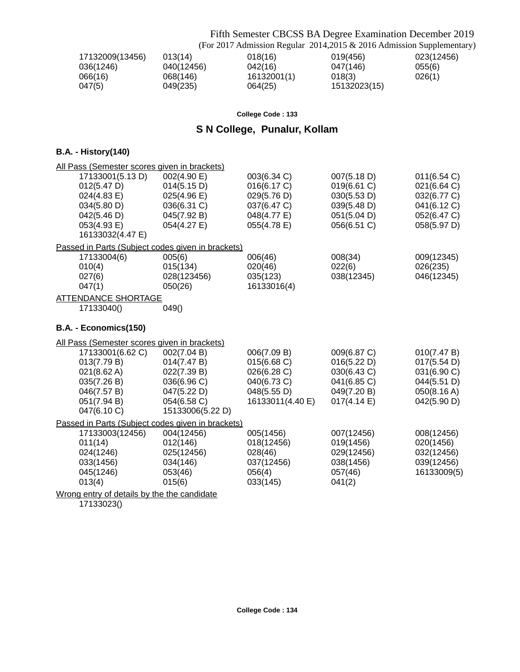Fifth Semester CBCSS BA Degree Examination December 2019

|                 |            |             | (For 2017 Admission Regular 2014, 2015 & 2016 Admission Supplementary) |            |
|-----------------|------------|-------------|------------------------------------------------------------------------|------------|
| 17132009(13456) | 013(14)    | 018(16)     | 019(456)                                                               | 023(12456) |
| 036(1246)       | 040(12456) | 042(16)     | 047(146)                                                               | 055(6)     |
| 066(16)         | 068(146)   | 16132001(1) | 018(3)                                                                 | 026(1)     |
| 047(5)          | 049(235)   | 064(25)     | 15132023(15)                                                           |            |

**College Code : 133**

## **S N College, Punalur, Kollam**

## **B.A. - History(140)**

| All Pass (Semester scores given in brackets)      |                  |                  |             |             |
|---------------------------------------------------|------------------|------------------|-------------|-------------|
| 17133001(5.13 D)                                  | 002(4.90 E)      | 003(6.34 C)      | 007(5.18 D) | 011(6.54 C) |
| 012(5.47 D)                                       | 014(5.15 D)      | 016(6.17 C)      | 019(6.61 C) | 021(6.64 C) |
| 024(4.83 E)                                       | 025(4.96 E)      | 029(5.76 D)      | 030(5.53 D) | 032(6.77 C) |
| 034(5.80 D)                                       | 036(6.31 C)      | 037(6.47 C)      | 039(5.48 D) | 041(6.12 C) |
| 042(5.46 D)                                       | 045(7.92 B)      | 048(4.77 E)      | 051(5.04 D) | 052(6.47 C) |
| 053(4.93 E)                                       | 054(4.27 E)      | 055(4.78 E)      | 056(6.51 C) | 058(5.97 D) |
| 16133032(4.47 E)                                  |                  |                  |             |             |
| Passed in Parts (Subject codes given in brackets) |                  |                  |             |             |
| 17133004(6)                                       | 005(6)           | 006(46)          | 008(34)     | 009(12345)  |
| 010(4)                                            | 015(134)         | 020(46)          | 022(6)      | 026(235)    |
| 027(6)                                            | 028(123456)      | 035(123)         | 038(12345)  | 046(12345)  |
| 047(1)                                            | 050(26)          | 16133016(4)      |             |             |
| <b>ATTENDANCE SHORTAGE</b>                        |                  |                  |             |             |
| 17133040()                                        | 049()            |                  |             |             |
| B.A. - Economics(150)                             |                  |                  |             |             |
| All Pass (Semester scores given in brackets)      |                  |                  |             |             |
| 17133001(6.62 C)                                  | 002(7.04 B)      | 006(7.09 B)      | 009(6.87 C) | 010(7.47 B) |
| 013(7.79 B)                                       | 014(7.47 B)      | 015(6.68 C)      | 016(5.22 D) | 017(5.54 D) |
| 021(8.62 A)                                       | 022(7.39 B)      | 026(6.28 C)      | 030(6.43 C) | 031(6.90 C) |
| 035(7.26 B)                                       | 036(6.96 C)      | 040(6.73 C)      | 041(6.85 C) | 044(5.51 D) |
| 046(7.57 B)                                       | 047(5.22 D)      | 048(5.55 D)      | 049(7.20 B) | 050(8.16 A) |
| 051(7.94 B)                                       | 054(6.58 C)      | 16133011(4.40 E) | 017(4.14 E) | 042(5.90 D) |
| 047(6.10 C)                                       | 15133006(5.22 D) |                  |             |             |
| Passed in Parts (Subject codes given in brackets) |                  |                  |             |             |
| 17133003(12456)                                   | 004(12456)       | 005(1456)        | 007(12456)  | 008(12456)  |
| 011(14)                                           | 012(146)         | 018(12456)       | 019(1456)   | 020(1456)   |
| 024(1246)                                         | 025(12456)       | 028(46)          | 029(12456)  | 032(12456)  |
| 033(1456)                                         | 034(146)         | 037(12456)       | 038(1456)   | 039(12456)  |
| 045(1246)                                         | 053(46)          | 056(4)           | 057(46)     | 16133009(5) |
| 013(4)                                            | 015(6)           | 033(145)         | 041(2)      |             |
| Wrong entry of details by the the candidate       |                  |                  |             |             |
| 17133023()                                        |                  |                  |             |             |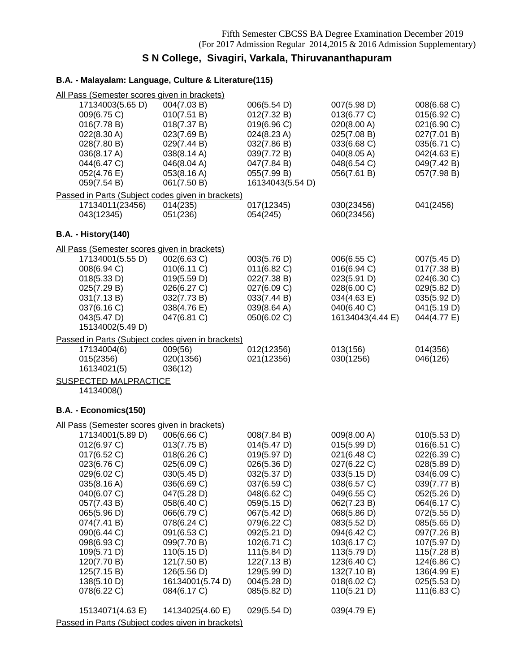## **S N College, Sivagiri, Varkala, Thiruvananthapuram**

## **B.A. - Malayalam: Language, Culture & Literature(115)**

| All Pass (Semester scores given in brackets)      |                  |                  |                  |             |
|---------------------------------------------------|------------------|------------------|------------------|-------------|
| 17134003(5.65 D)                                  | 004(7.03 B)      | 006(5.54 D)      | 007(5.98 D)      | 008(6.68 C) |
| 009(6.75 C)                                       | 010(7.51 B)      | 012(7.32 B)      | 013(6.77 C)      | 015(6.92 C) |
| 016(7.78 B)                                       | 018(7.37 B)      | 019(6.96 C)      | 020(8.00 A)      | 021(6.90 C) |
| 022(8.30 A)                                       | 023(7.69 B)      | 024(8.23 A)      | 025(7.08 B)      | 027(7.01 B) |
| 028(7.80 B)                                       | 029(7.44 B)      | 032(7.86 B)      | 033(6.68 C)      | 035(6.71 C) |
|                                                   |                  |                  |                  |             |
| 036(8.17 A)                                       | 038(8.14 A)      | 039(7.72 B)      | 040(8.05 A)      | 042(4.63 E) |
| 044(6.47 C)                                       | 046(8.04 A)      | 047(7.84 B)      | 048(6.54 C)      | 049(7.42 B) |
| 052(4.76 E)                                       | 053(8.16 A)      | 055(7.99 B)      | 056(7.61 B)      | 057(7.98 B) |
| 059(7.54 B)                                       | 061(7.50 B)      | 16134043(5.54 D) |                  |             |
| Passed in Parts (Subject codes given in brackets) |                  |                  |                  |             |
| 17134011(23456)                                   | 014(235)         | 017(12345)       | 030(23456)       | 041(2456)   |
| 043(12345)                                        | 051(236)         | 054(245)         | 060(23456)       |             |
| <b>B.A. - History(140)</b>                        |                  |                  |                  |             |
| All Pass (Semester scores given in brackets)      |                  |                  |                  |             |
| 17134001(5.55 D)                                  | 002(6.63 C)      | 003(5.76 D)      | 006(6.55 C)      | 007(5.45 D) |
| 008(6.94 C)                                       | 010(6.11 C)      | 011(6.82)        | 016(6.94 C)      | 017(7.38 B) |
| 018(5.33 D)                                       | 019(5.59 D)      | 022(7.38 B)      | 023(5.91 D)      | 024(6.30 C) |
| 025(7.29 B)                                       | 026(6.27 C)      |                  |                  |             |
|                                                   |                  | 027(6.09 C)      | 028(6.00 C)      | 029(5.82 D) |
| 031(7.13 B)                                       | 032(7.73 B)      | 033(7.44 B)      | 034(4.63 E)      | 035(5.92 D) |
| 037(6.16 C)                                       | 038(4.76 E)      | 039(8.64 A)      | 040(6.40 C)      | 041(5.19 D) |
| 043(5.47 D)                                       | 047(6.81 C)      | 050(6.02 C)      | 16134043(4.44 E) | 044(4.77 E) |
| 15134002(5.49 D)                                  |                  |                  |                  |             |
| Passed in Parts (Subject codes given in brackets) |                  |                  |                  |             |
| 17134004(6)                                       | 009(56)          | 012(12356)       | 013(156)         | 014(356)    |
| 015(2356)                                         | 020(1356)        | 021(12356)       | 030(1256)        | 046(126)    |
| 16134021(5)                                       | 036(12)          |                  |                  |             |
| <b>SUSPECTED MALPRACTICE</b>                      |                  |                  |                  |             |
| 14134008()                                        |                  |                  |                  |             |
|                                                   |                  |                  |                  |             |
| B.A. - Economics(150)                             |                  |                  |                  |             |
| All Pass (Semester scores given in brackets)      |                  |                  |                  |             |
| 17134001(5.89 D)                                  | 006(6.66 C)      | 008(7.84 B)      | 009(8.00 A)      | 010(5.53 D) |
| 012(6.97 C)                                       | 013(7.75 B)      | 014(5.47 D)      | 015(5.99 D)      | 016(6.51 C) |
| 017(6.52 C)                                       | 018(6.26)        | 019(5.97 D)      | 021(6.48 C)      | 022(6.39 C) |
| 023(6.76 C)                                       | 025(6.09 C)      | 026(5.36 D)      | 027(6.22 C)      | 028(5.89 D) |
| 029(6.02 C)                                       | 030(5.45 D)      | 032(5.37 D)      | 033(5.15 D)      | 034(6.09 C) |
| 035(8.16 A)                                       | 036(6.69 C)      | 037(6.59 C)      | 038(6.57 C)      | 039(7.77 B) |
| 040(6.07 C)                                       | 047(5.28 D)      | 048(6.62 C)      | 049(6.55 C)      | 052(5.26 D) |
| 057(7.43 B)                                       | 058(6.40 C)      | 059(5.15 D)      | 062(7.23 B)      | 064(6.17 C) |
| 065(5.96 D)                                       | 066(6.79 C)      | 067(5.42 D)      | 068(5.86 D)      | 072(5.55 D) |
| 074(7.41 B)                                       | 078(6.24 C)      | 079(6.22 C)      | 083(5.52 D)      | 085(5.65 D) |
| 090(6.44 C)                                       | 091(6.53 C)      | 092(5.21 D)      | 094(6.42 C)      | 097(7.26 B) |
| 098(6.93 C)                                       | 099(7.70 B)      | 102(6.71 C)      | 103(6.17 C)      | 107(5.97 D) |
| 109(5.71 D)                                       | 110(5.15 D)      | 111(5.84 D)      | 113(5.79 D)      | 115(7.28 B) |
|                                                   |                  |                  |                  |             |
| 120(7.70 B)                                       | 121(7.50 B)      | 122(7.13 B)      | 123(6.40 C)      | 124(6.86 C) |
| 125(7.15 B)                                       | 126(5.56 D)      | 129(5.99 D)      | 132(7.10 B)      | 136(4.99 E) |
| 138(5.10 D)                                       | 16134001(5.74 D) | 004(5.28 D)      | 018(6.02 C)      | 025(5.53 D) |
| 078(6.22 C)                                       | 084(6.17 C)      | 085(5.82 D)      | 110(5.21 D)      | 111(6.83 C) |
| 15134071(4.63 E)                                  | 14134025(4.60 E) | 029(5.54 D)      | 039(4.79 E)      |             |
| Passed in Parts (Subject codes given in brackets) |                  |                  |                  |             |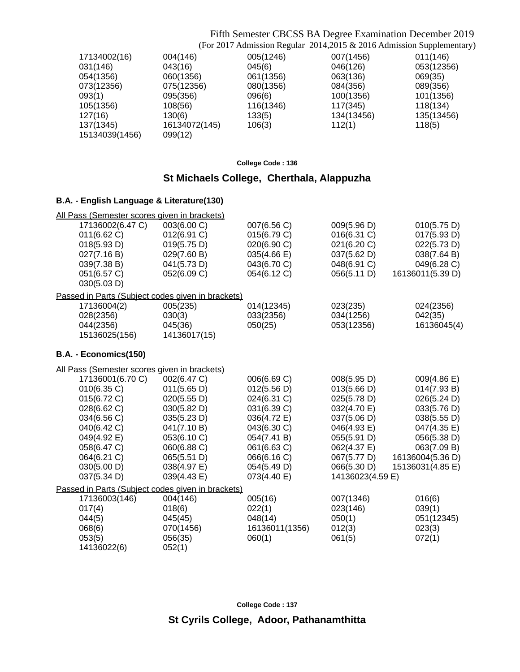## Fifth Semester CBCSS BA Degree Examination December 2019

(For 2017 Admission Regular 2014,2015 & 2016 Admission Supplementary)

| 17134002(16)   | 004(146)      | 005(1246) | 007(1456)  | 011(146)   |
|----------------|---------------|-----------|------------|------------|
| 031(146)       | 043(16)       | 045(6)    | 046(126)   | 053(12356) |
| 054(1356)      | 060(1356)     | 061(1356) | 063(136)   | 069(35)    |
| 073(12356)     | 075(12356)    | 080(1356) | 084(356)   | 089(356)   |
| 093(1)         | 095(356)      | 096(6)    | 100(1356)  | 101(1356)  |
| 105(1356)      | 108(56)       | 116(1346) | 117(345)   | 118(134)   |
| 127(16)        | 130(6)        | 133(5)    | 134(13456) | 135(13456) |
| 137(1345)      | 16134072(145) | 106(3)    | 112(1)     | 118(5)     |
| 15134039(1456) | 099(12)       |           |            |            |
|                |               |           |            |            |

**College Code : 136**

## **St Michaels College, Cherthala, Alappuzha**

### **B.A. - English Language & Literature(130)**

| All Pass (Semester scores given in brackets) |                                                   |                            |                            |                            |
|----------------------------------------------|---------------------------------------------------|----------------------------|----------------------------|----------------------------|
| 17136002(6.47 C)<br>011(6.62 C)              | 003(6.00 C)<br>012(6.91 C)                        | 007(6.56 C)<br>015(6.79 C) | 009(5.96 D)<br>016(6.31 C) | 010(5.75 D)<br>017(5.93 D) |
| 018(5.93 D)                                  | 019(5.75 D)                                       | 020(6.90 C)                | 021(6.20 C)                | 022(5.73 D)                |
| 027(7.16 B)                                  | 029(7.60 B)                                       | 035(4.66 E)                | 037(5.62 D)                | 038(7.64 B)                |
| 039(7.38 B)                                  | 041(5.73 D)                                       | 043(6.70 C)                | 048(6.91 C)                | 049(6.28 C)                |
| 051(6.57 C)                                  | 052(6.09 C)                                       | 054(6.12 C)                | 056(5.11 D)                | 16136011(5.39 D)           |
| 030(5.03 D)                                  |                                                   |                            |                            |                            |
|                                              | Passed in Parts (Subject codes given in brackets) |                            |                            |                            |
| 17136004(2)                                  | 005(235)                                          | 014(12345)                 | 023(235)                   | 024(2356)                  |
| 028(2356)                                    | 030(3)                                            | 033(2356)                  | 034(1256)                  | 042(35)                    |
| 044(2356)                                    | 045(36)                                           | 050(25)                    | 053(12356)                 | 16136045(4)                |
| 15136025(156)                                | 14136017(15)                                      |                            |                            |                            |
| B.A. - Economics(150)                        |                                                   |                            |                            |                            |
| All Pass (Semester scores given in brackets) |                                                   |                            |                            |                            |
| 17136001(6.70 C)                             | 002(6.47 C)                                       | 006(6.69 C)                | 008(5.95 D)                | 009(4.86 E)                |
| 010(6.35 C)                                  | 011(5.65 D)                                       | 012(5.56 D)                | 013(5.66 D)                | 014(7.93 B)                |
| 015(6.72 C)                                  | 020(5.55 D)                                       | 024(6.31 C)                | 025(5.78 D)                | 026(5.24 D)                |
| 028(6.62 C)                                  | 030(5.82 D)                                       | 031(6.39 C)                | 032(4.70 E)                | 033(5.76 D)                |
| 034(6.56 C)                                  | 035(5.23 D)                                       | 036(4.72 E)                | 037(5.06 D)                | 038(5.55 D)                |
| 040(6.42 C)                                  | 041(7.10 B)                                       | 043(6.30 C)                | 046(4.93 E)                | 047(4.35 E)                |
| 049(4.92 E)                                  | 053(6.10 C)                                       | 054(7.41 B)                | 055(5.91 D)                | 056(5.38 D)                |
| 058(6.47 C)                                  | 060(6.88 C)                                       | 061(6.63 C)                | 062(4.37 E)                | 063(7.09 B)                |
| 064(6.21 C)                                  | 065(5.51 D)                                       | 066(6.16 C)                | 067(5.77 D)                | 16136004(5.36 D)           |
| 030(5.00 D)                                  | 038(4.97 E)                                       | 054(5.49 D)                | 066(5.30 D)                | 15136031(4.85 E)           |
| 037(5.34 D)                                  | 039(4.43 E)                                       | 073(4.40 E)                | 14136023(4.59 E)           |                            |
|                                              | Passed in Parts (Subject codes given in brackets) |                            |                            |                            |
| 17136003(146)                                | 004(146)                                          | 005(16)                    | 007(1346)                  | 016(6)                     |
| 017(4)                                       | 018(6)                                            | 022(1)                     | 023(146)                   | 039(1)                     |
| 044(5)                                       | 045(45)                                           | 048(14)                    | 050(1)                     | 051(12345)                 |
| 068(6)                                       | 070(1456)                                         | 16136011(1356)             | 012(3)                     | 023(3)                     |
| 053(5)                                       | 056(35)                                           | 060(1)                     | 061(5)                     | 072(1)                     |
| 14136022(6)                                  | 052(1)                                            |                            |                            |                            |
|                                              |                                                   |                            |                            |                            |

**College Code : 137**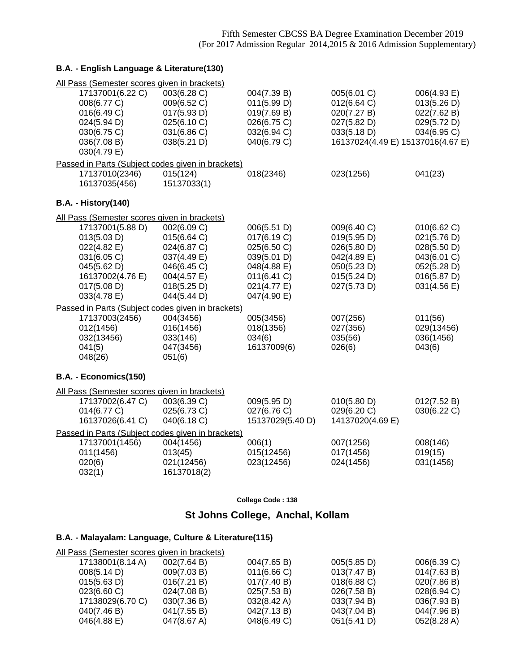## **B.A. - English Language & Literature(130)**

| All Pass (Semester scores given in brackets)      |                            |                            |                                   |                            |
|---------------------------------------------------|----------------------------|----------------------------|-----------------------------------|----------------------------|
| 17137001(6.22 C)<br>008(6.77 C)                   | 003(6.28 C)<br>009(6.52 C) | 004(7.39 B)<br>011(5.99 D) | 005(6.01 C)<br>012(6.64 C)        | 006(4.93 E)<br>013(5.26 D) |
| 016(6.49 C)                                       | 017(5.93 D)                | 019(7.69 B)                | 020(7.27 B)                       | 022(7.62 B)                |
| 024(5.94 D)                                       | 025(6.10 C)                | 026(6.75 C)                | 027(5.82 D)                       | 029(5.72 D)                |
| 030(6.75 C)                                       | 031(6.86 C)                | 032(6.94 C)                | 033(5.18 D)                       | 034(6.95 C)                |
| 036(7.08 B)                                       | 038(5.21 D)                | 040(6.79 C)                | 16137024(4.49 E) 15137016(4.67 E) |                            |
| 030(4.79 E)                                       |                            |                            |                                   |                            |
| Passed in Parts (Subject codes given in brackets) |                            |                            |                                   |                            |
| 17137010(2346)                                    | 015(124)                   | 018(2346)                  | 023(1256)                         | 041(23)                    |
| 16137035(456)                                     | 15137033(1)                |                            |                                   |                            |
| <b>B.A. - History(140)</b>                        |                            |                            |                                   |                            |
| All Pass (Semester scores given in brackets)      |                            |                            |                                   |                            |
| 17137001(5.88 D)                                  | 002(6.09 C)                | 006(5.51 D)                | 009(6.40 C)                       | 010(6.62 C)                |
| 013(5.03 D)                                       | 015(6.64 C)                | 017(6.19 C)                | 019(5.95 D)                       | 021(5.76 D)                |
| 022(4.82 E)                                       | 024(6.87 C)                | 025(6.50 C)                | 026(5.80 D)                       | 028(5.50 D)                |
| 031(6.05 C)                                       | 037(4.49 E)                | 039(5.01 D)                | 042(4.89 E)                       | 043(6.01 C)                |
| 045(5.62 D)                                       | 046(6.45 C)                | 048(4.88 E)                | 050(5.23 D)                       | 052(5.28 D)                |
| 16137002(4.76 E)                                  | 004(4.57 E)                | 011(6.41 C)                | 015(5.24 D)                       | 016(5.87 D)                |
| 017(5.08 D)                                       | 018(5.25 D)                | 021(4.77 E)                | 027(5.73 D)                       | 031(4.56 E)                |
| 033(4.78 E)                                       | 044(5.44 D)                | 047(4.90 E)                |                                   |                            |
| Passed in Parts (Subject codes given in brackets) |                            |                            |                                   |                            |
| 17137003(2456)                                    | 004(3456)                  | 005(3456)                  | 007(256)                          | 011(56)                    |
| 012(1456)                                         | 016(1456)                  | 018(1356)                  | 027(356)                          | 029(13456)                 |
| 032(13456)                                        | 033(146)                   | 034(6)                     | 035(56)                           | 036(1456)                  |
| 041(5)                                            | 047(3456)                  | 16137009(6)                | 026(6)                            | 043(6)                     |
| 048(26)                                           | 051(6)                     |                            |                                   |                            |
| B.A. - Economics(150)                             |                            |                            |                                   |                            |
| All Pass (Semester scores given in brackets)      |                            |                            |                                   |                            |
| 17137002(6.47 C)                                  | 003(6.39 C)                | 009(5.95 D)                | 010(5.80 D)                       | 012(7.52 B)                |
| 014(6.77 C)                                       | 025(6.73 C)                | 027(6.76 C)                | 029(6.20 C)                       | 030(6.22 C)                |
| 16137026(6.41 C)                                  | 040(6.18 C)                | 15137029(5.40 D)           | 14137020(4.69 E)                  |                            |
| Passed in Parts (Subject codes given in brackets) |                            |                            |                                   |                            |
| 17137001(1456)                                    | 004(1456)                  | 006(1)                     | 007(1256)                         | 008(146)                   |
| 011(1456)                                         | 013(45)                    | 015(12456)                 | 017(1456)                         | 019(15)                    |
| 020(6)                                            | 021(12456)                 | 023(12456)                 | 024(1456)                         | 031(1456)                  |
| 032(1)                                            | 16137018(2)                |                            |                                   |                            |

**College Code : 138**

## **St Johns College, Anchal, Kollam**

### **B.A. - Malayalam: Language, Culture & Literature(115)**

| 17138001(8.14 A)        |                                                                                                                                                       |                                                                                                       | 006(6.39 C)                                                                                              |
|-------------------------|-------------------------------------------------------------------------------------------------------------------------------------------------------|-------------------------------------------------------------------------------------------------------|----------------------------------------------------------------------------------------------------------|
| 008(5.14 D)             |                                                                                                                                                       |                                                                                                       | 014(7.63 B)                                                                                              |
| 015(5.63 D)             |                                                                                                                                                       |                                                                                                       | 020(7.86 B)                                                                                              |
| $023(6.60 \, \text{C})$ |                                                                                                                                                       |                                                                                                       | 028(6.94 C)                                                                                              |
| 17138029(6.70 C)        |                                                                                                                                                       |                                                                                                       | 036(7.93 B)                                                                                              |
| 040(7.46 B)             |                                                                                                                                                       |                                                                                                       | 044(7.96 B)                                                                                              |
| 046(4.88 E)             |                                                                                                                                                       |                                                                                                       | 052(8.28 A)                                                                                              |
|                         | All Pass (Semester scores given in brackets)<br>002(7.64 B)<br>009(7.03 B)<br>016(7.21 B)<br>024(7.08 B)<br>030(7.36 B)<br>041(7.55 B)<br>047(8.67 A) | 004(7.65 B)<br>011(6.66 C)<br>017(7.40 B)<br>025(7.53 B)<br>032(8.42 A)<br>042(7.13 B)<br>048(6.49 C) | 005(5.85 D)<br>013(7.47 B)<br>$018(6.88)$ C)<br>026(7.58 B)<br>033(7.94 B)<br>043(7.04 B)<br>051(5.41 D) |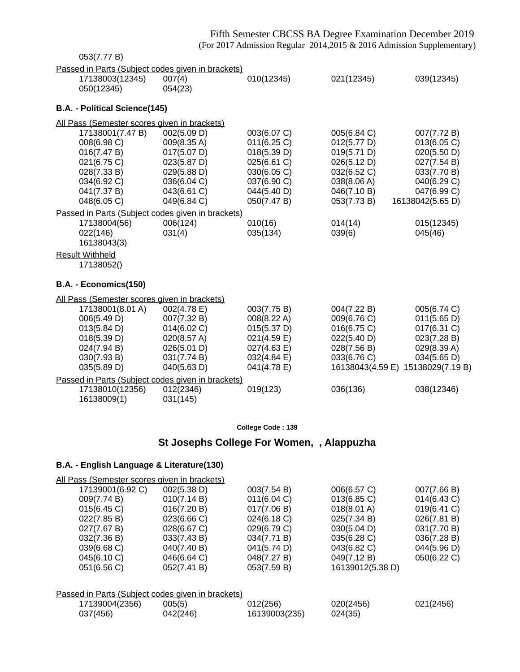## Fifth Semester CBCSS BA Degree Examination December 2019 (For 2017 Admission Regular 2014,2015 & 2016 Admission Supplementary)

| 053(7.77 B)                                                          |                            |                            |                            |                                                  |
|----------------------------------------------------------------------|----------------------------|----------------------------|----------------------------|--------------------------------------------------|
| Passed in Parts (Subject codes given in brackets)                    |                            |                            |                            |                                                  |
| 17138003(12345)                                                      | 007(4)                     | 010(12345)                 | 021(12345)                 | 039(12345)                                       |
| 050(12345)                                                           | 054(23)                    |                            |                            |                                                  |
| B.A. - Political Science(145)                                        |                            |                            |                            |                                                  |
| All Pass (Semester scores given in brackets)                         |                            |                            |                            |                                                  |
| 17138001(7.47 B)                                                     | 002(5.09 D)                | 003(6.07 C)                | 005(6.84 C)                | 007(7.72 B)                                      |
| 008(6.98 C)                                                          | 009(8.35 A)                | 011(6.25 C)                | 012(5.77 D)                | 013(6.05 C)                                      |
| 016(7.47 B)                                                          | 017(5.07 D)                | 018(5.39 D)                | 019(5.71 D)                | 020(5.50 D)                                      |
| 021(6.75 C)                                                          | 023(5.87 D)                | 025(6.61 C)                | 026(5.12 D)                | 027(7.54 B)                                      |
| 028(7.33 B)<br>034(6.92 C)                                           | 029(5.88 D)<br>036(6.04 C) | 030(6.05 C)<br>037(6.90 C) | 032(6.52 C)<br>038(8.06 A) | 033(7.70 B)<br>040(6.29 C)                       |
| 041(7.37 B)                                                          | 043(6.61 C)                | 044(5.40 D)                | 046(7.10 B)                | 047(6.99 C)                                      |
| 048(6.05 C)                                                          | 049(6.84 C)                | 050(7.47 B)                | 053(7.73 B)                | 16138042(5.65 D)                                 |
| Passed in Parts (Subject codes given in brackets)                    |                            |                            |                            |                                                  |
| 17138004(56)                                                         | 006(124)                   | 010(16)                    | 014(14)                    | 015(12345)                                       |
| 022(146)                                                             | 031(4)                     | 035(134)                   | 039(6)                     | 045(46)                                          |
| 16138043(3)                                                          |                            |                            |                            |                                                  |
| <b>Result Withheld</b>                                               |                            |                            |                            |                                                  |
| 17138052()                                                           |                            |                            |                            |                                                  |
| B.A. - Economics(150)                                                |                            |                            |                            |                                                  |
| All Pass (Semester scores given in brackets)                         |                            |                            |                            |                                                  |
| 17138001(8.01 A)                                                     | 002(4.78 E)                | 003(7.75 B)                | 004(7.22 B)                | 005(6.74 C)                                      |
| 006(5.49 D)                                                          | 007(7.32 B)                | 008(8.22 A)                | 009(6.76 C)                | 011(5.65 D)                                      |
| 013(5.84 D)                                                          | 014(6.02 C)                | 015(5.37 D)                | 016(6.75 C)                | 017(6.31 C)                                      |
| 018(5.39 D)                                                          | 020(8.57 A)                | 021(4.59 E)                | 022(5.40 D)                | 023(7.28 B)                                      |
| 024(7.94 B)                                                          | 026(5.01 D)                | 027(4.63 E)                | 028(7.56 B)                | 029(8.39 A)                                      |
| 030(7.93 B)<br>035(5.89 D)                                           | 031(7.74 B)<br>040(5.63 D) | 032(4.84 E)<br>041(4.78 E) | 033(6.76 C)                | 034(5.65 D)<br>16138043(4.59 E) 15138029(7.19 B) |
|                                                                      |                            |                            |                            |                                                  |
| Passed in Parts (Subject codes given in brackets)<br>17138010(12356) | 012(2346)                  | 019(123)                   | 036(136)                   | 038(12346)                                       |
| 16138009(1)                                                          | 031(145)                   |                            |                            |                                                  |
|                                                                      |                            |                            |                            |                                                  |
|                                                                      |                            | College Code: 139          |                            |                                                  |
|                                                                      |                            |                            |                            |                                                  |

## **St Josephs College For Women, , Alappuzha**

| All Pass (Semester scores given in brackets)      |             |               |                       |             |  |
|---------------------------------------------------|-------------|---------------|-----------------------|-------------|--|
| 17139001(6.92 C)                                  | 002(5.38 D) | 003(7.54 B)   | 006(6.57 C)           | 007(7.66 B) |  |
| 009(7.74 B)                                       | 010(7.14 B) | 011(6.04 C)   | $013(6.85)$ C)        | 014(6.43 C) |  |
| 015(6.45)                                         | 016(7.20 B) | 017(7.06 B)   | $018(8.01 \text{ A})$ | 019(6.41 C) |  |
| 022(7.85 B)                                       | 023(6.66 C) | 024(6.18 C)   | 025(7.34 B)           | 026(7.81 B) |  |
| 027(7.67 B)                                       | 028(6.67 C) | 029(6.79 C)   | 030(5.04 D)           | 031(7.70 B) |  |
| 032(7.36 B)                                       | 033(7.43 B) | 034(7.71 B)   | 035(6.28 C)           | 036(7.28 B) |  |
| 039(6.68 C)                                       | 040(7.40 B) | 041(5.74 D)   | 043(6.82 C)           | 044(5.96 D) |  |
| 045(6.10 C)                                       | 046(6.64 C) | 048(7.27 B)   | 049(7.12 B)           | 050(6.22 C) |  |
| 051(6.56 C)                                       | 052(7.41 B) | 053(7.59 B)   | 16139012(5.38 D)      |             |  |
|                                                   |             |               |                       |             |  |
| Passed in Parts (Subject codes given in brackets) |             |               |                       |             |  |
| 17139004(2356)                                    | 005(5)      | 012(256)      | 020(2456)             | 021(2456)   |  |
| 037(456)                                          | 042(246)    | 16139003(235) | 024(35)               |             |  |
|                                                   |             |               |                       |             |  |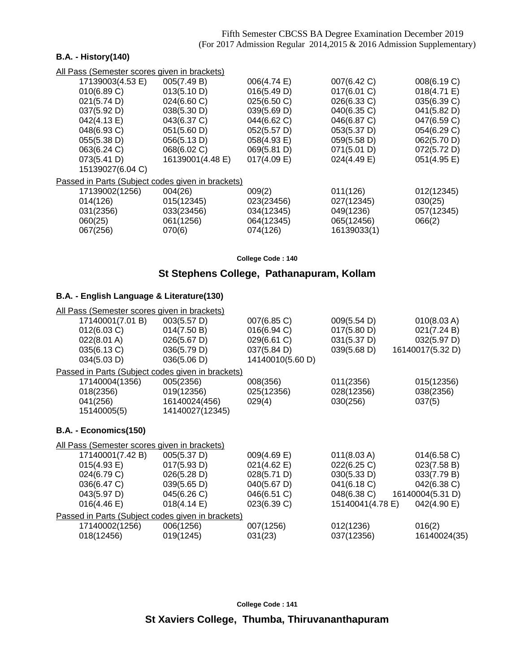### **B.A. - History(140)**

All Pass (Semester scores given in brackets)

| 17139003(4.53 E)                                  | 005(7.49 B)      | 006(4.74 E)    | 007(6.42 C) | 008(6.19 C) |
|---------------------------------------------------|------------------|----------------|-------------|-------------|
| 010(6.89 C)                                       | 013(5.10 D)      | 016(5.49 D)    | 017(6.01 C) | 018(4.71 E) |
| 021(5.74 D)                                       | 024(6.60 C)      | 025(6.50 C)    | 026(6.33 C) | 035(6.39 C) |
| 037(5.92 D)                                       | 038(5.30 D)      | 039(5.69 D)    | 040(6.35 C) | 041(5.82 D) |
| 042(4.13 E)                                       | 043(6.37 C)      | 044(6.62 C)    | 046(6.87 C) | 047(6.59 C) |
| 048(6.93 C)                                       | 051(5.60 D)      | 052(5.57 D)    | 053(5.37 D) | 054(6.29 C) |
| 055(5.38 D)                                       | 056(5.13 D)      | 058(4.93 E)    | 059(5.58 D) | 062(5.70 D) |
| 063(6.24 C)                                       | 068(6.02 C)      | 069(5.81 D)    | 071(5.01 D) | 072(5.72 D) |
| 073(5.41 D)                                       | 16139001(4.48 E) | $017(4.09)$ E) | 024(4.49 E) | 051(4.95 E) |
| 15139027(6.04 C)                                  |                  |                |             |             |
| Passed in Parts (Subject codes given in brackets) |                  |                |             |             |
| 17139002(1256)                                    | 004(26)          | 009(2)         | 011(126)    | 012(12345)  |
| 014(126)                                          | 015(12345)       | 023(23456)     | 027(12345)  | 030(25)     |
| 031(2356)                                         | 033(23456)       | 034(12345)     | 049(1236)   | 057(12345)  |
| 060(25)                                           | 061(1256)        | 064(12345)     | 065(12456)  | 066(2)      |
| 067(256)                                          | 070(6)           | 074(126)       | 16139033(1) |             |
|                                                   |                  |                |             |             |

**College Code : 140**

## **St Stephens College, Pathanapuram, Kollam**

| All Pass (Semester scores given in brackets)      |                       |                  |                  |                  |
|---------------------------------------------------|-----------------------|------------------|------------------|------------------|
| 17140001(7.01 B)                                  | 003(5.57 D)           | 007(6.85 C)      | 009(5.54 D)      | 010(8.03 A)      |
| 012(6.03 C)                                       | 014(7.50 B)           | 016(6.94 C)      | 017(5.80 D)      | 021(7.24 B)      |
| 022(8.01 A)                                       | 026(5.67 D)           | 029(6.61 C)      | 031(5.37 D)      | 032(5.97 D)      |
| 035(6.13 C)                                       | 036(5.79 D)           | 037(5.84 D)      | 039(5.68 D)      | 16140017(5.32 D) |
| 034(5.03 D)                                       | 036(5.06 D)           | 14140010(5.60 D) |                  |                  |
| Passed in Parts (Subject codes given in brackets) |                       |                  |                  |                  |
| 17140004(1356)                                    | 005(2356)             | 008(356)         | 011(2356)        | 015(12356)       |
| 018(2356)                                         | 019(12356)            | 025(12356)       | 028(12356)       | 038(2356)        |
| 041(256)                                          | 16140024(456)         | 029(4)           | 030(256)         | 037(5)           |
| 15140005(5)                                       | 14140027(12345)       |                  |                  |                  |
| B.A. - Economics(150)                             |                       |                  |                  |                  |
| All Pass (Semester scores given in brackets)      |                       |                  |                  |                  |
| 17140001(7.42 B)                                  | 005(5.37 D)           | 009(4.69 E)      | 011(8.03 A)      | $014(6.58)$ C)   |
| 015(4.93 E)                                       | 017(5.93 D)           | 021(4.62 E)      | 022(6.25 C)      | 023(7.58 B)      |
| 024(6.79 C)                                       | 026(5.28 D)           | 028(5.71 D)      | 030(5.33 D)      | 033(7.79 B)      |
| 036(6.47 C)                                       | 039(5.65 D)           | 040(5.67 D)      | 041(6.18 C)      | 042(6.38 C)      |
| 043(5.97 D)                                       | 045(6.26 C)           | 046(6.51 C)      | 048(6.38 C)      | 16140004(5.31 D) |
| $016(4.46 \text{ E})$                             | $018(4.14 \text{ E})$ | 023(6.39 C)      | 15140041(4.78 E) | 042(4.90 E)      |
| Passed in Parts (Subject codes given in brackets) |                       |                  |                  |                  |
| 17140002(1256)                                    | 006(1256)             | 007(1256)        | 012(1236)        | 016(2)           |
| 018(12456)                                        | 019(1245)             | 031(23)          | 037(12356)       | 16140024(35)     |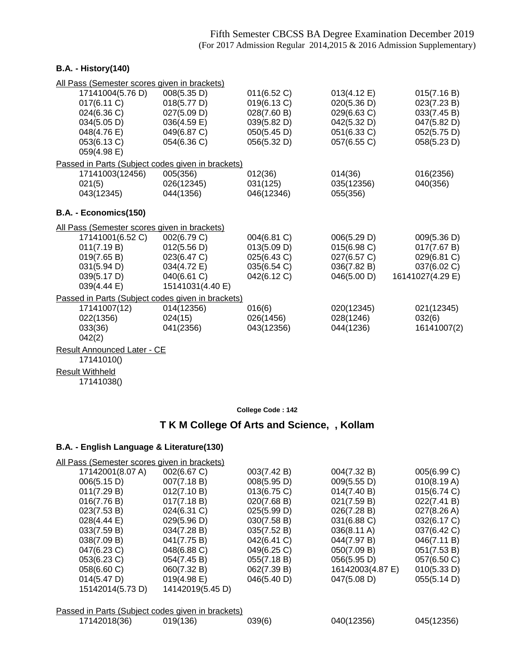### **B.A. - History(140)**

| All Pass (Semester scores given in brackets)      |                  |             |             |                  |
|---------------------------------------------------|------------------|-------------|-------------|------------------|
| 17141004(5.76 D)                                  | 008(5.35 D)      | 011(6.52 C) | 013(4.12 E) | 015(7.16 B)      |
| 017(6.11 C)                                       | 018(5.77 D)      | 019(6.13 C) | 020(5.36 D) | 023(7.23 B)      |
| 024(6.36 C)                                       | 027(5.09 D)      | 028(7.60 B) | 029(6.63 C) | 033(7.45 B)      |
| 034(5.05 D)                                       | 036(4.59 E)      | 039(5.82 D) | 042(5.32 D) | 047(5.82 D)      |
| 048(4.76 E)                                       | 049(6.87 C)      | 050(5.45 D) | 051(6.33 C) | 052(5.75 D)      |
| 053(6.13 C)                                       | 054(6.36 C)      | 056(5.32 D) | 057(6.55 C) | 058(5.23 D)      |
| 059(4.98 E)                                       |                  |             |             |                  |
| Passed in Parts (Subject codes given in brackets) |                  |             |             |                  |
| 17141003(12456)                                   | 005(356)         | 012(36)     | 014(36)     | 016(2356)        |
| 021(5)                                            | 026(12345)       | 031(125)    | 035(12356)  | 040(356)         |
| 043(12345)                                        | 044(1356)        | 046(12346)  | 055(356)    |                  |
|                                                   |                  |             |             |                  |
| B.A. - Economics(150)                             |                  |             |             |                  |
| All Pass (Semester scores given in brackets)      |                  |             |             |                  |
| 17141001(6.52 C)                                  | 002(6.79 C)      | 004(6.81 C) | 006(5.29 D) | 009(5.36 D)      |
| 011(7.19 B)                                       | 012(5.56 D)      | 013(5.09 D) | 015(6.98 C) | 017(7.67 B)      |
| 019(7.65 B)                                       | 023(6.47 C)      | 025(6.43 C) | 027(6.57 C) | 029(6.81 C)      |
| 031(5.94 D)                                       | 034(4.72 E)      | 035(6.54 C) | 036(7.82 B) | 037(6.02 C)      |
| 039(5.17 D)                                       | 040(6.61 C)      | 042(6.12 C) | 046(5.00 D) | 16141027(4.29 E) |
| 039(4.44 E)                                       | 15141031(4.40 E) |             |             |                  |
| Passed in Parts (Subject codes given in brackets) |                  |             |             |                  |
| 17141007(12)                                      | 014(12356)       | 016(6)      | 020(12345)  | 021(12345)       |
| 022(1356)                                         | 024(15)          | 026(1456)   | 028(1246)   | 032(6)           |
| 033(36)                                           | 041(2356)        | 043(12356)  | 044(1236)   | 16141007(2)      |
| 042(2)                                            |                  |             |             |                  |
| <b>Result Announced Later - CE</b>                |                  |             |             |                  |
| 17141010()                                        |                  |             |             |                  |
|                                                   |                  |             |             |                  |

Result Withheld

17141038()

**College Code : 142**

## **T K M College Of Arts and Science, , Kollam**

| All Pass (Semester scores given in brackets) |                  |             |                  |             |
|----------------------------------------------|------------------|-------------|------------------|-------------|
| 17142001(8.07 A)                             | 002(6.67 C)      | 003(7.42 B) | 004(7.32 B)      | 005(6.99 C) |
| 006(5.15 D)                                  | 007(7.18 B)      | 008(5.95 D) | 009(5.55 D)      | 010(8.19 A) |
| 011(7.29 B)                                  | 012(7.10 B)      | 013(6.75 C) | 014(7.40 B)      | 015(6.74 C) |
| 016(7.76 B)                                  | 017(7.18 B)      | 020(7.68 B) | 021(7.59 B)      | 022(7.41 B) |
| 023(7.53 B)                                  | 024(6.31 C)      | 025(5.99 D) | 026(7.28 B)      | 027(8.26 A) |
| $028(4.44 \text{ E})$                        | 029(5.96 D)      | 030(7.58 B) | 031(6.88 C)      | 032(6.17 C) |
| 033(7.59 B)                                  | 034(7.28 B)      | 035(7.52 B) | 036(8.11 A)      | 037(6.42 C) |
| 038(7.09 B)                                  | 041(7.75 B)      | 042(6.41 C) | 044(7.97 B)      | 046(7.11 B) |
| 047(6.23 C)                                  | 048(6.88 C)      | 049(6.25 C) | 050(7.09 B)      | 051(7.53 B) |
| 053(6.23 C)                                  | 054(7.45 B)      | 055(7.18 B) | 056(5.95 D)      | 057(6.50 C) |
| 058(6.60 C)                                  | 060(7.32 B)      | 062(7.39 B) | 16142003(4.87 E) | 010(5.33 D) |
| 014(5.47 D)                                  | 019(4.98 E)      | 046(5.40 D) | 047(5.08 D)      | 055(5.14 D) |
| 15142014(5.73 D)                             | 14142019(5.45 D) |             |                  |             |
|                                              |                  |             |                  |             |

|              | Passed in Parts (Subject codes given in brackets) |        |            |            |
|--------------|---------------------------------------------------|--------|------------|------------|
| 17142018(36) | 019(136)                                          | 039(6) | 040(12356) | 045(12356) |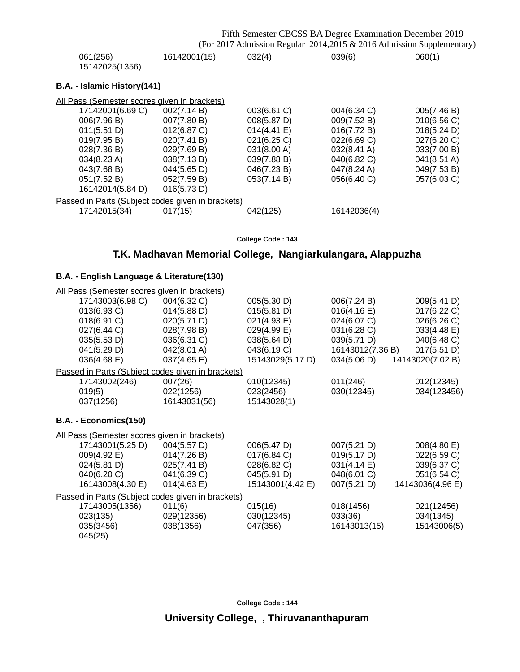|                                                   |              |             | Fifth Semester CBCSS BA Degree Examination December 2019              |                       |
|---------------------------------------------------|--------------|-------------|-----------------------------------------------------------------------|-----------------------|
|                                                   |              |             | (For 2017 Admission Regular 2014,2015 & 2016 Admission Supplementary) |                       |
| 061(256)<br>15142025(1356)                        | 16142001(15) | 032(4)      | 039(6)                                                                | 060(1)                |
| B.A. - Islamic History(141)                       |              |             |                                                                       |                       |
| All Pass (Semester scores given in brackets)      |              |             |                                                                       |                       |
| 17142001(6.69 C)                                  | 002(7.14 B)  | 003(6.61 C) | 004(6.34 C)                                                           | 005(7.46 B)           |
| 006(7.96 B)                                       | 007(7.80 B)  | 008(5.87 D) | 009(7.52 B)                                                           | 010(6.56 C)           |
| 011(5.51 D)                                       | 012(6.87 C)  | 014(4.41 E) | 016(7.72 B)                                                           | 018(5.24 D)           |
| 019(7.95 B)                                       | 020(7.41 B)  | 021(6.25 C) | 022(6.69 C)                                                           | 027(6.20 C)           |
| 028(7.36 B)                                       | 029(7.69 B)  | 031(8.00 A) | 032(8.41 A)                                                           | 033(7.00 B)           |
| 034(8.23 A)                                       | 038(7.13 B)  | 039(7.88 B) | 040(6.82 C)                                                           | $041(8.51 \text{ A})$ |
| 043(7.68 B)                                       | 044(5.65 D)  | 046(7.23 B) | 047(8.24 A)                                                           | 049(7.53 B)           |
| 051(7.52 B)                                       | 052(7.59 B)  | 053(7.14 B) | 056(6.40 C)                                                           | 057(6.03 C)           |
| 16142014(5.84 D)                                  | 016(5.73 D)  |             |                                                                       |                       |
| Passed in Parts (Subject codes given in brackets) |              |             |                                                                       |                       |
| 17142015(34)                                      | 017(15)      | 042(125)    | 16142036(4)                                                           |                       |

**College Code : 143**

## **T.K. Madhavan Memorial College, Nangiarkulangara, Alappuzha**

## **B.A. - English Language & Literature(130)**

| All Pass (Semester scores given in brackets)      |              |                  |                  |                  |
|---------------------------------------------------|--------------|------------------|------------------|------------------|
| 17143003(6.98 C)                                  | 004(6.32 C)  | 005(5.30 D)      | 006(7.24 B)      | 009(5.41 D)      |
| 013(6.93 C)                                       | 014(5.88 D)  | 015(5.81 D)      | 016(4.16 E)      | 017(6.22 C)      |
| 018(6.91 C)                                       | 020(5.71 D)  | 021(4.93 E)      | 024(6.07 C)      | 026(6.26 C)      |
| 027(6.44 C)                                       | 028(7.98 B)  | 029(4.99 E)      | 031(6.28 C)      | 033(4.48 E)      |
| 035(5.53 D)                                       | 036(6.31 C)  | 038(5.64 D)      | 039(5.71 D)      | 040(6.48 C)      |
| 041(5.29 D)                                       | 042(8.01 A)  | 043(6.19 C)      | 16143012(7.36 B) | 017(5.51 D)      |
| 036(4.68 E)                                       | 037(4.65 E)  | 15143029(5.17 D) | 034(5.06 D)      | 14143020(7.02 B) |
| Passed in Parts (Subject codes given in brackets) |              |                  |                  |                  |
| 17143002(246)                                     | 007(26)      | 010(12345)       | 011(246)         | 012(12345)       |
| 019(5)                                            | 022(1256)    | 023(2456)        | 030(12345)       | 034(123456)      |
| 037(1256)                                         | 16143031(56) | 15143028(1)      |                  |                  |
| B.A. - Economics(150)                             |              |                  |                  |                  |
| All Pass (Semester scores given in brackets)      |              |                  |                  |                  |
| 17143001(5.25 D)                                  | 004(5.57 D)  | 006(5.47 D)      | 007(5.21 D)      | 008(4.80 E)      |
| 009(4.92 E)                                       | 014(7.26 B)  | 017(6.84 C)      | 019(5.17 D)      | 022(6.59 C)      |
| 024(5.81 D)                                       | 025(7.41 B)  | 028(6.82 C)      | 031(4.14 E)      | 039(6.37 C)      |
| 040(6.20 C)                                       | 041(6.39 C)  | 045(5.91 D)      | 048(6.01 C)      | 051(6.54 C)      |
| 16143008(4.30 E)                                  | 014(4.63 E)  | 15143001(4.42 E) | 007(5.21 D)      | 14143036(4.96 E) |
| Passed in Parts (Subject codes given in brackets) |              |                  |                  |                  |
| 17143005(1356)                                    | 011(6)       | 015(16)          | 018(1456)        | 021(12456)       |
| 023(135)                                          | 029(12356)   | 030(12345)       | 033(36)          | 034(1345)        |
| 035(3456)                                         | 038(1356)    | 047(356)         | 16143013(15)     | 15143006(5)      |
| 045(25)                                           |              |                  |                  |                  |

**College Code : 144**

**University College, , Thiruvananthapuram**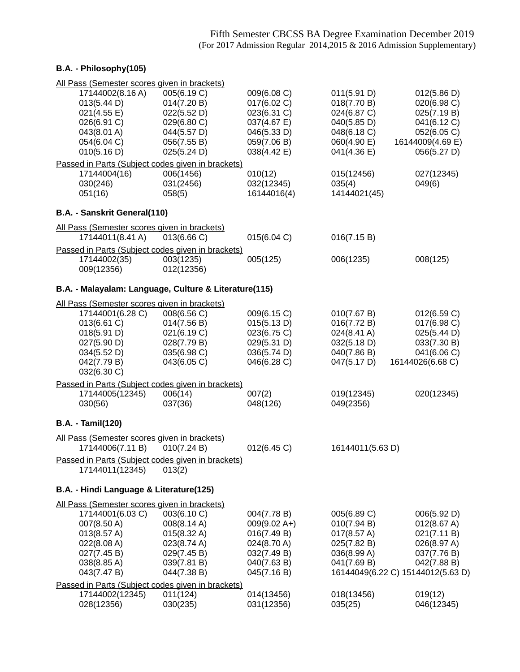## **B.A. - Philosophy(105)**

| All Pass (Semester scores given in brackets)          |             |                |                  |                                   |
|-------------------------------------------------------|-------------|----------------|------------------|-----------------------------------|
| 17144002(8.16 A)                                      | 005(6.19 C) | 009(6.08 C)    | 011(5.91 D)      | 012(5.86 D)                       |
| 013(5.44 D)                                           | 014(7.20 B) | 017(6.02 C)    | 018(7.70 B)      | 020(6.98 C)                       |
| 021(4.55 E)                                           | 022(5.52 D) | 023(6.31 C)    | 024(6.87 C)      | 025(7.19 B)                       |
| 026(6.91 C)                                           | 029(6.80 C) | 037(4.67 E)    | 040(5.85 D)      | 041(6.12 C)                       |
| 043(8.01 A)                                           |             |                | 048(6.18 C)      |                                   |
|                                                       | 044(5.57 D) | 046(5.33 D)    |                  | 052(6.05 C)                       |
| 054(6.04 C)                                           | 056(7.55 B) | 059(7.06 B)    | 060(4.90 E)      | 16144009(4.69 E)                  |
| 010(5.16 D)                                           | 025(5.24 D) | 038(4.42 E)    | 041(4.36 E)      | 056(5.27 D)                       |
| Passed in Parts (Subject codes given in brackets)     |             |                |                  |                                   |
| 17144004(16)                                          | 006(1456)   | 010(12)        | 015(12456)       | 027(12345)                        |
| 030(246)                                              | 031(2456)   | 032(12345)     | 035(4)           | 049(6)                            |
| 051(16)                                               | 058(5)      | 16144016(4)    | 14144021(45)     |                                   |
| B.A. - Sanskrit General(110)                          |             |                |                  |                                   |
| All Pass (Semester scores given in brackets)          |             |                |                  |                                   |
| 17144011(8.41 A)                                      | 013(6.66 C) | 015(6.04 C)    | 016(7.15 B)      |                                   |
| Passed in Parts (Subject codes given in brackets)     |             |                |                  |                                   |
| 17144002(35)                                          | 003(1235)   | 005(125)       | 006(1235)        | 008(125)                          |
| 009(12356)                                            | 012(12356)  |                |                  |                                   |
| B.A. - Malayalam: Language, Culture & Literature(115) |             |                |                  |                                   |
| All Pass (Semester scores given in brackets)          |             |                |                  |                                   |
| 17144001(6.28 C)                                      | 008(6.56 C) | 009(6.15 C)    | 010(7.67 B)      | 012(6.59 C)                       |
| 013(6.61 C)                                           | 014(7.56 B) | 015(5.13 D)    | 016(7.72 B)      | 017(6.98 C)                       |
|                                                       |             | 023(6.75 C)    |                  | 025(5.44 D)                       |
| 018(5.91 D)                                           | 021(6.19 C) |                | 024(8.41 A)      |                                   |
| 027(5.90 D)                                           | 028(7.79 B) | 029(5.31 D)    | 032(5.18 D)      | 033(7.30 B)                       |
| 034(5.52 D)                                           | 035(6.98 C) | 036(5.74 D)    | 040(7.86 B)      | 041(6.06 C)                       |
| 042(7.79 B)<br>032(6.30 C)                            | 043(6.05 C) | 046(6.28 C)    | 047(5.17 D)      | 16144026(6.68 C)                  |
| Passed in Parts (Subject codes given in brackets)     |             |                |                  |                                   |
| 17144005(12345)                                       | 006(14)     | 007(2)         | 019(12345)       | 020(12345)                        |
|                                                       |             |                |                  |                                   |
| 030(56)                                               | 037(36)     | 048(126)       | 049(2356)        |                                   |
| <b>B.A. - Tamil(120)</b>                              |             |                |                  |                                   |
| All Pass (Semester scores given in brackets)          |             |                |                  |                                   |
| 17144006(7.11 B)                                      | 010(7.24 B) | 012(6.45 C)    | 16144011(5.63 D) |                                   |
| Passed in Parts (Subject codes given in brackets)     |             |                |                  |                                   |
| 17144011(12345)                                       | 013(2)      |                |                  |                                   |
| B.A. - Hindi Language & Literature(125)               |             |                |                  |                                   |
| All Pass (Semester scores given in brackets)          |             |                |                  |                                   |
| 17144001(6.03 C)                                      | 003(6.10 C) | 004(7.78 B)    | 005(6.89 C)      | 006(5.92 D)                       |
| 007(8.50 A)                                           | 008(8.14 A) | $009(9.02 A+)$ | 010(7.94 B)      | 012(8.67 A)                       |
| 013(8.57 A)                                           | 015(8.32 A) | 016(7.49 B)    | 017(8.57 A)      | 021(7.11 B)                       |
| 022(8.08 A)                                           | 023(8.74 A) | 024(8.70 A)    | 025(7.82 B)      | 026(8.97 A)                       |
| 027(7.45 B)                                           | 029(7.45 B) |                | 036(8.99 A)      | 037(7.76 B)                       |
|                                                       |             | 032(7.49 B)    | 041(7.69 B)      |                                   |
| 038(8.85 A)                                           | 039(7.81 B) | 040(7.63 B)    |                  | 042(7.88 B)                       |
| 043(7.47 B)                                           | 044(7.38 B) | 045(7.16 B)    |                  | 16144049(6.22 C) 15144012(5.63 D) |
| Passed in Parts (Subject codes given in brackets)     |             |                |                  |                                   |
| 17144002(12345)                                       | 011(124)    | 014(13456)     | 018(13456)       | 019(12)                           |
| 028(12356)                                            | 030(235)    | 031(12356)     | 035(25)          | 046(12345)                        |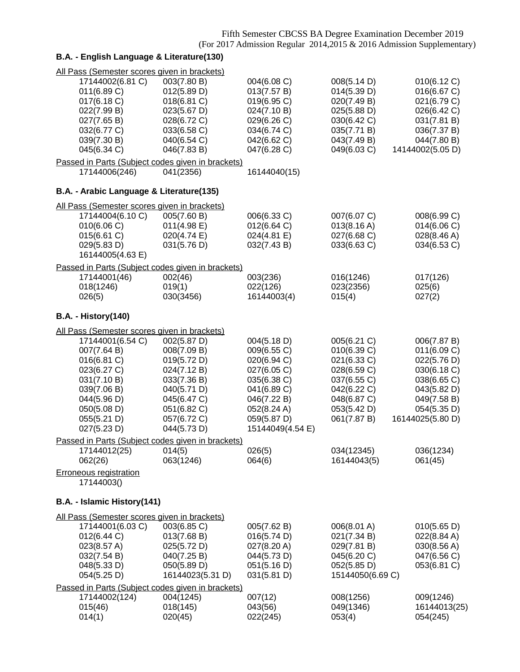| All Pass (Semester scores given in brackets)<br>17144002(6.81 C)   | 003(7.80 B)                     | 004(6.08 C)                | 008(5.14 D)                     | 010(6.12 C)                |
|--------------------------------------------------------------------|---------------------------------|----------------------------|---------------------------------|----------------------------|
| 011(6.89 C)                                                        | 012(5.89 D)                     | 013(7.57 B)                | 014(5.39 D)                     | 016(6.67 C)                |
| 017(6.18 C)                                                        | 018(6.81 C)                     | 019(6.95 C)                | 020(7.49 B)                     | 021(6.79 C)                |
| 022(7.99 B)                                                        | 023(5.67 D)                     | 024(7.10 B)                | 025(5.88 D)                     | 026(6.42 C)                |
| 027(7.65 B)                                                        | 028(6.72 C)                     | 029(6.26 C)                | 030(6.42 C)                     | 031(7.81 B)                |
| 032(6.77 C)                                                        | 033(6.58 C)                     | 034(6.74 C)                | 035(7.71 B)                     | 036(7.37 B)                |
| 039(7.30 B)                                                        | 040(6.54 C)                     | 042(6.62 C)                | 043(7.49 B)                     | 044(7.80 B)                |
| 045(6.34 C)                                                        | 046(7.83 B)                     | 047(6.28 C)                | 049(6.03 C)                     | 14144002(5.05 D)           |
| Passed in Parts (Subject codes given in brackets)<br>17144006(246) | 041(2356)                       | 16144040(15)               |                                 |                            |
| B.A. - Arabic Language & Literature(135)                           |                                 |                            |                                 |                            |
| All Pass (Semester scores given in brackets)                       |                                 |                            |                                 |                            |
| 17144004(6.10 C)                                                   | 005(7.60 B)                     | 006(6.33 C)                | 007(6.07 C)                     | 008(6.99 C)                |
| 010(6.06 C)                                                        | 011(4.98 E)                     | 012(6.64 C)                | 013(8.16 A)                     | 014(6.06 C)                |
| 015(6.61 C)                                                        | 020(4.74 E)                     | 024(4.81 E)                | 027(6.68 C)                     | 028(8.46 A)                |
| 029(5.83 D)<br>16144005(4.63 E)                                    | 031(5.76 D)                     | 032(7.43 B)                | 033(6.63 C)                     | 034(6.53 C)                |
| Passed in Parts (Subject codes given in brackets)                  |                                 |                            |                                 |                            |
| 17144001(46)                                                       | 002(46)                         | 003(236)                   | 016(1246)                       | 017(126)                   |
| 018(1246)                                                          | 019(1)                          | 022(126)                   | 023(2356)                       | 025(6)                     |
| 026(5)                                                             | 030(3456)                       | 16144003(4)                | 015(4)                          | 027(2)                     |
| <b>B.A. - History(140)</b>                                         |                                 |                            |                                 |                            |
| All Pass (Semester scores given in brackets)                       |                                 |                            |                                 |                            |
| 17144001(6.54 C)                                                   | 002(5.87 D)                     | 004(5.18 D)                | 005(6.21 C)                     | 006(7.87 B)                |
| 007(7.64 B)                                                        | 008(7.09 B)                     | 009(6.55 C)                | 010(6.39 C)                     | 011(6.09 C)                |
| 016(6.81 C)<br>023(6.27 C)                                         | 019(5.72 D)                     | 020(6.94 C)                | 021(6.33 C)<br>028(6.59 C)      | 022(5.76 D)                |
| 031(7.10 B)                                                        | 024(7.12 B)<br>033(7.36 B)      | 027(6.05 C)<br>035(6.38 C) | 037(6.55 C)                     | 030(6.18 C)<br>038(6.65 C) |
| 039(7.06 B)                                                        | 040(5.71 D)                     | 041(6.89 C)                | 042(6.22 C)                     | 043(5.82 D)                |
| 044(5.96 D)                                                        | 045(6.47 C)                     | 046(7.22 B)                | 048(6.87 C)                     | 049(7.58 B)                |
| 050(5.08 D)                                                        | 051(6.82 C)                     | 052(8.24 A)                | 053(5.42 D)                     | 054(5.35 D)                |
| 055(5.21 D)                                                        | 057(6.72 C)                     | 059(5.87 D)                | 061(7.87 B)                     | 16144025(5.80 D)           |
| 027(5.23 D)                                                        | 044(5.73 D)                     | 15144049(4.54 E)           |                                 |                            |
| Passed in Parts (Subject codes given in brackets)                  |                                 |                            |                                 |                            |
| 17144012(25)<br>062(26)                                            | 014(5)<br>063(1246)             | 026(5)<br>064(6)           | 034(12345)<br>16144043(5)       | 036(1234)<br>061(45)       |
| <b>Erroneous registration</b>                                      |                                 |                            |                                 |                            |
| 17144003()                                                         |                                 |                            |                                 |                            |
| B.A. - Islamic History(141)                                        |                                 |                            |                                 |                            |
| All Pass (Semester scores given in brackets)                       |                                 |                            |                                 |                            |
| 17144001(6.03 C)                                                   | 003(6.85 C)                     | 005(7.62 B)                | 006(8.01 A)                     | 010(5.65 D)                |
| 012(6.44 C)                                                        | 013(7.68 B)                     | 016(5.74 D)                | 021(7.34 B)                     | 022(8.84 A)                |
| 023(8.57 A)                                                        | 025(5.72 D)                     | 027(8.20 A)                | 029(7.81 B)                     | 030(8.56 A)                |
| 032(7.54 B)                                                        | 040(7.25 B)                     | 044(5.73 D)                | 045(6.20 C)                     | 047(6.56 C)                |
| 048(5.33 D)<br>054(5.25 D)                                         | 050(5.89 D)<br>16144023(5.31 D) | 051(5.16 D)<br>031(5.81 D) | 052(5.85 D)<br>15144050(6.69 C) | 053(6.81 C)                |
| Passed in Parts (Subject codes given in brackets)                  |                                 |                            |                                 |                            |
| 17144002(124)                                                      | 004(1245)                       | 007(12)                    | 008(1256)                       | 009(1246)                  |
| 015(46)                                                            | 018(145)                        | 043(56)                    | 049(1346)                       | 16144013(25)               |
| 014(1)                                                             | 020(45)                         | 022(245)                   | 053(4)                          | 054(245)                   |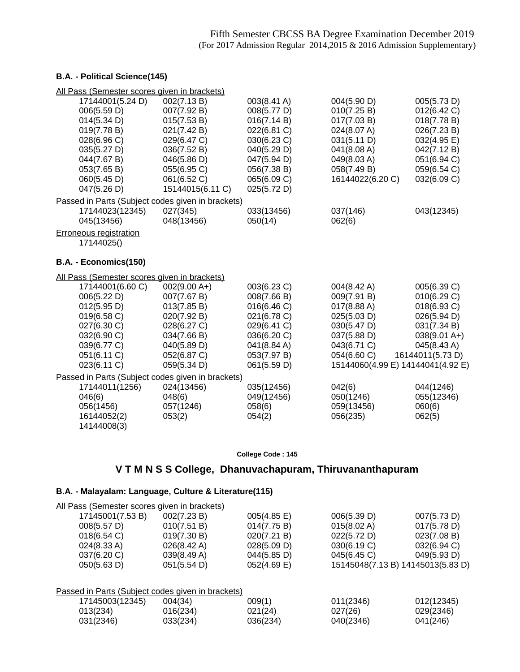### **B.A. - Political Science(145)**

| All Pass (Semester scores given in brackets)      |                  |             |                                   |                  |
|---------------------------------------------------|------------------|-------------|-----------------------------------|------------------|
| 17144001(5.24 D)                                  | 002(7.13B)       | 003(8.41 A) | 004(5.90 D)                       | 005(5.73 D)      |
| 006(5.59 D)                                       | 007(7.92 B)      | 008(5.77 D) | 010(7.25 B)                       | 012(6.42 C)      |
| 014(5.34 D)                                       | 015(7.53 B)      | 016(7.14 B) | 017(7.03 B)                       | 018(7.78 B)      |
| 019(7.78 B)                                       | 021(7.42 B)      | 022(6.81 C) | 024(8.07 A)                       | 026(7.23 B)      |
| 028(6.96 C)                                       | 029(6.47 C)      | 030(6.23 C) | 031(5.11 D)                       | 032(4.95 E)      |
| 035(5.27 D)                                       | 036(7.52 B)      | 040(5.29 D) | 041(8.08 A)                       | 042(7.12 B)      |
| 044(7.67 B)                                       | 046(5.86 D)      | 047(5.94 D) | 049(8.03 A)                       | 051(6.94 C)      |
| 053(7.65 B)                                       | 055(6.95 C)      | 056(7.38 B) | 058(7.49 B)                       | 059(6.54 C)      |
| 060(5.45 D)                                       | 061(6.52 C)      | 065(6.09 C) | 16144022(6.20 C)                  | 032(6.09 C)      |
| 047(5.26 D)                                       | 15144015(6.11 C) | 025(5.72 D) |                                   |                  |
| Passed in Parts (Subject codes given in brackets) |                  |             |                                   |                  |
| 17144023(12345)                                   | 027(345)         | 033(13456)  | 037(146)                          | 043(12345)       |
| 045(13456)                                        | 048(13456)       | 050(14)     | 062(6)                            |                  |
| <b>Erroneous registration</b>                     |                  |             |                                   |                  |
| 17144025()                                        |                  |             |                                   |                  |
|                                                   |                  |             |                                   |                  |
| B.A. - Economics(150)                             |                  |             |                                   |                  |
| All Pass (Semester scores given in brackets)      |                  |             |                                   |                  |
| 17144001(6.60 C)                                  | $002(9.00 A+)$   | 003(6.23 C) | 004(8.42 A)                       | 005(6.39 C)      |
| 006(5.22 D)                                       | 007(7.67 B)      | 008(7.66 B) | 009(7.91 B)                       | 010(6.29 C)      |
| 012(5.95 D)                                       | 013(7.85 B)      | 016(6.46 C) | 017(8.88 A)                       | 018(6.93 C)      |
| 019(6.58 C)                                       | 020(7.92 B)      | 021(6.78 C) | 025(5.03 D)                       | 026(5.94 D)      |
| 027(6.30 C)                                       | 028(6.27 C)      | 029(6.41 C) | 030(5.47 D)                       | 031(7.34 B)      |
| 032(6.90 C)                                       | 034(7.66 B)      | 036(6.20 C) | 037(5.88 D)                       | $038(9.01 A+)$   |
| 039(6.77 C)                                       | 040(5.89 D)      | 041(8.84 A) | 043(6.71 C)                       | 045(8.43 A)      |
| 051(6.11 C)                                       | 052(6.87 C)      | 053(7.97 B) | 054(6.60 C)                       | 16144011(5.73 D) |
| 023(6.11 C)                                       | 059(5.34 D)      | 061(5.59 D) | 15144060(4.99 E) 14144041(4.92 E) |                  |
| Passed in Parts (Subject codes given in brackets) |                  |             |                                   |                  |
| 17144011(1256)                                    | 024(13456)       | 035(12456)  | 042(6)                            | 044(1246)        |
| 046(6)                                            | 048(6)           | 049(12456)  | 050(1246)                         | 055(12346)       |
| 056(1456)                                         | 057(1246)        | 058(6)      | 059(13456)                        | 060(6)           |
| 16144052(2)                                       | 053(2)           | 054(2)      | 056(235)                          | 062(5)           |
| 14144008(3)                                       |                  |             |                                   |                  |

### **College Code : 145**

## **V T M N S S College, Dhanuvachapuram, Thiruvananthapuram**

### **B.A. - Malayalam: Language, Culture & Literature(115)**

| All Pass (Semester scores given in brackets)      |                       |                |                       |                                   |
|---------------------------------------------------|-----------------------|----------------|-----------------------|-----------------------------------|
| 17145001(7.53 B)                                  | 002(7.23 B)           | 005(4.85 E)    | 006(5.39 D)           | 007(5.73 D)                       |
| 008(5.57 D)                                       | 010(7.51 B)           | 014(7.75 B)    | $015(8.02 \text{ A})$ | 017(5.78 D)                       |
| 018(6.54)                                         | 019(7.30 B)           | 020(7.21 B)    | 022(5.72 D)           | 023(7.08 B)                       |
| 024(8.33 A)                                       | $026(8.42 \text{ A})$ | 028(5.09 D)    | 030(6.19 C)           | 032(6.94 C)                       |
| 037(6.20 C)                                       | 039(8.49 A)           | 044(5.85 D)    | 045(6.45 C)           | 049(5.93 D)                       |
| 050(5.63 D)                                       | 051(5.54 D)           | $052(4.69)$ E) |                       | 15145048(7.13 B) 14145013(5.83 D) |
|                                                   |                       |                |                       |                                   |
| Passed in Parts (Subject codes given in brackets) |                       |                |                       |                                   |
| 17145003(12345)                                   | 004(34)               | 009(1)         | 011(2346)             | 012(12345)                        |

013(234) 016(234) 021(24) 027(26) 029(2346) 031(2346) 033(234) 036(234) 040(2346) 041(246)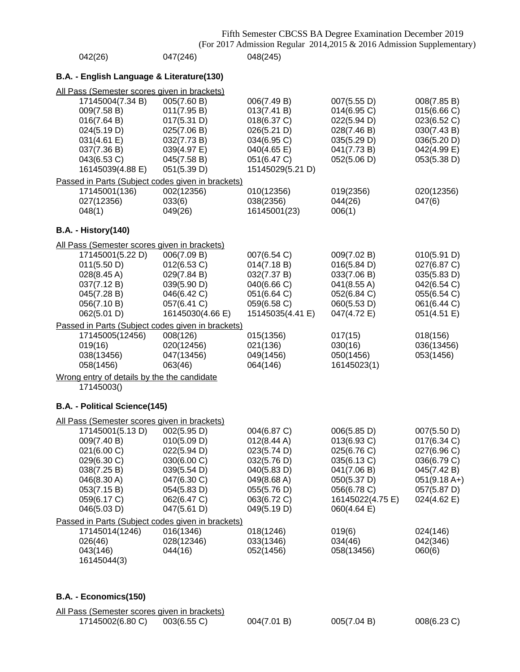| 042(26)                                                   | 047(246)                   | 048(245)                   |                            |                            |
|-----------------------------------------------------------|----------------------------|----------------------------|----------------------------|----------------------------|
| B.A. - English Language & Literature(130)                 |                            |                            |                            |                            |
| All Pass (Semester scores given in brackets)              |                            |                            |                            |                            |
| 17145004(7.34 B)<br>009(7.58 B)                           | 005(7.60 B)<br>011(7.95 B) | 006(7.49 B)<br>013(7.41 B) | 007(5.55 D)<br>014(6.95 C) | 008(7.85 B)<br>015(6.66 C) |
| 016(7.64 B)                                               | 017(5.31 D)                | 018(6.37 C)                | 022(5.94 D)                | 023(6.52 C)                |
| 024(5.19 D)                                               | 025(7.06 B)                | 026(5.21 D)                | 028(7.46 B)                | 030(7.43 B)                |
| 031(4.61 E)                                               | 032(7.73 B)                | 034(6.95 C)                | 035(5.29 D)                | 036(5.20 D)                |
| 037(7.36 B)                                               | 039(4.97 E)                | 040(4.65 E)                | 041(7.73 B)                | 042(4.99 E)                |
| 043(6.53 C)                                               | 045(7.58 B)                | 051(6.47 C)                | 052(5.06 D)                | 053(5.38 D)                |
| 16145039(4.88 E)                                          | 051(5.39 D)                | 15145029(5.21 D)           |                            |                            |
| Passed in Parts (Subject codes given in brackets)         |                            |                            |                            |                            |
| 17145001(136)                                             | 002(12356)                 | 010(12356)                 | 019(2356)                  | 020(12356)                 |
| 027(12356)                                                | 033(6)                     | 038(2356)                  | 044(26)                    | 047(6)                     |
| 048(1)                                                    | 049(26)                    | 16145001(23)               | 006(1)                     |                            |
| <b>B.A. - History(140)</b>                                |                            |                            |                            |                            |
| All Pass (Semester scores given in brackets)              |                            |                            |                            |                            |
| 17145001(5.22 D)                                          | 006(7.09 B)                | 007(6.54 C)                | 009(7.02 B)                | 010(5.91 D)                |
| 011(5.50 D)                                               | 012(6.53 C)                | 014(7.18 B)                | 016(5.84 D)                | 027(6.87 C)                |
| $028(8.45 \text{ A})$                                     | 029(7.84 B)                | 032(7.37 B)                | 033(7.06 B)                | 035(5.83 D)                |
| 037(7.12 B)                                               | 039(5.90 D)                | 040(6.66 C)                | 041(8.55 A)                | 042(6.54 C)                |
| 045(7.28 B)                                               | 046(6.42 C)                | 051(6.64 C)                | 052(6.84 C)                | 055(6.54 C)                |
| 056(7.10 B)                                               | 057(6.41 C)                | 059(6.58 C)                | 060(5.53 D)                | 061(6.44 C)                |
| 062(5.01 D)                                               | 16145030(4.66 E)           | 15145035(4.41 E)           | 047(4.72 E)                | 051(4.51 E)                |
| Passed in Parts (Subject codes given in brackets)         |                            |                            |                            |                            |
| 17145005(12456)                                           | 008(126)                   | 015(1356)                  | 017(15)                    | 018(156)                   |
| 019(16)                                                   | 020(12456)                 | 021(136)                   | 030(16)                    | 036(13456)                 |
| 038(13456)                                                | 047(13456)                 | 049(1456)                  | 050(1456)                  | 053(1456)                  |
| 058(1456)                                                 | 063(46)                    | 064(146)                   | 16145023(1)                |                            |
| Wrong entry of details by the the candidate<br>17145003() |                            |                            |                            |                            |
| B.A. - Political Science(145)                             |                            |                            |                            |                            |
| All Pass (Semester scores given in brackets)              |                            |                            |                            |                            |
| 17145001(5.13 D)                                          | 002(5.95 D)                | 004(6.87 C)                | 006(5.85 D)                | 007(5.50 D)                |
| 009(7.40 B)                                               | 010(5.09 D)                | 012(8.44 A)                | 013(6.93 C)                | 017(6.34 C)                |
| 021(6.00 C)                                               | 022(5.94 D)                | 023(5.74 D)                | 025(6.76 C)                | 027(6.96 C)                |
| 029(6.30 C)                                               | 030(6.00 C)                | 032(5.76 D)                | 035(6.13 C)                | 036(6.79 C)                |
| 038(7.25 B)                                               | 039(5.54 D)                | 040(5.83 D)                | 041(7.06 B)                | 045(7.42 B)                |
| 046(8.30 A)                                               | 047(6.30 C)                | 049(8.68 A)                | 050(5.37 D)                | $051(9.18 A+)$             |
| 053(7.15 B)                                               | 054(5.83 D)                | 055(5.76 D)                | 056(6.78 C)                | 057(5.87 D)                |
| 059(6.17 C)                                               | 062(6.47 C)                | 063(6.72 C)                | 16145022(4.75 E)           | $024(4.62 \text{ E})$      |
| 046(5.03 D)                                               | 047(5.61 D)                | 049(5.19 D)                | 060(4.64 E)                |                            |
| Passed in Parts (Subject codes given in brackets)         |                            |                            |                            |                            |
| 17145014(1246)                                            | 016(1346)                  | 018(1246)                  | 019(6)                     | 024(146)                   |
| 026(46)                                                   | 028(12346)                 | 033(1346)                  | 034(46)                    | 042(346)                   |
| 043(146)                                                  | 044(16)                    | 052(1456)                  | 058(13456)                 | 060(6)                     |
| 16145044(3)                                               |                            |                            |                            |                            |
|                                                           |                            |                            |                            |                            |

## **B.A. - Economics(150)**

| All Pass (Semester scores given in brackets) |                |             |             |             |
|----------------------------------------------|----------------|-------------|-------------|-------------|
| 17145002(6.80 C)                             | $003(6.55)$ C) | 004(7.01 B) | 005(7.04 B) | 008(6.23 C) |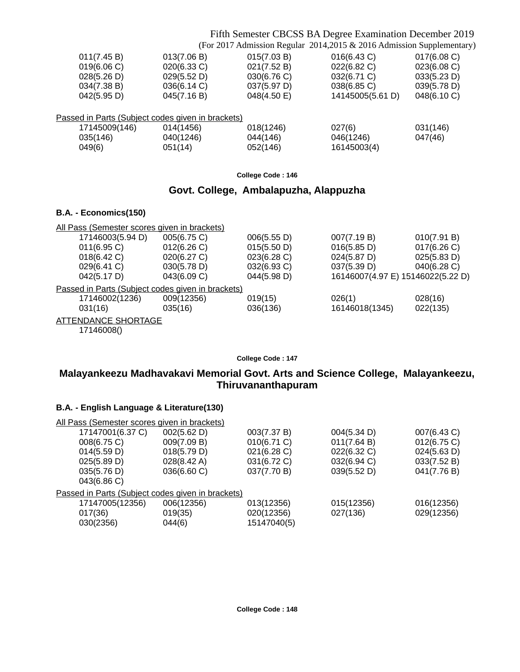## Fifth Semester CBCSS BA Degree Examination December 2019

(For 2017 Admission Regular 2014,2015 & 2016 Admission Supplementary)

| 011(7.45 B)   | 013(7.06 B)                                       | 015(7.03 B) | 016(6.43 C)      | 017(6.08 C) |
|---------------|---------------------------------------------------|-------------|------------------|-------------|
| 019(6.06 C)   | 020(6.33 C)                                       | 021(7.52 B) | 022(6.82 C)      | 023(6.08 C) |
| 028(5.26 D)   | 029(5.52 D)                                       | 030(6.76 C) | 032(6.71 C)      | 033(5.23 D) |
| 034(7.38 B)   | 036(6.14 C)                                       | 037(5.97 D) | 038(6.85 C)      | 039(5.78 D) |
| 042(5.95 D)   | 045(7.16 B)                                       | 048(4.50 E) | 14145005(5.61 D) | 048(6.10 C) |
|               |                                                   |             |                  |             |
|               | Passed in Parts (Subject codes given in brackets) |             |                  |             |
| 17145009(146) | 014(1456)                                         | 018(1246)   | 027(6)           | 031(146)    |
| 035(146)      | 040(1246)                                         | 044(146)    | 046(1246)        | 047(46)     |
| 049(6)        | 051(14)                                           | 052(146)    | 16145003(4)      |             |
|               |                                                   |             |                  |             |

**College Code : 146**

### **Govt. College, Ambalapuzha, Alappuzha**

### **B.A. - Economics(150)**

| All Pass (Semester scores given in brackets)      |             |             |                                   |             |
|---------------------------------------------------|-------------|-------------|-----------------------------------|-------------|
| 17146003(5.94 D)                                  | 005(6.75 C) | 006(5.55 D) | 007(7.19 B)                       | 010(7.91 B) |
| $011(6.95)$ C)                                    | 012(6.26)   | 015(5.50 D) | 016(5.85 D)                       | 017(6.26)   |
| 018(6.42 C)                                       | 020(6.27 C) | 023(6.28 C) | 024(5.87 D)                       | 025(5.83 D) |
| 029(6.41 C)                                       | 030(5.78 D) | 032(6.93 C) | 037(5.39 D)                       | 040(6.28 C) |
| 042(5.17 D)                                       | 043(6.09 C) | 044(5.98 D) | 16146007(4.97 E) 15146022(5.22 D) |             |
| Passed in Parts (Subject codes given in brackets) |             |             |                                   |             |
| 17146002(1236)                                    | 009(12356)  | 019(15)     | 026(1)                            | 028(16)     |
| 031(16)                                           | 035(16)     | 036(136)    | 16146018(1345)                    | 022(135)    |
| <b>ATTENDANCE SHORTAGE</b>                        |             |             |                                   |             |
| 17146008()                                        |             |             |                                   |             |

**College Code : 147**

## **Malayankeezu Madhavakavi Memorial Govt. Arts and Science College, Malayankeezu, Thiruvananthapuram**

| All Pass (Semester scores given in brackets)      |             |             |             |             |
|---------------------------------------------------|-------------|-------------|-------------|-------------|
| 17147001(6.37 C)                                  | 002(5.62 D) | 003(7.37 B) | 004(5.34 D) | 007(6.43 C) |
| 008(6.75 C)                                       | 009(7.09 B) | 010(6.71 C) | 011(7.64 B) | 012(6.75 C) |
| 014(5.59 D)                                       | 018(5.79 D) | 021(6.28 C) | 022(6.32 C) | 024(5.63 D) |
| 025(5.89 D)                                       | 028(8.42 A) | 031(6.72 C) | 032(6.94 C) | 033(7.52 B) |
| 035(5.76 D)                                       | 036(6.60 C) | 037(7.70 B) | 039(5.52 D) | 041(7.76 B) |
| 043(6.86 C)                                       |             |             |             |             |
| Passed in Parts (Subject codes given in brackets) |             |             |             |             |
| 17147005(12356)                                   | 006(12356)  | 013(12356)  | 015(12356)  | 016(12356)  |
| 017(36)                                           | 019(35)     | 020(12356)  | 027(136)    | 029(12356)  |
| 030(2356)                                         | 044(6)      | 15147040(5) |             |             |
|                                                   |             |             |             |             |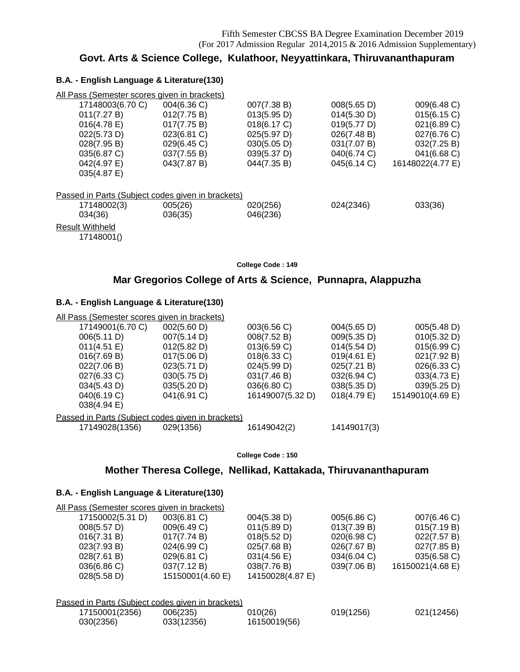## **Govt. Arts & Science College, Kulathoor, Neyyattinkara, Thiruvananthapuram**

### **B.A. - English Language & Literature(130)**

| All Pass (Semester scores given in brackets)      |             |             |             |                  |
|---------------------------------------------------|-------------|-------------|-------------|------------------|
| 17148003(6.70 C)                                  | 004(6.36 C) | 007(7.38 B) | 008(5.65 D) | 009(6.48 C)      |
| 011(7.27 B)                                       | 012(7.75 B) | 013(5.95 D) | 014(5.30 D) | 015(6.15 C)      |
| $016(4.78)$ E)                                    | 017(7.75 B) | 018(6.17 C) | 019(5.77 D) | 021(6.89 C)      |
| 022(5.73 D)                                       | 023(6.81 C) | 025(5.97 D) | 026(7.48 B) | 027(6.76 C)      |
| 028(7.95 B)                                       | 029(6.45 C) | 030(5.05 D) | 031(7.07 B) | 032(7.25 B)      |
| 035(6.87 C)                                       | 037(7.55 B) | 039(5.37 D) | 040(6.74 C) | 041(6.68 C)      |
| 042(4.97 E)                                       | 043(7.87 B) | 044(7.35 B) | 045(6.14 C) | 16148022(4.77 E) |
| 035(4.87 E)                                       |             |             |             |                  |
| Passed in Parts (Subject codes given in brackets) |             |             |             |                  |
| 17148002(3)                                       | 005(26)     | 020(256)    | 024(2346)   | 033(36)          |
| 034(36)                                           | 036(35)     | 046(236)    |             |                  |
| <b>Result Withheld</b>                            |             |             |             |                  |
| 17148001()                                        |             |             |             |                  |

**College Code : 149**

## **Mar Gregorios College of Arts & Science, Punnapra, Alappuzha**

### **B.A. - English Language & Literature(130)**

| All Pass (Semester scores given in brackets)      |             |                  |             |                  |
|---------------------------------------------------|-------------|------------------|-------------|------------------|
| 17149001(6.70 C)                                  | 002(5.60 D) | 003(6.56 C)      | 004(5.65 D) | 005(5.48 D)      |
| 006(5.11 D)                                       | 007(5.14 D) | 008(7.52 B)      | 009(5.35 D) | 010(5.32 D)      |
| 011(4.51 E)                                       | 012(5.82 D) | 013(6.59 C)      | 014(5.54 D) | 015(6.99 C)      |
| 016(7.69 B)                                       | 017(5.06 D) | 018(6.33 C)      | 019(4.61 E) | 021(7.92 B)      |
| 022(7.06 B)                                       | 023(5.71 D) | 024(5.99 D)      | 025(7.21 B) | 026(6.33 C)      |
| 027(6.33 C)                                       | 030(5.75 D) | 031(7.46 B)      | 032(6.94 C) | 033(4.73 E)      |
| 034(5.43 D)                                       | 035(5.20 D) | 036(6.80 C)      | 038(5.35 D) | 039(5.25 D)      |
| 040(6.19 C)<br>038(4.94 E)                        | 041(6.91 C) | 16149007(5.32 D) | 018(4.79 E) | 15149010(4.69 E) |
| Passed in Parts (Subject codes given in brackets) |             |                  |             |                  |
| 17149028(1356)                                    | 029(1356)   | 16149042(2)      | 14149017(3) |                  |

**College Code : 150**

## **Mother Theresa College, Nellikad, Kattakada, Thiruvananthapuram**

### **B.A. - English Language & Literature(130)**

| All Pass (Semester scores given in brackets) |                                 |                                 |                |                  |
|----------------------------------------------|---------------------------------|---------------------------------|----------------|------------------|
| 17150002(5.31 D)                             | 003(6.81 C)                     | 004(5.38 D)                     | 005(6.86 C)    | 007(6.46 C)      |
| 008(5.57 D)                                  | 009(6.49 C)                     | 011(5.89 D)                     | 013(7.39 B)    | 015(7.19 B)      |
| 016(7.31 B)                                  | 017(7.74 B)                     | 018(5.52 D)                     | $020(6.98)$ C) | 022(7.57 B)      |
| 023(7.93 B)                                  | 024(6.99 C)                     | 025(7.68 B)                     | 026(7.67 B)    | 027(7.85 B)      |
| 028(7.61 B)                                  | 029(6.81 C)                     | 031(4.56 E)                     | 034(6.04 C)    | 035(6.58 C)      |
| 036(6.86 C)<br>028(5.58 D)                   | 037(7.12 B)<br>15150001(4.60 E) | 038(7.76 B)<br>14150028(4.87 E) | 039(7.06 B)    | 16150021(4.68 E) |
|                                              |                                 |                                 |                |                  |

Passed in Parts (Subject codes given in brackets)

| 17150001(2356) | 006(235)   | 010(26)      | 019(1256) | 021(12456) |
|----------------|------------|--------------|-----------|------------|
| 030(2356)      | 033(12356) | 16150019(56) |           |            |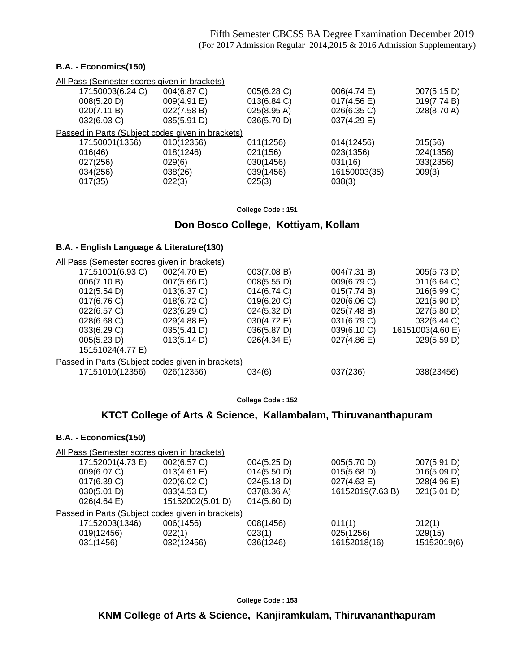### **B.A. - Economics(150)**

| All Pass (Semester scores given in brackets) |                       |                                                   |             |
|----------------------------------------------|-----------------------|---------------------------------------------------|-------------|
| 004(6.87 C)                                  | 005(6.28 C)           | 006(4.74 E)                                       | 007(5.15 D) |
| 009(4.91 E)                                  | 013(6.84 C)           | $017(4.56 \text{ E})$                             | 019(7.74 B) |
| 022(7.58 B)                                  | $025(8.95 \text{ A})$ | 026(6.35 C)                                       | 028(8.70 A) |
| 035(5.91 D)                                  | 036(5.70 D)           | 037(4.29 E)                                       |             |
|                                              |                       |                                                   |             |
| 010(12356)                                   | 011(1256)             | 014(12456)                                        | 015(56)     |
| 018(1246)                                    | 021(156)              | 023(1356)                                         | 024(1356)   |
| 029(6)                                       | 030(1456)             | 031(16)                                           | 033(2356)   |
| 038(26)                                      | 039(1456)             | 16150003(35)                                      | 009(3)      |
| 022(3)                                       | 025(3)                | 038(3)                                            |             |
|                                              |                       | Passed in Parts (Subject codes given in brackets) |             |

**College Code : 151**

### **Don Bosco College, Kottiyam, Kollam**

### **B.A. - English Language & Literature(130)**

| <u>All Pass (Semester scores given in brackets)</u> |                |             |             |                  |
|-----------------------------------------------------|----------------|-------------|-------------|------------------|
| 17151001(6.93 C)                                    | 002(4.70 E)    | 003(7.08 B) | 004(7.31 B) | 005(5.73 D)      |
| 006(7.10 B)                                         | 007(5.66 D)    | 008(5.55 D) | 009(6.79 C) | 011(6.64 C)      |
| 012(5.54 D)                                         | $013(6.37)$ C) | 014(6.74 C) | 015(7.74 B) | 016(6.99 C)      |
| 017(6.76 C)                                         | 018(6.72 C)    | 019(6.20 C) | 020(6.06 C) | 021(5.90 D)      |
| 022(6.57 C)                                         | 023(6.29 C)    | 024(5.32 D) | 025(7.48 B) | 027(5.80 D)      |
| 028(6.68 C)                                         | 029(4.88 E)    | 030(4.72 E) | 031(6.79 C) | 032(6.44 C)      |
| 033(6.29 C)                                         | 035(5.41 D)    | 036(5.87 D) | 039(6.10 C) | 16151003(4.60 E) |
| 005(5.23 D)                                         | 013(5.14 D)    | 026(4.34)   | 027(4.86 E) | 029(5.59 D)      |
| 15151024(4.77 E)                                    |                |             |             |                  |
| Passed in Parts (Subject codes given in brackets)   |                |             |             |                  |
| 17151010(12356)                                     | 026(12356)     | 034(6)      | 037(236)    | 038(23456)       |
|                                                     |                |             |             |                  |

**College Code : 152**

## **KTCT College of Arts & Science, Kallambalam, Thiruvananthapuram**

### **B.A. - Economics(150)**

| All Pass (Semester scores given in brackets)      |                  |             |                  |                       |
|---------------------------------------------------|------------------|-------------|------------------|-----------------------|
| 17152001(4.73 E)                                  | 002(6.57 C)      | 004(5.25 D) | 005(5.70 D)      | 007(5.91 D)           |
| 009(6.07 C)                                       | 013(4.61 E)      | 014(5.50 D) | 015(5.68 D)      | 016(5.09 D)           |
| 017(6.39 C)                                       | 020(6.02 C)      | 024(5.18 D) | 027(4.63 E)      | $028(4.96 \text{ E})$ |
| 030(5.01 D)                                       | 033(4.53 E)      | 037(8.36 A) | 16152019(7.63 B) | 021(5.01 D)           |
| 026(4.64)                                         | 15152002(5.01 D) | 014(5.60 D) |                  |                       |
| Passed in Parts (Subject codes given in brackets) |                  |             |                  |                       |
| 17152003(1346)                                    | 006(1456)        | 008(1456)   | 011(1)           | 012(1)                |
| 019(12456)                                        | 022(1)           | 023(1)      | 025(1256)        | 029(15)               |
| 031(1456)                                         | 032(12456)       | 036(1246)   | 16152018(16)     | 15152019(6)           |

**College Code : 153**

**KNM College of Arts & Science, Kanjiramkulam, Thiruvananthapuram**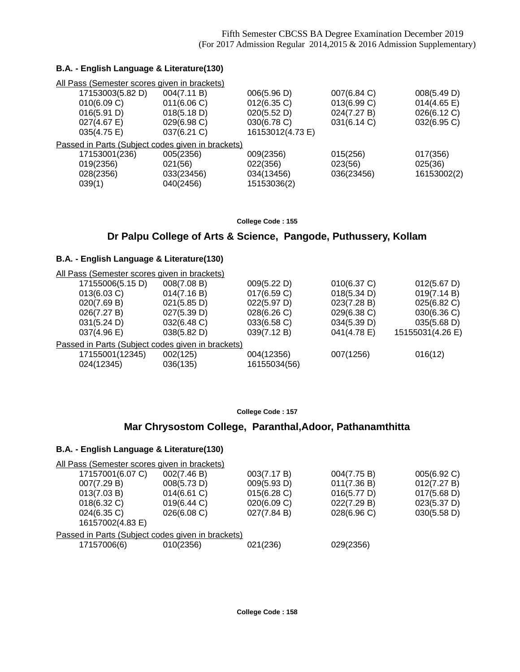### **B.A. - English Language & Literature(130)**

| All Pass (Semester scores given in brackets)      |             |                  |             |                       |
|---------------------------------------------------|-------------|------------------|-------------|-----------------------|
| 17153003(5.82 D)                                  | 004(7.11 B) | 006(5.96 D)      | 007(6.84 C) | 008(5.49 D)           |
| 010(6.09 C)                                       | 011(6.06 C) | 012(6.35 C)      | 013(6.99 C) | $014(4.65 \text{ E})$ |
| 016(5.91 D)                                       | 018(5.18 D) | 020(5.52 D)      | 024(7.27 B) | 026(6.12 C)           |
| 027(4.67 E)                                       | 029(6.98 C) | 030(6.78 C)      | 031(6.14 C) | 032(6.95 C)           |
| 035(4.75 E)                                       | 037(6.21 C) | 16153012(4.73 E) |             |                       |
| Passed in Parts (Subject codes given in brackets) |             |                  |             |                       |
| 17153001(236)                                     | 005(2356)   | 009(2356)        | 015(256)    | 017(356)              |
| 019(2356)                                         | 021(56)     | 022(356)         | 023(56)     | 025(36)               |
| 028(2356)                                         | 033(23456)  | 034(13456)       | 036(23456)  | 16153002(2)           |
| 039(1)                                            | 040(2456)   | 15153036(2)      |             |                       |
|                                                   |             |                  |             |                       |

**College Code : 155**

## **Dr Palpu College of Arts & Science, Pangode, Puthussery, Kollam**

### **B.A. - English Language & Literature(130)**

| All Pass (Semester scores given in brackets) |                                                   |              |             |                  |
|----------------------------------------------|---------------------------------------------------|--------------|-------------|------------------|
| 17155006(5.15 D)                             | 008(7.08 B)                                       | 009(5.22 D)  | 010(6.37 C) | 012(5.67 D)      |
| 013(6.03 C)                                  | 014(7.16 B)                                       | 017(6.59 C)  | 018(5.34 D) | 019(7.14 B)      |
| 020(7.69 B)                                  | 021(5.85 D)                                       | 022(5.97 D)  | 023(7.28 B) | 025(6.82 C)      |
| 026(7.27 B)                                  | 027(5.39 D)                                       | 028(6.26)    | 029(6.38 C) | 030(6.36 C)      |
| 031(5.24 D)                                  | 032(6.48 C)                                       | 033(6.58 C)  | 034(5.39 D) | 035(5.68 D)      |
| 037(4.96 E)                                  | 038(5.82 D)                                       | 039(7.12 B)  | 041(4.78 E) | 15155031(4.26 E) |
|                                              | Passed in Parts (Subject codes given in brackets) |              |             |                  |
| 17155001(12345)                              | 002(125)                                          | 004(12356)   | 007(1256)   | 016(12)          |
| 024(12345)                                   | 036(135)                                          | 16155034(56) |             |                  |

**College Code : 157**

## **Mar Chrysostom College, Paranthal,Adoor, Pathanamthitta**

| All Pass (Semester scores given in brackets) |             |                                                   |             |
|----------------------------------------------|-------------|---------------------------------------------------|-------------|
| 002(7.46 B)                                  | 003(7.17 B) | 004(7.75 B)                                       | 005(6.92 C) |
| 008(5.73 D)                                  | 009(5.93 D) | 011(7.36 B)                                       | 012(7.27 B) |
| $014(6.61)$ C)                               | 015(6.28)   | 016(5.77 D)                                       | 017(5.68 D) |
| 019(6.44 C)                                  | 020(6.09 C) | 022(7.29 B)                                       | 023(5.37 D) |
| 026(6.08 C)                                  | 027(7.84 B) | 028(6.96 C)                                       | 030(5.58 D) |
|                                              |             |                                                   |             |
|                                              |             |                                                   |             |
| 010(2356)                                    | 021(236)    | 029(2356)                                         |             |
|                                              |             | Passed in Parts (Subject codes given in brackets) |             |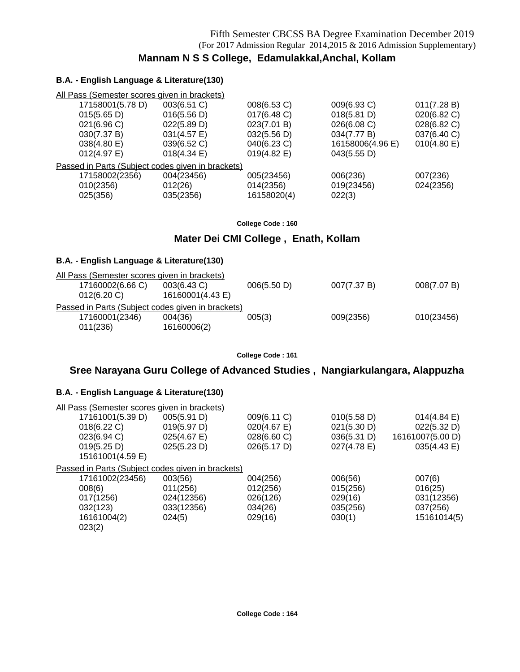## **Mannam N S S College, Edamulakkal,Anchal, Kollam**

### **B.A. - English Language & Literature(130)**

| All Pass (Semester scores given in brackets)      |                |                       |                  |                |
|---------------------------------------------------|----------------|-----------------------|------------------|----------------|
| 17158001(5.78 D)                                  | 003(6.51 C)    | 008(6.53 C)           | 009(6.93 C)      | 011(7.28 B)    |
| 015(5.65 D)                                       | 016(5.56 D)    | 017(6.48 C)           | 018(5.81 D)      | 020(6.82 C)    |
| 021(6.96)                                         | 022(5.89 D)    | 023(7.01 B)           | 026(6.08 C)      | 028(6.82 C)    |
| 030(7.37 B)                                       | 031(4.57 E)    | 032(5.56 D)           | 034(7.77 B)      | 037(6.40 C)    |
| 038(4.80 E)                                       | 039(6.52 C)    | 040(6.23 C)           | 16158006(4.96 E) | $010(4.80)$ E) |
| $012(4.97)$ E)                                    | $018(4.34)$ E) | $019(4.82 \text{ E})$ | 043(5.55 D)      |                |
| Passed in Parts (Subject codes given in brackets) |                |                       |                  |                |
| 17158002(2356)                                    | 004(23456)     | 005(23456)            | 006(236)         | 007(236)       |
| 010(2356)                                         | 012(26)        | 014(2356)             | 019(23456)       | 024(2356)      |
| 025(356)                                          | 035(2356)      | 16158020(4)           | 022(3)           |                |
|                                                   |                |                       |                  |                |

**College Code : 160**

## **Mater Dei CMI College , Enath, Kollam**

### **B.A. - English Language & Literature(130)**

| All Pass (Semester scores given in brackets)      |                  |             |             |             |
|---------------------------------------------------|------------------|-------------|-------------|-------------|
| 17160002(6.66 C)                                  | 003(6.43 C)      | 006(5.50 D) | 007(7.37 B) | 008(7.07 B) |
| 012(6.20)                                         | 16160001(4.43 E) |             |             |             |
| Passed in Parts (Subject codes given in brackets) |                  |             |             |             |
| 17160001(2346)                                    | 004(36)          | 005(3)      | 009(2356)   | 010(23456)  |
| 011(236)                                          | 16160006(2)      |             |             |             |

**College Code : 161**

## **Sree Narayana Guru College of Advanced Studies , Nangiarkulangara, Alappuzha**

| All Pass (Semester scores given in brackets)      |             |             |             |                  |
|---------------------------------------------------|-------------|-------------|-------------|------------------|
| 17161001(5.39 D)                                  | 005(5.91 D) | 009(6.11 C) | 010(5.58 D) | 014(4.84 E)      |
| 018(6.22 C)                                       | 019(5.97 D) | 020(4.67)   | 021(5.30 D) | 022(5.32 D)      |
| 023(6.94 C)                                       | 025(4.67)   | 028(6.60 C) | 036(5.31 D) | 16161007(5.00 D) |
| 019(5.25 D)                                       | 025(5.23 D) | 026(5.17 D) | 027(4.78 E) | 035(4.43 E)      |
| 15161001(4.59 E)                                  |             |             |             |                  |
| Passed in Parts (Subject codes given in brackets) |             |             |             |                  |
| 17161002(23456)                                   | 003(56)     | 004(256)    | 006(56)     | 007(6)           |
| 008(6)                                            | 011(256)    | 012(256)    | 015(256)    | 016(25)          |
| 017(1256)                                         | 024(12356)  | 026(126)    | 029(16)     | 031(12356)       |
| 032(123)                                          | 033(12356)  | 034(26)     | 035(256)    | 037(256)         |
| 16161004(2)                                       | 024(5)      | 029(16)     | 030(1)      | 15161014(5)      |
| 023(2)                                            |             |             |             |                  |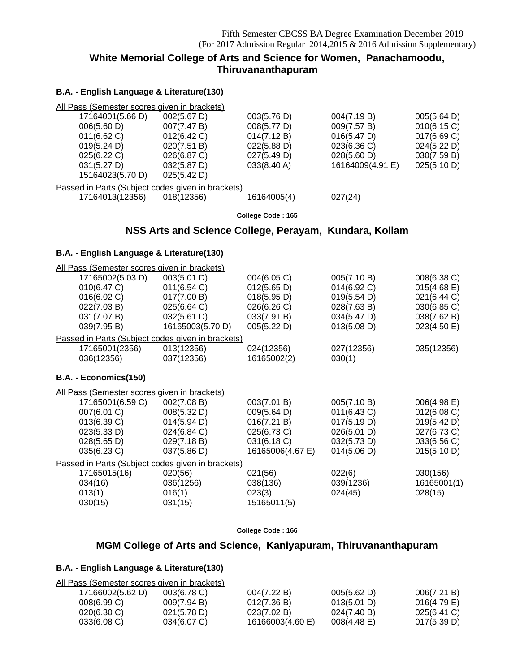## **White Memorial College of Arts and Science for Women, Panachamoodu, Thiruvananthapuram**

## **B.A. - English Language & Literature(130)**

| All Pass (Semester scores given in brackets)      |             |             |                  |             |  |  |
|---------------------------------------------------|-------------|-------------|------------------|-------------|--|--|
| 17164001(5.66 D)                                  | 002(5.67 D) | 003(5.76 D) | 004(7.19 B)      | 005(5.64 D) |  |  |
| 006(5.60 D)                                       | 007(7.47 B) | 008(5.77 D) | 009(7.57 B)      | 010(6.15 C) |  |  |
| $011(6.62)$ C)                                    | 012(6.42 C) | 014(7.12 B) | 016(5.47 D)      | 017(6.69 C) |  |  |
| 019(5.24 D)                                       | 020(7.51 B) | 022(5.88 D) | 023(6.36 C)      | 024(5.22 D) |  |  |
| 025(6.22 C)                                       | 026(6.87 C) | 027(5.49 D) | 028(5.60 D)      | 030(7.59 B) |  |  |
| 031(5.27 D)                                       | 032(5.87 D) | 033(8.40 A) | 16164009(4.91 E) | 025(5.10 D) |  |  |
| 15164023(5.70 D)                                  | 025(5.42 D) |             |                  |             |  |  |
| Passed in Parts (Subject codes given in brackets) |             |             |                  |             |  |  |
| 17164013(12356)                                   | 018(12356)  | 16164005(4) | 027(24)          |             |  |  |
|                                                   |             |             |                  |             |  |  |

**College Code : 165**

## **NSS Arts and Science College, Perayam, Kundara, Kollam**

### **B.A. - English Language & Literature(130)**

| All Pass (Semester scores given in brackets)      |                  |                  |             |             |
|---------------------------------------------------|------------------|------------------|-------------|-------------|
| 17165002(5.03 D)                                  | 003(5.01 D)      | 004(6.05 C)      | 005(7.10 B) | 008(6.38 C) |
| 010(6.47 C)                                       | 011(6.54 C)      | 012(5.65 D)      | 014(6.92 C) | 015(4.68)   |
| 016(6.02 C)                                       | 017(7.00 B)      | 018(5.95 D)      | 019(5.54 D) | 021(6.44 C) |
| 022(7.03 B)                                       | 025(6.64 C)      | 026(6.26 C)      | 028(7.63 B) | 030(6.85 C) |
| 031(7.07 B)                                       | 032(5.61 D)      | 033(7.91 B)      | 034(5.47 D) | 038(7.62 B) |
| 039(7.95 B)                                       | 16165003(5.70 D) | 005(5.22 D)      | 013(5.08 D) | 023(4.50 E) |
| Passed in Parts (Subject codes given in brackets) |                  |                  |             |             |
| 17165001(2356)                                    | 013(12356)       | 024(12356)       | 027(12356)  | 035(12356)  |
| 036(12356)                                        | 037(12356)       | 16165002(2)      | 030(1)      |             |
|                                                   |                  |                  |             |             |
| B.A. - Economics(150)                             |                  |                  |             |             |
| All Pass (Semester scores given in brackets)      |                  |                  |             |             |
| 17165001(6.59 C)                                  | 002(7.08 B)      | 003(7.01 B)      | 005(7.10 B) | 006(4.98 E) |
| 007(6.01 C)                                       | 008(5.32 D)      | 009(5.64 D)      | 011(6.43 C) | 012(6.08 C) |
| 013(6.39 C)                                       | 014(5.94 D)      | 016(7.21 B)      | 017(5.19 D) | 019(5.42 D) |
| 023(5.33 D)                                       | 024(6.84 C)      | 025(6.73 C)      | 026(5.01 D) | 027(6.73 C) |
| 028(5.65 D)                                       | 029(7.18 B)      | 031(6.18 C)      | 032(5.73 D) | 033(6.56 C) |
| 035(6.23 C)                                       | 037(5.86 D)      | 16165006(4.67 E) | 014(5.06 D) | 015(5.10 D) |
| Passed in Parts (Subject codes given in brackets) |                  |                  |             |             |
| 17165015(16)                                      | 020(56)          | 021(56)          | 022(6)      | 030(156)    |
| 034(16)                                           | 036(1256)        | 038(136)         | 039(1236)   | 16165001(1) |
| 013(1)                                            | 016(1)           | 023(3)           | 024(45)     | 028(15)     |
| 030(15)                                           | 031(15)          | 15165011(5)      |             |             |
|                                                   |                  |                  |             |             |

**College Code : 166**

## **MGM College of Arts and Science, Kaniyapuram, Thiruvananthapuram**

| All Pass (Semester scores given in brackets) |                |                  |                       |                |
|----------------------------------------------|----------------|------------------|-----------------------|----------------|
| 17166002(5.62 D)                             | $003(6.78)$ C) | 004(7.22 B)      | 005(5.62 D)           | 006(7.21 B)    |
| 008(6.99 C)                                  | 009(7.94 B)    | 012(7.36 B)      | 013(5.01 D)           | $016(4.79)$ E) |
| $020(6.30)$ C)                               | 021(5.78 D)    | 023(7.02 B)      | 024(7.40 B)           | $025(6.41)$ C  |
| 033(6.08)                                    | $034(6.07)$ C) | 16166003(4.60 E) | $008(4.48 \text{ E})$ | 017(5.39 D)    |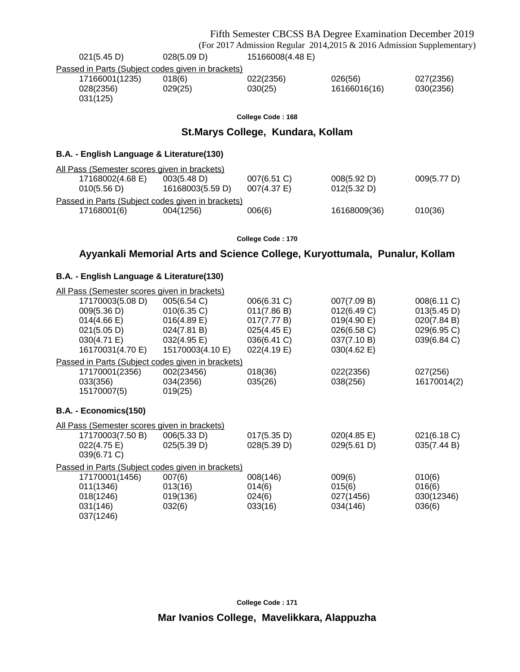|                                                   |                  |                                    | Fifth Semester CBCSS BA Degree Examination December 2019                   |             |
|---------------------------------------------------|------------------|------------------------------------|----------------------------------------------------------------------------|-------------|
|                                                   |                  |                                    | (For 2017 Admission Regular 2014, 2015 & 2016 Admission Supplementary)     |             |
| 021(5.45 D)                                       | 028(5.09 D)      | 15166008(4.48 E)                   |                                                                            |             |
| Passed in Parts (Subject codes given in brackets) |                  |                                    |                                                                            |             |
| 17166001(1235)                                    | 018(6)           | 022(2356)                          | 026(56)                                                                    | 027(2356)   |
| 028(2356)<br>031(125)                             | 029(25)          | 030(25)                            | 16166016(16)                                                               | 030(2356)   |
|                                                   |                  | College Code: 168                  |                                                                            |             |
|                                                   |                  | St. Marys College, Kundara, Kollam |                                                                            |             |
| B.A. - English Language & Literature(130)         |                  |                                    |                                                                            |             |
| All Pass (Semester scores given in brackets)      |                  |                                    |                                                                            |             |
| 17168002(4.68 E)                                  | 003(5.48 D)      | 007(6.51 C)                        | 008(5.92 D)                                                                | 009(5.77 D) |
| 010(5.56 D)                                       | 16168003(5.59 D) | 007(4.37 E)                        | 012(5.32 D)                                                                |             |
| Passed in Parts (Subject codes given in brackets) |                  |                                    |                                                                            |             |
| 17168001(6)                                       | 004(1256)        | 006(6)                             | 16168009(36)                                                               | 010(36)     |
|                                                   |                  | College Code: 170                  |                                                                            |             |
|                                                   |                  |                                    | Ayyankali Memorial Arts and Science College, Kuryottumala, Punalur, Kollam |             |
|                                                   |                  |                                    |                                                                            |             |
| B.A. - English Language & Literature(130)         |                  |                                    |                                                                            |             |
| All Pass (Semester scores given in brackets)      |                  |                                    |                                                                            |             |
| 17170003(5.08 D)                                  | 005(6.54 C)      | 006(6.31 C)                        | 007(7.09 B)                                                                | 008(6.11 C) |
| 009(5.36 D)                                       | 010(6.35 C)      | 011(7.86 B)                        | 012(6.49 C)                                                                | 013(5.45 D) |
| $014(4.66 \text{ E})$                             | $016(4.89)$ E)   | 017(7.77 B)                        | 019(4.90 E)                                                                | 020(7.84 B) |
| 021(5.05 D)                                       | 024(7.81 B)      | 025(4.45 E)                        | 026(6.58 C)                                                                | 029(6.95 C) |
| 030(4.71 E)                                       | 032(4.95 E)      | 036(6.41 C)                        | 037(7.10 B)                                                                | 039(6.84 C) |
| 16170031(4.70 E)                                  | 15170003(4.10 E) | 022(4.19 E)                        | 030(4.62 E)                                                                |             |
| Passed in Parts (Subject codes given in brackets) |                  |                                    |                                                                            |             |

### 17170001(2356) 002(23456) 018(36) 022(2356) 027(256) 033(356) 034(2356) 035(26) 038(256) 16170014(2)<br>15170007(5) 019(25) 15170007(5)

## **B.A. - Economics(150)**

| All Pass (Semester scores given in brackets)      |             |             |             |             |  |  |
|---------------------------------------------------|-------------|-------------|-------------|-------------|--|--|
| 17170003(7.50 B)                                  | 006(5.33 D) | 017(5.35 D) | 020(4.85 E) | 021(6.18 C) |  |  |
| 022(4.75 E)                                       | 025(5.39 D) | 028(5.39 D) | 029(5.61 D) | 035(7.44 B) |  |  |
| 039(6.71 C)                                       |             |             |             |             |  |  |
| Passed in Parts (Subject codes given in brackets) |             |             |             |             |  |  |
| 17170001(1456)                                    | 007(6)      | 008(146)    | 009(6)      | 010(6)      |  |  |
| 011(1346)                                         | 013(16)     | 014(6)      | 015(6)      | 016(6)      |  |  |
| 018(1246)                                         | 019(136)    | 024(6)      | 027(1456)   | 030(12346)  |  |  |
| 031(146)                                          | 032(6)      | 033(16)     | 034(146)    | 036(6)      |  |  |
| 037(1246)                                         |             |             |             |             |  |  |

**Mar Ivanios College, Mavelikkara, Alappuzha**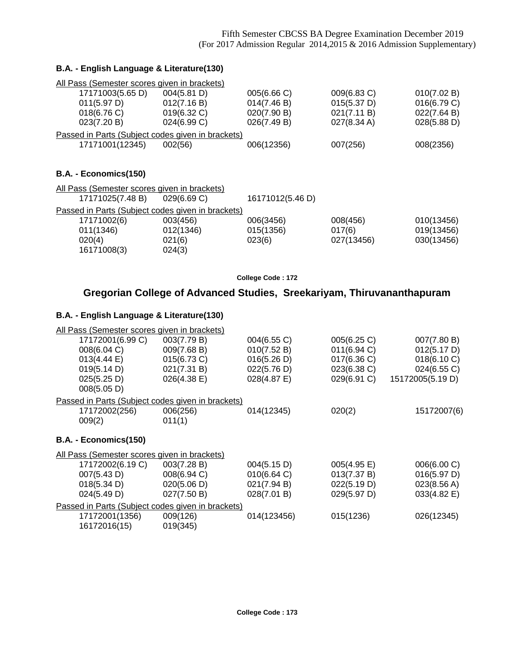### **B.A. - English Language & Literature(130)**

| All Pass (Semester scores given in brackets)      |             |                  |             |             |
|---------------------------------------------------|-------------|------------------|-------------|-------------|
| 17171003(5.65 D)                                  | 004(5.81 D) | 005(6.66 C)      | 009(6.83 C) | 010(7.02 B) |
| 011(5.97 D)                                       | 012(7.16 B) | 014(7.46 B)      | 015(5.37 D) | 016(6.79 C) |
| 018(6.76)                                         | 019(6.32 C) | 020(7.90 B)      | 021(7.11 B) | 022(7.64 B) |
| 023(7.20 B)                                       | 024(6.99 C) | 026(7.49 B)      | 027(8.34 A) | 028(5.88 D) |
| Passed in Parts (Subject codes given in brackets) |             |                  |             |             |
| 17171001(12345)                                   | 002(56)     | 006(12356)       | 007(256)    | 008(2356)   |
| B.A. - Economics(150)                             |             |                  |             |             |
| All Pass (Semester scores given in brackets)      |             |                  |             |             |
| 17171025(7.48 B)                                  | 029(6.69 C) | 16171012(5.46 D) |             |             |
| Passed in Parts (Subject codes given in brackets) |             |                  |             |             |

| 17171002(6) | 003(456)  | 006(3456) | 008(456)   | 010(13456) |
|-------------|-----------|-----------|------------|------------|
| 011(1346)   | 012(1346) | 015(1356) | 017(6)     | 019(13456) |
| 020(4)      | 021(6)    | 023(6)    | 027(13456) | 030(13456) |
| 16171008(3) | 024(3)    |           |            |            |
|             |           |           |            |            |

**College Code : 172**

## **Gregorian College of Advanced Studies, Sreekariyam, Thiruvananthapuram**

| All Pass (Semester scores given in brackets)        |                                                               |             |             |                  |
|-----------------------------------------------------|---------------------------------------------------------------|-------------|-------------|------------------|
| 17172001(6.99 C)                                    | 003(7.79 B)                                                   | 004(6.55 C) | 005(6.25 C) | 007(7.80 B)      |
| 008(6.04 C)                                         | 009(7.68 B)                                                   | 010(7.52 B) | 011(6.94)   | 012(5.17 D)      |
| 013(4.44 E)                                         | 015(6.73 C)                                                   | 016(5.26 D) | 017(6.36 C) | 018(6.10 C)      |
| 019(5.14 D)                                         | 021(7.31 B)                                                   | 022(5.76 D) | 023(6.38 C) | 024(6.55 C)      |
| 025(5.25 D)                                         | 026(4.38 E)                                                   | 028(4.87 E) | 029(6.91 C) | 15172005(5.19 D) |
| 008(5.05 D)                                         |                                                               |             |             |                  |
|                                                     | Passed in Parts (Subject codes given in brackets)             |             |             |                  |
| 17172002(256)                                       | 006(256)                                                      | 014(12345)  | 020(2)      | 15172007(6)      |
| 009(2)                                              | 011(1)                                                        |             |             |                  |
|                                                     |                                                               |             |             |                  |
|                                                     |                                                               |             |             |                  |
| B.A. - Economics(150)                               |                                                               |             |             |                  |
| <u>All Pass (Semester scores given in brackets)</u> |                                                               |             |             |                  |
| 17172002(6.19 C)                                    | 003(7.28 B)                                                   | 004(5.15 D) | 005(4.95 E) | 006(6.00 C)      |
| 007(5.43 D)                                         | 008(6.94 C)                                                   | 010(6.64)   | 013(7.37 B) | 016(5.97 D)      |
| 018(5.34 D)                                         | 020(5.06 D)                                                   | 021(7.94 B) | 022(5.19 D) | 023(8.56 A)      |
| 024(5.49 D)                                         | 027(7.50 B)                                                   | 028(7.01 B) | 029(5.97 D) | 033(4.82 E)      |
|                                                     |                                                               |             |             |                  |
| 17172001(1356)                                      | Passed in Parts (Subject codes given in brackets)<br>009(126) | 014(123456) | 015(1236)   | 026(12345)       |
| 16172016(15)                                        | 019(345)                                                      |             |             |                  |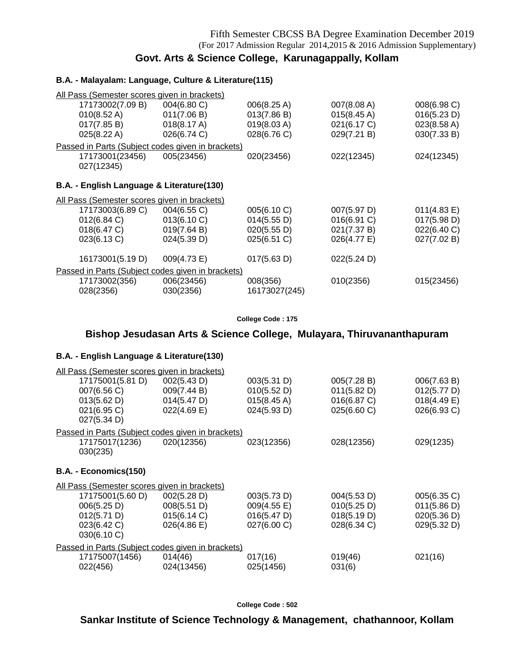## **Govt. Arts & Science College, Karunagappally, Kollam**

### **B.A. - Malayalam: Language, Culture & Literature(115)**

| All Pass (Semester scores given in brackets)      |             |               |                       |             |
|---------------------------------------------------|-------------|---------------|-----------------------|-------------|
| 17173002(7.09 B)                                  | 004(6.80 C) | 006(8.25 A)   | 007(8.08 A)           | 008(6.98 C) |
| $010(8.52 \text{ A})$                             | 011(7.06 B) | 013(7.86 B)   | $015(8.45 \text{ A})$ | 016(5.23 D) |
| 017(7.85 B)                                       | 018(8.17 A) | 019(8.03 A)   | 021(6.17 C)           | 023(8.58 A) |
| 025(8.22 A)                                       | 026(6.74 C) | 028(6.76 C)   | 029(7.21 B)           | 030(7.33 B) |
| Passed in Parts (Subject codes given in brackets) |             |               |                       |             |
| 17173001(23456)                                   | 005(23456)  | 020(23456)    | 022(12345)            | 024(12345)  |
| 027(12345)                                        |             |               |                       |             |
|                                                   |             |               |                       |             |
| B.A. - English Language & Literature(130)         |             |               |                       |             |
| All Pass (Semester scores given in brackets)      |             |               |                       |             |
| 17173003(6.89 C)                                  | 004(6.55 C) | 005(6.10 C)   | 007(5.97 D)           | 011(4.83 E) |
| 012(6.84 C)                                       | 013(6.10 C) | 014(5.55 D)   | 016(6.91 C)           | 017(5.98 D) |
| 018(6.47 C)                                       | 019(7.64 B) | 020(5.55 D)   | 021(7.37 B)           | 022(6.40 C) |
| 023(6.13 C)                                       | 024(5.39 D) | 025(6.51 C)   | 026(4.77 E)           | 027(7.02 B) |
|                                                   |             |               |                       |             |
| 16173001(5.19 D)                                  | 009(4.73 E) | 017(5.63 D)   | 022(5.24 D)           |             |
| Passed in Parts (Subject codes given in brackets) |             |               |                       |             |
| 17173002(356)                                     | 006(23456)  | 008(356)      | 010(2356)             | 015(23456)  |
| 028(2356)                                         | 030(2356)   | 16173027(245) |                       |             |

### **College Code : 175**

## **Bishop Jesudasan Arts & Science College, Mulayara, Thiruvananthapuram**

### **B.A. - English Language & Literature(130)**

| All Pass (Semester scores given in brackets)      |             |                       |             |                |
|---------------------------------------------------|-------------|-----------------------|-------------|----------------|
| 17175001(5.81 D)                                  | 002(5.43 D) | 003(5.31 D)           | 005(7.28 B) | 006(7.63 B)    |
| 007(6.56 C)                                       | 009(7.44 B) | 010(5.52 D)           | 011(5.82 D) | 012(5.77 D)    |
| 013(5.62 D)                                       | 014(5.47 D) | $015(8.45 \text{ A})$ | 016(6.87 C) | $018(4.49)$ E) |
| 021(6.95 C)                                       | 022(4.69 E) | 024(5.93 D)           | 025(6.60 C) | 026(6.93 C)    |
| 027(5.34 D)                                       |             |                       |             |                |
| Passed in Parts (Subject codes given in brackets) |             |                       |             |                |
| 17175017(1236)                                    | 020(12356)  | 023(12356)            | 028(12356)  | 029(1235)      |
| 030(235)                                          |             |                       |             |                |
|                                                   |             |                       |             |                |
| B.A. - Economics(150)                             |             |                       |             |                |
| All Pass (Semester scores given in brackets)      |             |                       |             |                |
| 17175001(5.60 D)                                  | 002(5.28 D) | 003(5.73 D)           | 004(5.53 D) | 005(6.35 C)    |
| 006(5.25 D)                                       | 008(5.51 D) | 009(4.55 E)           | 010(5.25 D) | 011(5.86 D)    |
| 012(5.71 D)                                       | 015(6.14 C) | 016(5.47 D)           | 018(5.19 D) | 020(5.36 D)    |
| 023(6.42 C)                                       | 026(4.86)   | 027(6.00 C)           | 028(6.34 C) | 029(5.32 D)    |
| 030(6.10 C)                                       |             |                       |             |                |
| Passed in Parts (Subject codes given in brackets) |             |                       |             |                |
| 17175007(1456)                                    | 014(46)     | 017(16)               | 019(46)     | 021(16)        |
| 022(456)                                          | 024(13456)  | 025(1456)             | 031(6)      |                |

**College Code : 502**

## **Sankar Institute of Science Technology & Management, chathannoor, Kollam**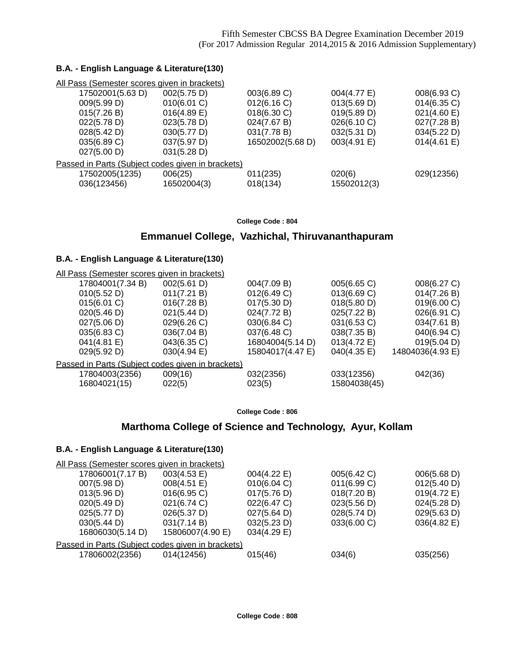### **B.A. - English Language & Literature(130)**

| All Pass (Semester scores given in brackets)      |                |                  |             |                |
|---------------------------------------------------|----------------|------------------|-------------|----------------|
| 17502001(5.63 D)                                  | 002(5.75 D)    | 003(6.89 C)      | 004(4.77 E) | 008(6.93 C)    |
| 009(5.99 D)                                       | 010(6.01 C)    | 012(6.16 C)      | 013(5.69 D) | $014(6.35)$ C) |
| 015(7.26 B)                                       | $016(4.89)$ E) | 018(6.30 C)      | 019(5.89 D) | 021(4.60 E)    |
| 022(5.78 D)                                       | 023(5.78 D)    | 024(7.67 B)      | 026(6.10 C) | 027(7.28 B)    |
| 028(5.42 D)                                       | 030(5.77 D)    | 031(7.78 B)      | 032(5.31 D) | 034(5.22 D)    |
| 035(6.89 C)                                       | 037(5.97 D)    | 16502002(5.68 D) | 003(4.91 E) | 014(4.61 E)    |
| 027(5.00 D)                                       | 031(5.28 D)    |                  |             |                |
| Passed in Parts (Subject codes given in brackets) |                |                  |             |                |
| 17502005(1235)                                    | 006(25)        | 011(235)         | 020(6)      | 029(12356)     |
| 036(123456)                                       | 16502004(3)    | 018(134)         | 15502012(3) |                |

#### **College Code : 804**

## **Emmanuel College, Vazhichal, Thiruvananthapuram**

### **B.A. - English Language & Literature(130)**

| All Pass (Semester scores given in brackets)      |                |                  |              |                  |
|---------------------------------------------------|----------------|------------------|--------------|------------------|
| 17804001(7.34 B)                                  | 002(5.61 D)    | 004(7.09 B)      | 005(6.65 C)  | 008(6.27 C)      |
| 010(5.52 D)                                       | 011(7.21 B)    | 012(6.49 C)      | 013(6.69 C)  | 014(7.26 B)      |
| 015(6.01 C)                                       | 016(7.28 B)    | 017(5.30 D)      | 018(5.80 D)  | 019(6.00 C)      |
| 020(5.46 D)                                       | 021(5.44 D)    | 024(7.72 B)      | 025(7.22 B)  | 026(6.91 C)      |
| 027(5.06 D)                                       | 029(6.26 C)    | 030(6.84 C)      | 031(6.53 C)  | 034(7.61 B)      |
| 035(6.83 C)                                       | 036(7.04 B)    | 037(6.48 C)      | 038(7.35 B)  | 040(6.94 C)      |
| 041(4.81 E)                                       | 043(6.35 C)    | 16804004(5.14 D) | 013(4.72 E)  | 019(5.04 D)      |
| 029(5.92 D)                                       | $030(4.94)$ E) | 15804017(4.47 E) | 040(4.35 E)  | 14804036(4.93 E) |
| Passed in Parts (Subject codes given in brackets) |                |                  |              |                  |
| 17804003(2356)                                    | 009(16)        | 032(2356)        | 033(12356)   | 042(36)          |
| 16804021(15)                                      | 022(5)         | 023(5)           | 15804038(45) |                  |

**College Code : 806**

## **Marthoma College of Science and Technology, Ayur, Kollam**

| 003(4.53 E)      | 004(4.22 E)                                  | 005(6.42 C)                                       | 006(5.68 D) |
|------------------|----------------------------------------------|---------------------------------------------------|-------------|
| 008(4.51 E)      | 010(6.04 C)                                  | 011(6.99 C)                                       | 012(5.40 D) |
| $016(6.95)$ C)   | 017(5.76 D)                                  | 018(7.20 B)                                       | 019(4.72 E) |
| 021(6.74 C)      | 022(6.47 C)                                  | 023(5.56 D)                                       | 024(5.28 D) |
| 026(5.37 D)      | 027(5.64 D)                                  | 028(5.74 D)                                       | 029(5.63 D) |
| 031(7.14 B)      | 032(5.23 D)                                  | 033(6.00 C)                                       | 036(4.82 E) |
| 15806007(4.90 E) | 034(4.29 E)                                  |                                                   |             |
|                  |                                              |                                                   |             |
| 014(12456)       | 015(46)                                      | 034(6)                                            | 035(256)    |
|                  | All Pass (Semester scores given in brackets) | Passed in Parts (Subject codes given in brackets) |             |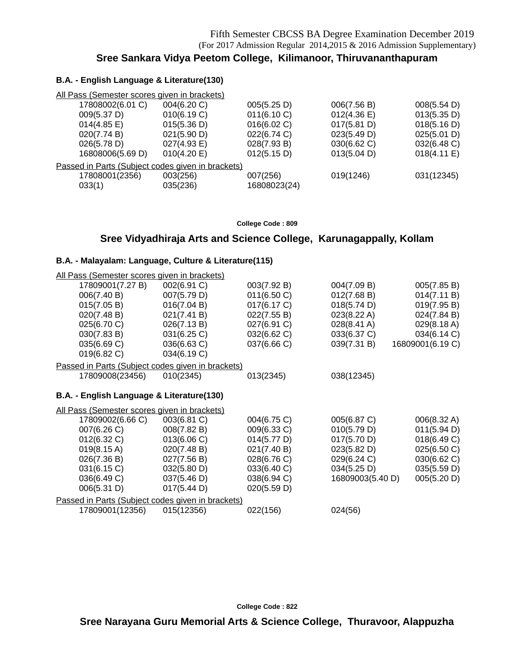## **Sree Sankara Vidya Peetom College, Kilimanoor, Thiruvananthapuram**

### **B.A. - English Language & Literature(130)**

| All Pass (Semester scores given in brackets)      |             |              |             |             |
|---------------------------------------------------|-------------|--------------|-------------|-------------|
| 17808002(6.01 C)                                  | 004(6.20 C) | 005(5.25 D)  | 006(7.56 B) | 008(5.54 D) |
| 009(5.37 D)                                       | 010(6.19 C) | 011(6.10 C)  | 012(4.36)   | 013(5.35 D) |
| $014(4.85 \text{ E})$                             | 015(5.36 D) | 016(6.02 C)  | 017(5.81 D) | 018(5.16 D) |
| 020(7.74 B)                                       | 021(5.90 D) | 022(6.74 C)  | 023(5.49 D) | 025(5.01 D) |
| 026(5.78 D)                                       | 027(4.93 E) | 028(7.93 B)  | 030(6.62 C) | 032(6.48 C) |
| 16808006(5.69 D)                                  | 010(4.20 E) | 012(5.15 D)  | 013(5.04 D) | 018(4.11 E) |
| Passed in Parts (Subject codes given in brackets) |             |              |             |             |
| 17808001(2356)                                    | 003(256)    | 007(256)     | 019(1246)   | 031(12345)  |
| 033(1)                                            | 035(236)    | 16808023(24) |             |             |

**College Code : 809**

### **Sree Vidyadhiraja Arts and Science College, Karunagappally, Kollam**

### **B.A. - Malayalam: Language, Culture & Literature(115)**

| All Pass (Semester scores given in brackets) |                                                   |             |                  |                  |
|----------------------------------------------|---------------------------------------------------|-------------|------------------|------------------|
| 17809001(7.27 B)                             | 002(6.91 C)                                       | 003(7.92 B) | 004(7.09 B)      | 005(7.85 B)      |
| 006(7.40 B)                                  | 007(5.79 D)                                       | 011(6.50 C) | 012(7.68 B)      | 014(7.11 B)      |
| 015(7.05 B)                                  | 016(7.04 B)                                       | 017(6.17 C) | 018(5.74 D)      | 019(7.95 B)      |
| 020(7.48 B)                                  | 021(7.41 B)                                       | 022(7.55 B) | 023(8.22 A)      | 024(7.84 B)      |
| 025(6.70 C)                                  | 026(7.13 B)                                       | 027(6.91 C) | 028(8.41 A)      | 029(8.18 A)      |
| 030(7.83 B)                                  | 031(6.25 C)                                       | 032(6.62 C) | 033(6.37 C)      | 034(6.14 C)      |
| 035(6.69 C)                                  | 036(6.63 C)                                       | 037(6.66 C) | 039(7.31 B)      | 16809001(6.19 C) |
| 019(6.82 C)                                  | 034(6.19 C)                                       |             |                  |                  |
|                                              | Passed in Parts (Subject codes given in brackets) |             |                  |                  |
| 17809008(23456)                              | 010(2345)                                         | 013(2345)   | 038(12345)       |                  |
|                                              |                                                   |             |                  |                  |
| B.A. - English Language & Literature(130)    |                                                   |             |                  |                  |
| All Pass (Semester scores given in brackets) |                                                   |             |                  |                  |
| 17809002(6.66 C)                             | 003(6.81 C)                                       | 004(6.75 C) | 005(6.87 C)      | 006(8.32 A)      |
| 007(6.26 C)                                  | 008(7.82 B)                                       | 009(6.33 C) | 010(5.79 D)      | 011(5.94 D)      |
| 012(6.32 C)                                  | 013(6.06 C)                                       | 014(5.77 D) | 017(5.70 D)      | 018(6.49 C)      |
| $019(8.15 \text{ A})$                        | 020(7.48 B)                                       | 021(7.40 B) | 023(5.82 D)      | 025(6.50 C)      |
| 026(7.36 B)                                  | 027(7.56 B)                                       | 028(6.76 C) | 029(6.24 C)      | 030(6.62 C)      |
| 031(6.15 C)                                  | 032(5.80 D)                                       | 033(6.40 C) | 034(5.25 D)      | 035(5.59 D)      |
| 036(6.49 C)                                  | 037(5.46 D)                                       | 038(6.94 C) | 16809003(5.40 D) | 005(5.20 D)      |
| 006(5.31 D)                                  | 017(5.44 D)                                       | 020(5.59 D) |                  |                  |
|                                              | Passed in Parts (Subject codes given in brackets) |             |                  |                  |
| 17809001(12356)                              | 015(12356)                                        | 022(156)    | 024(56)          |                  |
|                                              |                                                   |             |                  |                  |

**College Code : 822**

**Sree Narayana Guru Memorial Arts & Science College, Thuravoor, Alappuzha**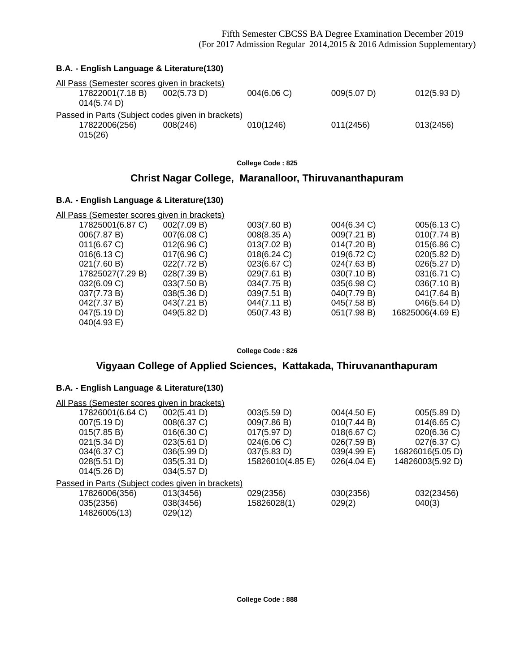### Fifth Semester CBCSS BA Degree Examination December 2019 (For 2017 Admission Regular 2014,2015 & 2016 Admission Supplementary)

| B.A. - English Language & Literature(130)                                                      |           |             |             |
|------------------------------------------------------------------------------------------------|-----------|-------------|-------------|
| All Pass (Semester scores given in brackets)<br>17822001(7.18 B)<br>002(5.73 D)<br>014(5.74 D) | 004(6.06) | 009(5.07 D) | 012(5.93 D) |
| Passed in Parts (Subject codes given in brackets)<br>17822006(256)<br>008(246)<br>015(26)      | 010(1246) | 011(2456)   | 013(2456)   |

**College Code : 825**

## **Christ Nagar College, Maranalloor, Thiruvananthapuram**

### **B.A. - English Language & Literature(130)**

| All Pass (Semester scores given in brackets) |             |             |             |                  |
|----------------------------------------------|-------------|-------------|-------------|------------------|
| 17825001(6.87 C)                             | 002(7.09 B) | 003(7.60 B) | 004(6.34 C) | 005(6.13 C)      |
| 006(7.87 B)                                  | 007(6.08 C) | 008(8.35 A) | 009(7.21 B) | 010(7.74 B)      |
| 011(6.67 C)                                  | 012(6.96)   | 013(7.02 B) | 014(7.20 B) | 015(6.86 C)      |
| 016(6.13 C)                                  | 017(6.96)   | 018(6.24 C) | 019(6.72 C) | 020(5.82 D)      |
| 021(7.60 B)                                  | 022(7.72 B) | 023(6.67 C) | 024(7.63 B) | 026(5.27 D)      |
| 17825027(7.29 B)                             | 028(7.39 B) | 029(7.61 B) | 030(7.10 B) | 031(6.71 C)      |
| 032(6.09 C)                                  | 033(7.50 B) | 034(7.75 B) | 035(6.98 C) | 036(7.10 B)      |
| 037(7.73 B)                                  | 038(5.36 D) | 039(7.51 B) | 040(7.79 B) | 041(7.64 B)      |
| 042(7.37 B)                                  | 043(7.21 B) | 044(7.11 B) | 045(7.58 B) | 046(5.64 D)      |
| 047(5.19 D)                                  | 049(5.82 D) | 050(7.43 B) | 051(7.98 B) | 16825006(4.69 E) |
| 040(4.93 E)                                  |             |             |             |                  |

**College Code : 826**

## **Vigyaan College of Applied Sciences, Kattakada, Thiruvananthapuram**

| All Pass (Semester scores given in brackets)      |             |                  |             |                  |
|---------------------------------------------------|-------------|------------------|-------------|------------------|
| 17826001(6.64 C)                                  | 002(5.41 D) | 003(5.59 D)      | 004(4.50 E) | 005(5.89 D)      |
| 007(5.19 D)                                       | 008(6.37 C) | 009(7.86 B)      | 010(7.44 B) | 014(6.65 C)      |
| 015(7.85 B)                                       | 016(6.30 C) | 017(5.97 D)      | 018(6.67 C) | 020(6.36 C)      |
| 021(5.34 D)                                       | 023(5.61 D) | 024(6.06 C)      | 026(7.59 B) | 027(6.37 C)      |
| 034(6.37 C)                                       | 036(5.99 D) | 037(5.83 D)      | 039(4.99 E) | 16826016(5.05 D) |
| 028(5.51 D)                                       | 035(5.31 D) | 15826010(4.85 E) | 026(4.04)   | 14826003(5.92 D) |
| 014(5.26 D)                                       | 034(5.57 D) |                  |             |                  |
| Passed in Parts (Subject codes given in brackets) |             |                  |             |                  |
| 17826006(356)                                     | 013(3456)   | 029(2356)        | 030(2356)   | 032(23456)       |
| 035(2356)                                         | 038(3456)   | 15826028(1)      | 029(2)      | 040(3)           |
| 14826005(13)                                      | 029(12)     |                  |             |                  |
|                                                   |             |                  |             |                  |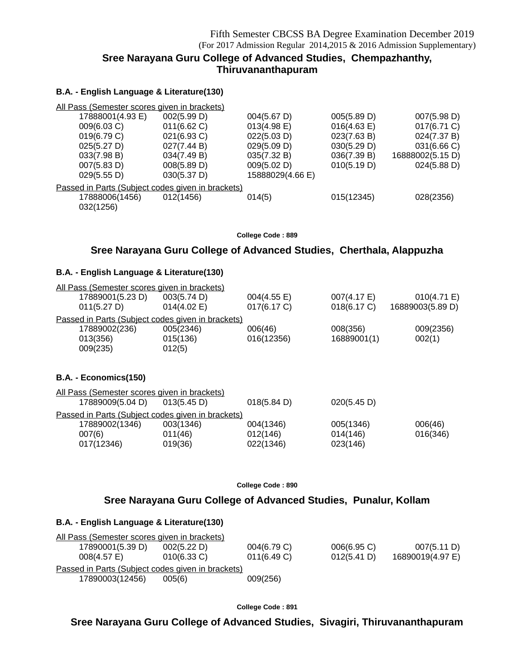## **Sree Narayana Guru College of Advanced Studies, Chempazhanthy, Thiruvananthapuram**

### **B.A. - English Language & Literature(130)**

| All Pass (Semester scores given in brackets)      |             |                  |             |                  |  |
|---------------------------------------------------|-------------|------------------|-------------|------------------|--|
| 17888001(4.93 E)                                  | 002(5.99 D) | 004(5.67 D)      | 005(5.89 D) | 007(5.98 D)      |  |
| 009(6.03 C)                                       | 011(6.62)   | 013(4.98 E)      | 016(4.63 E) | 017(6.71 C)      |  |
| 019(6.79 C)                                       | 021(6.93 C) | 022(5.03 D)      | 023(7.63 B) | 024(7.37 B)      |  |
| 025(5.27 D)                                       | 027(7.44 B) | 029(5.09 D)      | 030(5.29 D) | 031(6.66 C)      |  |
| 033(7.98 B)                                       | 034(7.49 B) | 035(7.32 B)      | 036(7.39 B) | 16888002(5.15 D) |  |
| 007(5.83 D)                                       | 008(5.89 D) | 009(5.02 D)      | 010(5.19 D) | 024(5.88 D)      |  |
| 029(5.55 D)                                       | 030(5.37 D) | 15888029(4.66 E) |             |                  |  |
| Passed in Parts (Subject codes given in brackets) |             |                  |             |                  |  |
| 17888006(1456)                                    | 012(1456)   | 014(5)           | 015(12345)  | 028(2356)        |  |
| 032(1256)                                         |             |                  |             |                  |  |

**College Code : 889**

### **Sree Narayana Guru College of Advanced Studies, Cherthala, Alappuzha**

### **B.A. - English Language & Literature(130)**

| All Pass (Semester scores given in brackets)           |                |             |             |                  |
|--------------------------------------------------------|----------------|-------------|-------------|------------------|
| 17889001(5.23 D)                                       | 003(5.74 D)    | 004(4.55 E) | 007(4.17 E) | 010(4.71 E)      |
| 011(5.27 D)                                            | $014(4.02)$ E) | 017(6.17 C) | 018(6.17 C) | 16889003(5.89 D) |
| Passed in Parts (Subject codes given in brackets)      |                |             |             |                  |
| 17889002(236)                                          | 005(2346)      | 006(46)     | 008(356)    | 009(2356)        |
| 013(356)                                               | 015(136)       | 016(12356)  | 16889001(1) | 002(1)           |
| 009(235)                                               | 012(5)         |             |             |                  |
|                                                        |                |             |             |                  |
| $E_{\alpha\alpha\beta\alpha}$ $\mu$ is $(1E_0)$<br>D A |                |             |             |                  |

### **B.A. - Economics(150)**

| All Pass (Semester scores given in brackets) |                                                   |                       |             |          |
|----------------------------------------------|---------------------------------------------------|-----------------------|-------------|----------|
| 17889009(5.04 D)                             | 013(5.45 D)                                       | $018(5.84 \text{ D})$ | 020(5.45 D) |          |
|                                              | Passed in Parts (Subject codes given in brackets) |                       |             |          |
| 17889002(1346)                               | 003(1346)                                         | 004(1346)             | 005(1346)   | 006(46)  |
| 007(6)                                       | 011(46)                                           | 012(146)              | 014(146)    | 016(346) |
| 017(12346)                                   | 019(36)                                           | 022(1346)             | 023(146)    |          |

**College Code : 890**

### **Sree Narayana Guru College of Advanced Studies, Punalur, Kollam**

### **B.A. - English Language & Literature(130)**

| All Pass (Semester scores given in brackets)      |                |                |                |                  |  |  |
|---------------------------------------------------|----------------|----------------|----------------|------------------|--|--|
| 17890001(5.39 D)                                  | 002(5.22 D)    | 004(6.79 C)    | $006(6.95)$ C) | 007(5.11 D)      |  |  |
| $008(4.57)$ E)                                    | $010(6.33)$ C) | $011(6.49)$ C) | 012(5.41 D)    | 16890019(4.97 E) |  |  |
| Passed in Parts (Subject codes given in brackets) |                |                |                |                  |  |  |
| 17890003(12456)                                   | 005(6)         | 009(256)       |                |                  |  |  |

**College Code : 891**

## **Sree Narayana Guru College of Advanced Studies, Sivagiri, Thiruvananthapuram**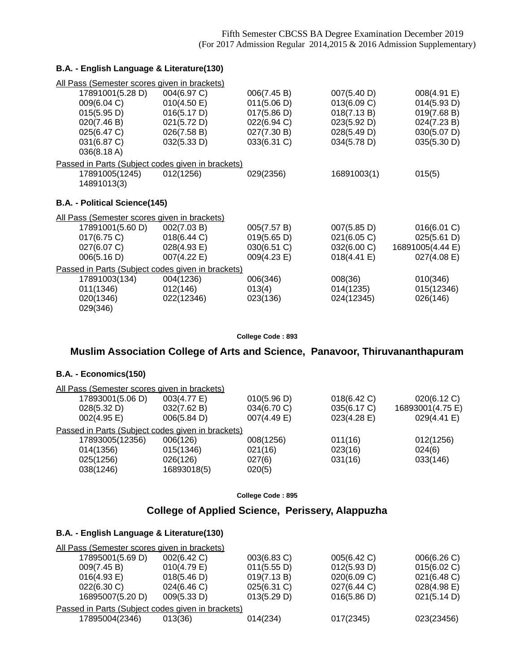### **B.A. - English Language & Literature(130)**

| <u>All Pass (Semester scores given in brackets)</u> |             |             |             |                  |
|-----------------------------------------------------|-------------|-------------|-------------|------------------|
| 17891001(5.28 D)                                    | 004(6.97 C) | 006(7.45 B) | 007(5.40 D) | 008(4.91 E)      |
| 009(6.04 C)                                         | 010(4.50 E) | 011(5.06 D) | 013(6.09 C) | 014(5.93 D)      |
| 015(5.95 D)                                         | 016(5.17 D) | 017(5.86 D) | 018(7.13 B) | 019(7.68 B)      |
| 020(7.46 B)                                         | 021(5.72 D) | 022(6.94 C) | 023(5.92 D) | 024(7.23 B)      |
| 025(6.47 C)                                         | 026(7.58 B) | 027(7.30 B) | 028(5.49 D) | 030(5.07 D)      |
| 031(6.87 C)                                         | 032(5.33 D) | 033(6.31 C) | 034(5.78 D) | 035(5.30 D)      |
| 036(8.18 A)                                         |             |             |             |                  |
| Passed in Parts (Subject codes given in brackets)   |             |             |             |                  |
| 17891005(1245)                                      | 012(1256)   | 029(2356)   | 16891003(1) | 015(5)           |
| 14891013(3)                                         |             |             |             |                  |
|                                                     |             |             |             |                  |
| B.A. - Political Science(145)                       |             |             |             |                  |
| All Pass (Semester scores given in brackets)        |             |             |             |                  |
| 17891001(5.60 D)                                    | 002(7.03 B) | 005(7.57 B) | 007(5.85 D) | 016(6.01 C)      |
| 017(6.75 C)                                         | 018(6.44 C) | 019(5.65 D) | 021(6.05 C) | 025(5.61 D)      |
| 027(6.07 C)                                         | 028(4.93 E) | 030(6.51 C) | 032(6.00 C) | 16891005(4.44 E) |
| 006(5.16 D)                                         | 007(4.22 E) | 009(4.23 E) | 018(4.41 E) | 027(4.08 E)      |
| Passed in Parts (Subject codes given in brackets)   |             |             |             |                  |
| 17891003(134)                                       | 004(1236)   | 006(346)    | 008(36)     | 010(346)         |
| 011(1346)                                           | 012(146)    | 013(4)      | 014(1235)   | 015(12346)       |
| 020(1346)                                           | 022(12346)  | 023(136)    | 024(12345)  | 026(146)         |
| 029(346)                                            |             |             |             |                  |

**College Code : 893**

## **Muslim Association College of Arts and Science, Panavoor, Thiruvananthapuram**

### **B.A. - Economics(150)**

| All Pass (Semester scores given in brackets)      |             |             |             |                  |
|---------------------------------------------------|-------------|-------------|-------------|------------------|
| 17893001(5.06 D)                                  | 003(4.77 E) | 010(5.96 D) | 018(6.42 C) | 020(6.12 C)      |
| 028(5.32 D)                                       | 032(7.62 B) | 034(6.70 C) | 035(6.17 C) | 16893001(4.75 E) |
| 002(4.95 E)                                       | 006(5.84 D) | 007(4.49 E) | 023(4.28 E) | 029(4.41 E)      |
| Passed in Parts (Subject codes given in brackets) |             |             |             |                  |
| 17893005(12356)                                   | 006(126)    | 008(1256)   | 011(16)     | 012(1256)        |
| 014(1356)                                         | 015(1346)   | 021(16)     | 023(16)     | 024(6)           |
| 025(1256)                                         | 026(126)    | 027(6)      | 031(16)     | 033(146)         |
| 038(1246)                                         | 16893018(5) | 020(5)      |             |                  |
|                                                   |             |             |             |                  |

**College Code : 895**

## **College of Applied Science, Perissery, Alappuzha**

| All Pass (Semester scores given in brackets)      |                |             |             |                |
|---------------------------------------------------|----------------|-------------|-------------|----------------|
| 17895001(5.69 D)                                  | 002(6.42 C)    | 003(6.83 C) | 005(6.42 C) | 006(6.26 C)    |
| 009(7.45 B)                                       | $010(4.79)$ E) | 011(5.55 D) | 012(5.93 D) | 015(6.02 C)    |
| 016(4.93 E)                                       | 018(5.46 D)    | 019(7.13 B) | 020(6.09 C) | 021(6.48 C)    |
| 022(6.30 C)                                       | 024(6.46)      | 025(6.31 C) | 027(6.44 C) | $028(4.98)$ E) |
| 16895007(5.20 D)                                  | 009(5.33 D)    | 013(5.29 D) | 016(5.86 D) | 021(5.14 D)    |
| Passed in Parts (Subject codes given in brackets) |                |             |             |                |
| 17895004(2346)                                    | 013(36)        | 014(234)    | 017(2345)   | 023(23456)     |
|                                                   |                |             |             |                |